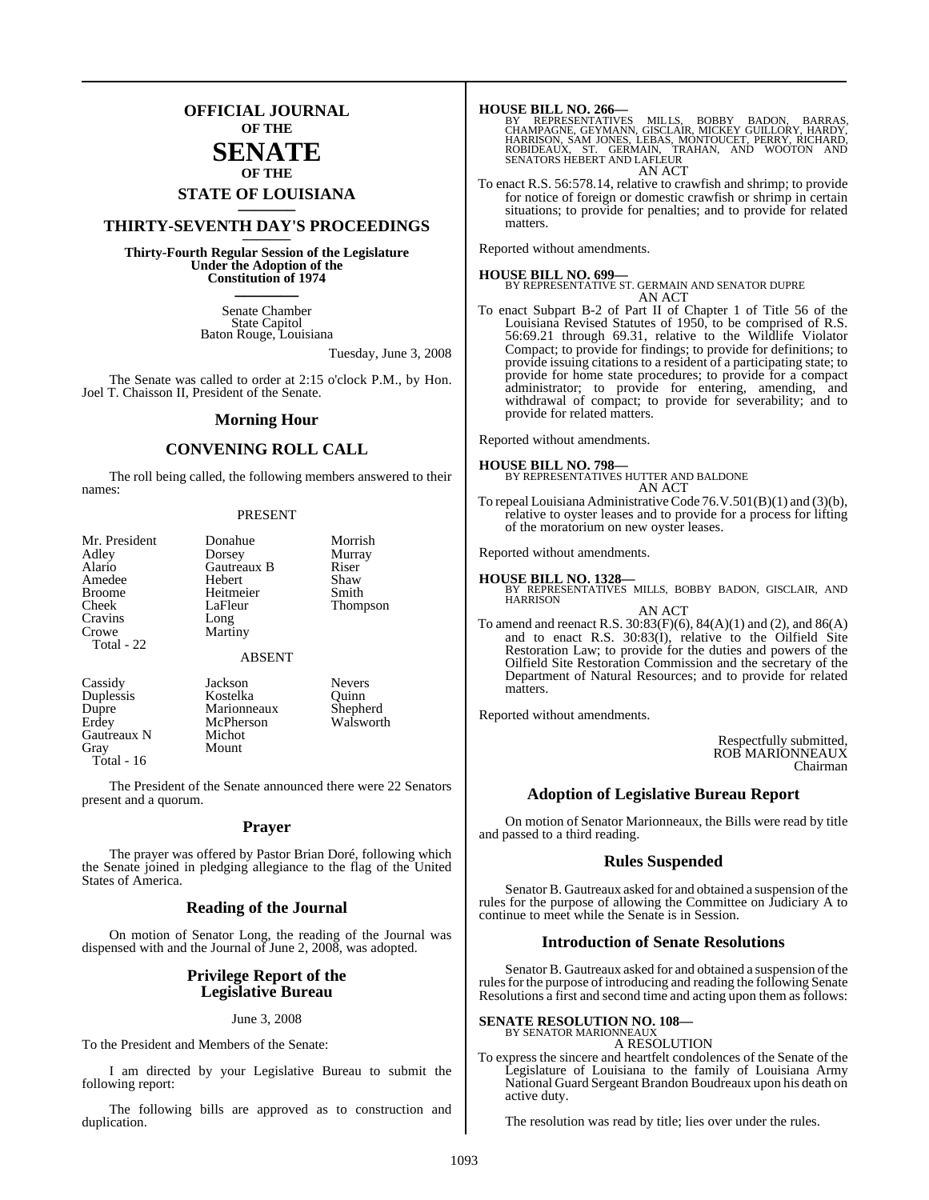### **OFFICIAL JOURNAL OF THE**

### **SENATE OF THE**

# **STATE OF LOUISIANA \_\_\_\_\_\_\_**

### **THIRTY-SEVENTH DAY'S PROCEEDINGS \_\_\_\_\_\_\_**

**Thirty-Fourth Regular Session of the Legislature Under the Adoption of the Constitution of 1974 \_\_\_\_\_\_\_**

> Senate Chamber State Capitol Baton Rouge, Louisiana

> > Tuesday, June 3, 2008

The Senate was called to order at 2:15 o'clock P.M., by Hon. Joel T. Chaisson II, President of the Senate.

#### **Morning Hour**

#### **CONVENING ROLL CALL**

The roll being called, the following members answered to their names:

#### PRESENT

| Mr. President<br>Adley<br>Alario<br>Amedee<br><b>Broome</b><br>Cheek<br>Cravins | Donahue<br>Dorsey<br>Gautreaux B<br>Hebert<br>Heitmeier<br>LaFleur<br>Long | Morrish<br>Murray<br>Riser<br>Shaw<br>Smith<br><b>Thompson</b> |
|---------------------------------------------------------------------------------|----------------------------------------------------------------------------|----------------------------------------------------------------|
| Crowe<br>Total - 22                                                             | Martiny                                                                    |                                                                |
|                                                                                 | <b>ABSENT</b>                                                              |                                                                |
| Cassidy<br>Duplessis<br>Dupre<br>Erdey<br>Gautreaux N                           | Jackson<br>Kostelka<br>Marionneaux<br>McPherson<br>Michot                  | <b>Nevers</b><br>Ouinn<br>Shepherd<br>Walsworth                |

Mount

The President of the Senate announced there were 22 Senators present and a quorum.

#### **Prayer**

The prayer was offered by Pastor Brian Doré, following which the Senate joined in pledging allegiance to the flag of the United States of America.

#### **Reading of the Journal**

On motion of Senator Long, the reading of the Journal was dispensed with and the Journal of June 2, 2008, was adopted.

#### **Privilege Report of the Legislative Bureau**

#### June 3, 2008

To the President and Members of the Senate:

Gautreaux N<br>Gray

Total - 16

I am directed by your Legislative Bureau to submit the following report:

The following bills are approved as to construction and duplication.

**HOUSE BILL NO. 266—**<br>BY REPRESENTATIVES MILLS, BOBBY BADON, BARRAS,<br>CHAMPAGNE, GEYMANN, GISCLAIR, MICKEY GUILLORY, HARDY,<br>HARRISON, SAM JONES, LEBAS, MONTOUCET, PERRY, RICHARD,<br>ROBIDEAUX, ST. GERMAIN, TRAHAN, AND WOOTON A AN ACT

To enact R.S. 56:578.14, relative to crawfish and shrimp; to provide for notice of foreign or domestic crawfish or shrimp in certain situations; to provide for penalties; and to provide for related matters.

Reported without amendments.

#### **HOUSE BILL NO. 699—**

BY REPRESENTATIVE ST. GERMAIN AND SENATOR DUPRE AN ACT

To enact Subpart B-2 of Part II of Chapter 1 of Title 56 of the Louisiana Revised Statutes of 1950, to be comprised of R.S. 56:69.21 through 69.31, relative to the Wildlife Violator Compact; to provide for findings; to provide for definitions; to provide issuing citations to a resident of a participating state; to provide for home state procedures; to provide for a compact administrator; to provide for entering, amending, and withdrawal of compact; to provide for severability; and to provide for related matters.

Reported without amendments.

**HOUSE BILL NO. 798—** BY REPRESENTATIVES HUTTER AND BALDONE AN ACT

To repeal Louisiana Administrative Code 76.V.501(B)(1) and (3)(b), relative to oyster leases and to provide for a process for lifting of the moratorium on new oyster leases.

Reported without amendments.

#### **HOUSE BILL NO. 1328—**

BY REPRESENTATIVES MILLS, BOBBY BADON, GISCLAIR, AND **HARRISON** AN ACT

To amend and reenact R.S. 30:83(F)(6), 84(A)(1) and (2), and 86(A) and to enact R.S. 30:83(I), relative to the Oilfield Site Restoration Law; to provide for the duties and powers of the Oilfield Site Restoration Commission and the secretary of the Department of Natural Resources; and to provide for related matters.

Reported without amendments.

Respectfully submitted, ROB MARIONNEAUX Chairman

#### **Adoption of Legislative Bureau Report**

On motion of Senator Marionneaux, the Bills were read by title and passed to a third reading.

#### **Rules Suspended**

Senator B. Gautreaux asked for and obtained a suspension of the rules for the purpose of allowing the Committee on Judiciary A to continue to meet while the Senate is in Session.

#### **Introduction of Senate Resolutions**

Senator B. Gautreaux asked for and obtained a suspension of the rules for the purpose of introducing and reading the following Senate Resolutions a first and second time and acting upon them as follows:

#### **SENATE RESOLUTION NO. 108—**

BY SENATOR MARIONNEAUX A RESOLUTION

To express the sincere and heartfelt condolences of the Senate of the Legislature of Louisiana to the family of Louisiana Army National Guard Sergeant Brandon Boudreaux upon his death on active duty.

The resolution was read by title; lies over under the rules.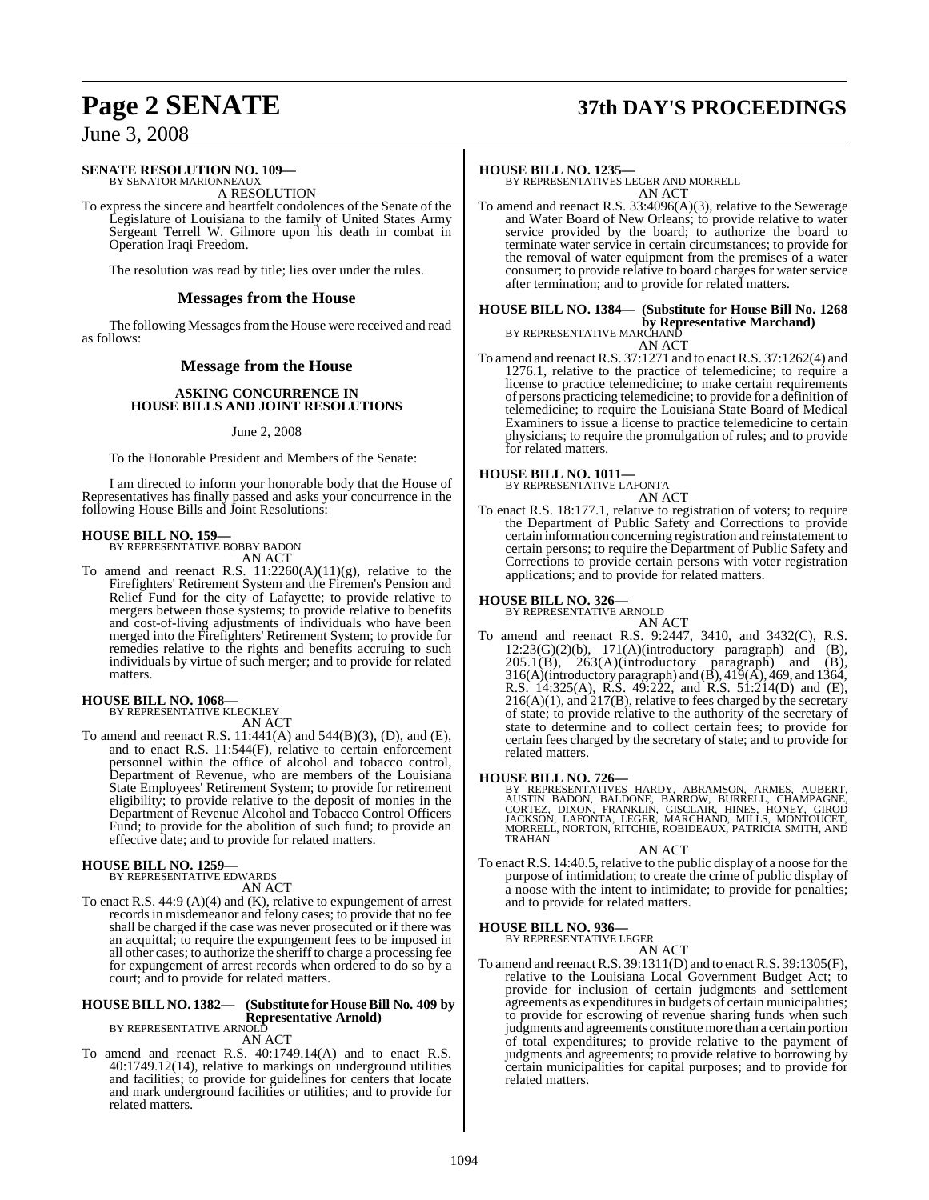# **Page 2 SENATE 37th DAY'S PROCEEDINGS**

### June 3, 2008

#### **SENATE RESOLUTION NO. 109—** BY SENATOR MARIONNEAUX

A RESOLUTION

To express the sincere and heartfelt condolences of the Senate of the Legislature of Louisiana to the family of United States Army Sergeant Terrell W. Gilmore upon his death in combat in Operation Iraqi Freedom.

The resolution was read by title; lies over under the rules.

#### **Messages from the House**

The following Messages from the House were received and read as follows:

#### **Message from the House**

#### **ASKING CONCURRENCE IN HOUSE BILLS AND JOINT RESOLUTIONS**

#### June 2, 2008

To the Honorable President and Members of the Senate:

I am directed to inform your honorable body that the House of Representatives has finally passed and asks your concurrence in the following House Bills and Joint Resolutions:

#### **HOUSE BILL NO. 159—**

BY REPRESENTATIVE BOBBY BADON AN ACT

To amend and reenact R.S.  $11:2260(A)(11)(g)$ , relative to the Firefighters' Retirement System and the Firemen's Pension and Relief Fund for the city of Lafayette; to provide relative to mergers between those systems; to provide relative to benefits and cost-of-living adjustments of individuals who have been merged into the Firefighters' Retirement System; to provide for remedies relative to the rights and benefits accruing to such individuals by virtue of such merger; and to provide for related matters.

#### **HOUSE BILL NO. 1068—** BY REPRESENTATIVE KLECKLEY

AN ACT

To amend and reenact R.S. 11:441(A) and 544(B)(3), (D), and (E), and to enact R.S. 11:544(F), relative to certain enforcement personnel within the office of alcohol and tobacco control, Department of Revenue, who are members of the Louisiana State Employees' Retirement System; to provide for retirement eligibility; to provide relative to the deposit of monies in the Department of Revenue Alcohol and Tobacco Control Officers Fund; to provide for the abolition of such fund; to provide an effective date; and to provide for related matters.

### **HOUSE BILL NO. 1259—** BY REPRESENTATIVE EDWARDS

AN ACT

To enact R.S. 44:9 (A)(4) and (K), relative to expungement of arrest records in misdemeanor and felony cases; to provide that no fee shall be charged if the case was never prosecuted or if there was an acquittal; to require the expungement fees to be imposed in all other cases; to authorize the sheriffto charge a processing fee for expungement of arrest records when ordered to do so by a court; and to provide for related matters.

### **HOUSE BILL NO. 1382— (Substitute for House Bill No. 409 by Representative Arnold)** BY REPRESENTATIVE ARNOLD

AN ACT

To amend and reenact R.S. 40:1749.14(A) and to enact R.S. 40:1749.12(14), relative to markings on underground utilities and facilities; to provide for guidelines for centers that locate and mark underground facilities or utilities; and to provide for related matters.

#### **HOUSE BILL NO. 1235—**

BY REPRESENTATIVES LEGER AND MORRELL AN ACT

To amend and reenact R.S. 33:4096(A)(3), relative to the Sewerage and Water Board of New Orleans; to provide relative to water service provided by the board; to authorize the board to terminate water service in certain circumstances; to provide for the removal of water equipment from the premises of a water consumer; to provide relative to board charges for water service after termination; and to provide for related matters.

#### **HOUSE BILL NO. 1384— (Substitute for House Bill No. 1268 by Representative Marchand)** BY REPRESENTATIVE MARCHAND AN ACT

To amend and reenact R.S. 37:1271 and to enact R.S. 37:1262(4) and 1276.1, relative to the practice of telemedicine; to require a license to practice telemedicine; to make certain requirements of persons practicing telemedicine; to provide for a definition of telemedicine; to require the Louisiana State Board of Medical Examiners to issue a license to practice telemedicine to certain physicians; to require the promulgation of rules; and to provide for related matters.

**HOUSE BILL NO. 1011—** BY REPRESENTATIVE LAFONTA AN ACT

To enact R.S. 18:177.1, relative to registration of voters; to require the Department of Public Safety and Corrections to provide certain information concerning registration and reinstatement to certain persons; to require the Department of Public Safety and Corrections to provide certain persons with voter registration applications; and to provide for related matters.

# **HOUSE BILL NO. 326—** BY REPRESENTATIVE ARNOLD

- AN ACT
- To amend and reenact R.S. 9:2447, 3410, and 3432(C), R.S.  $12:23(G)(2)(b)$ ,  $171(A)(introductory paragraph)$  and  $(B)$ ,  $205.1(B)$ ,  $263(A)$ (introductory paragraph) and  $(B)$ , 316(A)(introductory paragraph) and  $(\vec{B})$ , 419( $(\vec{A})$ , 469, and 1364, R.S. 14:325(A), R.S. 49:222, and R.S. 51:214(D) and (E), 216(A)(1), and 217(B), relative to fees charged by the secretary of state; to provide relative to the authority of the secretary of state to determine and to collect certain fees; to provide for certain fees charged by the secretary of state; and to provide for related matters.

**HOUSE BILL NO. 726**<br>BY REPRESENTATIVES HARDY, ABRAMSON, ARMES, AUBERT,<br>AUSTIN BADON, BALDONE, BARROW, BURRELL, CHAMPAGNE,<br>CORTEZ, DIXON, FRANKLIN, GISCLAIR, HINES, HONEY, GIROD<br>JACKSON, LAFONTA, LEGER, MARCHAND, MILLS, MO TRAHAN

AN ACT To enact R.S. 14:40.5, relative to the public display of a noose for the purpose of intimidation; to create the crime of public display of a noose with the intent to intimidate; to provide for penalties; and to provide for related matters.

#### **HOUSE BILL NO. 936—**

BY REPRESENTATIVE LEGER

#### AN ACT

To amend and reenactR.S. 39:1311(D) and to enact R.S. 39:1305(F), relative to the Louisiana Local Government Budget Act; to provide for inclusion of certain judgments and settlement agreements as expenditures in budgets of certain municipalities; to provide for escrowing of revenue sharing funds when such judgments and agreements constitute more than a certain portion of total expenditures; to provide relative to the payment of judgments and agreements; to provide relative to borrowing by certain municipalities for capital purposes; and to provide for related matters.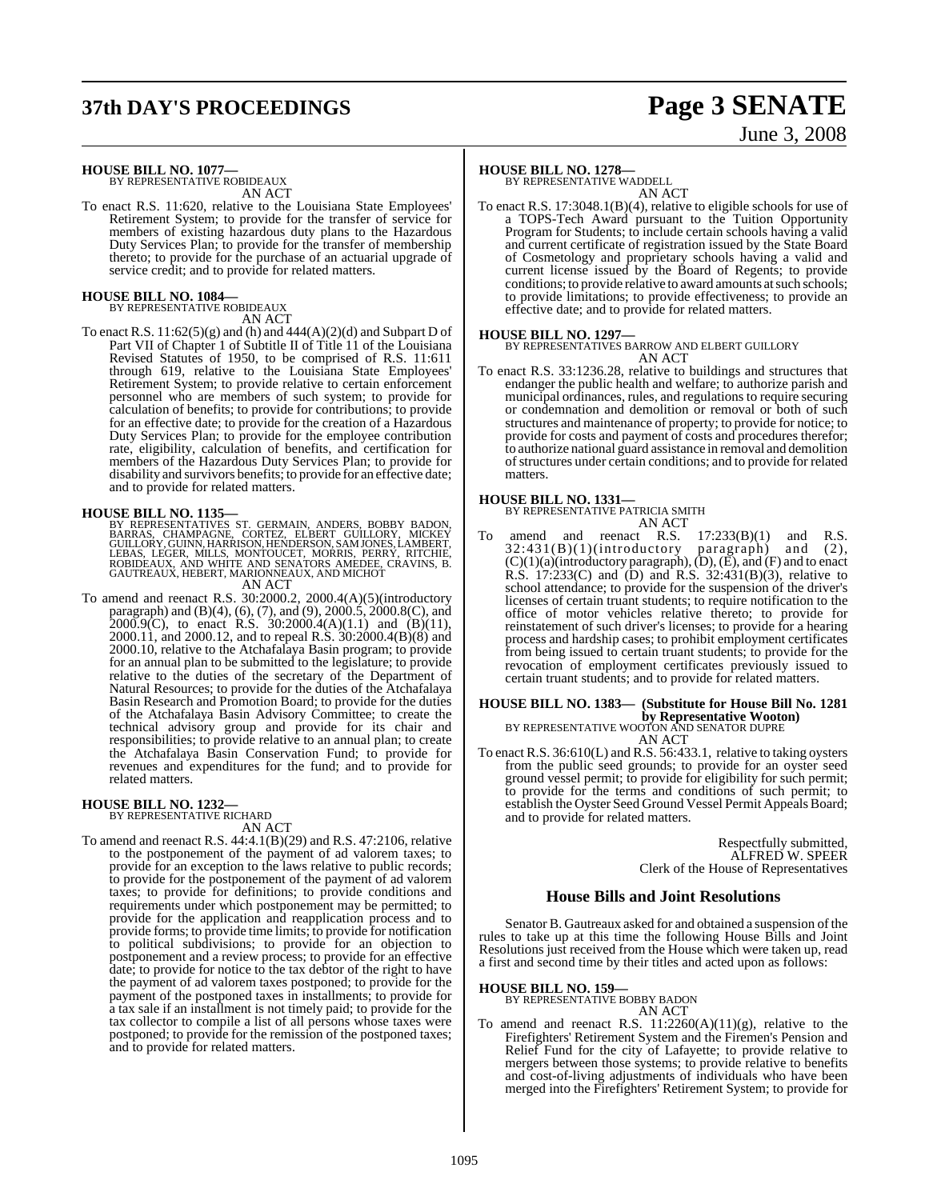# **37th DAY'S PROCEEDINGS Page 3 SENATE**

# June 3, 2008

**HOUSE BILL NO. 1077—** BY REPRESENTATIVE ROBIDEAUX

AN ACT

To enact R.S. 11:620, relative to the Louisiana State Employees' Retirement System; to provide for the transfer of service for members of existing hazardous duty plans to the Hazardous Duty Services Plan; to provide for the transfer of membership thereto; to provide for the purchase of an actuarial upgrade of service credit; and to provide for related matters.

## **HOUSE BILL NO. 1084—** BY REPRESENTATIVE ROBIDEAUX

- AN ACT
- To enact R.S.  $11:62(5)(g)$  and (h) and  $444(A)(2)(d)$  and Subpart D of Part VII of Chapter 1 of Subtitle II of Title 11 of the Louisiana Revised Statutes of 1950, to be comprised of R.S. 11:611 through 619, relative to the Louisiana State Employees' Retirement System; to provide relative to certain enforcement personnel who are members of such system; to provide for calculation of benefits; to provide for contributions; to provide for an effective date; to provide for the creation of a Hazardous Duty Services Plan; to provide for the employee contribution rate, eligibility, calculation of benefits, and certification for members of the Hazardous Duty Services Plan; to provide for disability and survivors benefits; to provide for an effective date; and to provide for related matters.

**HOUSE BILL NO. 1135—**<br>BY REPRESENTATIVES ST. GERMAIN, ANDERS, BOBBY BADON,<br>BARRAS, CHAMPAGNE, CORTEZ, ELBERT GUILLORY, MICKEY<br>GUILLORY, GUINN, HARRISON, HENDERSON, SAMJONES, LAMBERT,<br>LEBAS, LEGER, MILLS, MONTOUCET, MORRIS

#### AN ACT

To amend and reenact R.S. 30:2000.2, 2000.4(A)(5)(introductory paragraph) and (B)(4), (6), (7), and (9), 2000.5, 2000.8(C), and 2000.9(C), to enact R.S. 30:2000.4(A)(1.1) and (B)(11), 2000.11, and 2000.12, and to repeal R.S. 30:2000.4(B)(8) and 2000.10, relative to the Atchafalaya Basin program; to provide for an annual plan to be submitted to the legislature; to provide relative to the duties of the secretary of the Department of Natural Resources; to provide for the duties of the Atchafalaya Basin Research and Promotion Board; to provide for the duties of the Atchafalaya Basin Advisory Committee; to create the technical advisory group and provide for its chair and responsibilities; to provide relative to an annual plan; to create the Atchafalaya Basin Conservation Fund; to provide for revenues and expenditures for the fund; and to provide for related matters.

### **HOUSE BILL NO. 1232—** BY REPRESENTATIVE RICHARD

AN ACT

To amend and reenact R.S. 44:4.1(B)(29) and R.S. 47:2106, relative to the postponement of the payment of ad valorem taxes; to provide for an exception to the laws relative to public records; to provide for the postponement of the payment of ad valorem taxes; to provide for definitions; to provide conditions and requirements under which postponement may be permitted; to provide for the application and reapplication process and to provide forms; to provide time limits; to provide for notification to political subdivisions; to provide for an objection to postponement and a review process; to provide for an effective date; to provide for notice to the tax debtor of the right to have the payment of ad valorem taxes postponed; to provide for the payment of the postponed taxes in installments; to provide for a tax sale if an installment is not timely paid; to provide for the tax collector to compile a list of all persons whose taxes were postponed; to provide for the remission of the postponed taxes; and to provide for related matters.

### **HOUSE BILL NO. 1278—** BY REPRESENTATIVE WADDELL

AN ACT

To enact R.S. 17:3048.1(B)(4), relative to eligible schools for use of a TOPS-Tech Award pursuant to the Tuition Opportunity Program for Students; to include certain schools having a valid and current certificate of registration issued by the State Board of Cosmetology and proprietary schools having a valid and current license issued by the Board of Regents; to provide conditions; to provide relative to award amounts at such schools; to provide limitations; to provide effectiveness; to provide an effective date; and to provide for related matters.

#### **HOUSE BILL NO. 1297—**

BY REPRESENTATIVES BARROW AND ELBERT GUILLORY AN ACT

To enact R.S. 33:1236.28, relative to buildings and structures that endanger the public health and welfare; to authorize parish and municipal ordinances, rules, and regulations to require securing or condemnation and demolition or removal or both of such structures and maintenance of property; to provide for notice; to provide for costs and payment of costs and procedures therefor; to authorize national guard assistance in removal and demolition ofstructures under certain conditions; and to provide for related matters.

#### **HOUSE BILL NO. 1331—**

BY REPRESENTATIVE PATRICIA SMITH AN ACT

To amend and reenact R.S.  $17:233(B)(1)$  and R.S.  $32:431(B)(1)(introducing paragramh)$  and  $(2)$ , 32:431(B)(1)(introductory paragraph) and (2),  $(C)(1)(a)$ (introductory paragraph),  $(D)$ ,  $(E)$ , and  $(F)$  and to enact R.S. 17:233(C) and (D) and R.S. 32:431(B)(3), relative to school attendance; to provide for the suspension of the driver's licenses of certain truant students; to require notification to the office of motor vehicles relative thereto; to provide for reinstatement of such driver's licenses; to provide for a hearing process and hardship cases; to prohibit employment certificates from being issued to certain truant students; to provide for the revocation of employment certificates previously issued to certain truant students; and to provide for related matters.

#### **HOUSE BILL NO. 1383— (Substitute for House Bill No. 1281 by Representative Wooton)** BY REPRESENTATIVE WOOTON AND SENATOR DUPRE AN ACT

To enact R.S. 36:610(L) and R.S. 56:433.1, relative to taking oysters from the public seed grounds; to provide for an oyster seed ground vessel permit; to provide for eligibility for such permit; to provide for the terms and conditions of such permit; to establish the Oyster Seed Ground Vessel Permit Appeals Board; and to provide for related matters.

> Respectfully submitted, ALFRED W. SPEER Clerk of the House of Representatives

#### **House Bills and Joint Resolutions**

Senator B. Gautreaux asked for and obtained a suspension of the rules to take up at this time the following House Bills and Joint Resolutions just received from the House which were taken up, read a first and second time by their titles and acted upon as follows:

#### **HOUSE BILL NO. 159—**

BY REPRESENTATIVE BOBBY BADON AN ACT

To amend and reenact R.S.  $11:2260(A)(11)(g)$ , relative to the Firefighters' Retirement System and the Firemen's Pension and Relief Fund for the city of Lafayette; to provide relative to mergers between those systems; to provide relative to benefits and cost-of-living adjustments of individuals who have been merged into the Firefighters' Retirement System; to provide for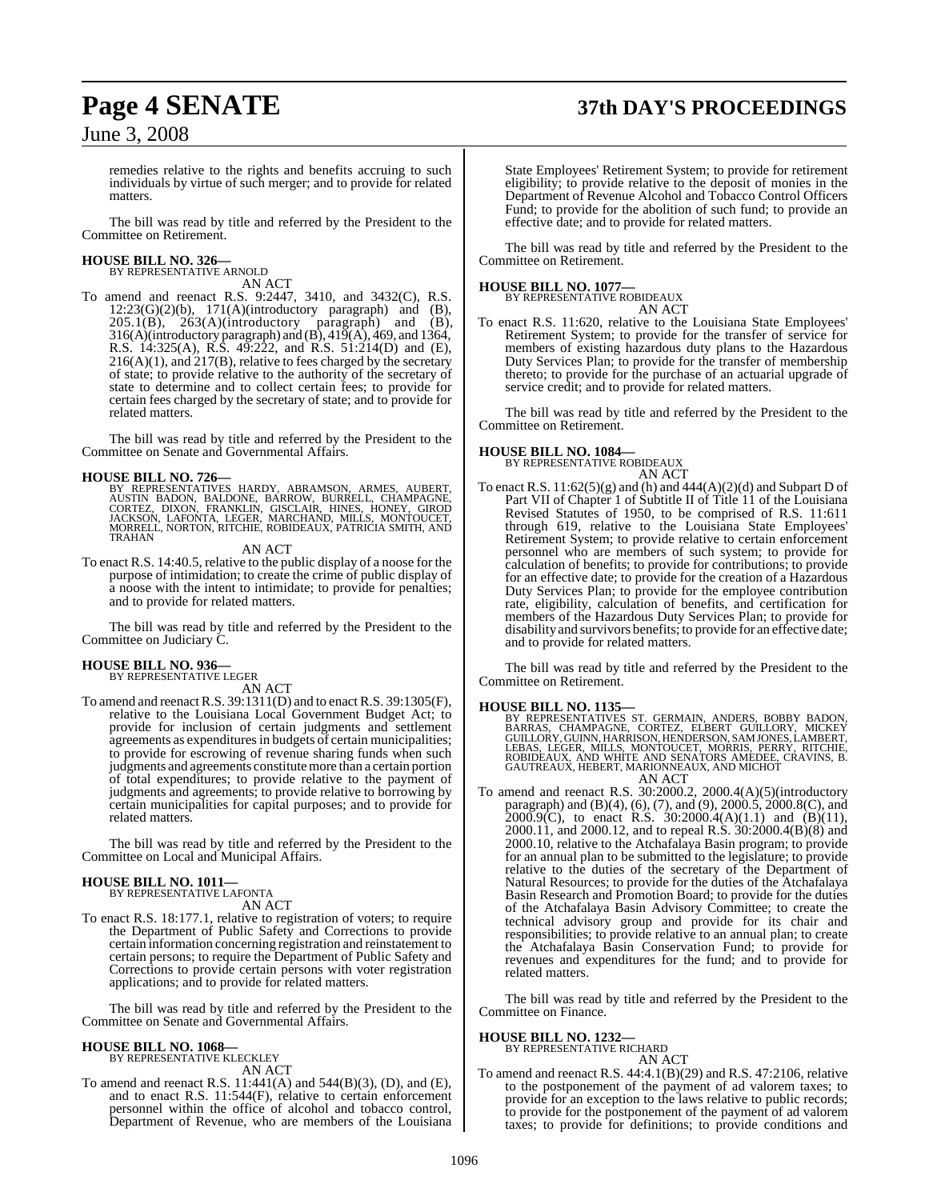# **Page 4 SENATE 37th DAY'S PROCEEDINGS**

June 3, 2008

remedies relative to the rights and benefits accruing to such individuals by virtue of such merger; and to provide for related matters.

The bill was read by title and referred by the President to the Committee on Retirement.

#### **HOUSE BILL NO. 326—** BY REPRESENTATIVE ARNOLD

AN ACT

To amend and reenact R.S. 9:2447, 3410, and 3432(C), R.S.  $12:23(G)(2)(b)$ ,  $171(A)(introductory paragraph)$  and  $(B)$ ,  $205.1(B)$ ,  $263(A)$ (introductory paragraph) and (B), 316(A)(introductory paragraph) and  $(B)$ , 419(A), 469, and 1364, R.S. 14:325(A), R.S. 49:222, and R.S. 51:214(D) and (E),  $216(A)(1)$ , and  $217(B)$ , relative to fees charged by the secretary of state; to provide relative to the authority of the secretary of state to determine and to collect certain fees; to provide for certain fees charged by the secretary of state; and to provide for related matters.

The bill was read by title and referred by the President to the Committee on Senate and Governmental Affairs.

#### **HOUSE BILL NO. 726—**

BY REPRESENTATIVES HARDY, ABRAMSON, ARMES, AUBERT,<br>AUSTIN BADON, BALDONE, BARROW, BURRELL, CHAMPAGNE,<br>CORTEZ, DIXON, FRANKLIN, GISCLAIR, HINES, HONEY, GIROD<br>JACKSON, LAFONTA, LEGER, MARCHAND, MILLS, MONTOUCET,<br>MORRELL, NOR TRAHAN

AN ACT

To enact R.S. 14:40.5, relative to the public display of a noose for the purpose of intimidation; to create the crime of public display of a noose with the intent to intimidate; to provide for penalties; and to provide for related matters.

The bill was read by title and referred by the President to the Committee on Judiciary C.

### **HOUSE BILL NO. 936—** BY REPRESENTATIVE LEGER

AN ACT

To amend and reenactR.S. 39:1311(D) and to enact R.S. 39:1305(F), relative to the Louisiana Local Government Budget Act; to provide for inclusion of certain judgments and settlement agreements as expenditures in budgets of certain municipalities; to provide for escrowing of revenue sharing funds when such judgments and agreements constitutemore than a certain portion of total expenditures; to provide relative to the payment of judgments and agreements; to provide relative to borrowing by certain municipalities for capital purposes; and to provide for related matters.

The bill was read by title and referred by the President to the Committee on Local and Municipal Affairs.

### **HOUSE BILL NO. 1011—** BY REPRESENTATIVE LAFONTA

AN ACT

To enact R.S. 18:177.1, relative to registration of voters; to require the Department of Public Safety and Corrections to provide certain information concerning registration and reinstatement to certain persons; to require the Department of Public Safety and Corrections to provide certain persons with voter registration applications; and to provide for related matters.

The bill was read by title and referred by the President to the Committee on Senate and Governmental Affairs.

#### **HOUSE BILL NO. 1068—** BY REPRESENTATIVE KLECKLEY

AN ACT

To amend and reenact R.S. 11:441(A) and 544(B)(3), (D), and (E), and to enact R.S. 11:544(F), relative to certain enforcement personnel within the office of alcohol and tobacco control, Department of Revenue, who are members of the Louisiana

State Employees' Retirement System; to provide for retirement eligibility; to provide relative to the deposit of monies in the Department of Revenue Alcohol and Tobacco Control Officers Fund; to provide for the abolition of such fund; to provide an effective date; and to provide for related matters.

The bill was read by title and referred by the President to the Committee on Retirement.

#### **HOUSE BILL NO. 1077—**



To enact R.S. 11:620, relative to the Louisiana State Employees' Retirement System; to provide for the transfer of service for members of existing hazardous duty plans to the Hazardous Duty Services Plan; to provide for the transfer of membership thereto; to provide for the purchase of an actuarial upgrade of service credit; and to provide for related matters.

The bill was read by title and referred by the President to the Committee on Retirement.

#### **HOUSE BILL NO. 1084—**

BY REPRESENTATIVE ROBIDEAUX

- AN ACT
- To enact R.S.  $11:62(5)(g)$  and (h) and  $444(A)(2)(d)$  and Subpart D of Part VII of Chapter 1 of Subtitle II of Title 11 of the Louisiana Revised Statutes of 1950, to be comprised of R.S. 11:611 through 619, relative to the Louisiana State Employees' Retirement System; to provide relative to certain enforcement personnel who are members of such system; to provide for calculation of benefits; to provide for contributions; to provide for an effective date; to provide for the creation of a Hazardous Duty Services Plan; to provide for the employee contribution rate, eligibility, calculation of benefits, and certification for members of the Hazardous Duty Services Plan; to provide for disability and survivors benefits; to provide for an effective date; and to provide for related matters.

The bill was read by title and referred by the President to the Committee on Retirement.

**HOUSE BILL NO. 1135—**<br>BY REPRESENTATIVES ST. GERMAIN, ANDERS, BOBBY BADON,<br>BARRAS, CHAMPAGNE, CORTEZ, ELBERT GUILLORY, MICKEY<br>GUILLORY, GUINN, HARRISON, HENDERSON, SAMJONES, LAMBERT,<br>LEBAS, LEGER, MILLS, MONTOUCET, MORRIS AN ACT

To amend and reenact R.S. 30:2000.2, 2000.4(A)(5)(introductory paragraph) and (B)(4), (6), (7), and (9), 2000.5, 2000.8(C), and 2000.9(C), to enact R.S. 30:2000.4(A)(1.1) and (B)(11), 2000.11, and 2000.12, and to repeal R.S. 30:2000.4(B)(8) and 2000.10, relative to the Atchafalaya Basin program; to provide for an annual plan to be submitted to the legislature; to provide relative to the duties of the secretary of the Department of Natural Resources; to provide for the duties of the Atchafalaya Basin Research and Promotion Board; to provide for the duties of the Atchafalaya Basin Advisory Committee; to create the technical advisory group and provide for its chair and responsibilities; to provide relative to an annual plan; to create the Atchafalaya Basin Conservation Fund; to provide for revenues and expenditures for the fund; and to provide for related matters.

The bill was read by title and referred by the President to the Committee on Finance.

# **HOUSE BILL NO. 1232—** BY REPRESENTATIVE RICHARD

AN ACT

To amend and reenact R.S. 44:4.1(B)(29) and R.S. 47:2106, relative to the postponement of the payment of ad valorem taxes; to provide for an exception to the laws relative to public records; to provide for the postponement of the payment of ad valorem taxes; to provide for definitions; to provide conditions and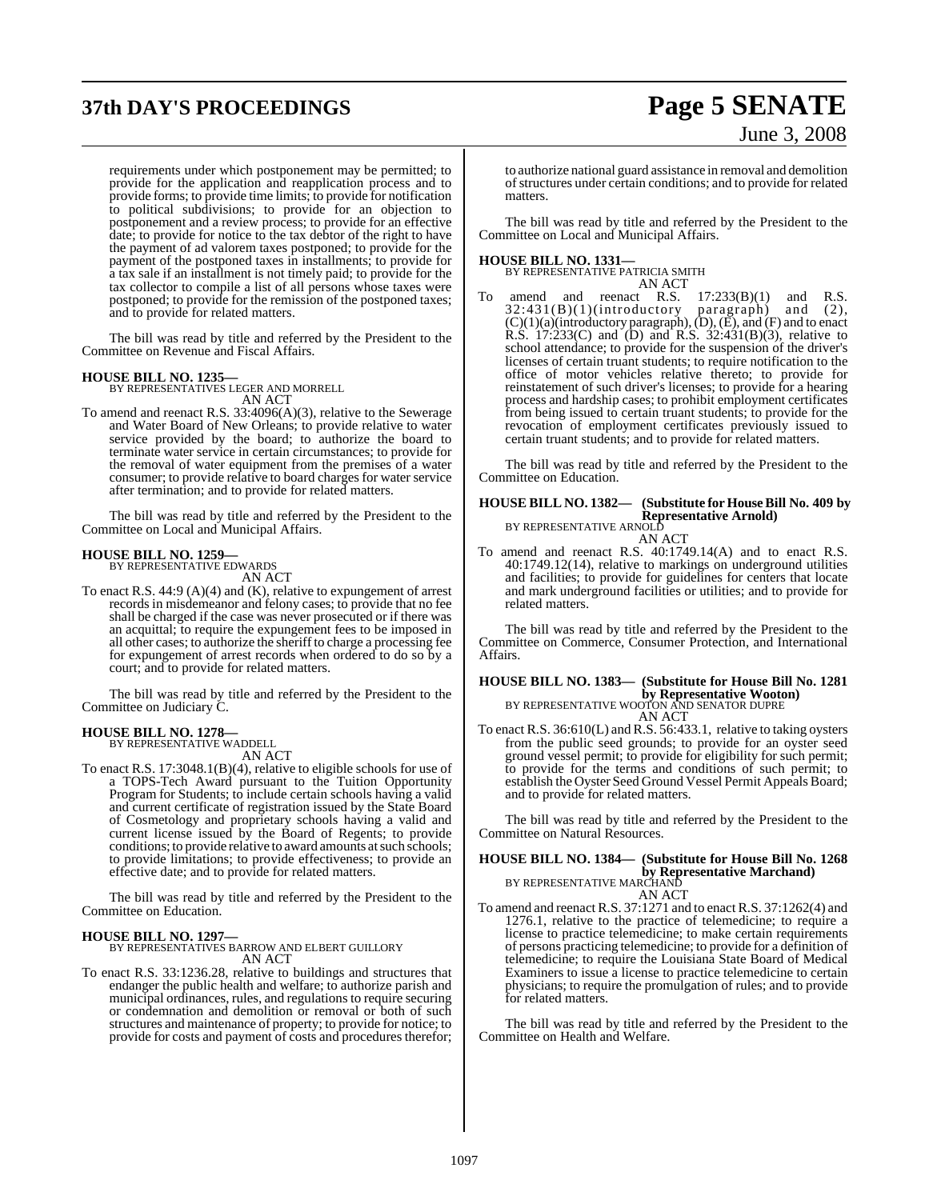# **37th DAY'S PROCEEDINGS Page 5 SENATE**

# June 3, 2008

requirements under which postponement may be permitted; to provide for the application and reapplication process and to provide forms; to provide time limits; to provide for notification to political subdivisions; to provide for an objection to postponement and a review process; to provide for an effective date; to provide for notice to the tax debtor of the right to have the payment of ad valorem taxes postponed; to provide for the payment of the postponed taxes in installments; to provide for a tax sale if an installment is not timely paid; to provide for the tax collector to compile a list of all persons whose taxes were postponed; to provide for the remission of the postponed taxes; and to provide for related matters.

The bill was read by title and referred by the President to the Committee on Revenue and Fiscal Affairs.

**HOUSE BILL NO. 1235—** BY REPRESENTATIVES LEGER AND MORRELL

AN ACT

To amend and reenact R.S. 33:4096(A)(3), relative to the Sewerage and Water Board of New Orleans; to provide relative to water service provided by the board; to authorize the board to terminate water service in certain circumstances; to provide for the removal of water equipment from the premises of a water consumer; to provide relative to board charges for water service after termination; and to provide for related matters.

The bill was read by title and referred by the President to the Committee on Local and Municipal Affairs.

#### **HOUSE BILL NO. 1259—**

BY REPRESENTATIVE EDWARDS AN ACT

To enact R.S. 44:9 (A)(4) and (K), relative to expungement of arrest records in misdemeanor and felony cases; to provide that no fee shall be charged if the case was never prosecuted or if there was an acquittal; to require the expungement fees to be imposed in all other cases; to authorize the sheriffto charge a processing fee for expungement of arrest records when ordered to do so by a court; and to provide for related matters.

The bill was read by title and referred by the President to the Committee on Judiciary C.

#### **HOUSE BILL NO. 1278—** BY REPRESENTATIVE WADDELL

AN ACT

To enact R.S. 17:3048.1(B)(4), relative to eligible schools for use of a TOPS-Tech Award pursuant to the Tuition Opportunity Program for Students; to include certain schools having a valid and current certificate of registration issued by the State Board of Cosmetology and proprietary schools having a valid and current license issued by the Board of Regents; to provide conditions; to provide relative to award amounts at such schools; to provide limitations; to provide effectiveness; to provide an effective date; and to provide for related matters.

The bill was read by title and referred by the President to the Committee on Education.

#### **HOUSE BILL NO. 1297—**

BY REPRESENTATIVES BARROW AND ELBERT GUILLORY AN ACT

To enact R.S. 33:1236.28, relative to buildings and structures that endanger the public health and welfare; to authorize parish and municipal ordinances, rules, and regulations to require securing or condemnation and demolition or removal or both of such structures and maintenance of property; to provide for notice; to provide for costs and payment of costs and procedures therefor;

to authorize national guard assistance in removal and demolition of structures under certain conditions; and to provide for related matters.

The bill was read by title and referred by the President to the Committee on Local and Municipal Affairs.

#### **HOUSE BILL NO. 1331—**

BY REPRESENTATIVE PATRICIA SMITH AN ACT

To amend and reenact R.S.  $17:233(B)(1)$  and R.S.  $32:431(B)(1)(introducing paragramh)$  and (2), 32:431(B)(1)(introductory paragraph) and (2),  $(C)(1)(a)$ (introductory paragraph),  $(D)$ ,  $(E)$ , and  $(F)$  and to enact R.S. 17:233(C) and (D) and R.S. 32:431(B)(3), relative to school attendance; to provide for the suspension of the driver's licenses of certain truant students; to require notification to the office of motor vehicles relative thereto; to provide for reinstatement of such driver's licenses; to provide for a hearing process and hardship cases; to prohibit employment certificates from being issued to certain truant students; to provide for the revocation of employment certificates previously issued to certain truant students; and to provide for related matters.

The bill was read by title and referred by the President to the Committee on Education.

#### **HOUSE BILL NO. 1382— (Substitute for HouseBill No. 409 by Representative Arnold)** BY REPRESENTATIVE ARNOLD

AN ACT To amend and reenact R.S. 40:1749.14(A) and to enact R.S. 40:1749.12(14), relative to markings on underground utilities and facilities; to provide for guidelines for centers that locate and mark underground facilities or utilities; and to provide for related matters.

The bill was read by title and referred by the President to the Committee on Commerce, Consumer Protection, and International Affairs.

#### **HOUSE BILL NO. 1383— (Substitute for House Bill No. 1281 by Representative Wooton)** BY REPRESENTATIVE WOOTON AND SENATOR DUPRE AN ACT

To enact R.S. 36:610(L) and R.S. 56:433.1, relative to taking oysters from the public seed grounds; to provide for an oyster seed ground vessel permit; to provide for eligibility for such permit; to provide for the terms and conditions of such permit; to establish the Oyster Seed Ground Vessel Permit Appeals Board; and to provide for related matters.

The bill was read by title and referred by the President to the Committee on Natural Resources.

#### **HOUSE BILL NO. 1384— (Substitute for House Bill No. 1268 by Representative Marchand)** BY REPRESENTATIVE MARCHAND AN ACT

To amend and reenact R.S. 37:1271 and to enact R.S. 37:1262(4) and 1276.1, relative to the practice of telemedicine; to require a license to practice telemedicine; to make certain requirements of persons practicing telemedicine; to provide for a definition of telemedicine; to require the Louisiana State Board of Medical Examiners to issue a license to practice telemedicine to certain physicians; to require the promulgation of rules; and to provide for related matters.

The bill was read by title and referred by the President to the Committee on Health and Welfare.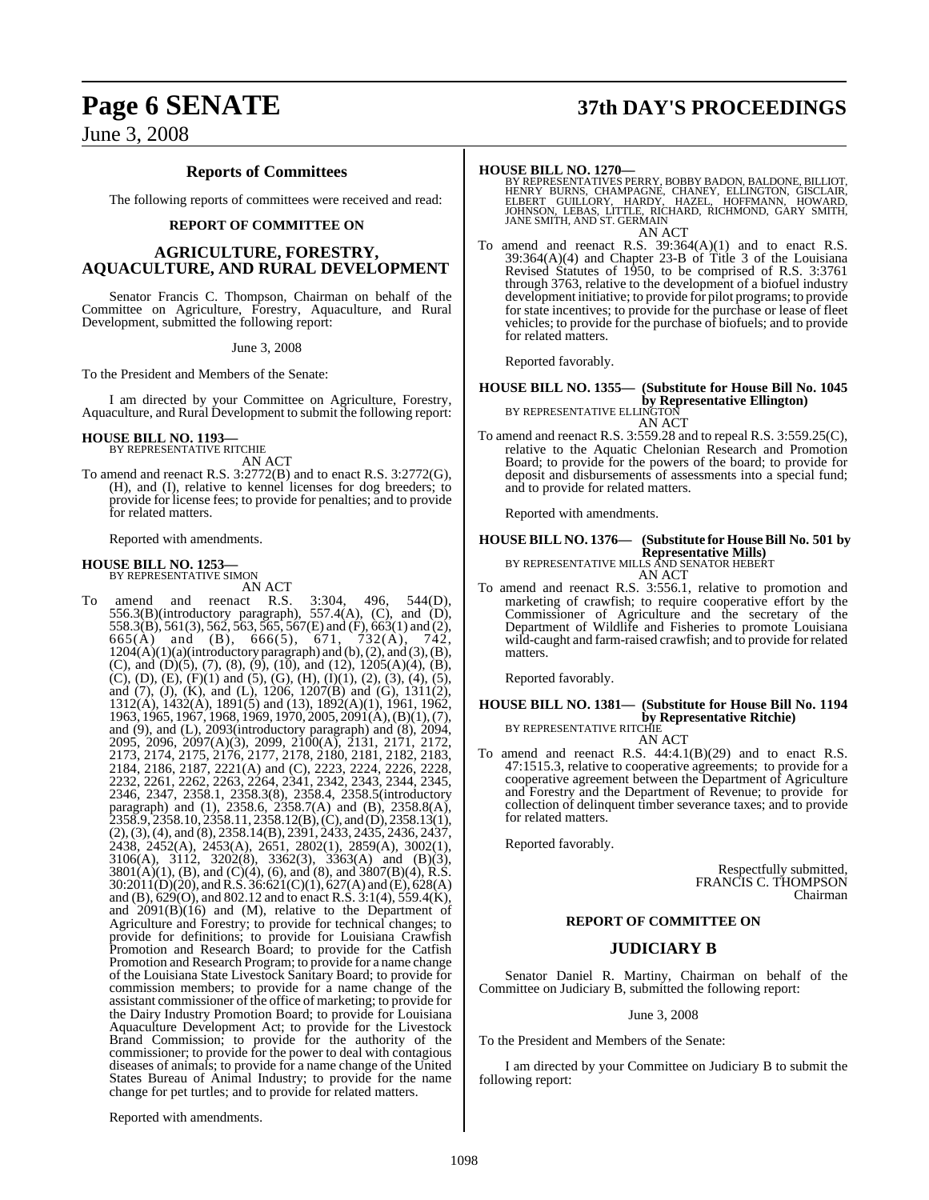# **Page 6 SENATE 37th DAY'S PROCEEDINGS**

June 3, 2008

### **Reports of Committees**

The following reports of committees were received and read:

#### **REPORT OF COMMITTEE ON**

#### **AGRICULTURE, FORESTRY, AQUACULTURE, AND RURAL DEVELOPMENT**

Senator Francis C. Thompson, Chairman on behalf of the Committee on Agriculture, Forestry, Aquaculture, and Rural Development, submitted the following report:

June 3, 2008

To the President and Members of the Senate:

I am directed by your Committee on Agriculture, Forestry, Aquaculture, and Rural Development to submit the following report:

### **HOUSE BILL NO. 1193—** BY REPRESENTATIVE RITCHIE

AN ACT

To amend and reenact R.S. 3:2772(B) and to enact R.S. 3:2772(G), (H), and (I), relative to kennel licenses for dog breeders; to provide for license fees; to provide for penalties; and to provide for related matters.

Reported with amendments.

#### **HOUSE BILL NO. 1253—** BY REPRESENTATIVE SIMON

AN ACT

To amend and reenact R.S. 3:304, 496, 544(D), 556.3(B)(introductory paragraph), 557.4(A), (C), and (D), 558.3(B), 561(3), 562, 563, 565, 567(E) and (F), 663(1) and (2), 665(A) and (B), 666(5), 671, 732(A), 742,  $1204(A)(1)(a)(introducing paragram)$  and  $(b), (2), and (3), (B),$ (C), and (D)(5), (7), (8), (9), (10), and (12), 1205(A)(4), (B), (C), (D), (E), (F)(1) and (5), (G), (H), (I)(1), (2), (3), (4), (5), and (7), (J), (K), and (L), 1206, 1207(B) and (G), 1311(2), 1312(A), 1432(A), 1891(5) and (13), 1892(A)(1), 1961, 1962, 1963, 1965, 1967, 1968, 1969, 1970, 2005, 2091(A), (B)(1), (7), and (9), and (L), 2093(introductory paragraph) and (8), 2094, 2095, 2096, 2097(A)(3), 2099, 2100(A), 2131, 2171, 2172, 2173, 2174, 2175, 2176, 2177, 2178, 2180, 2181, 2182, 2183, 2184, 2186, 2187, 2221(A) and (C), 2223, 2224, 2226, 2228, 2232, 2261, 2262, 2263, 2264, 2341, 2342, 2343, 2344, 2345, 2346, 2347, 2358.1, 2358.3(8), 2358.4, 2358.5(introductory paragraph) and (1), 2358.6, 2358.7(A) and (B), 2358.8(A), 2358.9, 2358.10, 2358.11, 2358.12(B), (C), and (D), 2358.13(1), (2),(3),(4), and (8), 2358.14(B), 2391, 2433, 2435, 2436, 2437, 2438, 2452(A), 2453(A), 2651, 2802(1), 2859(A), 3002(1), 3106(A), 3112, 3202(8), 3362(3), 3363(A) and (B)(3),  $3801(A)(1)$ , (B), and (C)(4), (6), and (8), and  $3807(B)(4)$ , R.S. 30:2011(D)(20), and R.S. 36:621(C)(1), 627(A) and (E), 628(A) and (B), 629(O), and 802.12 and to enact R.S. 3:1(4), 559.4(K), and  $2091(B)(16)$  and  $(M)$ , relative to the Department of Agriculture and Forestry; to provide for technical changes; to provide for definitions; to provide for Louisiana Crawfish Promotion and Research Board; to provide for the Catfish Promotion and Research Program; to provide for a name change of the Louisiana State Livestock Sanitary Board; to provide for commission members; to provide for a name change of the assistant commissioner of the office of marketing; to provide for the Dairy Industry Promotion Board; to provide for Louisiana Aquaculture Development Act; to provide for the Livestock Brand Commission; to provide for the authority of the commissioner; to provide for the power to deal with contagious diseases of animals; to provide for a name change of the United States Bureau of Animal Industry; to provide for the name change for pet turtles; and to provide for related matters.

**HOUSE BILL NO. 1270**<br>BY REPRESENTATIVES PERRY, BOBBY BADON, BALDONE, BILLIOT,<br>HENRY BURNS, CHAMPAGNE, CHANEY, ELLINGTON, GISCLAIR,<br>ELBERT GUILLORY, HARDY, HAZEL, HOFFMANN, HOWARD,<br>JOHNSON, LEBAS, LITTLE, RICHARD, RICHMOND AN ACT

To amend and reenact R.S. 39:364(A)(1) and to enact R.S. 39:364(A)(4) and Chapter 23-B of Title 3 of the Louisiana Revised Statutes of 1950, to be comprised of R.S. 3:3761 through 3763, relative to the development of a biofuel industry development initiative; to provide for pilot programs; to provide for state incentives; to provide for the purchase or lease of fleet vehicles; to provide for the purchase of biofuels; and to provide for related matters.

Reported favorably.

**HOUSE BILL NO. 1355— (Substitute for House Bill No. 1045 by Representative Ellington)** BY REPRESENTATIVE ELLINGTON AN ACT

To amend and reenact R.S. 3:559.28 and to repeal R.S. 3:559.25(C), relative to the Aquatic Chelonian Research and Promotion Board; to provide for the powers of the board; to provide for deposit and disbursements of assessments into a special fund; and to provide for related matters.

Reported with amendments.

### **HOUSE BILL NO. 1376— (Substitute for HouseBill No. 501 by Representative Mills)** BY REPRESENTATIVE MILLS AND SENATOR HEBERT

AN ACT

To amend and reenact R.S. 3:556.1, relative to promotion and marketing of crawfish; to require cooperative effort by the Commissioner of Agriculture and the secretary of the Department of Wildlife and Fisheries to promote Louisiana wild-caught and farm-raised crawfish; and to provide for related matters.

Reported favorably.

#### **HOUSE BILL NO. 1381— (Substitute for House Bill No. 1194 by Representative Ritchie)**<br>BY REPRESENTATIVE RITCHIE AN ACT

To amend and reenact R.S. 44:4.1(B)(29) and to enact R.S. 47:1515.3, relative to cooperative agreements; to provide for a cooperative agreement between the Department of Agriculture and Forestry and the Department of Revenue; to provide for collection of delinquent timber severance taxes; and to provide for related matters.

Reported favorably.

Respectfully submitted, FRANCIS C. THOMPSON Chairman

#### **REPORT OF COMMITTEE ON**

#### **JUDICIARY B**

Senator Daniel R. Martiny, Chairman on behalf of the Committee on Judiciary B, submitted the following report:

June 3, 2008

To the President and Members of the Senate:

I am directed by your Committee on Judiciary B to submit the following report:

Reported with amendments.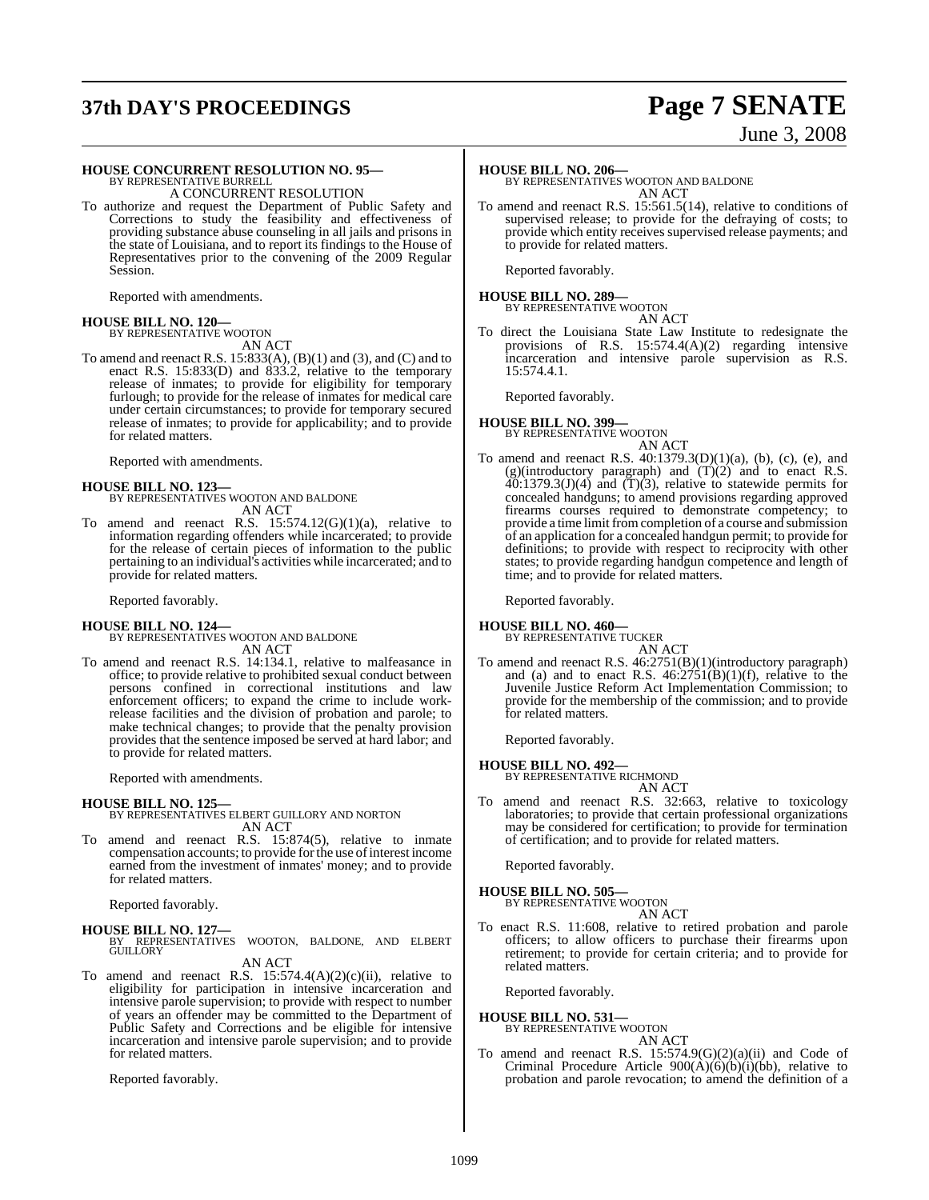# **37th DAY'S PROCEEDINGS Page 7 SENATE**

### **HOUSE CONCURRENT RESOLUTION NO. 95—** BY REPRESENTATIVE BURRELL

A CONCURRENT RESOLUTION

To authorize and request the Department of Public Safety and Corrections to study the feasibility and effectiveness of providing substance abuse counseling in all jails and prisons in the state of Louisiana, and to report its findings to the House of Representatives prior to the convening of the 2009 Regular Session.

Reported with amendments.

#### **HOUSE BILL NO. 120—** BY REPRESENTATIVE WOOTON

AN ACT

To amend and reenact R.S.  $15:833(A)$ ,  $(B)(1)$  and  $(3)$ , and  $(C)$  and to enact R.S. 15:833(D) and 833.2, relative to the temporary release of inmates; to provide for eligibility for temporary furlough; to provide for the release of inmates for medical care under certain circumstances; to provide for temporary secured release of inmates; to provide for applicability; and to provide for related matters.

Reported with amendments.

#### **HOUSE BILL NO. 123—**

BY REPRESENTATIVES WOOTON AND BALDONE AN ACT

To amend and reenact R.S.  $15:574.12(G)(1)(a)$ , relative to information regarding offenders while incarcerated; to provide for the release of certain pieces of information to the public pertaining to an individual's activities while incarcerated; and to provide for related matters.

Reported favorably.

#### **HOUSE BILL NO. 124—**

BY REPRESENTATIVES WOOTON AND BALDONE AN ACT

To amend and reenact R.S. 14:134.1, relative to malfeasance in office; to provide relative to prohibited sexual conduct between persons confined in correctional institutions and law enforcement officers; to expand the crime to include workrelease facilities and the division of probation and parole; to make technical changes; to provide that the penalty provision provides that the sentence imposed be served at hard labor; and to provide for related matters.

Reported with amendments.

#### **HOUSE BILL NO. 125—**

#### BY REPRESENTATIVES ELBERT GUILLORY AND NORTON AN ACT

To amend and reenact R.S. 15:874(5), relative to inmate compensation accounts; to provide for the use of interest income earned from the investment of inmates' money; and to provide for related matters.

Reported favorably.

**HOUSE BILL NO. 127—** BY REPRESENTATIVES WOOTON, BALDONE, AND ELBERT GUILLORY

AN ACT

To amend and reenact R.S.  $15:574.4(A)(2)(c)(ii)$ , relative to eligibility for participation in intensive incarceration and intensive parole supervision; to provide with respect to number of years an offender may be committed to the Department of Public Safety and Corrections and be eligible for intensive incarceration and intensive parole supervision; and to provide for related matters.

Reported favorably.

# June 3, 2008

#### **HOUSE BILL NO. 206—**

BY REPRESENTATIVES WOOTON AND BALDONE AN ACT

To amend and reenact R.S. 15:561.5(14), relative to conditions of supervised release; to provide for the defraying of costs; to provide which entity receives supervised release payments; and to provide for related matters.

Reported favorably.

### **HOUSE BILL NO. 289—** BY REPRESENTATIVE WOOTON

AN ACT

To direct the Louisiana State Law Institute to redesignate the provisions of R.S. 15:574.4(A)(2) regarding intensive incarceration and intensive parole supervision as R.S. 15:574.4.1.

Reported favorably.

### **HOUSE BILL NO. 399—** BY REPRESENTATIVE WOOTON AN ACT

To amend and reenact R.S.  $40:1379.3(D)(1)(a)$ , (b), (c), (e), and (g)(introductory paragraph) and  $(T)(2)$  and to enact R.S.  $40:1379.3(J)(4)$  and  $(T)(3)$ , relative to statewide permits for concealed handguns; to amend provisions regarding approved firearms courses required to demonstrate competency; to provide a time limit fromcompletion of a course and submission of an application for a concealed handgun permit; to provide for definitions; to provide with respect to reciprocity with other states; to provide regarding handgun competence and length of time; and to provide for related matters.

Reported favorably.

**HOUSE BILL NO. 460—**

BY REPRESENTATIVE TUCKER AN ACT

To amend and reenact R.S. 46:2751(B)(1)(introductory paragraph) and (a) and to enact R.S.  $46:27\overline{51(B)}(1)(f)$ , relative to the Juvenile Justice Reform Act Implementation Commission; to provide for the membership of the commission; and to provide for related matters.

Reported favorably.

## **HOUSE BILL NO. 492—** BY REPRESENTATIVE RICHMOND

AN ACT

To amend and reenact R.S. 32:663, relative to toxicology laboratories; to provide that certain professional organizations may be considered for certification; to provide for termination of certification; and to provide for related matters.

Reported favorably.

#### **HOUSE BILL NO. 505—**

BY REPRESENTATIVE WOOTON AN ACT

To enact R.S. 11:608, relative to retired probation and parole officers; to allow officers to purchase their firearms upon retirement; to provide for certain criteria; and to provide for related matters.

Reported favorably.

### **HOUSE BILL NO. 531—** BY REPRESENTATIVE WOOTON

AN ACT

To amend and reenact R.S.  $15:574.9(G)(2)(a)(ii)$  and Code of Criminal Procedure Article  $900(A)(6)(b)(i)(bb)$ , relative to probation and parole revocation; to amend the definition of a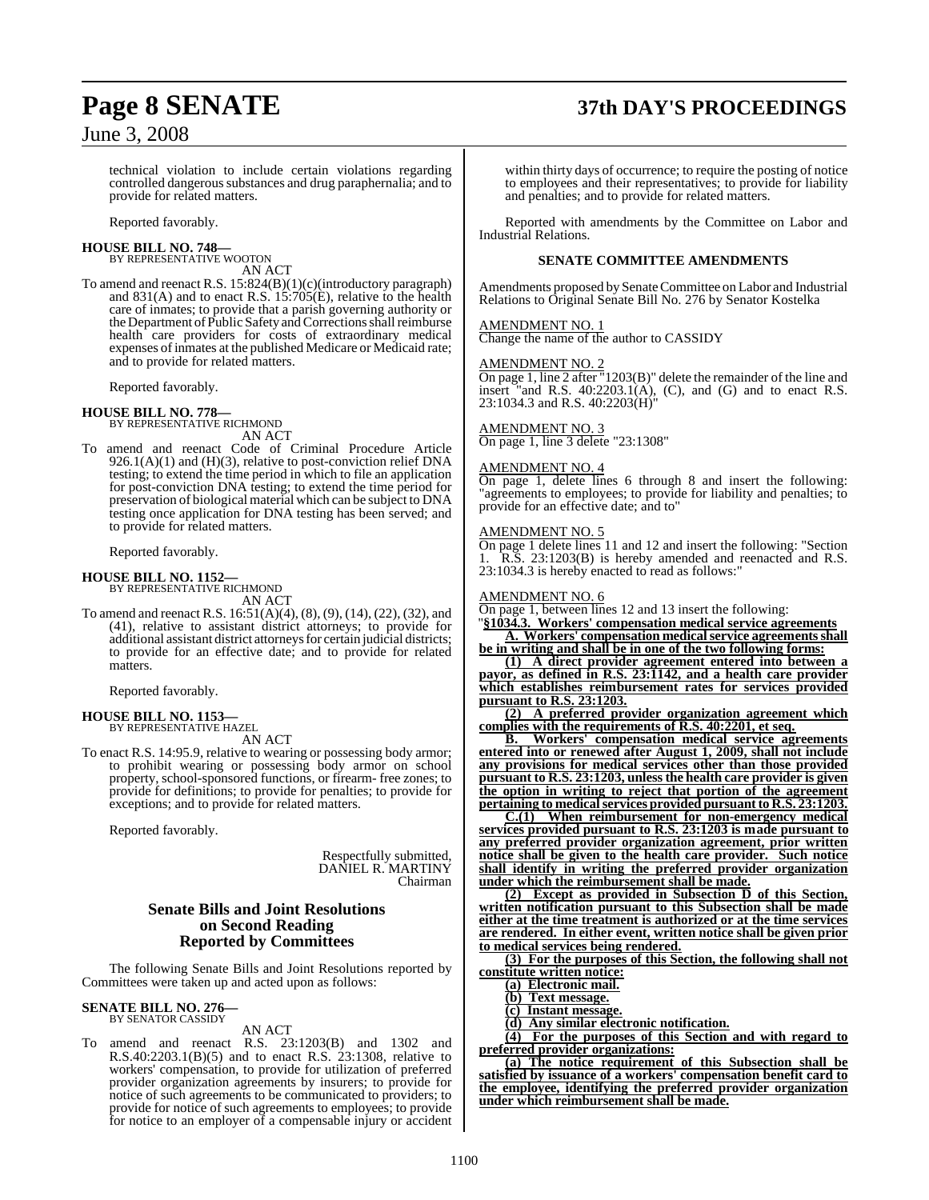# **Page 8 SENATE 37th DAY'S PROCEEDINGS**

technical violation to include certain violations regarding controlled dangerous substances and drug paraphernalia; and to provide for related matters.

Reported favorably.

#### **HOUSE BILL NO. 748—** BY REPRESENTATIVE WOOTON

AN ACT

To amend and reenact R.S. 15:824(B)(1)(c)(introductory paragraph) and  $831(A)$  and to enact R.S.  $15:705(E)$ , relative to the health care of inmates; to provide that a parish governing authority or the Department of Public Safety and Corrections shall reimburse health care providers for costs of extraordinary medical expenses of inmates at the published Medicare or Medicaid rate; and to provide for related matters.

Reported favorably.

#### **HOUSE BILL NO. 778—**

BY REPRESENTATIVE RICHMOND AN ACT

To amend and reenact Code of Criminal Procedure Article 926.1(A)(1) and (H)(3), relative to post-conviction relief DNA testing; to extend the time period in which to file an application for post-conviction DNA testing; to extend the time period for preservation of biological material which can be subject to DNA testing once application for DNA testing has been served; and to provide for related matters.

Reported favorably.

## **HOUSE BILL NO. 1152—** BY REPRESENTATIVE RICHMOND

AN ACT

To amend and reenact R.S. 16:51(A)(4), (8), (9), (14), (22), (32), and (41), relative to assistant district attorneys; to provide for additional assistant district attorneys for certain judicial districts; to provide for an effective date; and to provide for related matters.

Reported favorably.

### **HOUSE BILL NO. 1153—** BY REPRESENTATIVE HAZEL

AN ACT

To enact R.S. 14:95.9, relative to wearing or possessing body armor; to prohibit wearing or possessing body armor on school property, school-sponsored functions, or firearm- free zones; to provide for definitions; to provide for penalties; to provide for exceptions; and to provide for related matters.

Reported favorably.

Respectfully submitted, DANIEL R. MARTINY Chairman

### **Senate Bills and Joint Resolutions on Second Reading Reported by Committees**

The following Senate Bills and Joint Resolutions reported by Committees were taken up and acted upon as follows:

#### **SENATE BILL NO. 276—** BY SENATOR CASSIDY

AN ACT

To amend and reenact R.S. 23:1203(B) and 1302 and R.S.40:2203.1(B)(5) and to enact R.S. 23:1308, relative to workers' compensation, to provide for utilization of preferred provider organization agreements by insurers; to provide for notice of such agreements to be communicated to providers; to provide for notice of such agreements to employees; to provide for notice to an employer of a compensable injury or accident

within thirty days of occurrence; to require the posting of notice to employees and their representatives; to provide for liability and penalties; and to provide for related matters.

Reported with amendments by the Committee on Labor and Industrial Relations.

#### **SENATE COMMITTEE AMENDMENTS**

Amendments proposed by SenateCommittee on Labor and Industrial Relations to Original Senate Bill No. 276 by Senator Kostelka

#### AMENDMENT NO. 1

Change the name of the author to CASSIDY

#### AMENDMENT NO. 2

On page 1, line 2 after "1203(B)" delete the remainder of the line and insert "and R.S.  $40:2203.1(A)$ , (C), and (G) and to enact R.S. 23:1034.3 and R.S. 40:2203(H)"

#### AMENDMENT NO. 3

On page 1, line 3 delete "23:1308"

#### AMENDMENT NO. 4

On page 1, delete lines 6 through 8 and insert the following: "agreements to employees; to provide for liability and penalties; to provide for an effective date; and to"

#### AMENDMENT NO. 5

On page 1 delete lines 11 and 12 and insert the following: "Section 1. R.S. 23:1203(B) is hereby amended and reenacted and R.S. 23:1034.3 is hereby enacted to read as follows:"

#### AMENDMENT NO. 6

On page 1, between lines 12 and 13 insert the following:

"**§1034.3. Workers' compensation medical service agreements A. Workers' compensation medical service agreements shall be in writing and shall be in one of the two following forms:**

**(1) A direct provider agreement entered into between a payor, as defined in R.S. 23:1142, and a health care provider which establishes reimbursement rates for services provided pursuant to R.S. 23:1203.**

**(2) A preferred provider organization agreement which complies with the requirements of R.S. 40:2201, et seq.**

**B. Workers' compensation medical service agreements entered into or renewed after August 1, 2009, shall not include any provisions for medical services other than those provided pursuant to R.S. 23:1203, unlessthe health care provider is given the option in writing to reject that portion of the agreement pertaining** to medical services provided pursuant to R.S. 23:1203.

**C.(1) When reimbursement for non-emergency medical services provided pursuant to R.S. 23:1203 is made pursuant to any preferred provider organization agreement, prior written notice shall be given to the health care provider. Such notice shall identify in writing the preferred provider organization under which the reimbursement shall be made.**

**(2) Except as provided in Subsection D of this Section, written notification pursuant to this Subsection shall be made either at the time treatment is authorized or at the time services are rendered. In either event, written notice shall be given prior to medical services being rendered.**

**(3) For the purposes of this Section, the following shall not constitute written notice:**

**(a) Electronic mail.**

**(b) Text message.**

**(c) Instant message.**

**(d) Any similar electronic notification.**

**(4) For the purposes of this Section and with regard to preferred provider organizations:**

**(a) The notice requirement of this Subsection shall be satisfied by issuance of a workers' compensation benefit card to the employee, identifying the preferred provider organization under which reimbursement shall be made.**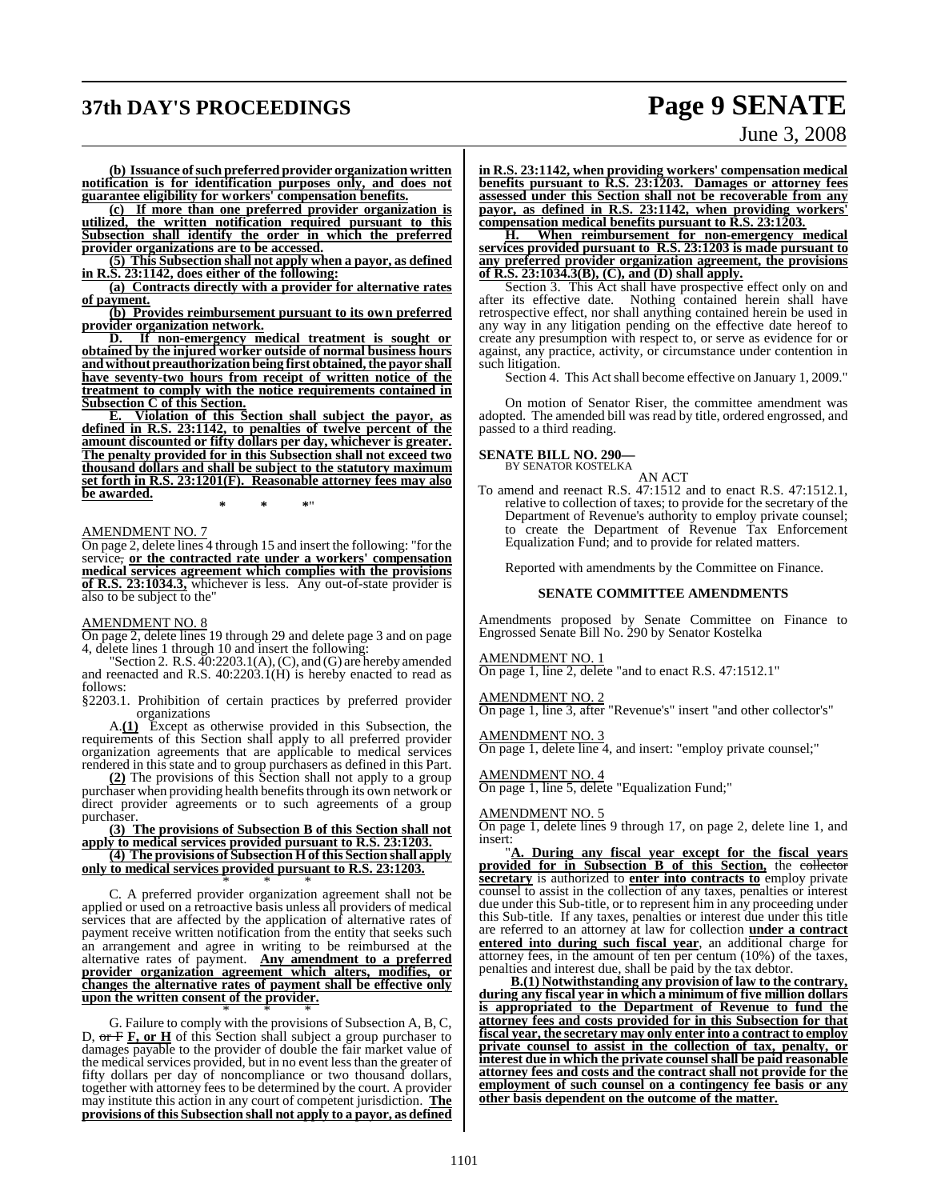## **37th DAY'S PROCEEDINGS Page 9 SENATE**

# June 3, 2008

**(b) Issuance of such preferred provider organization written notification is for identification purposes only, and does not guarantee eligibility for workers' compensation benefits.**

**(c) If more than one preferred provider organization is utilized, the written notification required pursuant to this Subsection shall identify the order in which the preferred provider organizations are to be accessed.**

**(5) This Subsection shall not apply when a payor, as defined in R.S. 23:1142, does either of the following:**

**(a) Contracts directly with a provider for alternative rates of payment.**

**(b) Provides reimbursement pursuant to its own preferred**

**provider organization network.** If non-emergency medical treatment is sought or **obtained by the injured worker outside of normal business hours andwithout preauthorization being first obtained,the payor shall have seventy-two hours from receipt of written notice of the treatment to comply with the notice requirements contained in Subsection C of this Section.**

**E. Violation of this Section shall subject the payor, as defined in R.S. 23:1142, to penalties of twelve percent of the amount discounted or fifty dollars per day, whichever is greater. The penalty provided for in this Subsection shall not exceed two thousand dollars and shall be subject to the statutory maximum set forth in R.S. 23:1201(F). Reasonable attorney fees may also be awarded.**

**\* \* \***"

#### AMENDMENT NO. 7

On page 2, delete lines 4 through 15 and insert the following: "for the service, **or the contracted rate under a workers' compensation medical services agreement which complies with the provisions of R.S. 23:1034.3,** whichever is less. Any out-of-state provider is also to be subject to the"

#### AMENDMENT NO. 8

On page 2, delete lines 19 through 29 and delete page 3 and on page 4, delete lines 1 through 10 and insert the following:

"Section 2. R.S. 40:2203.1(A), (C), and (G) are hereby amended and reenacted and R.S. 40:2203.1(H) is hereby enacted to read as follows:

§2203.1. Prohibition of certain practices by preferred provider organizations

A.**(1)** Except as otherwise provided in this Subsection, the requirements of this Section shall apply to all preferred provider organization agreements that are applicable to medical services rendered in this state and to group purchasers as defined in this Part.

**(2)** The provisions of this Section shall not apply to a group purchaser when providing health benefits through its own network or direct provider agreements or to such agreements of a group purchaser.

**(3) The provisions of Subsection B of this Section shall not apply to medical services provided pursuant to R.S. 23:1203.**

**(4) The provisions of Subsection H of this Section shall apply only to medical services provided pursuant to R.S. 23:1203.** \* \* \*

C. A preferred provider organization agreement shall not be applied or used on a retroactive basis unless all providers of medical services that are affected by the application of alternative rates of payment receive written notification from the entity that seeks such an arrangement and agree in writing to be reimbursed at the alternative rates of payment. **Any amendment to a preferred provider organization agreement which alters, modifies, or changes the alternative rates of payment shall be effective only upon the written consent of the provider.**

\* \* \* G. Failure to comply with the provisions of Subsection A, B, C, D, or F **F, or H** of this Section shall subject a group purchaser to damages payable to the provider of double the fair market value of the medical services provided, but in no event less than the greater of fifty dollars per day of noncompliance or two thousand dollars, together with attorney fees to be determined by the court. A provider may institute this action in any court of competent jurisdiction. **The provisions of this Subsection shall not apply to a payor, as defined**

**in R.S. 23:1142, when providing workers' compensation medical benefits pursuant to R.S. 23:1203. Damages or attorney fees assessed under this Section shall not be recoverable from any payor, as defined in R.S. 23:1142, when providing workers' compensation medical benefits pursuant to R.S. 23:1203.**

**H. When reimbursement for non-emergency medical services provided pursuant to R.S. 23:1203 is made pursuant to any preferred provider organization agreement, the provisions of R.S. 23:1034.3(B), (C), and (D) shall apply.**

Section 3. This Act shall have prospective effect only on and after its effective date. Nothing contained herein shall have retrospective effect, nor shall anything contained herein be used in any way in any litigation pending on the effective date hereof to create any presumption with respect to, or serve as evidence for or against, any practice, activity, or circumstance under contention in such litigation.

Section 4. This Act shall become effective on January 1, 2009."

On motion of Senator Riser, the committee amendment was adopted. The amended bill was read by title, ordered engrossed, and passed to a third reading.

**SENATE BILL NO. 290—** BY SENATOR KOSTELKA

AN ACT

To amend and reenact R.S. 47:1512 and to enact R.S. 47:1512.1, relative to collection of taxes; to provide for the secretary of the Department of Revenue's authority to employ private counsel; to create the Department of Revenue Tax Enforcement Equalization Fund; and to provide for related matters.

Reported with amendments by the Committee on Finance.

#### **SENATE COMMITTEE AMENDMENTS**

Amendments proposed by Senate Committee on Finance to Engrossed Senate Bill No. 290 by Senator Kostelka

AMENDMENT NO. 1

On page 1, line 2, delete "and to enact R.S. 47:1512.1"

#### AMENDMENT NO. 2

 $\frac{\overline{X_{ML}}\overline{X_{ML}}\overline{X_{ML}}\overline{X_{ML}}\overline{X_{ML}}}{\overline{X_{ML}}\overline{X_{ML}}\overline{X_{ML}}\overline{X_{ML}}\overline{X_{ML}}\overline{X_{ML}}\overline{X_{ML}}\overline{X_{ML}}\overline{X_{ML}}\overline{X_{ML}}\overline{X_{ML}}\overline{X_{ML}}\overline{X_{ML}}\overline{X_{ML}}\overline{X_{ML}}\overline{X_{ML}}\overline{X_{ML}}\overline{X_{ML}}\overline{X_{ML}}\overline{X_{ML}}\overline{X_{ML}}\overline{X_{ML}}\$ 

AMENDMENT NO. 3

On page 1, delete line 4, and insert: "employ private counsel;"

AMENDMENT NO. 4

On page 1, line 5, delete "Equalization Fund;"

#### AMENDMENT NO. 5

On page 1, delete lines 9 through 17, on page 2, delete line 1, and insert:

"**A. During any fiscal year except for the fiscal years provided for in Subsection B of this Section,** the collector **secretary** is authorized to **enter into contracts to** employ private counsel to assist in the collection of any taxes, penalties or interest due under this Sub-title, or to represent him in any proceeding under this Sub-title. If any taxes, penalties or interest due under this title are referred to an attorney at law for collection **under a contract entered into during such fiscal year**, an additional charge for attorney fees, in the amount of ten per centum (10%) of the taxes, penalties and interest due, shall be paid by the tax debtor.

**B.(1) Notwithstanding any provision of law to the contrary, during any fiscal year in which a minimum of five million dollars is appropriated to the Department of Revenue to fund the attorney fees and costs provided for in this Subsection for that fiscal year, the secretary may only enter into a contract to employ private counsel to assist in the collection of tax, penalty, or interest due in which the private counsel shall be paid reasonable attorney fees and costs and the contract shall not provide for the employment of such counsel on a contingency fee basis or any other basis dependent on the outcome of the matter.**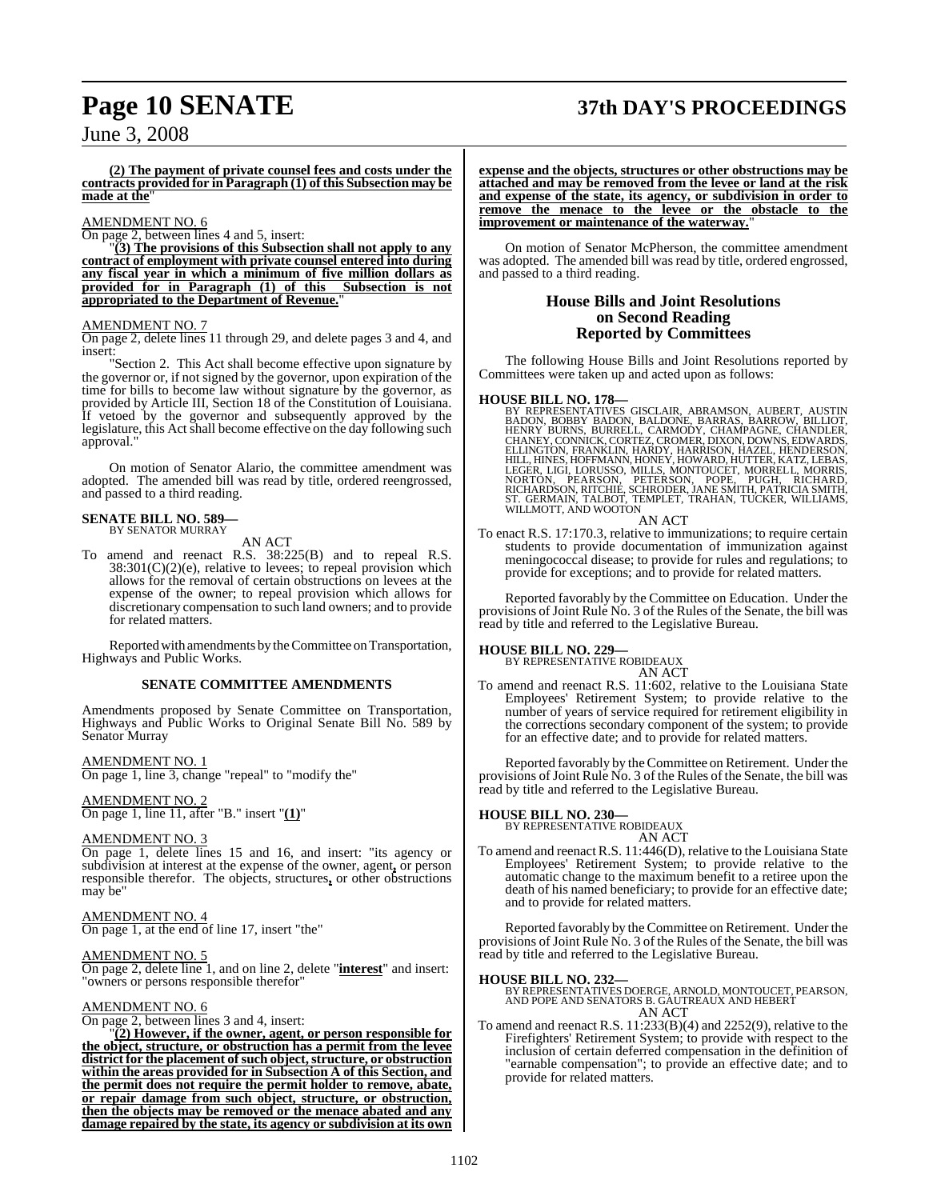# **Page 10 SENATE 37th DAY'S PROCEEDINGS**

### June 3, 2008

**(2) The payment of private counsel fees and costs under the contracts provided for in Paragraph (1) of this Subsection may be made at the**"

#### AMENDMENT NO. 6

On page 2, between lines 4 and 5, insert:

"**(3) The provisions of this Subsection shall not apply to any contract of employment with private counsel entered into during any fiscal year in which a minimum of five million dollars as provided for in Paragraph (1) of this Subsection is not appropriated to the Department of Revenue.**"

#### AMENDMENT NO. 7

On page 2, delete lines 11 through 29, and delete pages 3 and 4, and insert:

"Section 2. This Act shall become effective upon signature by the governor or, if not signed by the governor, upon expiration of the time for bills to become law without signature by the governor, as provided by Article III, Section 18 of the Constitution of Louisiana. If vetoed by the governor and subsequently approved by the legislature, this Act shall become effective on the day following such approval."

On motion of Senator Alario, the committee amendment was adopted. The amended bill was read by title, ordered reengrossed, and passed to a third reading.

### **SENATE BILL NO. 589—** BY SENATOR MURRAY

AN ACT

To amend and reenact R.S. 38:225(B) and to repeal R.S.  $38:301(C)(2)$ (e), relative to levees; to repeal provision which allows for the removal of certain obstructions on levees at the expense of the owner; to repeal provision which allows for discretionary compensation to such land owners; and to provide for related matters.

Reported with amendments by the Committee on Transportation, Highways and Public Works.

#### **SENATE COMMITTEE AMENDMENTS**

Amendments proposed by Senate Committee on Transportation, Highways and Public Works to Original Senate Bill No. 589 by Senator Murray

AMENDMENT NO. 1

On page 1, line 3, change "repeal" to "modify the"

AMENDMENT NO. 2 On page 1, line 11, after "B." insert "**(1)**"

#### AMENDMENT NO. 3

On page 1, delete lines 15 and 16, and insert: "its agency or subdivision at interest at the expense of the owner, agent**,** or person responsible therefor. The objects, structures**,** or other obstructions may be"

AMENDMENT NO. 4 On page 1, at the end of line 17, insert "the"

#### AMENDMENT NO. 5

On page 2, delete line 1, and on line 2, delete "**interest**" and insert: "owners or persons responsible therefor"

#### AMENDMENT NO. 6

On page 2, between lines 3 and 4, insert:

"**(2) However, if the owner, agent, or person responsible for the object, structure, or obstruction has a permit from the levee district for the placement ofsuch object,structure, or obstruction within the areas provided for in Subsection A of this Section, and the permit does not require the permit holder to remove, abate, or repair damage from such object, structure, or obstruction, then the objects may be removed or the menace abated and any damage repaired by the state, its agency or subdivision at its own**

**expense and the objects, structures or other obstructions may be attached and may be removed from the levee or land at the risk and expense of the state, its agency, or subdivision in order to remove the menace to the levee or the obstacle to the improvement or maintenance of the waterway.**"

On motion of Senator McPherson, the committee amendment was adopted. The amended bill was read by title, ordered engrossed, and passed to a third reading.

#### **House Bills and Joint Resolutions on Second Reading Reported by Committees**

The following House Bills and Joint Resolutions reported by Committees were taken up and acted upon as follows:

**HOUSE BILL NO. 178—**<br>BY REPRESENTATIVES GISCLAIR, ABRAMSON, AUBERT, AUSTIN<br>BADON, BOBBY BADON, BALDONE, BARRAS, BARROW, BILLIOT,<br>HENRY BURNS, BURRELL, CARMODY, CHAMPAGNE, CHANDLER,<br>CHANEY, CONNICK, CORTEZ, CROMER, DIXON,

AN ACT

To enact R.S. 17:170.3, relative to immunizations; to require certain students to provide documentation of immunization against meningococcal disease; to provide for rules and regulations; to provide for exceptions; and to provide for related matters.

Reported favorably by the Committee on Education. Under the provisions of Joint Rule No. 3 of the Rules of the Senate, the bill was read by title and referred to the Legislative Bureau.

**HOUSE BILL NO. 229—** BY REPRESENTATIVE ROBIDEAUX AN ACT

To amend and reenact R.S. 11:602, relative to the Louisiana State Employees' Retirement System; to provide relative to the number of years of service required for retirement eligibility in the corrections secondary component of the system; to provide for an effective date; and to provide for related matters.

Reported favorably by the Committee on Retirement. Under the provisions of Joint Rule No. 3 of the Rules of the Senate, the bill was read by title and referred to the Legislative Bureau.

#### **HOUSE BILL NO. 230—**

BY REPRESENTATIVE ROBIDEAUX AN ACT

To amend and reenact R.S. 11:446(D), relative to the Louisiana State Employees' Retirement System; to provide relative to the automatic change to the maximum benefit to a retiree upon the death of his named beneficiary; to provide for an effective date; and to provide for related matters.

Reported favorably by the Committee on Retirement. Under the provisions of Joint Rule No. 3 of the Rules of the Senate, the bill was read by title and referred to the Legislative Bureau.

**HOUSE BILL NO. 232—** BY REPRESENTATIVES DOERGE, ARNOLD, MONTOUCET, PEARSON, AND POPE AND SENATORS B. GAUTREAUX AND HEBERT AN ACT

To amend and reenact R.S. 11:233(B)(4) and 2252(9), relative to the Firefighters' Retirement System; to provide with respect to the inclusion of certain deferred compensation in the definition of "earnable compensation"; to provide an effective date; and to provide for related matters.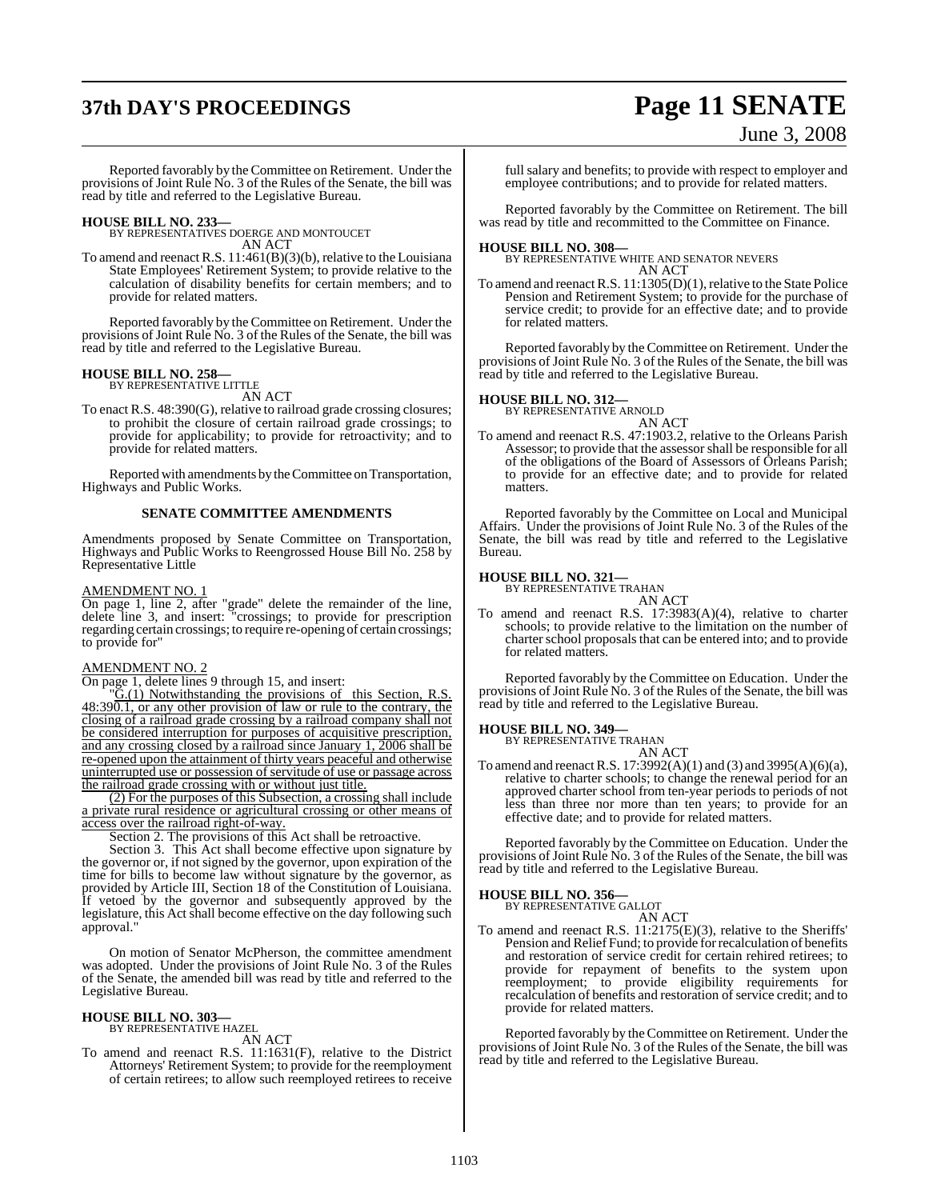# **37th DAY'S PROCEEDINGS Page 11 SENATE**

June 3, 2008

Reported favorably by the Committee on Retirement. Under the provisions of Joint Rule No. 3 of the Rules of the Senate, the bill was read by title and referred to the Legislative Bureau.

**HOUSE BILL NO. 233—** BY REPRESENTATIVES DOERGE AND MONTOUCET AN ACT

To amend and reenact R.S. 11:461(B)(3)(b), relative to the Louisiana State Employees' Retirement System; to provide relative to the calculation of disability benefits for certain members; and to provide for related matters.

Reported favorably by the Committee on Retirement. Under the provisions of Joint Rule No. 3 of the Rules of the Senate, the bill was read by title and referred to the Legislative Bureau.

## **HOUSE BILL NO. 258—** BY REPRESENTATIVE LITTLE

AN ACT

To enact R.S. 48:390(G), relative to railroad grade crossing closures; to prohibit the closure of certain railroad grade crossings; to provide for applicability; to provide for retroactivity; and to provide for related matters.

Reported with amendments by the Committee on Transportation, Highways and Public Works.

#### **SENATE COMMITTEE AMENDMENTS**

Amendments proposed by Senate Committee on Transportation, Highways and Public Works to Reengrossed House Bill No. 258 by Representative Little

#### AMENDMENT NO. 1

On page 1, line 2, after "grade" delete the remainder of the line, delete line 3, and insert: "crossings; to provide for prescription regarding certain crossings; to require re-opening of certain crossings; to provide for"

#### AMENDMENT NO. 2

On page 1, delete lines 9 through 15, and insert:

"G.(1) Notwithstanding the provisions of this Section, R.S.  $48:39\overline{0.1}$ , or any other provision of law or rule to the contrary, the closing of a railroad grade crossing by a railroad company shall not be considered interruption for purposes of acquisitive prescription, and any crossing closed by a railroad since January 1, 2006 shall be re-opened upon the attainment of thirty years peaceful and otherwise uninterrupted use or possession of servitude of use or passage across the railroad grade crossing with or without just title.

(2) For the purposes of this Subsection, a crossing shall include a private rural residence or agricultural crossing or other means of access over the railroad right-of-way.

Section 2. The provisions of this Act shall be retroactive.

Section 3. This Act shall become effective upon signature by the governor or, if not signed by the governor, upon expiration of the time for bills to become law without signature by the governor, as provided by Article III, Section 18 of the Constitution of Louisiana. If vetoed by the governor and subsequently approved by the legislature, this Act shall become effective on the day following such approval."

On motion of Senator McPherson, the committee amendment was adopted. Under the provisions of Joint Rule No. 3 of the Rules of the Senate, the amended bill was read by title and referred to the Legislative Bureau.

### **HOUSE BILL NO. 303—** BY REPRESENTATIVE HAZEL

AN ACT

To amend and reenact R.S. 11:1631(F), relative to the District Attorneys' Retirement System; to provide for the reemployment of certain retirees; to allow such reemployed retirees to receive

full salary and benefits; to provide with respect to employer and employee contributions; and to provide for related matters.

Reported favorably by the Committee on Retirement. The bill was read by title and recommitted to the Committee on Finance.

#### **HOUSE BILL NO. 308—**

**BY REPRESENTATIVE WHITE AND SENATOR NEVERS** AN ACT

To amend and reenact R.S. 11:1305(D)(1), relative to the State Police Pension and Retirement System; to provide for the purchase of service credit; to provide for an effective date; and to provide for related matters.

Reported favorably by the Committee on Retirement. Under the provisions of Joint Rule No. 3 of the Rules of the Senate, the bill was read by title and referred to the Legislative Bureau.

### **HOUSE BILL NO. 312—** BY REPRESENTATIVE ARNOLD

AN ACT To amend and reenact R.S. 47:1903.2, relative to the Orleans Parish Assessor; to provide that the assessorshall be responsible for all of the obligations of the Board of Assessors of Orleans Parish; to provide for an effective date; and to provide for related matters.

Reported favorably by the Committee on Local and Municipal Affairs. Under the provisions of Joint Rule No. 3 of the Rules of the Senate, the bill was read by title and referred to the Legislative Bureau.

### **HOUSE BILL NO. 321—** BY REPRESENTATIVE TRAHAN

AN ACT To amend and reenact R.S. 17:3983(A)(4), relative to charter schools; to provide relative to the limitation on the number of charter school proposals that can be entered into; and to provide for related matters.

Reported favorably by the Committee on Education. Under the provisions of Joint Rule No. 3 of the Rules of the Senate, the bill was read by title and referred to the Legislative Bureau.

### **HOUSE BILL NO. 349—** BY REPRESENTATIVE TRAHAN

AN ACT To amend and reenact R.S.  $17:3992(A)(1)$  and  $(3)$  and  $3995(A)(6)(a)$ , relative to charter schools; to change the renewal period for an approved charter school from ten-year periods to periods of not less than three nor more than ten years; to provide for an effective date; and to provide for related matters.

Reported favorably by the Committee on Education. Under the provisions of Joint Rule No. 3 of the Rules of the Senate, the bill was read by title and referred to the Legislative Bureau.

#### **HOUSE BILL NO. 356—**

BY REPRESENTATIVE GALLOT AN ACT

To amend and reenact R.S. 11:2175(E)(3), relative to the Sheriffs' Pension and Relief Fund; to provide for recalculation of benefits and restoration of service credit for certain rehired retirees; to provide for repayment of benefits to the system upon reemployment; to provide eligibility requirements for recalculation of benefits and restoration of service credit; and to provide for related matters.

Reported favorably by the Committee on Retirement. Under the provisions of Joint Rule No. 3 of the Rules of the Senate, the bill was read by title and referred to the Legislative Bureau.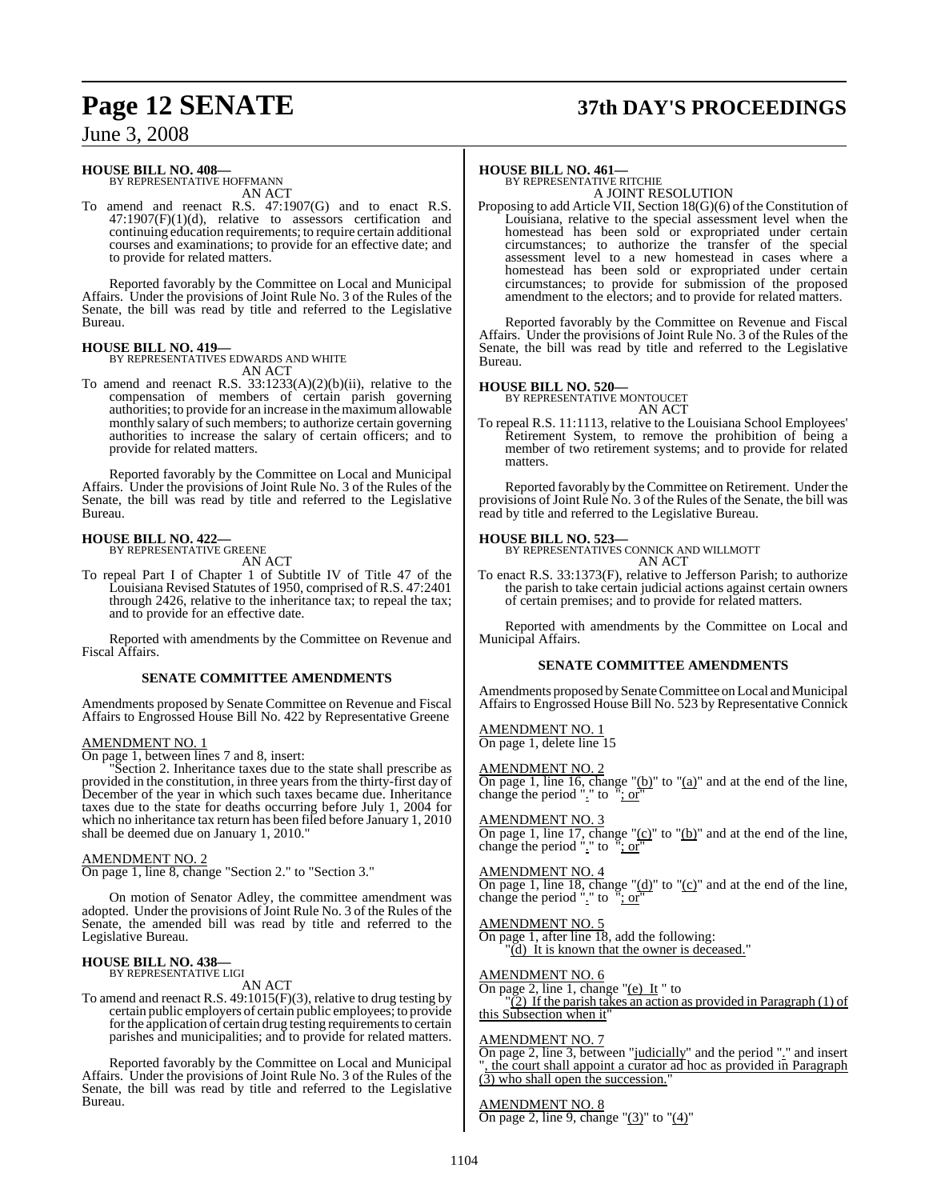# **Page 12 SENATE 37th DAY'S PROCEEDINGS**

June 3, 2008

#### **HOUSE BILL NO. 408—**

BY REPRESENTATIVE HOFFMANN AN ACT

To amend and reenact R.S. 47:1907(G) and to enact R.S.  $47:1907(F)(1)(d)$ , relative to assessors certification and continuing education requirements; to require certain additional courses and examinations; to provide for an effective date; and to provide for related matters.

Reported favorably by the Committee on Local and Municipal Affairs. Under the provisions of Joint Rule No. 3 of the Rules of the Senate, the bill was read by title and referred to the Legislative Bureau.

#### **HOUSE BILL NO. 419—** BY REPRESENTATIVES EDWARDS AND WHITE

AN ACT

To amend and reenact R.S. 33:1233(A)(2)(b)(ii), relative to the compensation of members of certain parish governing authorities; to provide for an increase in the maximumallowable monthly salary of such members; to authorize certain governing authorities to increase the salary of certain officers; and to provide for related matters.

Reported favorably by the Committee on Local and Municipal Affairs. Under the provisions of Joint Rule No. 3 of the Rules of the Senate, the bill was read by title and referred to the Legislative Bureau.

### **HOUSE BILL NO. 422—** BY REPRESENTATIVE GREENE

AN ACT

To repeal Part I of Chapter 1 of Subtitle IV of Title 47 of the Louisiana Revised Statutes of 1950, comprised of R.S. 47:2401 through 2426, relative to the inheritance tax; to repeal the tax; and to provide for an effective date.

Reported with amendments by the Committee on Revenue and Fiscal Affairs.

#### **SENATE COMMITTEE AMENDMENTS**

Amendments proposed by Senate Committee on Revenue and Fiscal Affairs to Engrossed House Bill No. 422 by Representative Greene

#### AMENDMENT NO. 1

On page 1, between lines 7 and 8, insert:

Section 2. Inheritance taxes due to the state shall prescribe as provided in the constitution, in three years from the thirty-first day of December of the year in which such taxes became due. Inheritance taxes due to the state for deaths occurring before July 1, 2004 for which no inheritance tax return has been filed before January 1, 2010 shall be deemed due on January 1, 2010."

#### AMENDMENT NO. 2

On page 1, line 8, change "Section 2." to "Section 3."

On motion of Senator Adley, the committee amendment was adopted. Under the provisions of Joint Rule No. 3 of the Rules of the Senate, the amended bill was read by title and referred to the Legislative Bureau.

### **HOUSE BILL NO. 438—** BY REPRESENTATIVE LIGI

AN ACT

To amend and reenact R.S. 49:1015(F)(3), relative to drug testing by certain public employers of certain public employees; to provide for the application of certain drug testing requirements to certain parishes and municipalities; and to provide for related matters.

Reported favorably by the Committee on Local and Municipal Affairs. Under the provisions of Joint Rule No. 3 of the Rules of the Senate, the bill was read by title and referred to the Legislative Bureau.

### **HOUSE BILL NO. 461—** BY REPRESENTATIVE RITCHIE

A JOINT RESOLUTION

Proposing to add Article VII, Section 18(G)(6) of the Constitution of Louisiana, relative to the special assessment level when the homestead has been sold or expropriated under certain circumstances; to authorize the transfer of the special assessment level to a new homestead in cases where a homestead has been sold or expropriated under certain circumstances; to provide for submission of the proposed amendment to the electors; and to provide for related matters.

Reported favorably by the Committee on Revenue and Fiscal Affairs. Under the provisions of Joint Rule No. 3 of the Rules of the Senate, the bill was read by title and referred to the Legislative Bureau.

#### **HOUSE BILL NO. 520—**

BY REPRESENTATIVE MONTOUCET AN ACT

To repeal R.S. 11:1113, relative to the Louisiana School Employees' Retirement System, to remove the prohibition of being a member of two retirement systems; and to provide for related matters.

Reported favorably by the Committee on Retirement. Under the provisions of Joint Rule No. 3 of the Rules of the Senate, the bill was read by title and referred to the Legislative Bureau.

#### **HOUSE BILL NO. 523—**

BY REPRESENTATIVES CONNICK AND WILLMOTT AN ACT

To enact R.S. 33:1373(F), relative to Jefferson Parish; to authorize the parish to take certain judicial actions against certain owners of certain premises; and to provide for related matters.

Reported with amendments by the Committee on Local and Municipal Affairs.

#### **SENATE COMMITTEE AMENDMENTS**

Amendments proposed by Senate Committee on Local and Municipal Affairs to Engrossed House Bill No. 523 by Representative Connick

AMENDMENT NO. 1 On page 1, delete line 15

AMENDMENT NO. 2 On page 1, line 16, change " $(b)$ " to " $(a)$ " and at the end of the line, change the period "." to "; or"

AMENDMENT NO. 3 On page 1, line 17, change " $(c)$ " to " $(b)$ " and at the end of the line, change the period "." to "; or"

AMENDMENT NO. 4 On page 1, line 18, change " $(d)$ " to " $(c)$ " and at the end of the line, change the period "." to "; or"

AMENDMENT NO. 5 On page 1, after line 18, add the following: "(d) It is known that the owner is deceased."

AMENDMENT NO. 6 On page 2, line 1, change "(e) It " to

 $(2)$  If the parish takes an action as provided in Paragraph (1) of this Subsection when it

#### AMENDMENT NO. 7

On page 2, line 3, between "judicially" and the period "." and insert the court shall appoint a curator ad hoc as provided in Paragraph  $(3)$  who shall open the succession.

AMENDMENT NO. 8

On page 2, line 9, change " $(3)$ " to " $(4)$ "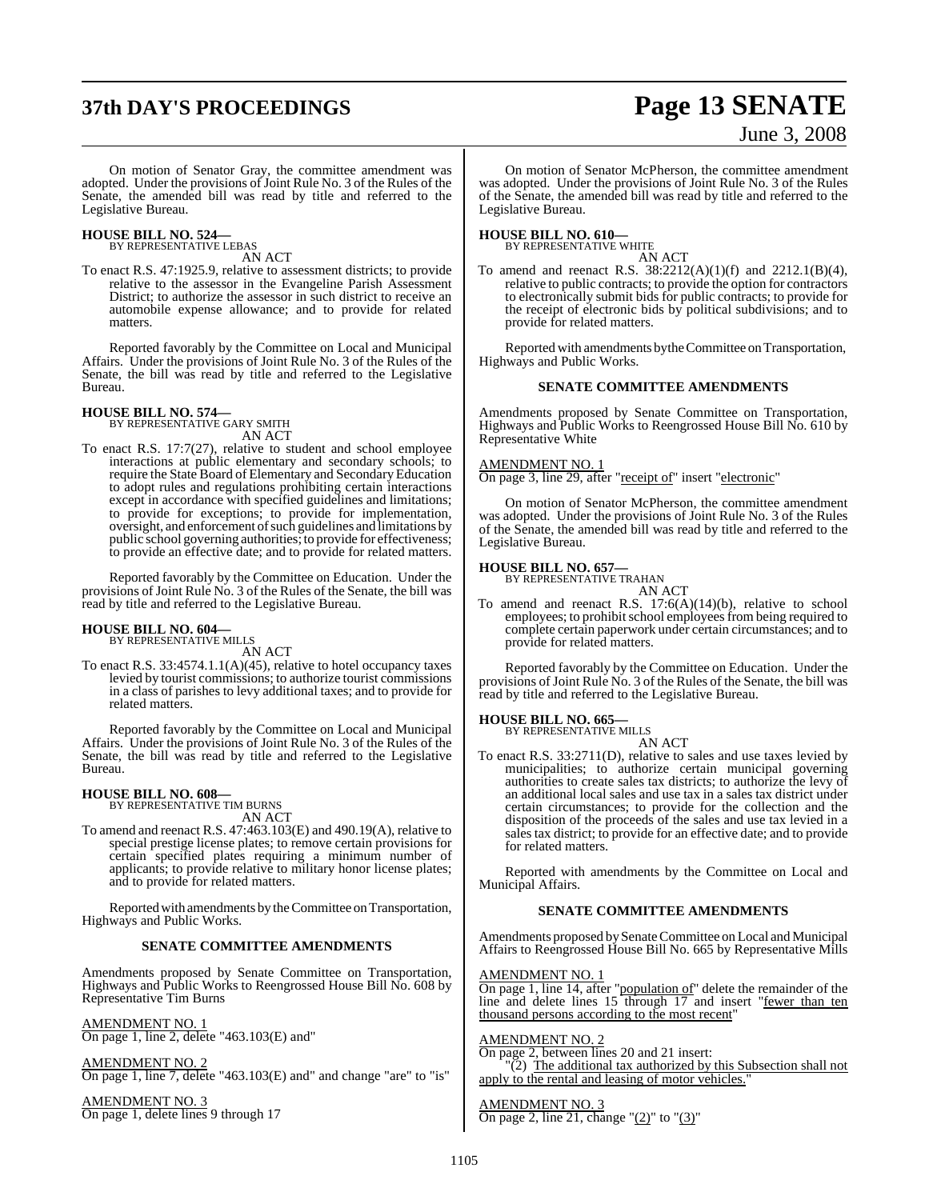# **37th DAY'S PROCEEDINGS Page 13 SENATE**

# June 3, 2008

On motion of Senator Gray, the committee amendment was adopted. Under the provisions of Joint Rule No. 3 of the Rules of the Senate, the amended bill was read by title and referred to the Legislative Bureau.

### **HOUSE BILL NO. 524—** BY REPRESENTATIVE LEBAS

AN ACT

To enact R.S. 47:1925.9, relative to assessment districts; to provide relative to the assessor in the Evangeline Parish Assessment District; to authorize the assessor in such district to receive an automobile expense allowance; and to provide for related matters.

Reported favorably by the Committee on Local and Municipal Affairs. Under the provisions of Joint Rule No. 3 of the Rules of the Senate, the bill was read by title and referred to the Legislative Bureau.

### **HOUSE BILL NO. 574—** BY REPRESENTATIVE GARY SMITH AN ACT

To enact R.S. 17:7(27), relative to student and school employee interactions at public elementary and secondary schools; to require the State Board of Elementary and Secondary Education to adopt rules and regulations prohibiting certain interactions except in accordance with specified guidelines and limitations; to provide for exceptions; to provide for implementation, oversight, and enforcement of such guidelines and limitations by public school governing authorities; to provide for effectiveness; to provide an effective date; and to provide for related matters.

Reported favorably by the Committee on Education. Under the provisions of Joint Rule No. 3 of the Rules of the Senate, the bill was read by title and referred to the Legislative Bureau.

#### **HOUSE BILL NO. 604—**

BY REPRESENTATIVE MILLS AN ACT

To enact R.S. 33:4574.1.1(A)(45), relative to hotel occupancy taxes levied by tourist commissions; to authorize tourist commissions in a class of parishes to levy additional taxes; and to provide for related matters.

Reported favorably by the Committee on Local and Municipal Affairs. Under the provisions of Joint Rule No. 3 of the Rules of the Senate, the bill was read by title and referred to the Legislative Bureau.

#### **HOUSE BILL NO. 608—**

BY REPRESENTATIVE TIM BURNS AN ACT

To amend and reenact R.S. 47:463.103(E) and 490.19(A), relative to special prestige license plates; to remove certain provisions for certain specified plates requiring a minimum number of applicants; to provide relative to military honor license plates; and to provide for related matters.

Reported with amendments by the Committee on Transportation, Highways and Public Works.

#### **SENATE COMMITTEE AMENDMENTS**

Amendments proposed by Senate Committee on Transportation, Highways and Public Works to Reengrossed House Bill No. 608 by Representative Tim Burns

AMENDMENT NO. 1 On page 1, line 2, delete "463.103(E) and"

AMENDMENT NO. 2 On page 1, line 7, delete "463.103(E) and" and change "are" to "is"

AMENDMENT NO. 3 On page 1, delete lines 9 through 17

On motion of Senator McPherson, the committee amendment was adopted. Under the provisions of Joint Rule No. 3 of the Rules of the Senate, the amended bill was read by title and referred to the Legislative Bureau.

### **HOUSE BILL NO. 610—** BY REPRESENTATIVE WHITE

AN ACT

To amend and reenact R.S.  $38:2212(A)(1)(f)$  and  $2212.1(B)(4)$ , relative to public contracts; to provide the option for contractors to electronically submit bids for public contracts; to provide for the receipt of electronic bids by political subdivisions; and to provide for related matters.

Reported with amendments by the Committee on Transportation, Highways and Public Works.

#### **SENATE COMMITTEE AMENDMENTS**

Amendments proposed by Senate Committee on Transportation, Highways and Public Works to Reengrossed House Bill No. 610 by Representative White

#### AMENDMENT NO. 1

On page 3, line 29, after "receipt of" insert "electronic"

On motion of Senator McPherson, the committee amendment was adopted. Under the provisions of Joint Rule No. 3 of the Rules of the Senate, the amended bill was read by title and referred to the Legislative Bureau.

### **HOUSE BILL NO. 657—** BY REPRESENTATIVE TRAHAN

AN ACT

To amend and reenact R.S. 17:6(A)(14)(b), relative to school employees; to prohibit school employees from being required to complete certain paperwork under certain circumstances; and to provide for related matters.

Reported favorably by the Committee on Education. Under the provisions of Joint Rule No. 3 of the Rules of the Senate, the bill was read by title and referred to the Legislative Bureau.

#### **HOUSE BILL NO. 665—**

BY REPRESENTATIVE MILLS AN ACT

To enact R.S. 33:2711(D), relative to sales and use taxes levied by municipalities; to authorize certain municipal governing authorities to create sales tax districts; to authorize the levy of an additional local sales and use tax in a sales tax district under certain circumstances; to provide for the collection and the disposition of the proceeds of the sales and use tax levied in a sales tax district; to provide for an effective date; and to provide for related matters.

Reported with amendments by the Committee on Local and Municipal Affairs.

#### **SENATE COMMITTEE AMENDMENTS**

Amendments proposed by Senate Committee on Local and Municipal Affairs to Reengrossed House Bill No. 665 by Representative Mills

#### AMENDMENT NO. 1

On page 1, line 14, after "population of" delete the remainder of the line and delete lines 15 through 17 and insert "fewer than ten thousand persons according to the most recent"

#### AMENDMENT NO. 2

On page 2, between lines 20 and 21 insert: (2) The additional tax authorized by this Subsection shall not apply to the rental and leasing of motor vehicles.

AMENDMENT NO. 3 On page 2, line 21, change " $(2)$ " to " $(3)$ "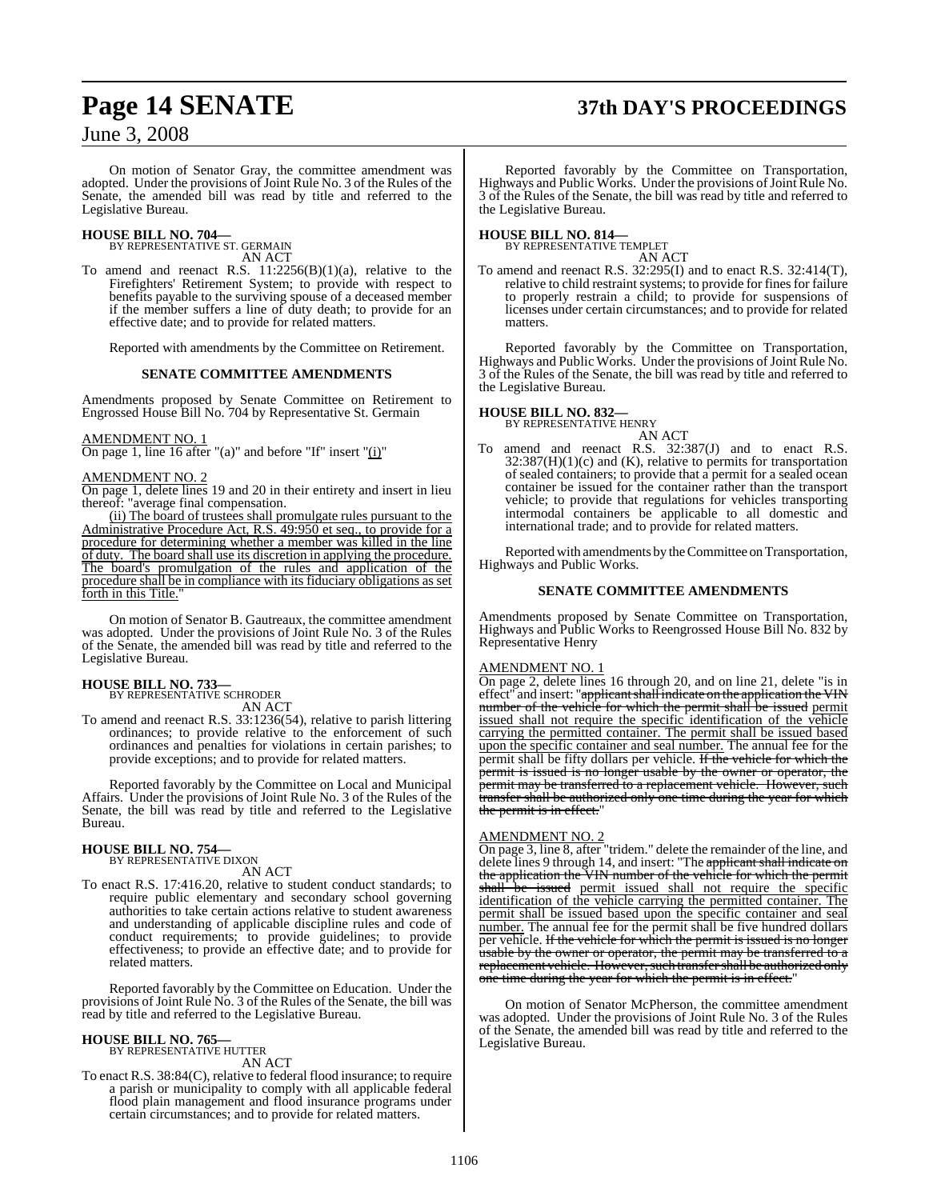# **Page 14 SENATE 37th DAY'S PROCEEDINGS**

June 3, 2008

On motion of Senator Gray, the committee amendment was adopted. Under the provisions of Joint Rule No. 3 of the Rules of the Senate, the amended bill was read by title and referred to the Legislative Bureau.

### **HOUSE BILL NO. 704—** BY REPRESENTATIVE ST. GERMAIN

AN ACT

To amend and reenact R.S.  $11:2256(B)(1)(a)$ , relative to the Firefighters' Retirement System; to provide with respect to benefits payable to the surviving spouse of a deceased member if the member suffers a line of duty death; to provide for an effective date; and to provide for related matters.

Reported with amendments by the Committee on Retirement.

#### **SENATE COMMITTEE AMENDMENTS**

Amendments proposed by Senate Committee on Retirement to Engrossed House Bill No. 704 by Representative St. Germain

#### AMENDMENT NO. 1

On page 1, line 16 after "(a)" and before "If" insert "(i)"

#### AMENDMENT NO. 2

On page 1, delete lines 19 and 20 in their entirety and insert in lieu thereof: "average final compensation.

(ii) The board of trustees shall promulgate rules pursuant to the Administrative Procedure Act, R.S. 49:950 et seq., to provide for a procedure for determining whether a member was killed in the line of duty. The board shall use its discretion in applying the procedure. The board's promulgation of the rules and application of the procedure shall be in compliance with its fiduciary obligations as set forth in this Title.

On motion of Senator B. Gautreaux, the committee amendment was adopted. Under the provisions of Joint Rule No. 3 of the Rules of the Senate, the amended bill was read by title and referred to the Legislative Bureau.

**HOUSE BILL NO. 733—** BY REPRESENTATIVE SCHRODER AN ACT

To amend and reenact R.S. 33:1236(54), relative to parish littering ordinances; to provide relative to the enforcement of such ordinances and penalties for violations in certain parishes; to provide exceptions; and to provide for related matters.

Reported favorably by the Committee on Local and Municipal Affairs. Under the provisions of Joint Rule No. 3 of the Rules of the Senate, the bill was read by title and referred to the Legislative Bureau.

## **HOUSE BILL NO. 754—** BY REPRESENTATIVE DIXON

AN ACT

To enact R.S. 17:416.20, relative to student conduct standards; to require public elementary and secondary school governing authorities to take certain actions relative to student awareness and understanding of applicable discipline rules and code of conduct requirements; to provide guidelines; to provide effectiveness; to provide an effective date; and to provide for related matters.

Reported favorably by the Committee on Education. Under the provisions of Joint Rule No. 3 of the Rules of the Senate, the bill was read by title and referred to the Legislative Bureau.

#### **HOUSE BILL NO. 765—**

BY REPRESENTATIVE HUTTER AN ACT

To enact R.S. 38:84(C), relative to federal flood insurance; to require a parish or municipality to comply with all applicable federal flood plain management and flood insurance programs under certain circumstances; and to provide for related matters.

Reported favorably by the Committee on Transportation, Highways and Public Works. Under the provisions of Joint Rule No. 3 of the Rules of the Senate, the bill was read by title and referred to the Legislative Bureau.

### **HOUSE BILL NO. 814—** BY REPRESENTATIVE TEMPLET

AN ACT

To amend and reenact R.S. 32:295(I) and to enact R.S. 32:414(T), relative to child restraint systems; to provide for fines for failure to properly restrain a child; to provide for suspensions of licenses under certain circumstances; and to provide for related matters.

Reported favorably by the Committee on Transportation, Highways and Public Works. Under the provisions of Joint Rule No. 3 of the Rules of the Senate, the bill was read by title and referred to the Legislative Bureau.

#### **HOUSE BILL NO. 832—**

BY REPRESENTATIVE HENRY

AN ACT To amend and reenact R.S. 32:387(J) and to enact R.S.  $32:387(H)(1)(c)$  and (K), relative to permits for transportation of sealed containers; to provide that a permit for a sealed ocean container be issued for the container rather than the transport vehicle; to provide that regulations for vehicles transporting intermodal containers be applicable to all domestic and international trade; and to provide for related matters.

Reported with amendments by the Committee on Transportation, Highways and Public Works.

#### **SENATE COMMITTEE AMENDMENTS**

Amendments proposed by Senate Committee on Transportation, Highways and Public Works to Reengrossed House Bill No. 832 by Representative Henry

#### AMENDMENT NO. 1

On page 2, delete lines 16 through 20, and on line 21, delete "is in effect" and insert: "<del>applicant shall indicate on the application the VIN</del> number of the vehicle for which the permit shall be issued permit issued shall not require the specific identification of the vehicle carrying the permitted container. The permit shall be issued based upon the specific container and seal number. The annual fee for the permit shall be fifty dollars per vehicle. If the vehicle for which the permit is issued is no longer usable by the owner or operator, the permit may be transferred to a replacement vehicle. However, such transfer shall be authorized only one time during the year for which the permit is in effect."

#### AMENDMENT NO. 2

On page 3, line 8, after "tridem." delete the remainder of the line, and delete lines 9 through 14, and insert: "The applicant shall indicate on the application the VIN number of the vehicle for which the permit shall be issued permit issued shall not require the specific identification of the vehicle carrying the permitted container. The permit shall be issued based upon the specific container and seal number. The annual fee for the permit shall be five hundred dollars **EXECUTE:** The vehicle for which the permit is issued is no longer sable by the owner or operator, the permit may be transferred to a replacement vehicle. However, such transfer shall be authorized only one time during the year for which the permit is in effect."

On motion of Senator McPherson, the committee amendment was adopted. Under the provisions of Joint Rule No. 3 of the Rules of the Senate, the amended bill was read by title and referred to the Legislative Bureau.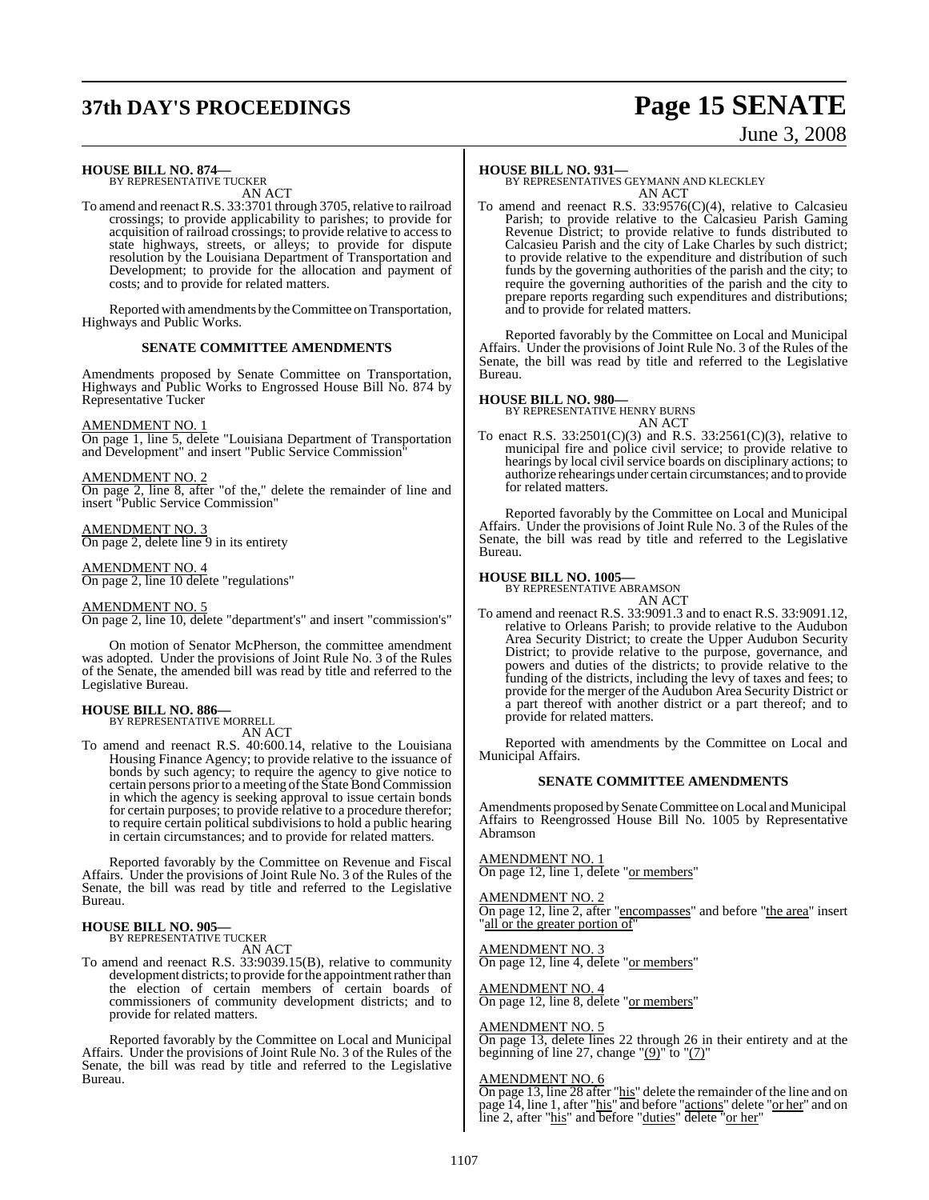# **37th DAY'S PROCEEDINGS Page 15 SENATE**

# June 3, 2008

### **HOUSE BILL NO. 874—** BY REPRESENTATIVE TUCKER

AN ACT

To amend and reenact R.S. 33:3701 through 3705, relative to railroad crossings; to provide applicability to parishes; to provide for acquisition of railroad crossings; to provide relative to access to state highways, streets, or alleys; to provide for dispute resolution by the Louisiana Department of Transportation and Development; to provide for the allocation and payment of costs; and to provide for related matters.

Reported with amendments by the Committee on Transportation, Highways and Public Works.

#### **SENATE COMMITTEE AMENDMENTS**

Amendments proposed by Senate Committee on Transportation, Highways and Public Works to Engrossed House Bill No. 874 by Representative Tucker

#### AMENDMENT NO. 1

On page 1, line 5, delete "Louisiana Department of Transportation and Development" and insert "Public Service Commission"

#### AMENDMENT NO. 2

On page 2, line 8, after "of the," delete the remainder of line and insert "Public Service Commission"

#### AMENDMENT NO. 3

On page 2, delete line 9 in its entirety

#### AMENDMENT NO. 4

On page 2, line 10 delete "regulations"

#### AMENDMENT NO. 5

On page 2, line 10, delete "department's" and insert "commission's"

On motion of Senator McPherson, the committee amendment was adopted. Under the provisions of Joint Rule No. 3 of the Rules of the Senate, the amended bill was read by title and referred to the Legislative Bureau.

## **HOUSE BILL NO. 886—** BY REPRESENTATIVE MORRELL

AN ACT

To amend and reenact R.S. 40:600.14, relative to the Louisiana Housing Finance Agency; to provide relative to the issuance of bonds by such agency; to require the agency to give notice to certain persons prior to a meeting of the State Bond Commission in which the agency is seeking approval to issue certain bonds for certain purposes; to provide relative to a procedure therefor; to require certain political subdivisions to hold a public hearing in certain circumstances; and to provide for related matters.

Reported favorably by the Committee on Revenue and Fiscal Affairs. Under the provisions of Joint Rule No. 3 of the Rules of the Senate, the bill was read by title and referred to the Legislative Bureau.

### **HOUSE BILL NO. 905—**

BY REPRESENTATIVE TUCKER

AN ACT

To amend and reenact R.S. 33:9039.15(B), relative to community development districts; to provide for the appointment rather than the election of certain members of certain boards of commissioners of community development districts; and to provide for related matters.

Reported favorably by the Committee on Local and Municipal Affairs. Under the provisions of Joint Rule No. 3 of the Rules of the Senate, the bill was read by title and referred to the Legislative Bureau.

#### **HOUSE BILL NO. 931—**

BY REPRESENTATIVES GEYMANN AND KLECKLEY AN ACT

To amend and reenact R.S. 33:9576(C)(4), relative to Calcasieu Parish; to provide relative to the Calcasieu Parish Gaming Revenue District; to provide relative to funds distributed to Calcasieu Parish and the city of Lake Charles by such district; to provide relative to the expenditure and distribution of such funds by the governing authorities of the parish and the city; to require the governing authorities of the parish and the city to prepare reports regarding such expenditures and distributions; and to provide for related matters.

Reported favorably by the Committee on Local and Municipal Affairs. Under the provisions of Joint Rule No. 3 of the Rules of the Senate, the bill was read by title and referred to the Legislative Bureau.

#### **HOUSE BILL NO. 980—**

BY REPRESENTATIVE HENRY BURNS AN ACT

To enact R.S. 33:2501(C)(3) and R.S. 33:2561(C)(3), relative to municipal fire and police civil service; to provide relative to hearings by local civil service boards on disciplinary actions; to authorize rehearings under certain circumstances; and to provide for related matters.

Reported favorably by the Committee on Local and Municipal Affairs. Under the provisions of Joint Rule No. 3 of the Rules of the Senate, the bill was read by title and referred to the Legislative Bureau.

## **HOUSE BILL NO. 1005—** BY REPRESENTATIVE ABRAMSON

AN ACT

To amend and reenact R.S. 33:9091.3 and to enact R.S. 33:9091.12, relative to Orleans Parish; to provide relative to the Audubon Area Security District; to create the Upper Audubon Security District; to provide relative to the purpose, governance, and powers and duties of the districts; to provide relative to the funding of the districts, including the levy of taxes and fees; to provide for the merger of the Audubon Area Security District or a part thereof with another district or a part thereof; and to provide for related matters.

Reported with amendments by the Committee on Local and Municipal Affairs.

#### **SENATE COMMITTEE AMENDMENTS**

Amendments proposed bySenate Committee on Local and Municipal Affairs to Reengrossed House Bill No. 1005 by Representative Abramson

#### AMENDMENT NO. 1

On page 12, line 1, delete "or members"

AMENDMENT NO. 2

On page 12, line 2, after "encompasses" and before "the area" insert all or the greater portion of

AMENDMENT NO. 3 On page 12, line 4, delete "or members"

AMENDMENT NO. 4 On page 12, line 8, delete "or members"

#### AMENDMENT NO. 5

On page 13, delete lines 22 through 26 in their entirety and at the beginning of line 27, change " $(9)$ " to " $(7)$ "

#### AMENDMENT NO. 6

On page 13, line 28 after "his" delete the remainder of the line and on page 14, line 1, after "his" and before "actions" delete "or her" and on line 2, after "his" and before "duties" delete "or her"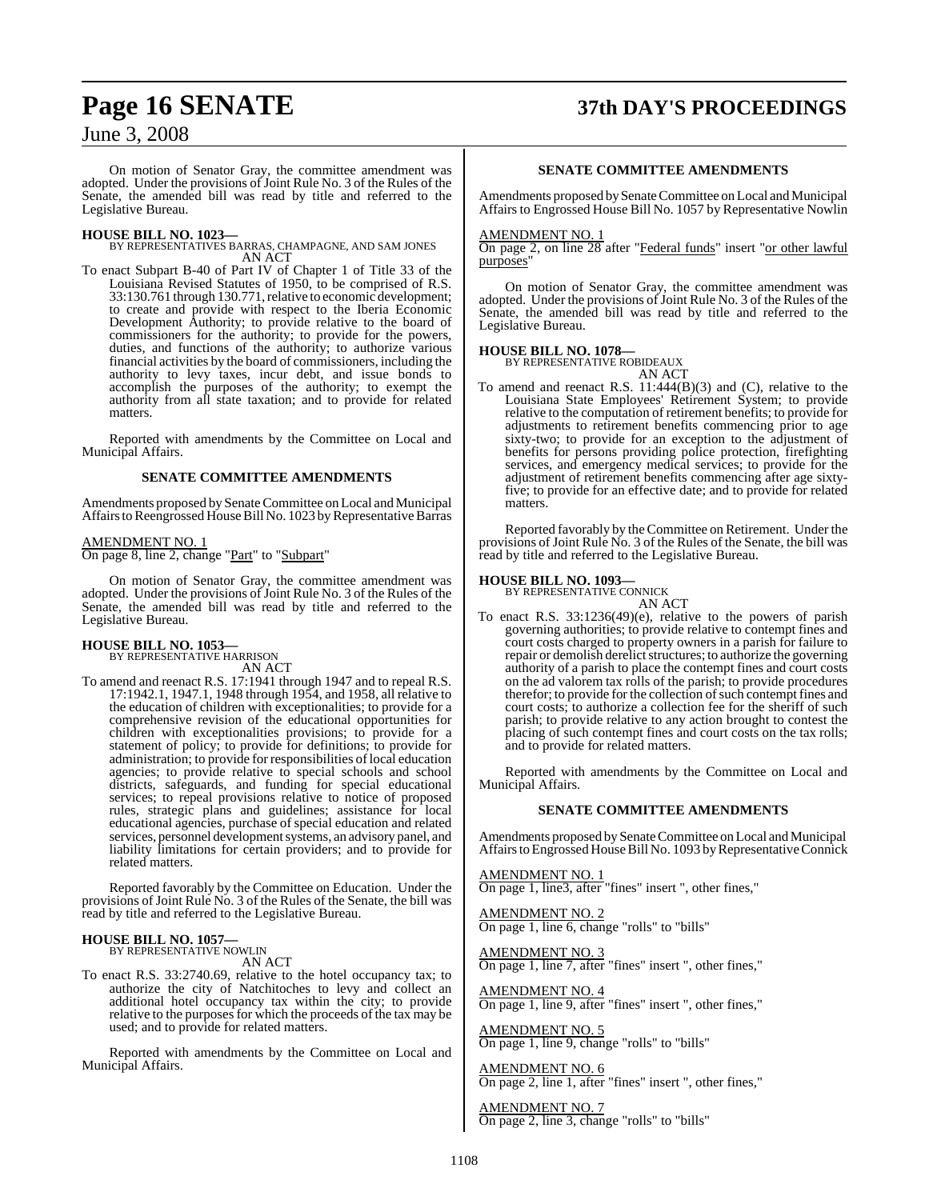# **Page 16 SENATE 37th DAY'S PROCEEDINGS**

June 3, 2008

On motion of Senator Gray, the committee amendment was adopted. Under the provisions of Joint Rule No. 3 of the Rules of the Senate, the amended bill was read by title and referred to the Legislative Bureau.

**HOUSE BILL NO. 1023—** BY REPRESENTATIVES BARRAS, CHAMPAGNE, AND SAM JONES AN ACT

To enact Subpart B-40 of Part IV of Chapter 1 of Title 33 of the Louisiana Revised Statutes of 1950, to be comprised of R.S. 33:130.761 through 130.771, relative to economic development; to create and provide with respect to the Iberia Economic Development Authority; to provide relative to the board of commissioners for the authority; to provide for the powers, duties, and functions of the authority; to authorize various financial activities by the board of commissioners, including the authority to levy taxes, incur debt, and issue bonds to accomplish the purposes of the authority; to exempt the authority from all state taxation; and to provide for related matters.

Reported with amendments by the Committee on Local and Municipal Affairs.

#### **SENATE COMMITTEE AMENDMENTS**

Amendments proposed by Senate Committee on Local and Municipal Affairs to Reengrossed House Bill No. 1023 by Representative Barras

#### AMENDMENT NO. 1 On page 8, line 2, change "Part" to "Subpart"

On motion of Senator Gray, the committee amendment was adopted. Under the provisions of Joint Rule No. 3 of the Rules of the Senate, the amended bill was read by title and referred to the Legislative Bureau.

#### **HOUSE BILL NO. 1053—** BY REPRESENTATIVE HARRISON

AN ACT

To amend and reenact R.S. 17:1941 through 1947 and to repeal R.S. 17:1942.1, 1947.1, 1948 through 1954, and 1958, all relative to the education of children with exceptionalities; to provide for a comprehensive revision of the educational opportunities for children with exceptionalities provisions; to provide for a statement of policy; to provide for definitions; to provide for administration; to provide for responsibilities of local education agencies; to provide relative to special schools and school districts, safeguards, and funding for special educational services; to repeal provisions relative to notice of proposed rules, strategic plans and guidelines; assistance for local educational agencies, purchase of special education and related services, personnel development systems, an advisory panel, and liability limitations for certain providers; and to provide for related matters.

Reported favorably by the Committee on Education. Under the provisions of Joint Rule No. 3 of the Rules of the Senate, the bill was read by title and referred to the Legislative Bureau.

## **HOUSE BILL NO. 1057—** BY REPRESENTATIVE NOWLIN

AN ACT

To enact R.S. 33:2740.69, relative to the hotel occupancy tax; to authorize the city of Natchitoches to levy and collect an additional hotel occupancy tax within the city; to provide relative to the purposes for which the proceeds of the tax may be used; and to provide for related matters.

Reported with amendments by the Committee on Local and Municipal Affairs.

#### **SENATE COMMITTEE AMENDMENTS**

Amendments proposed by Senate Committee on Local and Municipal Affairs to Engrossed House Bill No. 1057 by Representative Nowlin

#### AMENDMENT NO. 1

On page 2, on line 28 after "Federal funds" insert "or other lawful purposes"

On motion of Senator Gray, the committee amendment was adopted. Under the provisions of Joint Rule No. 3 of the Rules of the Senate, the amended bill was read by title and referred to the Legislative Bureau.

#### **HOUSE BILL NO. 1078—**

BY REPRESENTATIVE ROBIDEAUX

AN ACT To amend and reenact R.S. 11:444(B)(3) and (C), relative to the Louisiana State Employees' Retirement System; to provide relative to the computation of retirement benefits; to provide for adjustments to retirement benefits commencing prior to age sixty-two; to provide for an exception to the adjustment of benefits for persons providing police protection, firefighting services, and emergency medical services; to provide for the adjustment of retirement benefits commencing after age sixtyfive; to provide for an effective date; and to provide for related matters.

Reported favorably by the Committee on Retirement. Under the provisions of Joint Rule No. 3 of the Rules of the Senate, the bill was read by title and referred to the Legislative Bureau.

# **HOUSE BILL NO. 1093—** BY REPRESENTATIVE CONNICK

AN ACT To enact R.S. 33:1236(49)(e), relative to the powers of parish governing authorities; to provide relative to contempt fines and court costs charged to property owners in a parish for failure to repair or demolish derelict structures; to authorize the governing authority of a parish to place the contempt fines and court costs on the ad valorem tax rolls of the parish; to provide procedures therefor; to provide for the collection of such contempt fines and court costs; to authorize a collection fee for the sheriff of such parish; to provide relative to any action brought to contest the placing of such contempt fines and court costs on the tax rolls; and to provide for related matters.

Reported with amendments by the Committee on Local and Municipal Affairs.

#### **SENATE COMMITTEE AMENDMENTS**

Amendments proposed by Senate Committee on Local and Municipal Affairs to Engrossed House Bill No. 1093 by Representative Connick

AMENDMENT NO. 1 On page 1, line3, after "fines" insert ", other fines,"

AMENDMENT NO. 2 On page 1, line 6, change "rolls" to "bills"

AMENDMENT NO. 3 On page 1, line 7, after "fines" insert ", other fines,"

AMENDMENT NO. 4 On page 1, line 9, after "fines" insert ", other fines,"

AMENDMENT NO. 5 On page 1, line 9, change "rolls" to "bills"

AMENDMENT NO. 6 On page 2, line 1, after "fines" insert ", other fines,"

AMENDMENT NO. 7 On page 2, line 3, change "rolls" to "bills"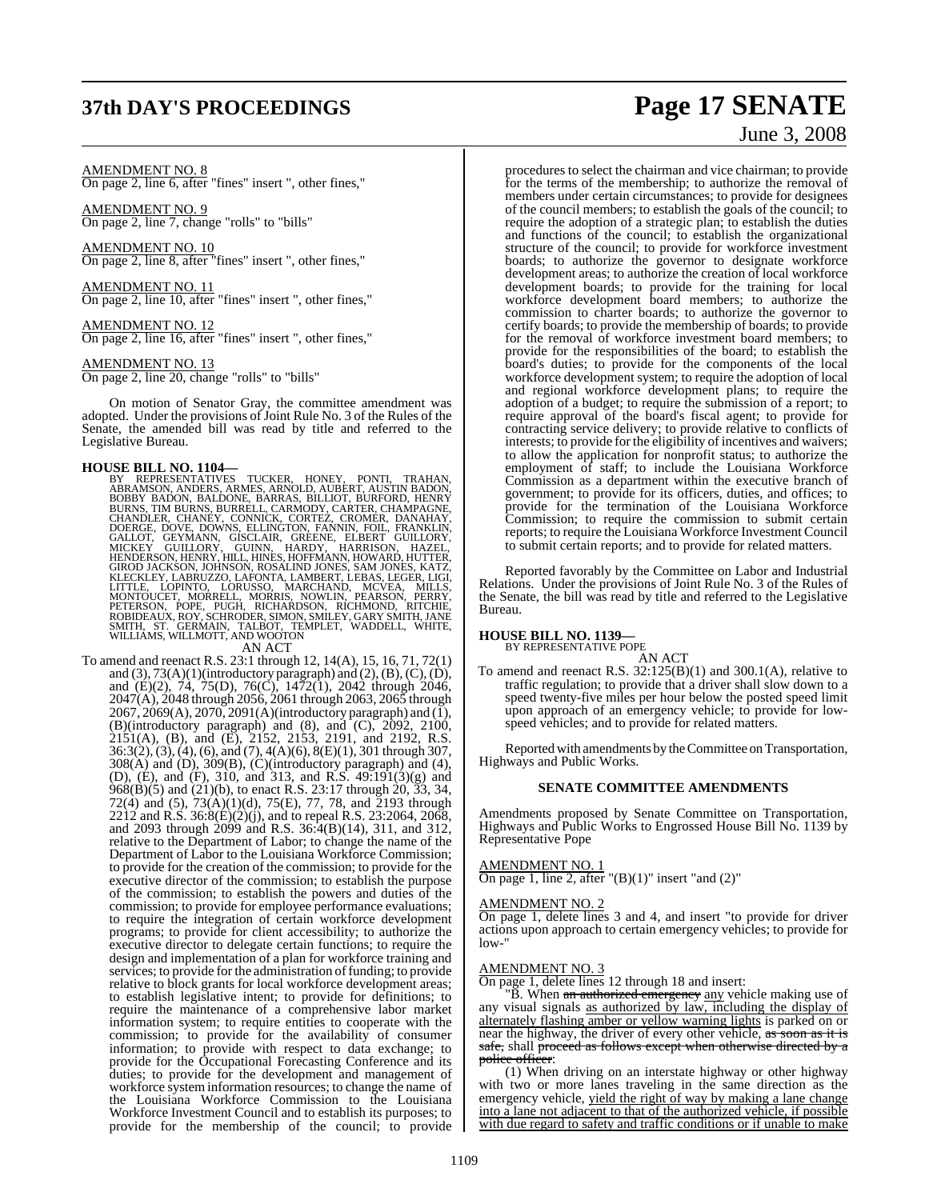## **37th DAY'S PROCEEDINGS Page 17 SENATE**

#### AMENDMENT NO. 8

On page 2, line 6, after "fines" insert ", other fines,"

AMENDMENT NO. 9 On page 2, line 7, change "rolls" to "bills"

AMENDMENT NO. 10 On page 2, line 8, after "fines" insert ", other fines,"

AMENDMENT NO. 11 On page 2, line 10, after "fines" insert ", other fines,"

AMENDMENT NO. 12 On page 2, line 16, after "fines" insert ", other fines,"

AMENDMENT NO. 13

On page 2, line 20, change "rolls" to "bills"

On motion of Senator Gray, the committee amendment was adopted. Under the provisions of Joint Rule No. 3 of the Rules of the Senate, the amended bill was read by title and referred to the Legislative Bureau.

HOUSE BILL NO. 1104—<br>
BY REPRESENTATIVES TUCKER, HONEY, PONTI, TRAHAN,<br>
BY REPRESENTATIVES TUCKER, HONEY, PONTI, TRAHAN,<br>
BOBBY BADON, BALDONE, BARRAS, BILLIOT, BURFORD, HENRY<br>
BURNS, TIM BURNS, BURELL, CARMODY, CARTER, CH

To amend and reenact R.S. 23:1 through 12, 14(A), 15, 16, 71, 72(1) and  $(3)$ ,  $73(A)(1)$ (introductory paragraph) and  $(2)$ ,  $(B)$ ,  $(C)$ ,  $(D)$ , and (E)(2), 74, 75(D), 76(C), 1472(1), 2042 through 2046, 2047(A), 2048 through 2056, 2061 through 2063, 2065 through 2067, 2069(A), 2070, 2091(A)(introductory paragraph) and (1), (B)(introductory paragraph) and (8), and  $(C)$ ,  $2092$ ,  $2100$ , 2151(A), (B), and (E), 2152, 2153, 2191, and 2192, R.S. 36:3(2), (3), (4), (6), and (7), 4(A)(6), 8(E)(1), 301 through 307, 308(A) and (D), 309(B), (C)(introductory paragraph) and (4), (D), (E), and (F), 310, and 313, and R.S. 49:191(3)(g) and 968(B)(5) and (21)(b), to enact R.S. 23:17 through 20, 33, 34, 72(4) and (5), 73(A)(1)(d), 75(E), 77, 78, and 2193 through 2212 and R.S. 36:8(E)(2)(j), and to repeal R.S. 23:2064, 2068, and 2093 through 2099 and R.S. 36:4(B)(14), 311, and 312, relative to the Department of Labor; to change the name of the Department of Labor to the Louisiana Workforce Commission; to provide for the creation of the commission; to provide for the executive director of the commission; to establish the purpose of the commission; to establish the powers and duties of the commission; to provide for employee performance evaluations; to require the integration of certain workforce development programs; to provide for client accessibility; to authorize the executive director to delegate certain functions; to require the design and implementation of a plan for workforce training and services; to provide for the administration of funding; to provide relative to block grants for local workforce development areas; to establish legislative intent; to provide for definitions; to require the maintenance of a comprehensive labor market information system; to require entities to cooperate with the commission; to provide for the availability of consumer information; to provide with respect to data exchange; to provide for the Occupational Forecasting Conference and its duties; to provide for the development and management of workforce system information resources; to change the name of the Louisiana Workforce Commission to the Louisiana Workforce Investment Council and to establish its purposes; to provide for the membership of the council; to provide

# June 3, 2008

procedures to select the chairman and vice chairman; to provide for the terms of the membership; to authorize the removal of members under certain circumstances; to provide for designees of the council members; to establish the goals of the council; to require the adoption of a strategic plan; to establish the duties and functions of the council; to establish the organizational structure of the council; to provide for workforce investment boards; to authorize the governor to designate workforce development areas; to authorize the creation of local workforce development boards; to provide for the training for local workforce development board members; to authorize the commission to charter boards; to authorize the governor to certify boards; to provide the membership of boards; to provide for the removal of workforce investment board members; to provide for the responsibilities of the board; to establish the board's duties; to provide for the components of the local workforce development system; to require the adoption of local and regional workforce development plans; to require the adoption of a budget; to require the submission of a report; to require approval of the board's fiscal agent; to provide for contracting service delivery; to provide relative to conflicts of interests; to provide for the eligibility of incentives and waivers; to allow the application for nonprofit status; to authorize the employment of staff; to include the Louisiana Workforce Commission as a department within the executive branch of government; to provide for its officers, duties, and offices; to provide for the termination of the Louisiana Workforce Commission; to require the commission to submit certain reports; to require the Louisiana Workforce Investment Council to submit certain reports; and to provide for related matters.

Reported favorably by the Committee on Labor and Industrial Relations. Under the provisions of Joint Rule No. 3 of the Rules of the Senate, the bill was read by title and referred to the Legislative Bureau.

#### **HOUSE BILL NO. 1139—**

BY REPRESENTATIVE POPE

AN ACT To amend and reenact R.S.  $32:125(B)(1)$  and  $300.1(A)$ , relative to traffic regulation; to provide that a driver shall slow down to a speed twenty-five miles per hour below the posted speed limit upon approach of an emergency vehicle; to provide for lowspeed vehicles; and to provide for related matters.

Reported with amendments by the Committee on Transportation, Highways and Public Works.

#### **SENATE COMMITTEE AMENDMENTS**

Amendments proposed by Senate Committee on Transportation, Highways and Public Works to Engrossed House Bill No. 1139 by Representative Pope

#### AMENDMENT NO. 1

On page 1, line 2, after  $"({\rm B})(1)"$  insert "and  $(2)"$ 

#### AMENDMENT NO. 2

On page 1, delete lines 3 and 4, and insert "to provide for driver actions upon approach to certain emergency vehicles; to provide for low-"

#### AMENDMENT NO. 3

On page 1, delete lines 12 through 18 and insert:

"B. When an authorized emergency any vehicle making use of any visual signals as authorized by law, including the display of alternately flashing amber or yellow warning lights is parked on or near the highway, the driver of every other vehicle, as soon as it is safe, shall proceed as follows except when otherwise directed by a police officer:

(1) When driving on an interstate highway or other highway with two or more lanes traveling in the same direction as the emergency vehicle, yield the right of way by making a lane change into a lane not adjacent to that of the authorized vehicle, if possible with due regard to safety and traffic conditions or if unable to make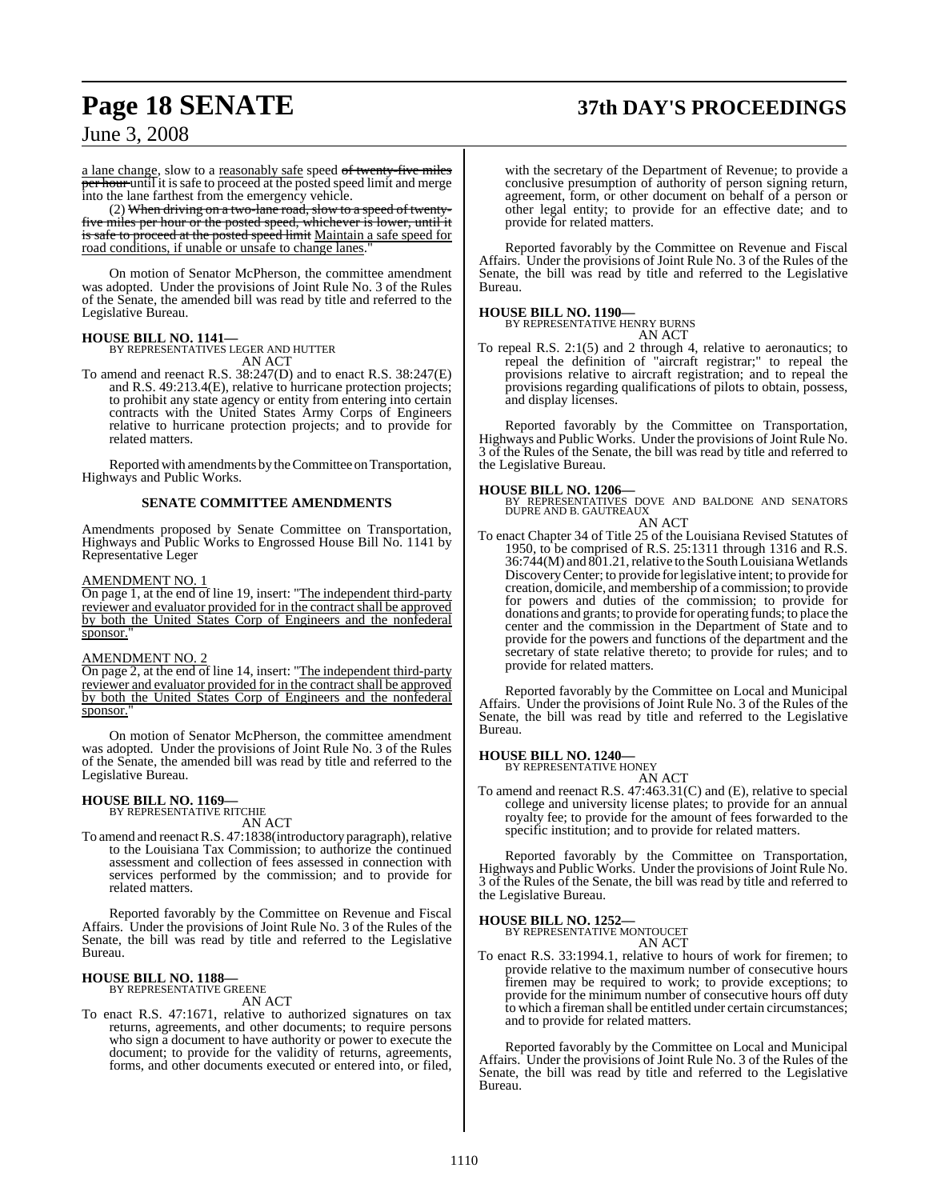# **Page 18 SENATE 37th DAY'S PROCEEDINGS**

June 3, 2008

a lane change, slow to a reasonably safe speed of twenty-five miles per hour until it is safe to proceed at the posted speed limit and merge into the lane farthest from the emergency vehicle.

(2) When driving on a two-lane road, slow to a speed of twentyfive miles per hour or the posted speed, whichever is lower, until it is safe to proceed at the posted speed limit Maintain a safe speed for road conditions, if unable or unsafe to change lanes."

On motion of Senator McPherson, the committee amendment was adopted. Under the provisions of Joint Rule No. 3 of the Rules of the Senate, the amended bill was read by title and referred to the Legislative Bureau.

#### **HOUSE BILL NO. 1141—**

BY REPRESENTATIVES LEGER AND HUTTER AN ACT

To amend and reenact R.S. 38:247(D) and to enact R.S. 38:247(E) and R.S. 49:213.4(E), relative to hurricane protection projects; to prohibit any state agency or entity from entering into certain contracts with the United States Army Corps of Engineers relative to hurricane protection projects; and to provide for related matters.

Reported with amendments by the Committee on Transportation, Highways and Public Works.

#### **SENATE COMMITTEE AMENDMENTS**

Amendments proposed by Senate Committee on Transportation, Highways and Public Works to Engrossed House Bill No. 1141 by Representative Leger

#### AMENDMENT NO. 1

On page 1, at the end of line 19, insert: "The independent third-party reviewer and evaluator provided for in the contract shall be approved by both the United States Corp of Engineers and the nonfederal sponsor."

#### AMENDMENT NO. 2

On page 2, at the end of line 14, insert: "The independent third-party reviewer and evaluator provided for in the contract shall be approved by both the United States Corp of Engineers and the nonfederal sponsor.

On motion of Senator McPherson, the committee amendment was adopted. Under the provisions of Joint Rule No. 3 of the Rules of the Senate, the amended bill was read by title and referred to the Legislative Bureau.

# **HOUSE BILL NO. 1169—** BY REPRESENTATIVE RITCHIE

AN ACT

To amend and reenact R.S. 47:1838(introductory paragraph), relative to the Louisiana Tax Commission; to authorize the continued assessment and collection of fees assessed in connection with services performed by the commission; and to provide for related matters.

Reported favorably by the Committee on Revenue and Fiscal Affairs. Under the provisions of Joint Rule No. 3 of the Rules of the Senate, the bill was read by title and referred to the Legislative Bureau.

## **HOUSE BILL NO. 1188—** BY REPRESENTATIVE GREENE

AN ACT

To enact R.S. 47:1671, relative to authorized signatures on tax returns, agreements, and other documents; to require persons who sign a document to have authority or power to execute the document; to provide for the validity of returns, agreements, forms, and other documents executed or entered into, or filed,

with the secretary of the Department of Revenue; to provide a conclusive presumption of authority of person signing return, agreement, form, or other document on behalf of a person or other legal entity; to provide for an effective date; and to provide for related matters.

Reported favorably by the Committee on Revenue and Fiscal Affairs. Under the provisions of Joint Rule No. 3 of the Rules of the Senate, the bill was read by title and referred to the Legislative Bureau.

**HOUSE BILL NO. 1190—** BY REPRESENTATIVE HENRY BURNS AN ACT

To repeal R.S. 2:1(5) and 2 through 4, relative to aeronautics; to repeal the definition of "aircraft registrar;" to repeal the provisions relative to aircraft registration; and to repeal the provisions regarding qualifications of pilots to obtain, possess, and display licenses.

Reported favorably by the Committee on Transportation, Highways and Public Works. Under the provisions of Joint Rule No. 3 of the Rules of the Senate, the bill was read by title and referred to the Legislative Bureau.

**HOUSE BILL NO. 1206—** BY REPRESENTATIVES DOVE AND BALDONE AND SENATORS DUPRE AND B. GAUTREAUX

#### AN ACT

To enact Chapter 34 of Title 25 of the Louisiana Revised Statutes of 1950, to be comprised of R.S. 25:1311 through 1316 and R.S. 36:744(M) and 801.21, relative to the South Louisiana Wetlands DiscoveryCenter; to provide forlegislative intent; to provide for creation, domicile, and membership of a commission; to provide for powers and duties of the commission; to provide for donations and grants; to provide for operating funds; to place the center and the commission in the Department of State and to provide for the powers and functions of the department and the secretary of state relative thereto; to provide for rules; and to provide for related matters.

Reported favorably by the Committee on Local and Municipal Affairs. Under the provisions of Joint Rule No. 3 of the Rules of the Senate, the bill was read by title and referred to the Legislative Bureau.

#### **HOUSE BILL NO. 1240—**

BY REPRESENTATIVE HONEY

AN ACT To amend and reenact R.S. 47:463.31(C) and (E), relative to special college and university license plates; to provide for an annual royalty fee; to provide for the amount of fees forwarded to the specific institution; and to provide for related matters.

Reported favorably by the Committee on Transportation, Highways and Public Works. Under the provisions of Joint Rule No. 3 of the Rules of the Senate, the bill was read by title and referred to the Legislative Bureau.

#### **HOUSE BILL NO. 1252—**

BY REPRESENTATIVE MONTOUCET AN ACT

To enact R.S. 33:1994.1, relative to hours of work for firemen; to provide relative to the maximum number of consecutive hours firemen may be required to work; to provide exceptions; to provide for the minimum number of consecutive hours off duty to which a fireman shall be entitled under certain circumstances; and to provide for related matters.

Reported favorably by the Committee on Local and Municipal Affairs. Under the provisions of Joint Rule No. 3 of the Rules of the Senate, the bill was read by title and referred to the Legislative Bureau.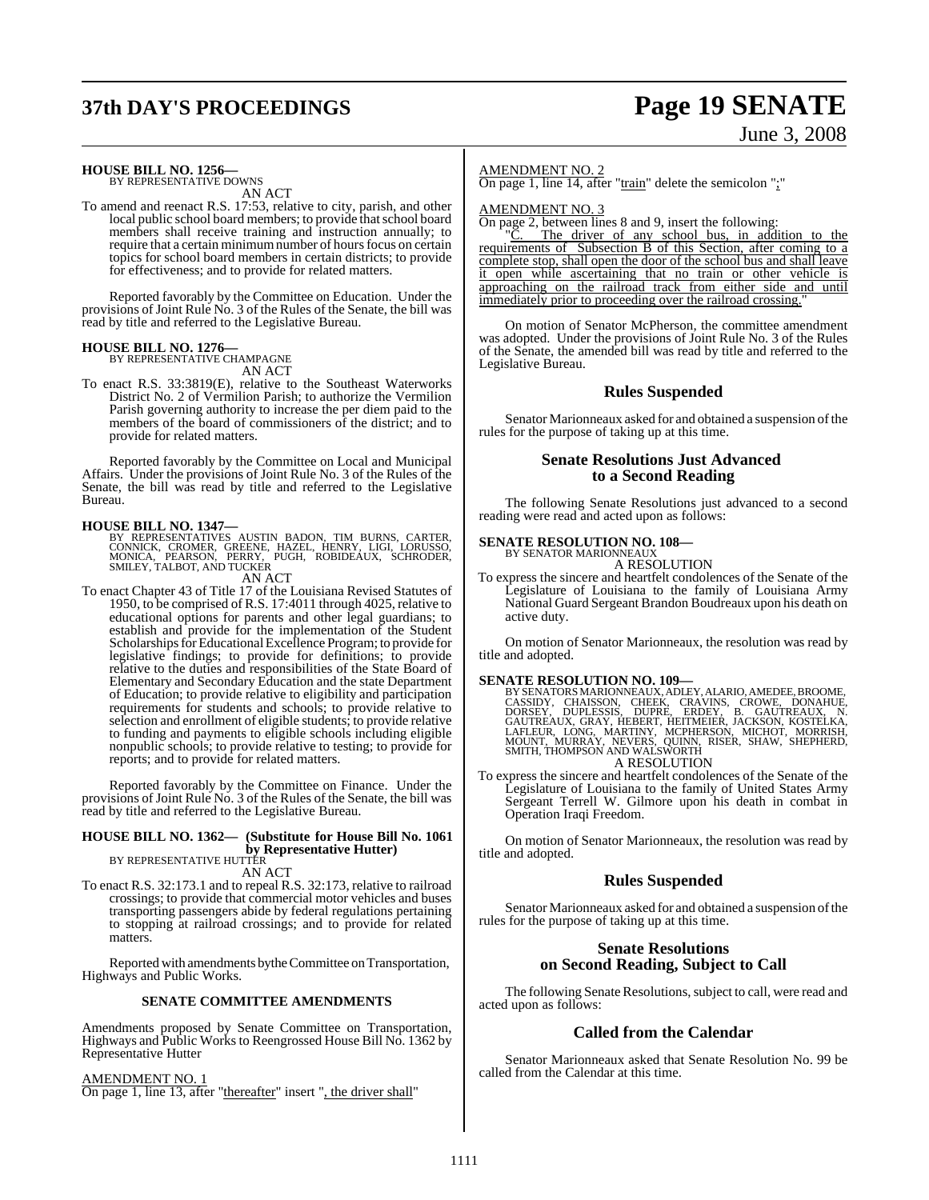# **37th DAY'S PROCEEDINGS Page 19 SENATE**

# June 3, 2008

#### **HOUSE BILL NO. 1256—**

BY REPRESENTATIVE DOWNS AN ACT

To amend and reenact R.S. 17:53, relative to city, parish, and other local public school board members; to provide that school board members shall receive training and instruction annually; to require that a certain minimum number of hours focus on certain topics for school board members in certain districts; to provide for effectiveness; and to provide for related matters.

Reported favorably by the Committee on Education. Under the provisions of Joint Rule No. 3 of the Rules of the Senate, the bill was read by title and referred to the Legislative Bureau.

#### **HOUSE BILL NO. 1276—** BY REPRESENTATIVE CHAMPAGNE

AN ACT

To enact R.S. 33:3819(E), relative to the Southeast Waterworks District No. 2 of Vermilion Parish; to authorize the Vermilion Parish governing authority to increase the per diem paid to the members of the board of commissioners of the district; and to provide for related matters.

Reported favorably by the Committee on Local and Municipal Affairs. Under the provisions of Joint Rule No. 3 of the Rules of the Senate, the bill was read by title and referred to the Legislative Bureau.

#### **HOUSE BILL NO. 1347—**

BY REPRESENTATIVES AUSTIN BADON, TIM BURNS, CARTER,<br>CONNICK, CROMER, GREENE, HAZEL, HENRY, LIGI, LORUSSO,<br>MONICA, PEARSON, PERRY, PUGH, ROBIDEAUX, SCHRODER, SMILEY, TALBOT, AND TUCKER

### AN ACT

To enact Chapter 43 of Title 17 of the Louisiana Revised Statutes of 1950, to be comprised of R.S. 17:4011 through 4025, relative to educational options for parents and other legal guardians; to establish and provide for the implementation of the Student Scholarships for Educational Excellence Program; to provide for legislative findings; to provide for definitions; to provide relative to the duties and responsibilities of the State Board of Elementary and Secondary Education and the state Department of Education; to provide relative to eligibility and participation requirements for students and schools; to provide relative to selection and enrollment of eligible students; to provide relative to funding and payments to eligible schools including eligible nonpublic schools; to provide relative to testing; to provide for reports; and to provide for related matters.

Reported favorably by the Committee on Finance. Under the provisions of Joint Rule No. 3 of the Rules of the Senate, the bill was read by title and referred to the Legislative Bureau.

### **HOUSE BILL NO. 1362— (Substitute for House Bill No. 1061 by Representative Hutter)**<br>BY REPRESENTATIVE HUTTER

AN ACT

To enact R.S. 32:173.1 and to repeal R.S. 32:173, relative to railroad crossings; to provide that commercial motor vehicles and buses transporting passengers abide by federal regulations pertaining to stopping at railroad crossings; and to provide for related matters.

Reported with amendments by the Committee on Transportation, Highways and Public Works.

#### **SENATE COMMITTEE AMENDMENTS**

Amendments proposed by Senate Committee on Transportation, Highways and Public Works to Reengrossed House Bill No. 1362 by Representative Hutter

AMENDMENT NO. 1

On page 1, line 13, after "thereafter" insert ", the driver shall"

#### AMENDMENT NO. 2

On page 1, line 14, after "train" delete the semicolon ";"

AMENDMENT NO. 3

On page 2, between lines 8 and 9, insert the following:<br>"C. The driver of any school bus, in add

The driver of any school bus, in addition to the requirements of Subsection B of this Section, after coming to a complete stop, shall open the door of the school bus and shall leave it open while ascertaining that no train or other vehicle is approaching on the railroad track from either side and until immediately prior to proceeding over the railroad crossing.

On motion of Senator McPherson, the committee amendment was adopted. Under the provisions of Joint Rule No. 3 of the Rules of the Senate, the amended bill was read by title and referred to the Legislative Bureau.

#### **Rules Suspended**

Senator Marionneaux asked for and obtained a suspension of the rules for the purpose of taking up at this time.

#### **Senate Resolutions Just Advanced to a Second Reading**

The following Senate Resolutions just advanced to a second reading were read and acted upon as follows:

### **SENATE RESOLUTION NO. 108—**

BY SENATOR MARIONNEAUX A RESOLUTION

To express the sincere and heartfelt condolences of the Senate of the Legislature of Louisiana to the family of Louisiana Army National Guard Sergeant Brandon Boudreaux upon his death on active duty.

On motion of Senator Marionneaux, the resolution was read by title and adopted.

SENATE RESOLUTION NO. 109—<br>BY SENATORS MARIONNEAUX, ADLEY, ALARIO, AMEDEE, BROOME, CASSIDY, CHAISSON, CHEEK, CRAVINS, CROWE, DONAHUE, DORSEY, DUPLESSIS, DUPRE, ERDEY, B. GAUTREAUX, N.<br>GAUTREAUX, GRAY, HEBERT, HEITMEIER, JA A RESOLUTION

To express the sincere and heartfelt condolences of the Senate of the Legislature of Louisiana to the family of United States Army Sergeant Terrell W. Gilmore upon his death in combat in Operation Iraqi Freedom.

On motion of Senator Marionneaux, the resolution was read by title and adopted.

#### **Rules Suspended**

Senator Marionneaux asked for and obtained a suspension of the rules for the purpose of taking up at this time.

#### **Senate Resolutions on Second Reading, Subject to Call**

The following Senate Resolutions, subject to call, were read and acted upon as follows:

#### **Called from the Calendar**

Senator Marionneaux asked that Senate Resolution No. 99 be called from the Calendar at this time.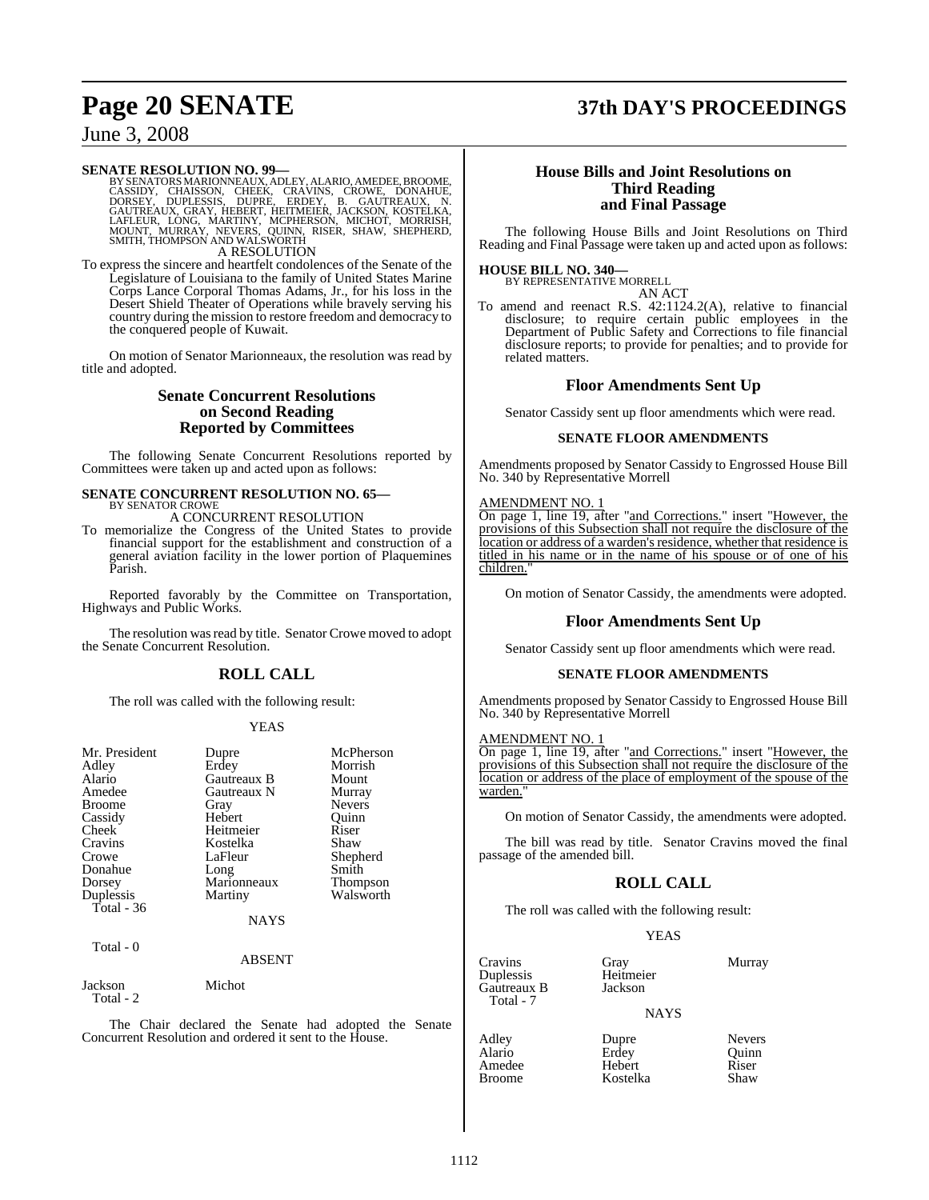## **Page 20 SENATE 37th DAY'S PROCEEDINGS**

### June 3, 2008

#### **SENATE RESOLUTION NO. 99—**

BY SENATORS MARIONNEAUX, ADLEY, ALARIO, AMEDEE, BROOME,<br>CASSIDY, CHAISSON, CHEEK, CRAVINS, CROWE, DONAHUE,<br>DORSEY, DUPLESSIS, DUPRE, ERDEY, B. GAUTREAUX, N.<br>GAUTREAUX, GRAY, HEBERT, HEITMEIER, JACKSON, KOSTELKA,<br>LAFLEUR, L A RESOLUTION

To express the sincere and heartfelt condolences of the Senate of the Legislature of Louisiana to the family of United States Marine Corps Lance Corporal Thomas Adams, Jr., for his loss in the Desert Shield Theater of Operations while bravely serving his country during the mission to restore freedom and democracy to the conquered people of Kuwait.

On motion of Senator Marionneaux, the resolution was read by title and adopted.

#### **Senate Concurrent Resolutions on Second Reading Reported by Committees**

The following Senate Concurrent Resolutions reported by Committees were taken up and acted upon as follows:

#### **SENATE CONCURRENT RESOLUTION NO. 65—** BY SENATOR CROWE

A CONCURRENT RESOLUTION

To memorialize the Congress of the United States to provide financial support for the establishment and construction of a general aviation facility in the lower portion of Plaquemines Parish.

Reported favorably by the Committee on Transportation, Highways and Public Works.

The resolution was read by title. Senator Crowe moved to adopt the Senate Concurrent Resolution.

### **ROLL CALL**

The roll was called with the following result:

#### YEAS

| Mr. President<br>Adley<br>Alario<br>Amedee<br><b>Broome</b><br>Cassidy<br>Cheek<br>Cravins<br>Crowe<br>Donahue<br>Dorsey<br>Duplessis<br>Total - 36 | Dupre<br>Erdey<br>Gautreaux B<br>Gautreaux N<br>Gray<br>Hebert<br>Heitmeier<br>Kostelka<br>LaFleur<br>Long<br>Marionneaux<br>Martiny<br>NAYS | McPherson<br>Morrish<br>Mount<br>Murray<br><b>Nevers</b><br>Quinn<br>Riser<br>Shaw<br>Shepherd<br>Smith<br>Thompson<br>Walsworth |
|-----------------------------------------------------------------------------------------------------------------------------------------------------|----------------------------------------------------------------------------------------------------------------------------------------------|----------------------------------------------------------------------------------------------------------------------------------|
| Total - 0                                                                                                                                           | <b>ABSENT</b>                                                                                                                                |                                                                                                                                  |
| Jackson<br>Total - 2                                                                                                                                | Michot                                                                                                                                       |                                                                                                                                  |
| The                                                                                                                                                 |                                                                                                                                              | Chair declared the Senate had adopted the Se                                                                                     |

tne Senate Concurrent Resolution and ordered it sent to the House.

#### **House Bills and Joint Resolutions on Third Reading and Final Passage**

The following House Bills and Joint Resolutions on Third Reading and Final Passage were taken up and acted upon as follows:

### **HOUSE BILL NO. 340—** BY REPRESENTATIVE MORRELL

AN ACT

To amend and reenact R.S. 42:1124.2(A), relative to financial disclosure; to require certain public employees in the Department of Public Safety and Corrections to file financial disclosure reports; to provide for penalties; and to provide for related matters.

#### **Floor Amendments Sent Up**

Senator Cassidy sent up floor amendments which were read.

#### **SENATE FLOOR AMENDMENTS**

Amendments proposed by Senator Cassidy to Engrossed House Bill No. 340 by Representative Morrell

#### AMENDMENT NO. 1

On page 1, line 19, after "and Corrections." insert "However, the provisions of this Subsection shall not require the disclosure of the location or address of a warden's residence, whether that residence is titled in his name or in the name of his spouse or of one of his children.

On motion of Senator Cassidy, the amendments were adopted.

#### **Floor Amendments Sent Up**

Senator Cassidy sent up floor amendments which were read.

#### **SENATE FLOOR AMENDMENTS**

Amendments proposed by Senator Cassidy to Engrossed House Bill No. 340 by Representative Morrell

#### AMENDMENT NO. 1

On page 1, line 19, after "and Corrections." insert "However, the provisions of this Subsection shall not require the disclosure of the location or address of the place of employment of the spouse of the warden.

On motion of Senator Cassidy, the amendments were adopted.

The bill was read by title. Senator Cravins moved the final passage of the amended bill.

### **ROLL CALL**

The roll was called with the following result:

#### YEAS

Cravins Gray Murray<br>
Duplessis Heitmeier Murray Duplessis Heitmei<br>Gautreaux B Jackson Gautreaux B Total - 7

**NAYS** 

Hebert Riser<br>
Kostelka Shaw

Adley Dupre Nevers<br>
Alario Erdey Duinn Alario Erdey<br>Amedee Heber Broome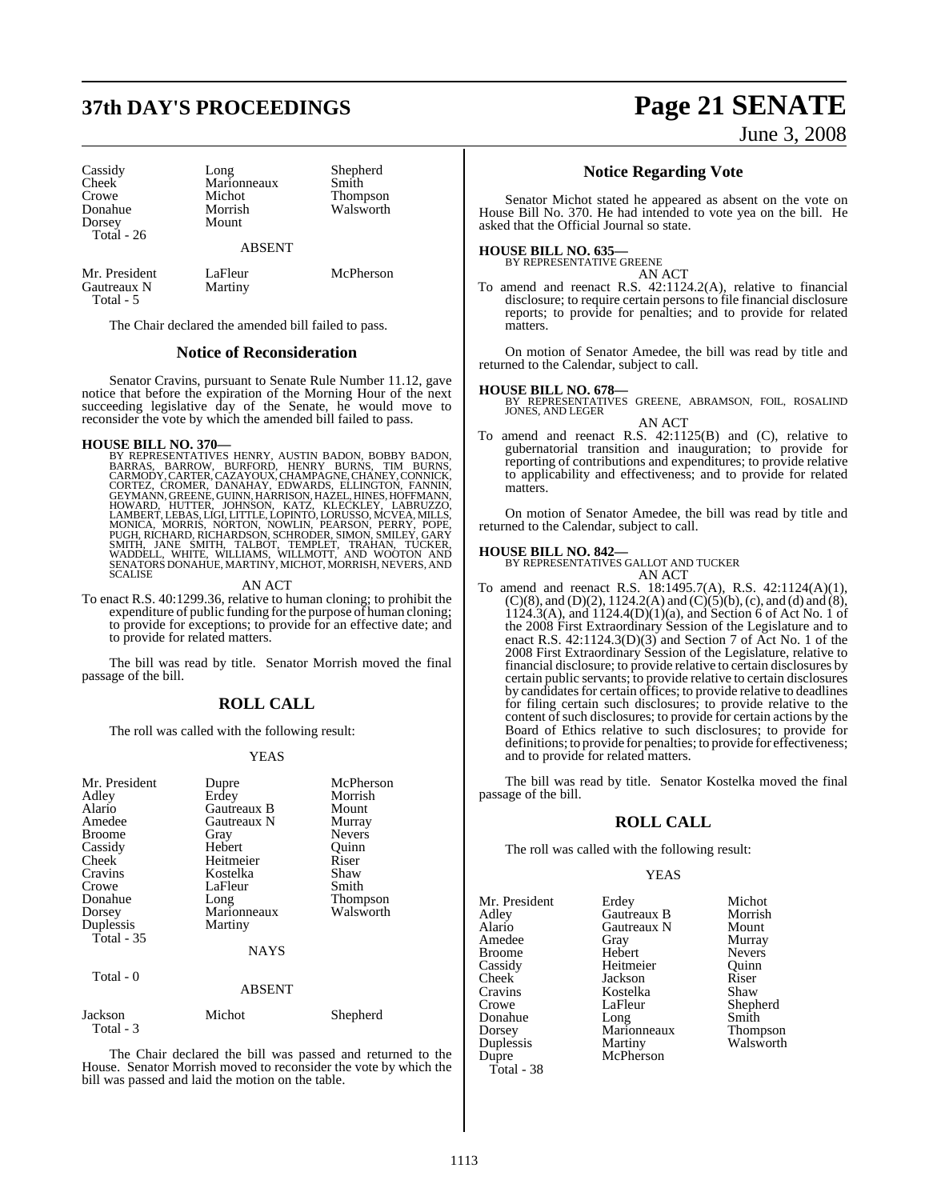# **37th DAY'S PROCEEDINGS Page 21 SENATE**

Cassidy Long Shepherd<br>Cheek Marionneaux Smith Cheek Marionneaux<br>Crowe Michot Crowe Michot Thompson<br>
Morrish Walsworth<br>
Morrish Walsworth Dorsey Total - 26

Morrish Walsworth

ABSENT

Mr. President LaFleur McPherson<br>Gautreaux N Martiny Gautreaux N Total - 5

The Chair declared the amended bill failed to pass.

#### **Notice of Reconsideration**

Senator Cravins, pursuant to Senate Rule Number 11.12, gave notice that before the expiration of the Morning Hour of the next succeeding legislative day of the Senate, he would move to reconsider the vote by which the amended bill failed to pass.

HOUSE BILL NO. 370—<br>BY REPRESENTATIVES HENRY, AUSTIN BADON, BOBBY BADON, BARRAS, BARROW, BURFORD, HENRY BURNS, TIM BURNS, CARMODY, CARTER, CAZAYOUX, CHAMPAGNE, CHANEY, CONNICK, CORTEZ, CROMER, DANNIN, HOWNAD, HARRISON, KAT

AN ACT

To enact R.S. 40:1299.36, relative to human cloning; to prohibit the expenditure of public funding forthe purpose of human cloning; to provide for exceptions; to provide for an effective date; and to provide for related matters.

The bill was read by title. Senator Morrish moved the final passage of the bill.

#### **ROLL CALL**

The roll was called with the following result:

#### YEAS

| Mr. President<br>Adley<br>Alario<br>Amedee<br><b>Broome</b><br>Cassidy<br>Cheek<br>Cravins<br>Crowe<br>Donahue<br>Dorsey<br>Duplessis<br>Total $-35$<br>Total - 0 | Dupre<br>Erdey<br>Gautreaux B<br>Gautreaux N<br>Gray<br>Hebert<br>Heitmeier<br>Kostelka<br>LaFleur<br>Long<br>Marionneaux<br>Martiny<br><b>NAYS</b><br>ABSENT | McPherson<br>Morrish<br>Mount<br>Murray<br><b>Nevers</b><br>Quinn<br>Riser<br>Shaw<br>Smith<br><b>Thompson</b><br>Walsworth |
|-------------------------------------------------------------------------------------------------------------------------------------------------------------------|---------------------------------------------------------------------------------------------------------------------------------------------------------------|-----------------------------------------------------------------------------------------------------------------------------|
|                                                                                                                                                                   |                                                                                                                                                               |                                                                                                                             |
| Jackson<br>Total - 3                                                                                                                                              | Michot                                                                                                                                                        | Shepherd                                                                                                                    |

The Chair declared the bill was passed and returned to the House. Senator Morrish moved to reconsider the vote by which the bill was passed and laid the motion on the table.

June 3, 2008

#### **Notice Regarding Vote**

Senator Michot stated he appeared as absent on the vote on House Bill No. 370. He had intended to vote yea on the bill. He asked that the Official Journal so state.

#### **HOUSE BILL NO. 635—**

BY REPRESENTATIVE GREENE

AN ACT To amend and reenact R.S. 42:1124.2(A), relative to financial disclosure; to require certain persons to file financial disclosure reports; to provide for penalties; and to provide for related matters.

On motion of Senator Amedee, the bill was read by title and returned to the Calendar, subject to call.

**HOUSE BILL NO. 678—** BY REPRESENTATIVES GREENE, ABRAMSON, FOIL, ROSALIND JONES, AND LEGER AN ACT

To amend and reenact R.S. 42:1125(B) and (C), relative to gubernatorial transition and inauguration; to provide for reporting of contributions and expenditures; to provide relative to applicability and effectiveness; and to provide for related matters.

On motion of Senator Amedee, the bill was read by title and returned to the Calendar, subject to call.

#### **HOUSE BILL NO. 842—**

BY REPRESENTATIVES GALLOT AND TUCKER AN ACT

To amend and reenact R.S. 18:1495.7(A), R.S. 42:1124(A)(1),  $(C)(8)$ , and  $(D)(2)$ , 1124.2(A) and  $(C)(5)(b)$ , (c), and (d) and (8), 1124.3(A), and 1124.4(D)(1)(a), and Section 6 of Act No. 1 of the 2008 First Extraordinary Session of the Legislature and to enact R.S. 42:1124.3(D)(3) and Section 7 of Act No. 1 of the 2008 First Extraordinary Session of the Legislature, relative to financial disclosure; to provide relative to certain disclosures by certain public servants; to provide relative to certain disclosures by candidates for certain offices; to provide relative to deadlines for filing certain such disclosures; to provide relative to the content of such disclosures; to provide for certain actions by the Board of Ethics relative to such disclosures; to provide for definitions; to provide for penalties; to provide for effectiveness; and to provide for related matters.

The bill was read by title. Senator Kostelka moved the final passage of the bill.

#### **ROLL CALL**

The roll was called with the following result:

#### YEAS

Mr. President Erdey Michot Adley Gautreaux B Morrish Amedee Gray Murray<br>Broome Hebert Nevers Broome Hebert Nevers<br>
Cassidy Heitmeier Ouinn Cassidy Heitmeier Quinn Cheek Jackson Riser<br>Cravins Kostelka Shaw Cravins Kostelka<br>Crowe LaFleur Donahue Long Smith<br>Dorsey Marionneaux Thompson Dorsey Marionneaux<br>
Duplessis Martiny Duplessis Martiny Walsworth<br>
Dupre McPherson Total - 38

Gautreaux N Mount<br>
Gray Murray McPherson

Shepherd<br>Smith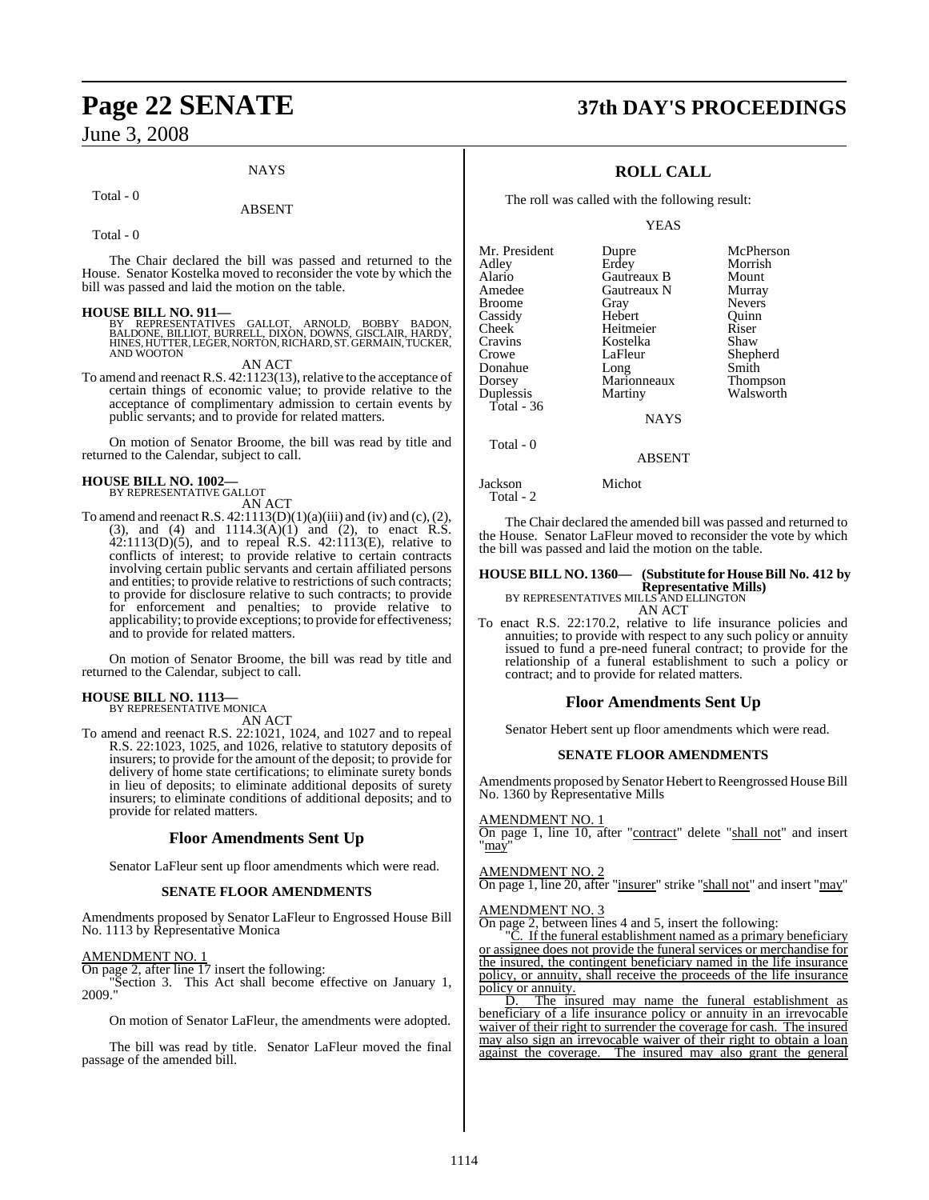#### **NAYS**

#### Total - 0

#### ABSENT

Total - 0

The Chair declared the bill was passed and returned to the House. Senator Kostelka moved to reconsider the vote by which the bill was passed and laid the motion on the table.

**HOUSE BILL NO. 911—**<br>BY REPRESENTATIVES GALLOT, ARNOLD, BOBBY BADON,<br>BALDONE, BILLIOT, BURRELL, DIXON, DOWNS, GISCLAIR, HARDY,<br>HINES, HUTTER, LEGER, NORTON, RICHARD, ST. GERMAIN, TUCKER,<br>AND WOOTON

AN ACT

To amend and reenact R.S. 42:1123(13), relative to the acceptance of certain things of economic value; to provide relative to the acceptance of complimentary admission to certain events by public servants; and to provide for related matters.

On motion of Senator Broome, the bill was read by title and returned to the Calendar, subject to call.

#### **HOUSE BILL NO. 1002—** BY REPRESENTATIVE GALLOT

AN ACT

To amend and reenact R.S.  $42:1113(D)(1)(a)(iii)$  and (iv) and (c), (2), (3), and (4) and  $1114.3(A)(1)$  and (2), to enact R.S. 42:1113(D)(5), and to repeal R.S. 42:1113(E), relative to conflicts of interest; to provide relative to certain contracts involving certain public servants and certain affiliated persons and entities; to provide relative to restrictions of such contracts; to provide for disclosure relative to such contracts; to provide for enforcement and penalties; to provide relative to applicability; to provide exceptions; to provide for effectiveness; and to provide for related matters.

On motion of Senator Broome, the bill was read by title and returned to the Calendar, subject to call.

#### **HOUSE BILL NO. 1113—** BY REPRESENTATIVE MONICA

AN ACT

To amend and reenact R.S. 22:1021, 1024, and 1027 and to repeal R.S. 22:1023, 1025, and 1026, relative to statutory deposits of insurers; to provide for the amount of the deposit; to provide for delivery of home state certifications; to eliminate surety bonds in lieu of deposits; to eliminate additional deposits of surety insurers; to eliminate conditions of additional deposits; and to provide for related matters.

#### **Floor Amendments Sent Up**

Senator LaFleur sent up floor amendments which were read.

#### **SENATE FLOOR AMENDMENTS**

Amendments proposed by Senator LaFleur to Engrossed House Bill No. 1113 by Representative Monica

 $\frac{\text{AMENDMENT NO. 1}}{\text{On page 2, after line 17 insert the following:}}$ On page 2, after line 17 insert the following:

"Section 3. This Act shall become effective on January 1, 2009."

On motion of Senator LaFleur, the amendments were adopted.

The bill was read by title. Senator LaFleur moved the final passage of the amended bill.

## **Page 22 SENATE 37th DAY'S PROCEEDINGS**

### **ROLL CALL**

The roll was called with the following result:

YEAS

| Mr. President | Dupre       | McPherson     |
|---------------|-------------|---------------|
| Adley         | Erdey       | Morrish       |
| Alario        | Gautreaux B | Mount         |
| Amedee        | Gautreaux N | Murray        |
| <b>Broome</b> | Gray        | <b>Nevers</b> |
| Cassidy       | Hebert      | Ouinn         |
| Cheek         | Heitmeier   | Riser         |
| Cravins       | Kostelka    | Shaw          |
| Crowe         | LaFleur     | Shepherd      |
| Donahue       | Long        | Smith         |
| Dorsey        | Marionneaux | Thompson      |
| Duplessis     | Martiny     | Walsworth     |
| Total - 36    |             |               |
|               | <b>NAYS</b> |               |
|               |             |               |

ABSENT

#### Jackson Michot

Total - 2

Total - 0

The Chair declared the amended bill was passed and returned to the House. Senator LaFleur moved to reconsider the vote by which the bill was passed and laid the motion on the table.

## **HOUSE BILL NO. 1360— (Substitute for HouseBill No. 412 by Representative Mills)**<br>BY REPRESENTATIVES MILLS AND ELLINGTON<br>AN ACT

- 
- To enact R.S. 22:170.2, relative to life insurance policies and annuities; to provide with respect to any such policy or annuity issued to fund a pre-need funeral contract; to provide for the relationship of a funeral establishment to such a policy or contract; and to provide for related matters.

#### **Floor Amendments Sent Up**

Senator Hebert sent up floor amendments which were read.

#### **SENATE FLOOR AMENDMENTS**

Amendments proposed by Senator Hebert to Reengrossed House Bill No. 1360 by Representative Mills

#### AMENDMENT NO. 1

On page 1, line 10, after "contract" delete "shall not" and insert "may"

#### AMENDMENT NO. 2

On page 1, line 20, after "insurer" strike "shall not" and insert "may"

#### AMENDMENT NO. 3

On page 2, between lines 4 and 5, insert the following:

If the funeral establishment named as a primary beneficiary or assignee does not provide the funeral services or merchandise for the insured, the contingent beneficiary named in the life insurance policy, or annuity, shall receive the proceeds of the life insurance policy or annuity.

D. The insured may name the funeral establishment as beneficiary of a life insurance policy or annuity in an irrevocable waiver of their right to surrender the coverage for cash. The insured may also sign an irrevocable waiver of their right to obtain a loan against the coverage. The insured may also grant the general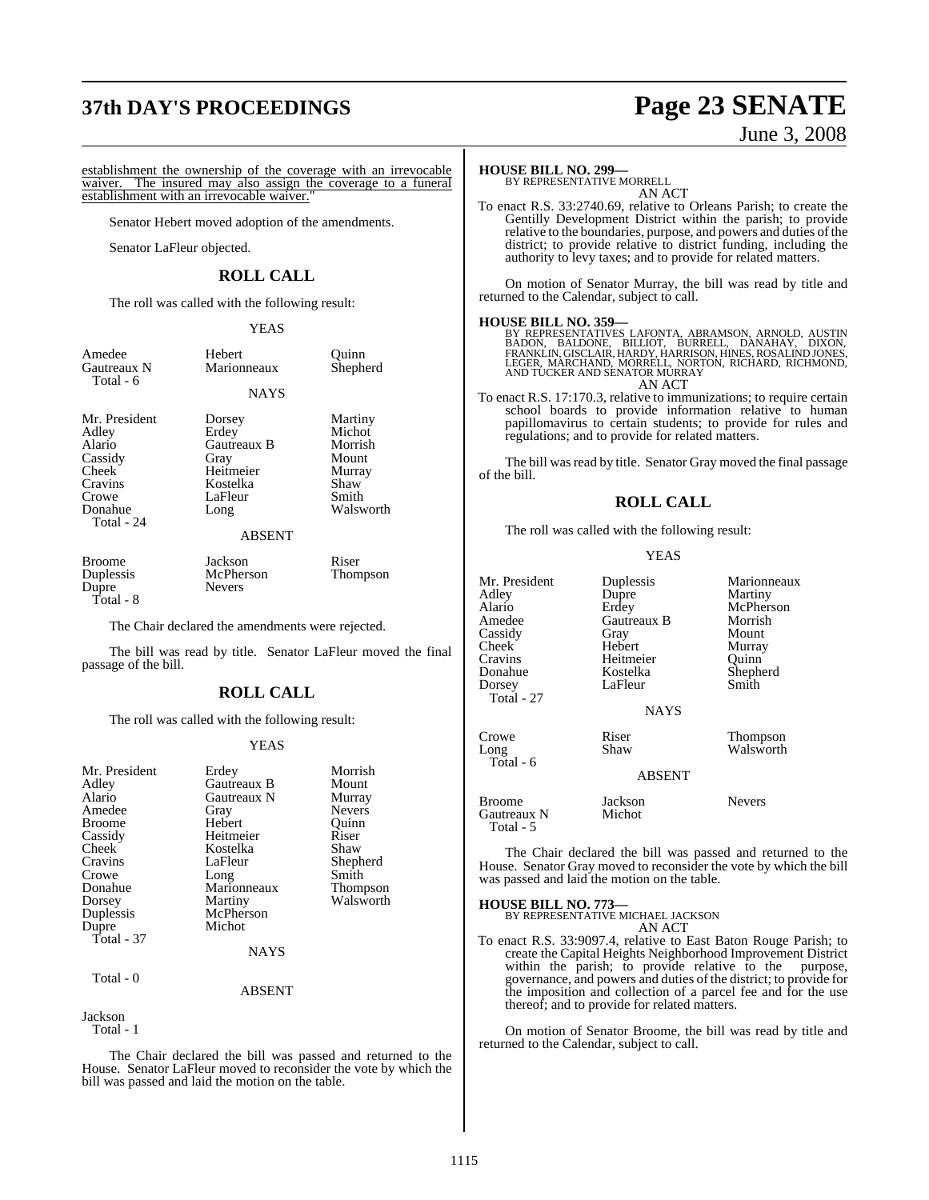# **37th DAY'S PROCEEDINGS Page 23 SENATE** June 3, 2008

establishment the ownership of the coverage with an irrevocable<br>waiver. The insured may also assign the coverage to a funeral The insured may also assign the coverage to a funeral establishment with an irrevocable waiver.

Senator Hebert moved adoption of the amendments.

Senator LaFleur objected.

#### **ROLL CALL**

The roll was called with the following result:

#### YEAS

| Amedee        | Hebert      | Quinn    |
|---------------|-------------|----------|
| Gautreaux N   | Marionneaux | Shepherd |
| Total - 6     | <b>NAYS</b> |          |
| Mr. President | Dorsey      | Martiny  |
| Adley         | Erdey       | Michot   |

Adley Erdey Michot<br>
Alario Gautreaux B Morrish Cassidy Gray Mount<br>Cheek Heitmeier Murray Crowe LaFleur<br>Donahue Long Total - 24

Cheek Heitmeier Murra<br>Cravins Kostelka Shaw Cravins Kostelka Shaw

Gautreaux B

#### ABSENT

Walsworth

Broome Jackson Riser<br>
Duplessis McPherson Thompson Dupre Total - 8

McPherson<br>Nevers

The Chair declared the amendments were rejected.

The bill was read by title. Senator LaFleur moved the final passage of the bill.

#### **ROLL CALL**

The roll was called with the following result:

#### YEAS

| Mr. President | Erdey       | Morrish       |
|---------------|-------------|---------------|
| Adley         | Gautreaux B | Mount         |
| Alario        | Gautreaux N | Murray        |
| Amedee        | Gray        | <b>Nevers</b> |
| <b>Broome</b> | Hebert      | Ouinn         |
| Cassidy       | Heitmeier   | Riser         |
| Cheek         | Kostelka    | Shaw          |
| Cravins       | LaFleur     | Shepherd      |
| Crowe         | Long        | Smith         |
| Donahue       | Marionneaux | Thompson      |
| Dorsey        | Martiny     | Walsworth     |
| Duplessis     | McPherson   |               |
| Dupre         | Michot      |               |
| Total - 37    |             |               |
|               | <b>NAYS</b> |               |

#### ABSENT

### Jackson

Total - 1

Total - 0

The Chair declared the bill was passed and returned to the House. Senator LaFleur moved to reconsider the vote by which the bill was passed and laid the motion on the table.

#### **HOUSE BILL NO. 299—**

BY REPRESENTATIVE MORRELL AN ACT

To enact R.S. 33:2740.69, relative to Orleans Parish; to create the Gentilly Development District within the parish; to provide relative to the boundaries, purpose, and powers and duties of the district; to provide relative to district funding, including the authority to levy taxes; and to provide for related matters.

On motion of Senator Murray, the bill was read by title and returned to the Calendar, subject to call.

#### **HOUSE BILL NO. 359—**

BY REPRESENTATIVES LAFONTA, ABRAMSON, ARNOLD, AUSTIN<br>BADON, BALDONE, BILLIOT, BURRELL, DANAHAY, DIXON,<br>FRANKLIN,GISCLAIR,HARDY,HARRISON,HINES,ROSALINDJONES,<br>LEGER,MARCHAND,MORRELL,NORTON,RICHARD,RICHMOND,<br>AND TUCKER AND SE AN ACT

To enact R.S. 17:170.3, relative to immunizations; to require certain school boards to provide information relative to human papillomavirus to certain students; to provide for rules and regulations; and to provide for related matters.

The bill was read by title. Senator Gray moved the final passage of the bill.

#### **ROLL CALL**

The roll was called with the following result:

#### YEAS

| Mr. President<br>Adlev<br>Alario<br>Amedee<br>Cassidy<br>Cheek <sup>-</sup><br>Cravins | Duplessis<br>Dupre<br>Erdey<br>Gautreaux B<br>Gray<br>Hebert<br>Heitmeier | Marionneaux<br>Martiny<br>McPherson<br>Morrish<br>Mount<br>Murray<br>Ouinn |
|----------------------------------------------------------------------------------------|---------------------------------------------------------------------------|----------------------------------------------------------------------------|
| Donahue<br>Dorsey<br>Total - 27                                                        | Kostelka<br>LaFleur<br><b>NAYS</b>                                        | Shepherd<br>Smith                                                          |
| Crowe<br>Long<br>Total - 6                                                             | Riser<br>Shaw<br><b>ABSENT</b>                                            | <b>Thompson</b><br>Walsworth                                               |
| Broome<br>Gautreaux N<br>Total - 5                                                     | Jackson<br>Michot                                                         | <b>Nevers</b>                                                              |

The Chair declared the bill was passed and returned to the House. Senator Gray moved to reconsider the vote by which the bill was passed and laid the motion on the table.

#### **HOUSE BILL NO. 773—**

BY REPRESENTATIVE MICHAEL JACKSON AN ACT

To enact R.S. 33:9097.4, relative to East Baton Rouge Parish; to create the Capital Heights Neighborhood Improvement District within the parish; to provide relative to the purpose, governance, and powers and duties of the district; to provide for the imposition and collection of a parcel fee and for the use thereof; and to provide for related matters.

On motion of Senator Broome, the bill was read by title and returned to the Calendar, subject to call.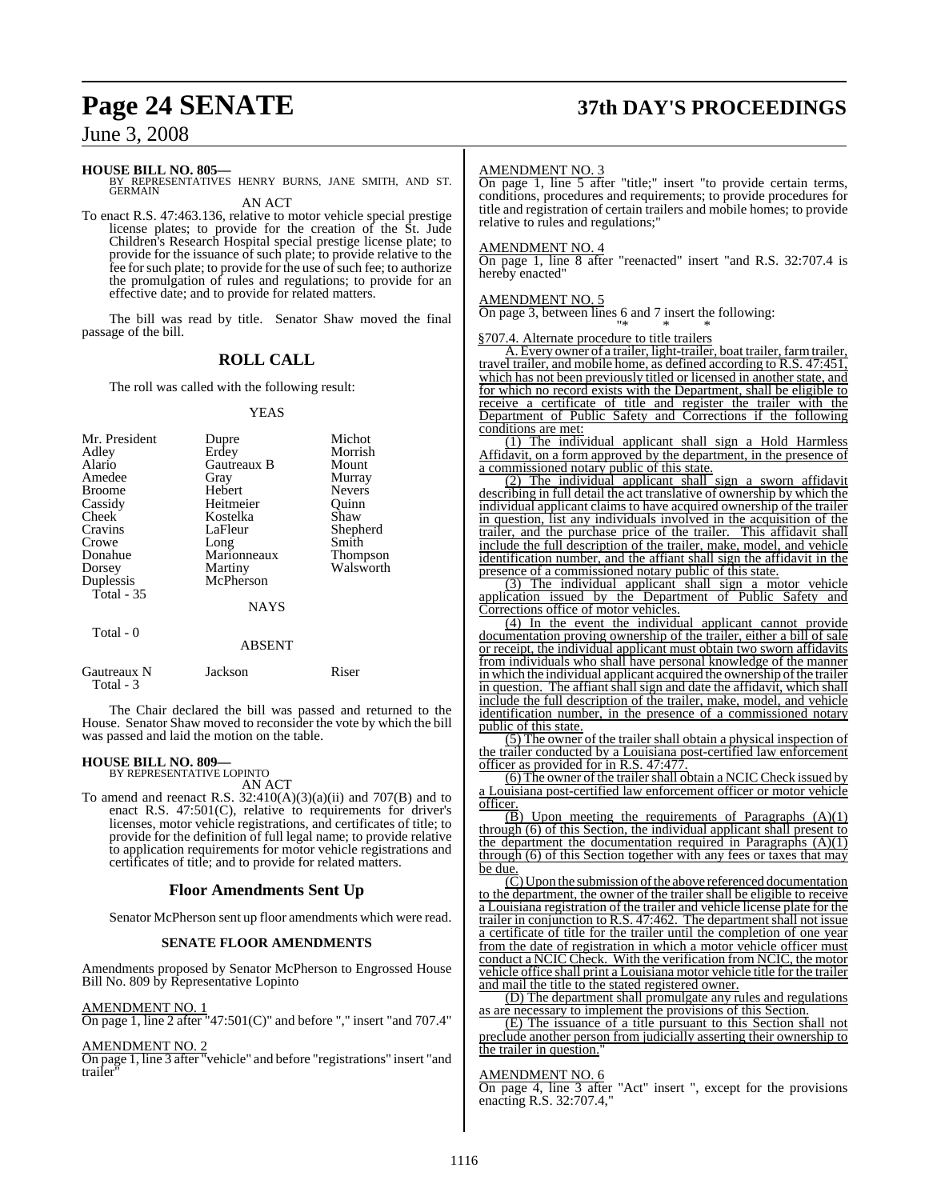## **Page 24 SENATE 37th DAY'S PROCEEDINGS**

June 3, 2008

#### **HOUSE BILL NO. 805—**

BY REPRESENTATIVES HENRY BURNS, JANE SMITH, AND ST. **GERMAIN** AN ACT

To enact R.S. 47:463.136, relative to motor vehicle special prestige license plates; to provide for the creation of the St. Jude Children's Research Hospital special prestige license plate; to provide for the issuance of such plate; to provide relative to the fee for such plate; to provide for the use of such fee; to authorize the promulgation of rules and regulations; to provide for an effective date; and to provide for related matters.

The bill was read by title. Senator Shaw moved the final passage of the bill.

#### **ROLL CALL**

The roll was called with the following result:

#### YEAS

| Mr. President<br>Adley<br>Alario<br>Amedee<br><b>Broome</b><br>Cassidy<br>Cheek<br>Cravins<br>Crowe<br>Donahue<br>Dorsey<br>Duplessis<br>Total - 35 | Dupre<br>Erdey<br>Gautreaux B<br>Gray<br>Hebert<br>Heitmeier<br>Kostelka<br>LaFleur<br>Long<br>Marionneaux<br>Martiny<br>McPherson | Michot<br>Morrish<br>Mount<br>Murray<br><b>Nevers</b><br>Ouinn<br>Shaw<br>Shepherd<br>Smith<br>Thompson<br>Walsworth |
|-----------------------------------------------------------------------------------------------------------------------------------------------------|------------------------------------------------------------------------------------------------------------------------------------|----------------------------------------------------------------------------------------------------------------------|
| Total - 0                                                                                                                                           | <b>NAYS</b><br><b>ABSENT</b>                                                                                                       |                                                                                                                      |
| Gautreaux N                                                                                                                                         | Jackson                                                                                                                            | Riser                                                                                                                |

 Total - 3 The Chair declared the bill was passed and returned to the House. Senator Shaw moved to reconsider the vote by which the bill

### **HOUSE BILL NO. 809—** BY REPRESENTATIVE LOPINTO

was passed and laid the motion on the table.

AN ACT

To amend and reenact R.S.  $32:410(A)(3)(a)(ii)$  and  $707(B)$  and to enact R.S. 47:501(C), relative to requirements for driver's licenses, motor vehicle registrations, and certificates of title; to provide for the definition of full legal name; to provide relative to application requirements for motor vehicle registrations and certificates of title; and to provide for related matters.

#### **Floor Amendments Sent Up**

Senator McPherson sent up floor amendments which were read.

#### **SENATE FLOOR AMENDMENTS**

Amendments proposed by Senator McPherson to Engrossed House Bill No. 809 by Representative Lopinto

AMENDMENT NO. 1

On page 1, line 2 after "47:501(C)" and before "," insert "and 707.4"

#### AMENDMENT NO. 2

On page 1, line 3 after "vehicle" and before "registrations" insert "and trailer

#### AMENDMENT NO. 3

On page 1, line 5 after "title;" insert "to provide certain terms, conditions, procedures and requirements; to provide procedures for title and registration of certain trailers and mobile homes; to provide relative to rules and regulations;"

#### AMENDMENT NO. 4

On page 1, line 8 after "reenacted" insert "and R.S. 32:707.4 is hereby enacted"

#### AMENDMENT NO. 5

On page 3, between lines 6 and 7 insert the following: "\* \* \*

§707.4. Alternate procedure to title trailers

A. Every owner of a trailer, light-trailer, boat trailer, farmtrailer, travel trailer, and mobile home, as defined according to R.S. 47:451, which has not been previously titled or licensed in another state, and for which no record exists with the Department, shall be eligible to receive a certificate of title and register the trailer with the Department of Public Safety and Corrections if the following conditions are met:

(1) The individual applicant shall sign a Hold Harmless Affidavit, on a form approved by the department, in the presence of a commissioned notary public of this state.

(2) The individual applicant shall sign a sworn affidavit describing in full detail the act translative of ownership by which the individual applicant claims to have acquired ownership of the trailer in question, list any individuals involved in the acquisition of the trailer, and the purchase price of the trailer. This affidavit shall include the full description of the trailer, make, model, and vehicle identification number, and the affiant shall sign the affidavit in the presence of a commissioned notary public of this state.

(3) The individual applicant shall sign a motor vehicle application issued by the Department of Public Safety and Corrections office of motor vehicles.

(4) In the event the individual applicant cannot provide documentation proving ownership of the trailer, either a bill of sale or receipt, the individual applicant must obtain two sworn affidavits from individuals who shall have personal knowledge of the manner in which the individual applicant acquired the ownership of the trailer in question. The affiant shall sign and date the affidavit, which shall include the full description of the trailer, make, model, and vehicle identification number, in the presence of a commissioned notary public of this state.

(5) The owner of the trailer shall obtain a physical inspection of the trailer conducted by a Louisiana post-certified law enforcement officer as provided for in R.S. 47:477.

(6) The owner of the trailer shall obtain a NCIC Check issued by a Louisiana post-certified law enforcement officer or motor vehicle officer.

 $\overline{B}$ ) Upon meeting the requirements of Paragraphs  $(A)(1)$ through (6) of this Section, the individual applicant shall present to the department the documentation required in Paragraphs  $(A)(1)$ through (6) of this Section together with any fees or taxes that may be due.

 $\overline{(C)}$  Upon the submission of the above referenced documentation to the department, the owner of the trailer shall be eligible to receive a Louisiana registration of the trailer and vehicle license plate for the trailer in conjunction to R.S. 47:462. The department shall not issue a certificate of title for the trailer until the completion of one year from the date of registration in which a motor vehicle officer must conduct a NCIC Check. With the verification from NCIC, the motor vehicle office shall print a Louisiana motor vehicle title for the trailer and mail the title to the stated registered owner.

(D) The department shall promulgate any rules and regulations as are necessary to implement the provisions of this Section.

(E) The issuance of a title pursuant to this Section shall not preclude another person from judicially asserting their ownership to the trailer in question.

#### AMENDMENT NO. 6

On page 4, line 3 after "Act" insert ", except for the provisions enacting R.S. 32:707.4,"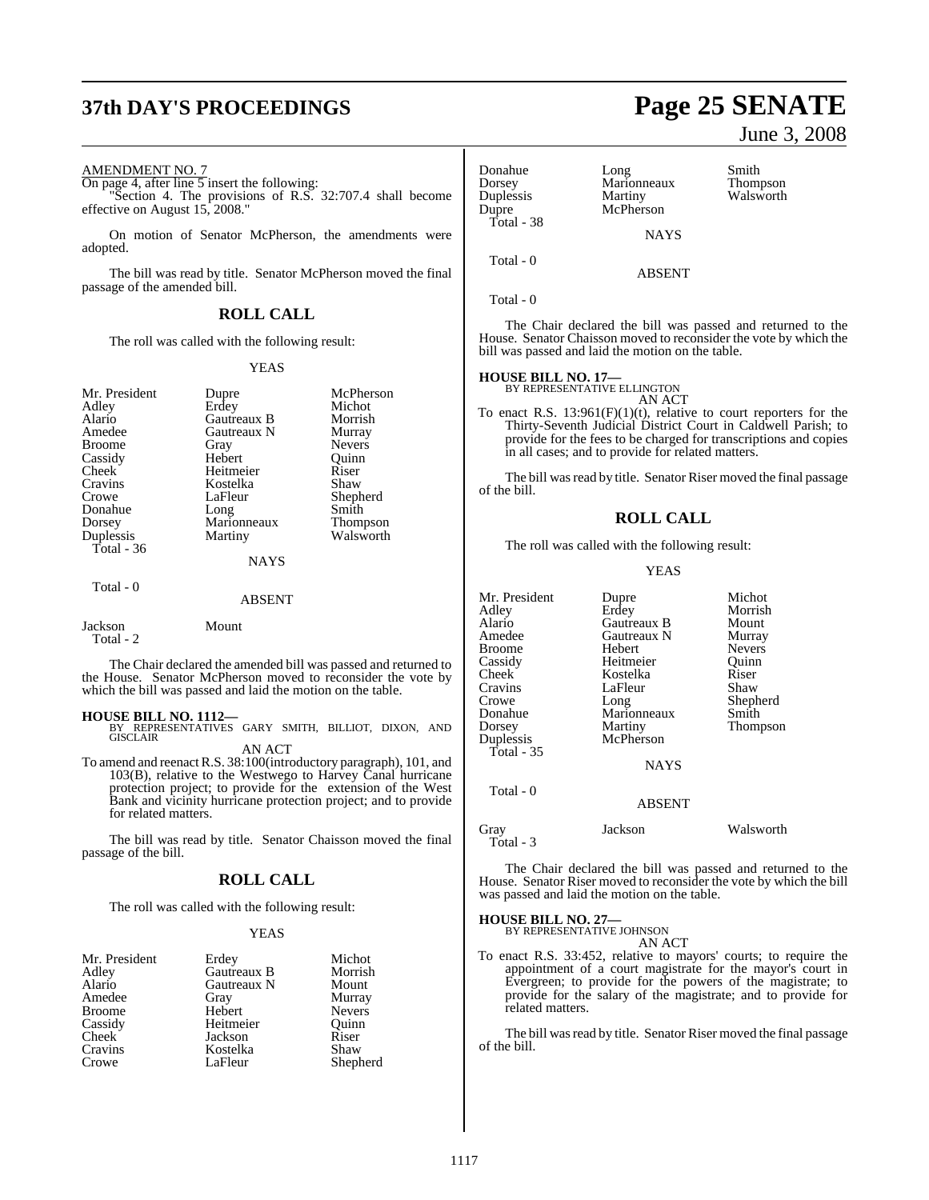# **37th DAY'S PROCEEDINGS Page 25 SENATE**

#### AMENDMENT NO. 7

On page 4, after line 5 insert the following: "Section 4. The provisions of R.S. 32:707.4 shall become effective on August 15, 2008."

On motion of Senator McPherson, the amendments were adopted.

The bill was read by title. Senator McPherson moved the final passage of the amended bill.

#### **ROLL CALL**

The roll was called with the following result:

#### YEAS

| Mr. President | Dupre         | McPherson     |
|---------------|---------------|---------------|
| Adley         | Erdey         | Michot        |
| Alario        | Gautreaux B   | Morrish       |
| Amedee        | Gautreaux N   | Murray        |
| <b>Broome</b> | Gray          | <b>Nevers</b> |
| Cassidy       | Hebert        | Ouinn         |
| Cheek         | Heitmeier     | Riser         |
| Cravins       | Kostelka      | Shaw          |
| Crowe         | LaFleur       | Shepherd      |
| Donahue       | Long          | Smith         |
| Dorsey        | Marionneaux   | Thompson      |
| Duplessis     | Martiny       | Walsworth     |
| Total - 36    |               |               |
|               | <b>NAYS</b>   |               |
| Total - 0     |               |               |
|               | <b>ABSENT</b> |               |
| Jackson       | Mount         |               |

Total - 2

The Chair declared the amended bill was passed and returned to the House. Senator McPherson moved to reconsider the vote by which the bill was passed and laid the motion on the table.

**HOUSE BILL NO. 1112—** BY REPRESENTATIVES GARY SMITH, BILLIOT, DIXON, AND GISCLAIR AN ACT

To amend and reenactR.S. 38:100(introductory paragraph), 101, and 103(B), relative to the Westwego to Harvey Canal hurricane protection project; to provide for the extension of the West Bank and vicinity hurricane protection project; and to provide for related matters.

The bill was read by title. Senator Chaisson moved the final passage of the bill.

#### **ROLL CALL**

The roll was called with the following result:

#### YEAS

| Mr. President | Erdey       | Michot        |
|---------------|-------------|---------------|
| Adley         | Gautreaux B | Morrish       |
| Alario        | Gautreaux N | Mount         |
| Amedee        | Gray        | Murray        |
| <b>Broome</b> | Hebert      | <b>Nevers</b> |
| Cassidy       | Heitmeier   | Ouinn         |
| Cheek         | Jackson     | Riser         |
| Cravins       | Kostelka    | Shaw          |
| Crowe         | LaFleur     | Shepherd      |

# Total - 38

Donahue Long Smith Dorsey Marionneaux Thompson Duplessis Martiny Walsworth<br>
Dupre McPherson McPherson **NAYS** 

Total - 0

Total - 0

The Chair declared the bill was passed and returned to the House. Senator Chaisson moved to reconsider the vote by which the bill was passed and laid the motion on the table.

ABSENT

### **HOUSE BILL NO. 17—** BY REPRESENTATIVE ELLINGTON

AN ACT

To enact R.S.  $13:961(F)(1)(t)$ , relative to court reporters for the Thirty-Seventh Judicial District Court in Caldwell Parish; to provide for the fees to be charged for transcriptions and copies in all cases; and to provide for related matters.

The bill was read by title. Senator Riser moved the final passage of the bill.

#### **ROLL CALL**

The roll was called with the following result:

#### YEAS

| Mr. President     | Dupre         | Michot        |
|-------------------|---------------|---------------|
| Adley             | Erdey         | Morrish       |
| Alario            | Gautreaux B   | Mount         |
| Amedee            | Gautreaux N   | Murray        |
| Broome            | Hebert        | <b>Nevers</b> |
| Cassidy           | Heitmeier     | Ouinn         |
| Cheek             | Kostelka      | Riser         |
| Cravins           | LaFleur       | Shaw          |
| Crowe             | Long          | Shepherd      |
| Donahue           | Marionneaux   | Smith         |
| Dorsey            | Martiny       | Thompson      |
| Duplessis         | McPherson     |               |
| Total - 35        |               |               |
|                   | <b>NAYS</b>   |               |
| Total - 0         |               |               |
|                   | <b>ABSENT</b> |               |
| Grav<br>Total - 3 | Jackson       | Walsworth     |

The Chair declared the bill was passed and returned to the House. Senator Riser moved to reconsider the vote by which the bill was passed and laid the motion on the table.

#### **HOUSE BILL NO. 27—**

BY REPRESENTATIVE JOHNSON AN ACT

To enact R.S. 33:452, relative to mayors' courts; to require the appointment of a court magistrate for the mayor's court in Evergreen; to provide for the powers of the magistrate; to provide for the salary of the magistrate; and to provide for related matters.

The bill was read by title. Senator Riser moved the final passage of the bill.

June 3, 2008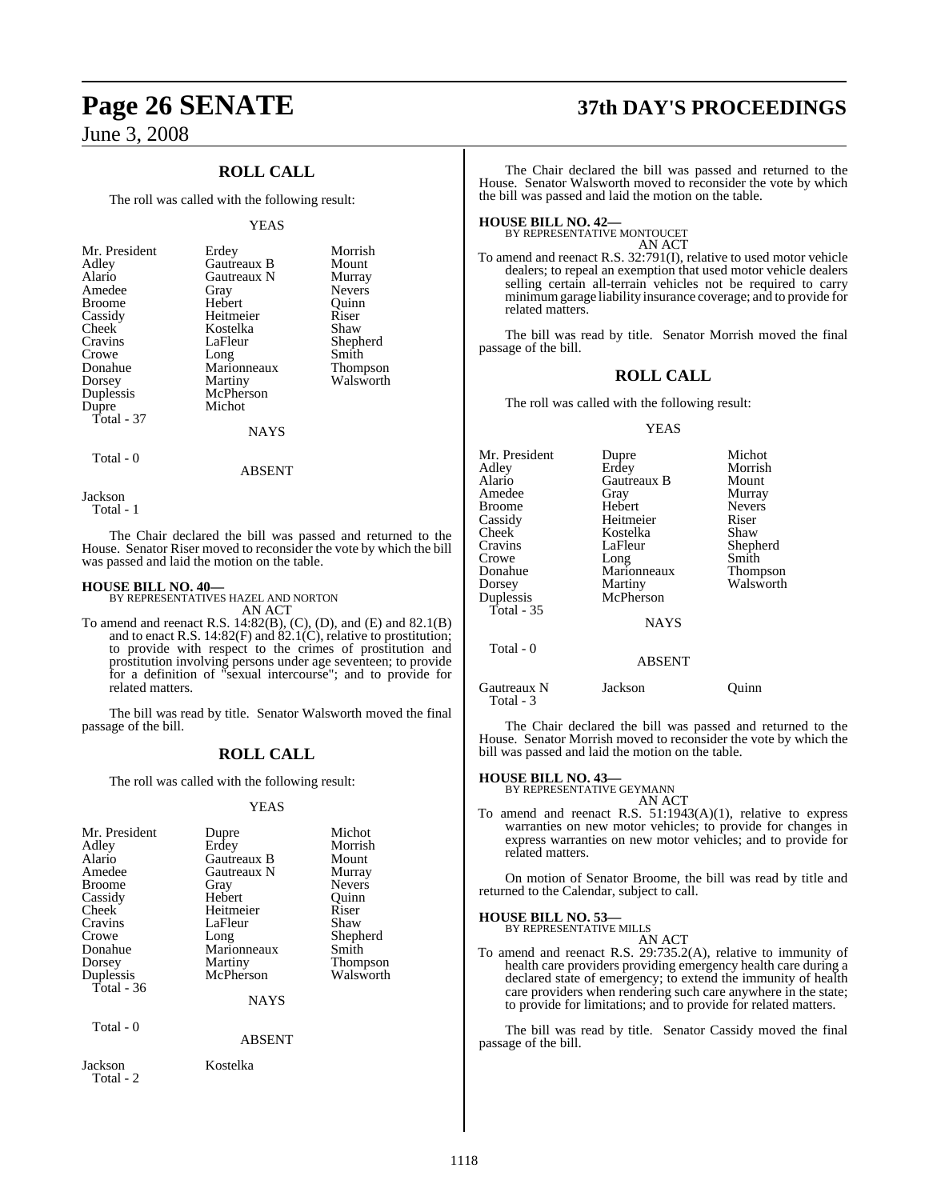### **ROLL CALL**

The roll was called with the following result:

#### YEAS

| Mr. President | Erdey       | Morrish       |
|---------------|-------------|---------------|
| Adley         | Gautreaux B | Mount         |
| Alario        | Gautreaux N | Murray        |
| Amedee        | Gray        | <b>Nevers</b> |
| <b>Broome</b> | Hebert      | Ouinn         |
| Cassidy       | Heitmeier   | Riser         |
| Cheek         | Kostelka    | Shaw          |
| Cravins       | LaFleur     | Shepherd      |
| Crowe         | Long        | Smith         |
| Donahue       | Marionneaux | Thompson      |
| Dorsey        | Martiny     | Walsworth     |
| Duplessis     | McPherson   |               |
| Dupre         | Michot      |               |
| Total - 37    |             |               |
|               | NAYS        |               |

Total - 0

ABSENT

Jackson

Total - 1

The Chair declared the bill was passed and returned to the House. Senator Riser moved to reconsider the vote by which the bill was passed and laid the motion on the table.

#### **HOUSE BILL NO. 40—**

BY REPRESENTATIVES HAZEL AND NORTON AN ACT

To amend and reenact R.S. 14:82(B), (C), (D), and (E) and 82.1(B) and to enact R.S. 14:82(F) and 82.1(C), relative to prostitution; to provide with respect to the crimes of prostitution and prostitution involving persons under age seventeen; to provide for a definition of "sexual intercourse"; and to provide for related matters.

The bill was read by title. Senator Walsworth moved the final passage of the bill.

### **ROLL CALL**

The roll was called with the following result:

#### YEAS

| Mr. President<br>Adley<br>Alario<br>Amedee<br>Broome<br>Cassidy<br>Cheek<br>Cravins<br>Crowe<br>Donahue<br>Dorsey<br>Duplessis<br>Total $-36$ | Dupre<br>Erdey<br>Gautreaux B<br>Gautreaux N<br>Gray<br>Hebert<br>Heitmeier<br>LaFleur<br>Long<br>Marionneaux<br>Martiny<br>McPherson<br>NAYS | Michot<br>Morrish<br>Mount<br>Murray<br><b>Nevers</b><br>Ouinn<br>Riser<br>Shaw<br>Shepherd<br>Smith<br>Thompson<br>Walsworth |
|-----------------------------------------------------------------------------------------------------------------------------------------------|-----------------------------------------------------------------------------------------------------------------------------------------------|-------------------------------------------------------------------------------------------------------------------------------|
| Total - 0                                                                                                                                     | <b>ABSENT</b>                                                                                                                                 |                                                                                                                               |
| Jackson<br>Total - 2                                                                                                                          | Kostelka                                                                                                                                      |                                                                                                                               |

# **Page 26 SENATE 37th DAY'S PROCEEDINGS**

The Chair declared the bill was passed and returned to the House. Senator Walsworth moved to reconsider the vote by which the bill was passed and laid the motion on the table.

**HOUSE BILL NO. 42—** BY REPRESENTATIVE MONTOUCET

AN ACT

To amend and reenact R.S. 32:791(I), relative to used motor vehicle dealers; to repeal an exemption that used motor vehicle dealers selling certain all-terrain vehicles not be required to carry minimumgarage liability insurance coverage; and to provide for related matters.

The bill was read by title. Senator Morrish moved the final passage of the bill.

#### **ROLL CALL**

The roll was called with the following result:

#### YEAS

| Mr. President | Dupre         | Michot        |
|---------------|---------------|---------------|
| Adley         | Erdey         | Morrish       |
| Alario        | Gautreaux B   | Mount         |
| Amedee        | Gray          | Murray        |
| <b>Broome</b> | Hebert        | <b>Nevers</b> |
| Cassidy       | Heitmeier     | Riser         |
| Cheek         | Kostelka      | Shaw          |
| Cravins       | LaFleur       | Shepherd      |
| Crowe         | Long          | Smith         |
| Donahue       | Marionneaux   | Thompson      |
| Dorsey        | Martiny       | Walsworth     |
| Duplessis     | McPherson     |               |
| Total - $35$  |               |               |
|               | <b>NAYS</b>   |               |
| Total - 0     |               |               |
|               | <b>ABSENT</b> |               |
| Gautreaux N   | Jackson       | Ouinn)        |

The Chair declared the bill was passed and returned to the House. Senator Morrish moved to reconsider the vote by which the bill was passed and laid the motion on the table.

Total - 3

**HOUSE BILL NO. 43—** BY REPRESENTATIVE GEYMANN

AN ACT To amend and reenact R.S. 51:1943(A)(1), relative to express warranties on new motor vehicles; to provide for changes in express warranties on new motor vehicles; and to provide for related matters.

On motion of Senator Broome, the bill was read by title and returned to the Calendar, subject to call.

### **HOUSE BILL NO. 53—**

BY REPRESENTATIVE MILLS AN ACT

To amend and reenact R.S. 29:735.2(A), relative to immunity of health care providers providing emergency health care during a declared state of emergency; to extend the immunity of health care providers when rendering such care anywhere in the state; to provide for limitations; and to provide for related matters.

The bill was read by title. Senator Cassidy moved the final passage of the bill.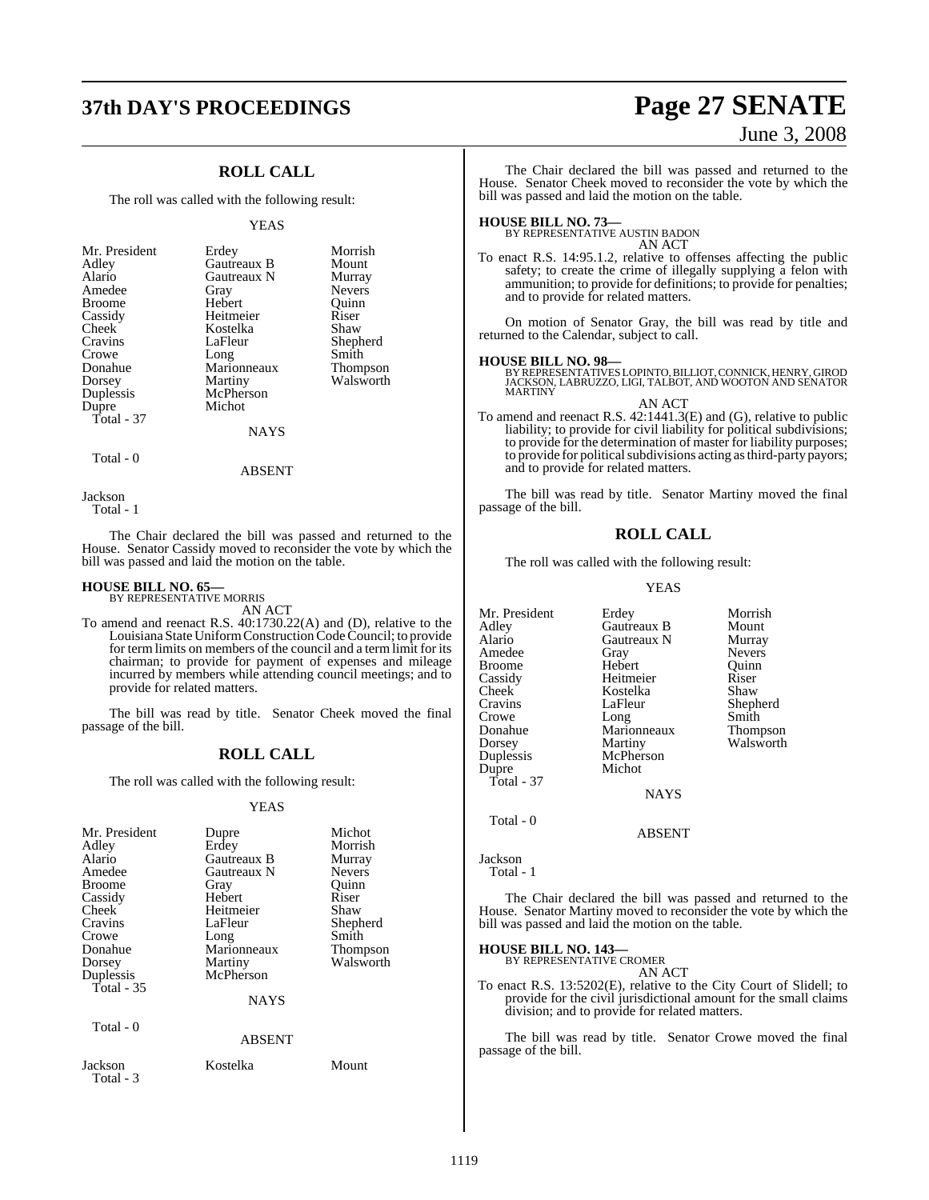### **37th DAY'S PROCEEDINGS Page 27 SENATE**

### **ROLL CALL**

The roll was called with the following result:

#### YEAS

| Mr. President | Erdey       | Morrish       |
|---------------|-------------|---------------|
| Adley         | Gautreaux B | Mount         |
| Alario        | Gautreaux N | Murray        |
| Amedee        | Gray        | <b>Nevers</b> |
| <b>Broome</b> | Hebert      | Ouinn         |
| Cassidy       | Heitmeier   | Riser         |
| Cheek         | Kostelka    | Shaw          |
| Cravins       | LaFleur     | Shepherd      |
| Crowe         | Long        | Smith         |
| Donahue       | Marionneaux | Thompson      |
| Dorsey        | Martiny     | Walsworth     |
| Duplessis     | McPherson   |               |
| Dupre         | Michot      |               |
| Total - 37    |             |               |
|               | NAVS        |               |

NAYS

ABSENT

```
 Total - 0
```
Jackson Total - 1

The Chair declared the bill was passed and returned to the House. Senator Cassidy moved to reconsider the vote by which the bill was passed and laid the motion on the table.

### **HOUSE BILL NO. 65—** BY REPRESENTATIVE MORRIS

AN ACT

To amend and reenact R.S. 40:1730.22(A) and (D), relative to the Louisiana State Uniform Construction Code Council; to provide for term limits on members of the council and a term limit for its chairman; to provide for payment of expenses and mileage incurred by members while attending council meetings; and to provide for related matters.

The bill was read by title. Senator Cheek moved the final passage of the bill.

#### **ROLL CALL**

The roll was called with the following result:

#### YEAS

| Mr. President<br>Adley<br>Alario<br>Amedee<br><b>Broome</b><br>Cassidy<br>Cheek<br>Cravins<br>Crowe<br>Donahue<br>Dorsey<br>Duplessis<br>Total - 35 | Dupre<br>Erdey<br>Gautreaux B<br>Gautreaux N<br>Gray<br>Hebert<br>Heitmeier<br>LaFleur<br>Long<br>Marionneaux<br>Martiny<br>McPherson<br><b>NAYS</b> | Michot<br>Morrish<br>Murray<br><b>Nevers</b><br>Ouinn<br>Riser<br>Shaw<br>Shepherd<br>Smith<br>Thompson<br>Walsworth |
|-----------------------------------------------------------------------------------------------------------------------------------------------------|------------------------------------------------------------------------------------------------------------------------------------------------------|----------------------------------------------------------------------------------------------------------------------|
| Total $-0$                                                                                                                                          | <b>ABSENT</b>                                                                                                                                        |                                                                                                                      |
| Jackson<br>Total - 3                                                                                                                                | Kostelka                                                                                                                                             | Mount                                                                                                                |

# June 3, 2008

The Chair declared the bill was passed and returned to the House. Senator Cheek moved to reconsider the vote by which the bill was passed and laid the motion on the table.

**HOUSE BILL NO. 73—** BY REPRESENTATIVE AUSTIN BADON AN ACT

To enact R.S. 14:95.1.2, relative to offenses affecting the public safety; to create the crime of illegally supplying a felon with ammunition; to provide for definitions; to provide for penalties; and to provide for related matters.

On motion of Senator Gray, the bill was read by title and returned to the Calendar, subject to call.

#### **HOUSE BILL NO. 98—**

BY REPRESENTATIVES LOPINTO, BILLIOT, CONNICK, HENRY, GIROD JACKSON, LABRUZZO, LIGI, TALBOT, AND WOOTON AND SENATOR MARTINY

AN ACT

To amend and reenact R.S. 42:1441.3(E) and (G), relative to public liability; to provide for civil liability for political subdivisions; to provide for the determination of master for liability purposes; to provide for political subdivisions acting as third-party payors; and to provide for related matters.

The bill was read by title. Senator Martiny moved the final passage of the bill.

#### **ROLL CALL**

The roll was called with the following result:

YEAS

Mr. President Erdey Morrish<br>Adley Gautreaux B Mount Adley Gautreaux B Mount Gautreaux N Murray<br>
Gray Nevers Amedee Gray<br>Broome Hebert Broome Hebert Quinn<br>
Cassidy Heitmeier Riser Cassidy Heitmeier Riser Cheek Kostelka<br>Cravins LaFleur Cravins LaFleur Shepherd Crowe Long<br>Donahue Maric Donahue Marionneaux Thompson Dorsey Martiny Walsworth<br>
Duplessis McPherson McPherson<br>Michot Dupre Total - 37 NAYS Total - 0

ABSENT

Jackson Total - 1

The Chair declared the bill was passed and returned to the House. Senator Martiny moved to reconsider the vote by which the bill was passed and laid the motion on the table.

### **HOUSE BILL NO. 143—** BY REPRESENTATIVE CROMER

AN ACT

To enact R.S. 13:5202(E), relative to the City Court of Slidell; to provide for the civil jurisdictional amount for the small claims division; and to provide for related matters.

The bill was read by title. Senator Crowe moved the final passage of the bill.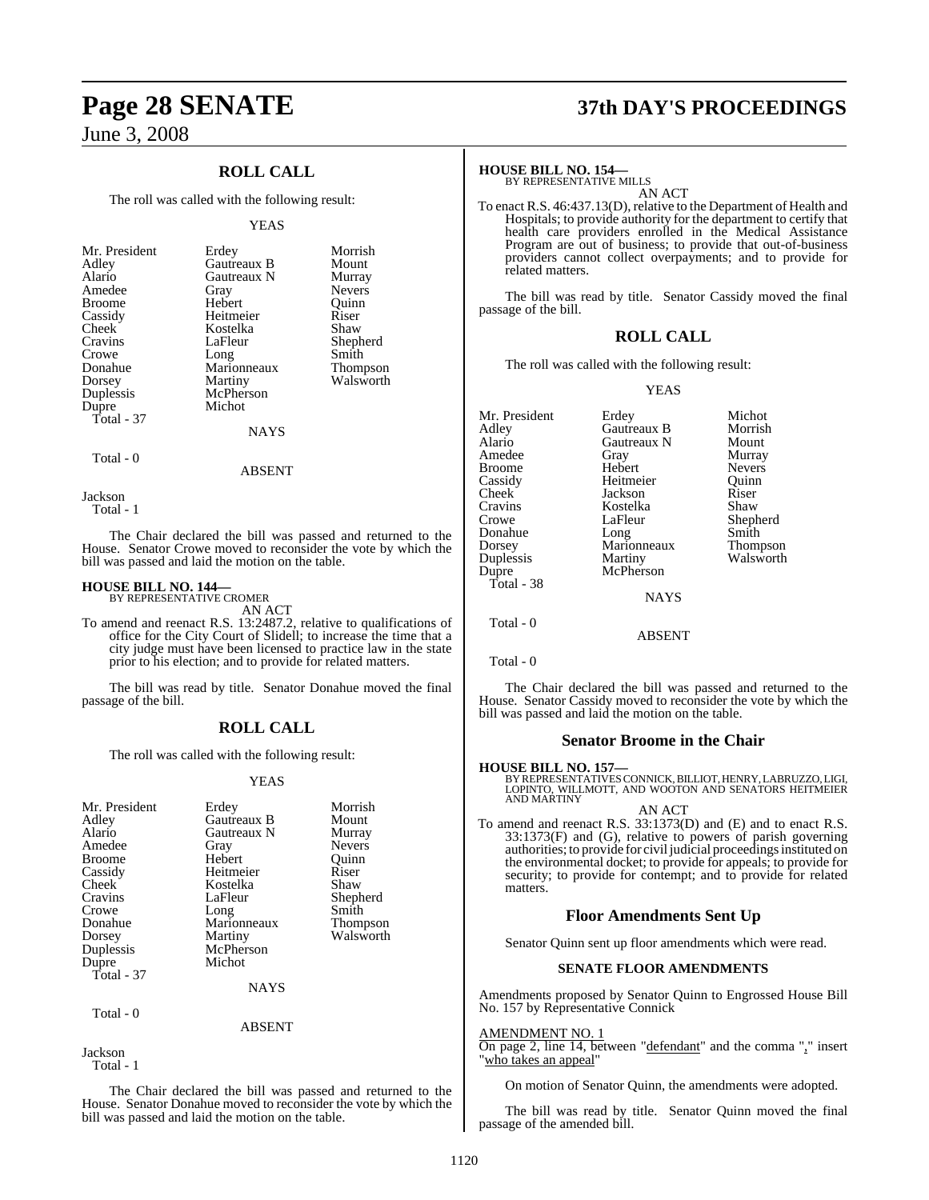### **ROLL CALL**

The roll was called with the following result:

#### YEAS

| Mr. President<br>Adley<br>Alario<br>Amedee<br><b>Broome</b><br>Cassidy<br>Cheek<br>Cravins<br>Crowe | Erdey<br>Gautreaux B<br>Gautreaux N<br>Gray<br>Hebert<br>Heitmeier<br>Kostelka<br>LaFleur<br>Long | Morrish<br>Mount<br>Murray<br><b>Nevers</b><br>Ouinn<br>Riser<br>Shaw<br>Shepherd<br>Smith |
|-----------------------------------------------------------------------------------------------------|---------------------------------------------------------------------------------------------------|--------------------------------------------------------------------------------------------|
| Donahue                                                                                             | Marionneaux                                                                                       | Thompson                                                                                   |
| Dorsey                                                                                              | Martiny                                                                                           | Walsworth                                                                                  |
| Duplessis                                                                                           | McPherson                                                                                         |                                                                                            |
| Dupre                                                                                               | Michot                                                                                            |                                                                                            |
| Total - 37                                                                                          |                                                                                                   |                                                                                            |
|                                                                                                     | <b>NAYS</b>                                                                                       |                                                                                            |
|                                                                                                     |                                                                                                   |                                                                                            |

Total - 0

Jackson Total - 1

The Chair declared the bill was passed and returned to the House. Senator Crowe moved to reconsider the vote by which the bill was passed and laid the motion on the table.

ABSENT

### **HOUSE BILL NO. 144—** BY REPRESENTATIVE CROMER

AN ACT

To amend and reenact R.S. 13:2487.2, relative to qualifications of office for the City Court of Slidell; to increase the time that a city judge must have been licensed to practice law in the state prior to his election; and to provide for related matters.

The bill was read by title. Senator Donahue moved the final passage of the bill.

### **ROLL CALL**

The roll was called with the following result:

#### YEAS

| Mr. President<br>Adley<br>Alario<br>Amedee<br><b>Broome</b><br>Cassidy<br>Cheek<br>Cravins<br>Crowe<br>Donahue<br>Dorsey<br>Duplessis<br>Dupre<br>Total - 37 | Erdey<br>Gautreaux B<br>Gautreaux N<br>Gray<br>Hebert<br>Heitmeier<br>Kostelka<br>LaFleur<br>Long<br>Marionneaux<br>Martiny<br>McPherson<br>Michot<br><b>NAYS</b> | Morrish<br>Mount<br>Murray<br><b>Nevers</b><br>Ouinn<br>Riser<br>Shaw<br>Shepherd<br>Smith<br>Thompson<br>Walsworth |
|--------------------------------------------------------------------------------------------------------------------------------------------------------------|-------------------------------------------------------------------------------------------------------------------------------------------------------------------|---------------------------------------------------------------------------------------------------------------------|
| Total - 0                                                                                                                                                    |                                                                                                                                                                   |                                                                                                                     |

#### ABSENT

Jackson Total - 1

The Chair declared the bill was passed and returned to the House. Senator Donahue moved to reconsider the vote by which the bill was passed and laid the motion on the table.

# **Page 28 SENATE 37th DAY'S PROCEEDINGS**

#### **HOUSE BILL NO. 154—**

BY REPRESENTATIVE MILLS AN ACT

To enact R.S. 46:437.13(D), relative to the Department of Health and Hospitals; to provide authority for the department to certify that health care providers enrolled in the Medical Assistance Program are out of business; to provide that out-of-business providers cannot collect overpayments; and to provide for related matters.

The bill was read by title. Senator Cassidy moved the final passage of the bill.

#### **ROLL CALL**

The roll was called with the following result:

#### YEAS

|               | Michot           |
|---------------|------------------|
| Gautreaux B   | Morrish          |
| Gautreaux N   | Mount            |
| Gray          | Murray           |
| Hebert        | <b>Nevers</b>    |
| Heitmeier     | Ouinn            |
| Jackson       | Riser            |
| Kostelka      | Shaw             |
| LaFleur       | Shepherd         |
| Long          | Smith            |
| Marionneaux   | <b>Thompson</b>  |
|               | Walsworth        |
| McPherson     |                  |
|               |                  |
| <b>NAYS</b>   |                  |
|               |                  |
| <b>ABSENT</b> |                  |
|               | Erdey<br>Martiny |

Total - 0

The Chair declared the bill was passed and returned to the House. Senator Cassidy moved to reconsider the vote by which the bill was passed and laid the motion on the table.

#### **Senator Broome in the Chair**

#### **HOUSE BILL NO. 157—**

BY REPRESENTATIVESCONNICK,BILLIOT, HENRY, LABRUZZO, LIGI, LOPINTO, WILLMOTT, AND WOOTON AND SENATORS HEITMEIER AND MARTINY

AN ACT To amend and reenact R.S. 33:1373(D) and (E) and to enact R.S. 33:1373(F) and (G), relative to powers of parish governing authorities; to provide for civil judicial proceedings instituted on the environmental docket; to provide for appeals; to provide for security; to provide for contempt; and to provide for related matters.

### **Floor Amendments Sent Up**

Senator Quinn sent up floor amendments which were read.

#### **SENATE FLOOR AMENDMENTS**

Amendments proposed by Senator Quinn to Engrossed House Bill No. 157 by Representative Connick

#### AMENDMENT NO. 1

On page 2, line 14, between "defendant" and the comma "," insert "who takes an appeal"

On motion of Senator Quinn, the amendments were adopted.

The bill was read by title. Senator Quinn moved the final passage of the amended bill.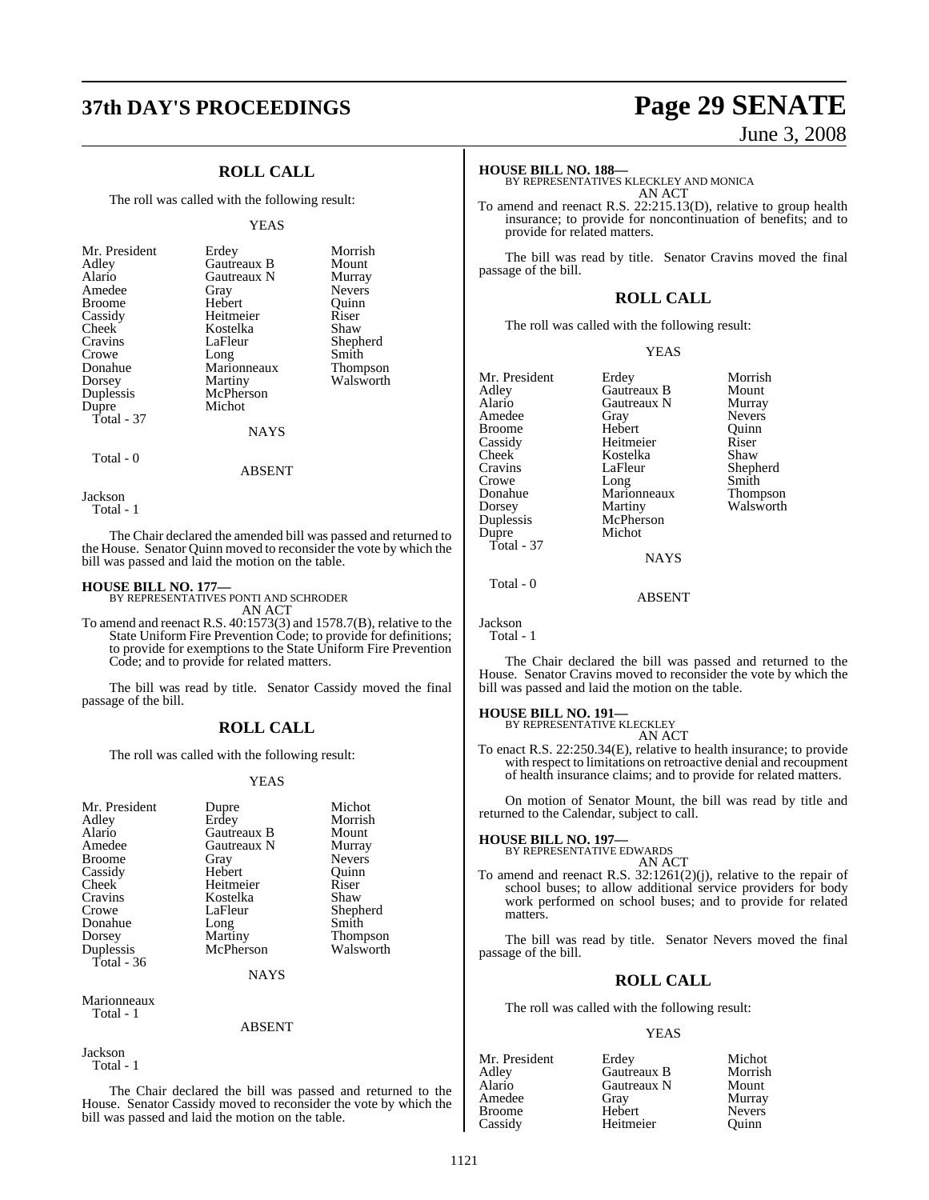### **ROLL CALL**

The roll was called with the following result:

#### YEAS

| Mr. President<br>Adley<br>Alario<br>Amedee<br><b>Broome</b><br>Cassidy<br>Cheek<br>Cravins<br>Crowe<br>Donahue<br>Dorsey<br>Duplessis<br>Dupre<br>Total - 37 | Erdey<br>Gautreaux B<br>Gautreaux N<br>Gray<br>Hebert<br>Heitmeier<br>Kostelka<br>LaFleur<br>Long<br>Marionneaux<br>Martiny<br>McPherson<br>Michot<br><b>NAYS</b> | Morrish<br>Mount<br>Murray<br><b>Nevers</b><br>Ouinn<br>Riser<br>Shaw<br>Shepherd<br>Smith<br>Thompson<br>Walsworth |
|--------------------------------------------------------------------------------------------------------------------------------------------------------------|-------------------------------------------------------------------------------------------------------------------------------------------------------------------|---------------------------------------------------------------------------------------------------------------------|
|--------------------------------------------------------------------------------------------------------------------------------------------------------------|-------------------------------------------------------------------------------------------------------------------------------------------------------------------|---------------------------------------------------------------------------------------------------------------------|

Total - 0

Jackson

Total - 1

The Chair declared the amended bill was passed and returned to the House. Senator Quinn moved to reconsider the vote by which the bill was passed and laid the motion on the table.

ABSENT

**HOUSE BILL NO. 177—** BY REPRESENTATIVES PONTI AND SCHRODER

AN ACT To amend and reenact R.S. 40:1573(3) and 1578.7(B), relative to the State Uniform Fire Prevention Code; to provide for definitions; to provide for exemptions to the State Uniform Fire Prevention Code; and to provide for related matters.

The bill was read by title. Senator Cassidy moved the final passage of the bill.

### **ROLL CALL**

The roll was called with the following result:

#### YEAS

| Mr. President<br>Adley<br>Alario<br>Amedee<br><b>Broome</b><br>Cassidy<br>Cheek<br>Cravins<br>Crowe | Dupre<br>Erdey<br>Gautreaux B<br>Gautreaux N<br>Gray<br>Hebert<br>Heitmeier<br>Kostelka<br>LaFleur | Michot<br>Morrish<br>Mount<br>Murray<br><b>Nevers</b><br>Ouinn<br>Riser<br>Shaw<br>Shepherd |
|-----------------------------------------------------------------------------------------------------|----------------------------------------------------------------------------------------------------|---------------------------------------------------------------------------------------------|
|                                                                                                     |                                                                                                    |                                                                                             |
| Donahue                                                                                             | Long                                                                                               | Smith                                                                                       |
| Dorsey                                                                                              | Martiny                                                                                            | <b>Thompson</b>                                                                             |
| Duplessis                                                                                           | McPherson                                                                                          | Walsworth                                                                                   |
| Total - 36                                                                                          |                                                                                                    |                                                                                             |
|                                                                                                     | NAYS                                                                                               |                                                                                             |

Marionneaux Total - 1

#### ABSENT

Jackson Total - 1

The Chair declared the bill was passed and returned to the House. Senator Cassidy moved to reconsider the vote by which the bill was passed and laid the motion on the table.

# **37th DAY'S PROCEEDINGS Page 29 SENATE**

June 3, 2008

#### **HOUSE BILL NO. 188—**

BY REPRESENTATIVES KLECKLEY AND MONICA AN ACT

To amend and reenact R.S. 22:215.13(D), relative to group health insurance; to provide for noncontinuation of benefits; and to provide for related matters.

The bill was read by title. Senator Cravins moved the final passage of the bill.

### **ROLL CALL**

The roll was called with the following result:

YEAS

| Mr. President<br>Adley<br>Alario<br>Amedee<br><b>Broome</b><br>Cassidy<br>Cheek<br>Cravins<br>Crowe<br>Donahue<br>Dorsey | Erdey<br>Gautreaux B<br>Gautreaux N<br>Gray<br>Hebert<br>Heitmeier<br>Kostelka<br>LaFleur<br>Long<br>Marionneaux<br>Martiny | Morrish<br>Mount<br>Murray<br><b>Nevers</b><br>Ouinn<br>Riser<br>Shaw<br>Shepherd<br>Smith<br>Thompson<br>Walsworth |
|--------------------------------------------------------------------------------------------------------------------------|-----------------------------------------------------------------------------------------------------------------------------|---------------------------------------------------------------------------------------------------------------------|
| Duplessis                                                                                                                | McPherson                                                                                                                   |                                                                                                                     |
| Dupre<br>Total - 37                                                                                                      | Michot<br><b>NAYS</b>                                                                                                       |                                                                                                                     |

Total - 0

Jackson Total - 1

The Chair declared the bill was passed and returned to the House. Senator Cravins moved to reconsider the vote by which the bill was passed and laid the motion on the table.

ABSENT

### **HOUSE BILL NO. 191—** BY REPRESENTATIVE KLECKLEY

AN ACT

To enact R.S. 22:250.34(E), relative to health insurance; to provide with respect to limitations on retroactive denial and recoupment of health insurance claims; and to provide for related matters.

On motion of Senator Mount, the bill was read by title and returned to the Calendar, subject to call.

#### **HOUSE BILL NO. 197—**

BY REPRESENTATIVE EDWARDS AN ACT

To amend and reenact R.S. 32:1261(2)(j), relative to the repair of school buses; to allow additional service providers for body work performed on school buses; and to provide for related matters.

The bill was read by title. Senator Nevers moved the final passage of the bill.

#### **ROLL CALL**

The roll was called with the following result:

#### YEAS

| Mr. President | Erdey       | Michot        |
|---------------|-------------|---------------|
| Adlev         | Gautreaux B | Morrish       |
| Alario        | Gautreaux N | Mount         |
| Amedee        | Gray        | Murray        |
| Broome        | Hebert      | <b>Nevers</b> |
| Cassidy       | Heitmeier   | Ouinn         |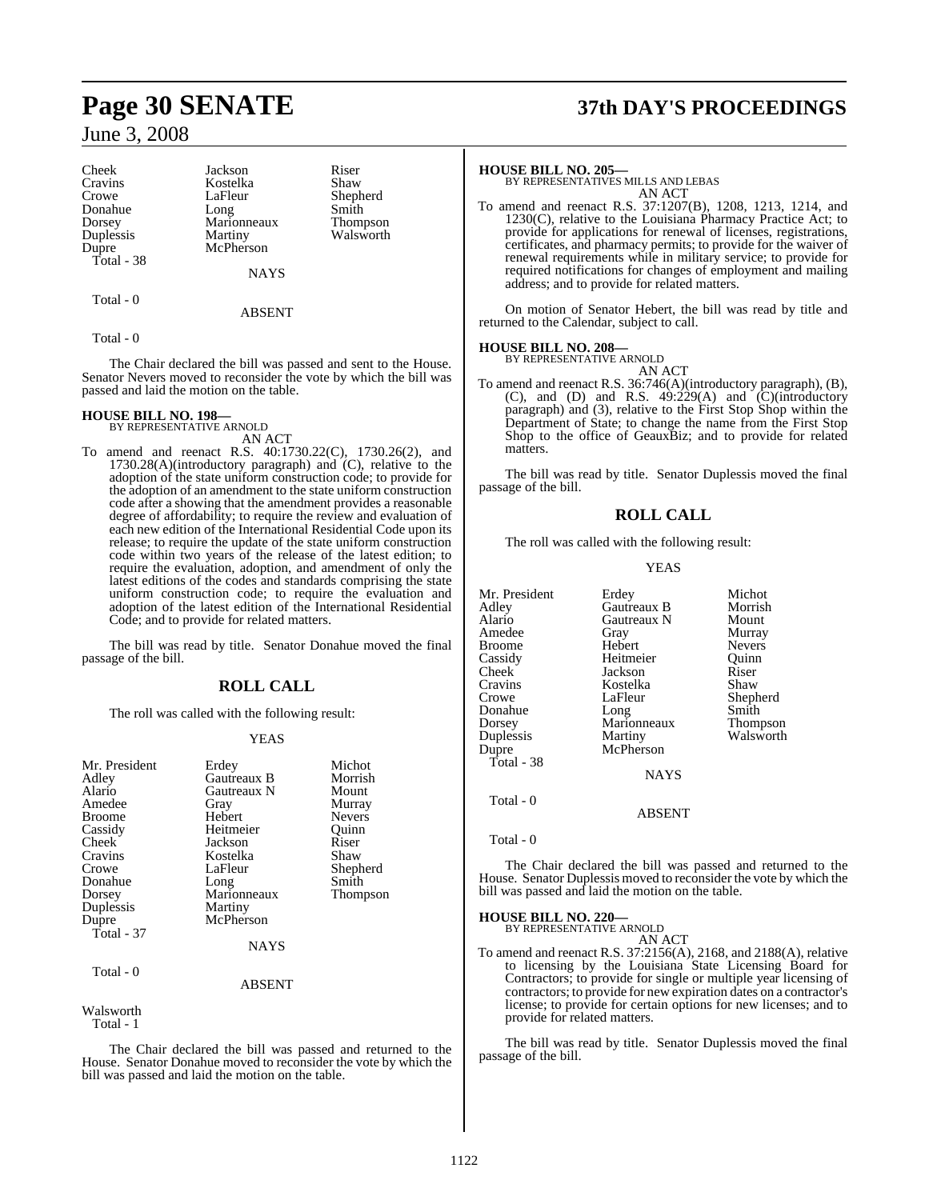Cheek Jackson Riser<br>Cravins Kostelka Shaw Cravins Kostelka<br>Crowe LaFleur Donahue Long Smith<br>Dorsey Marionneaux Thompson Dorsey Marionneaux<br>
Duplessis Martiny Duplessis Martiny Walsworth<br>
Dupre McPherson Total - 38

LaFleur Shepherd<br>Long Smith McPherson

NAYS

#### ABSENT

Total - 0

Total - 0

The Chair declared the bill was passed and sent to the House. Senator Nevers moved to reconsider the vote by which the bill was passed and laid the motion on the table.

#### **HOUSE BILL NO. 198—**

BY REPRESENTATIVE ARNOLD AN ACT

To amend and reenact R.S. 40:1730.22(C), 1730.26(2), and 1730.28(A)(introductory paragraph) and (C), relative to the adoption of the state uniform construction code; to provide for the adoption of an amendment to the state uniform construction code after a showing that the amendment provides a reasonable degree of affordability; to require the review and evaluation of each new edition of the International Residential Code upon its release; to require the update of the state uniform construction code within two years of the release of the latest edition; to require the evaluation, adoption, and amendment of only the latest editions of the codes and standards comprising the state uniform construction code; to require the evaluation and adoption of the latest edition of the International Residential Code; and to provide for related matters.

The bill was read by title. Senator Donahue moved the final passage of the bill.

### **ROLL CALL**

The roll was called with the following result:

#### YEAS

| Mr. President<br>Adley<br>Alario<br>Amedee<br><b>Broome</b><br>Cassidy<br><b>Cheek</b><br>Cravins<br>Crowe<br>Donahue<br>Dorsey<br>Duplessis<br>Dupre<br>Total - $37$ | Erdey<br>Gautreaux B<br>Gautreaux N<br>Gray<br>Hebert<br>Heitmeier<br>Jackson<br>Kostelka<br>LaFleur<br>Long<br>Marionneaux<br>Martiny<br>McPherson<br><b>NAYS</b> | Michot<br>Morrish<br>Mount<br>Murray<br><b>Nevers</b><br>Ouinn<br>Riser<br>Shaw<br>Shepherd<br>Smith<br>Thompson |
|-----------------------------------------------------------------------------------------------------------------------------------------------------------------------|--------------------------------------------------------------------------------------------------------------------------------------------------------------------|------------------------------------------------------------------------------------------------------------------|
| Total - 0                                                                                                                                                             | <b>ABSENT</b>                                                                                                                                                      |                                                                                                                  |

Walsworth Total - 1

The Chair declared the bill was passed and returned to the House. Senator Donahue moved to reconsider the vote by which the bill was passed and laid the motion on the table.

# **Page 30 SENATE 37th DAY'S PROCEEDINGS**

#### **HOUSE BILL NO. 205—**

BY REPRESENTATIVES MILLS AND LEBAS AN ACT

To amend and reenact R.S. 37:1207(B), 1208, 1213, 1214, and 1230(C), relative to the Louisiana Pharmacy Practice Act; to provide for applications for renewal of licenses, registrations, certificates, and pharmacy permits; to provide for the waiver of renewal requirements while in military service; to provide for required notifications for changes of employment and mailing address; and to provide for related matters.

On motion of Senator Hebert, the bill was read by title and returned to the Calendar, subject to call.

#### **HOUSE BILL NO. 208—**

BY REPRESENTATIVE ARNOLD AN ACT

To amend and reenact R.S. 36:746(A)(introductory paragraph), (B), (C), and (D) and R.S.  $49:229(A)$  and (C)(introductory paragraph) and (3), relative to the First Stop Shop within the Department of State; to change the name from the First Stop Shop to the office of GeauxBiz; and to provide for related matters.

The bill was read by title. Senator Duplessis moved the final passage of the bill.

### **ROLL CALL**

The roll was called with the following result:

#### YEAS

| Mr. President      | Erdey         | Michot        |
|--------------------|---------------|---------------|
| Adlev              | Gautreaux B   | Morrish       |
| Alario             | Gautreaux N   | Mount         |
| Amedee             | Gray          | Murray        |
| <b>Broome</b>      | Hebert        | <b>Nevers</b> |
| Cassidy            | Heitmeier     | Ouinn         |
| Cheek <sup>-</sup> | Jackson       | Riser         |
| Cravins            | Kostelka      | Shaw          |
| Crowe              | LaFleur       | Shepherd      |
| Donahue            | Long          | Smith         |
| Dorsey             | Marionneaux   | Thompson      |
| Duplessis          | Martiny       | Walsworth     |
| Dupre              | McPherson     |               |
| Total - 38         |               |               |
|                    | <b>NAYS</b>   |               |
| Total - 0          |               |               |
|                    | <b>ABSENT</b> |               |

Total - 0

The Chair declared the bill was passed and returned to the House. Senator Duplessis moved to reconsider the vote by which the bill was passed and laid the motion on the table.

#### **HOUSE BILL NO. 220—**

BY REPRESENTATIVE ARNOLD AN ACT

To amend and reenact R.S. 37:2156(A), 2168, and 2188(A), relative to licensing by the Louisiana State Licensing Board for Contractors; to provide for single or multiple year licensing of contractors; to provide for new expiration dates on a contractor's license; to provide for certain options for new licenses; and to provide for related matters.

The bill was read by title. Senator Duplessis moved the final passage of the bill.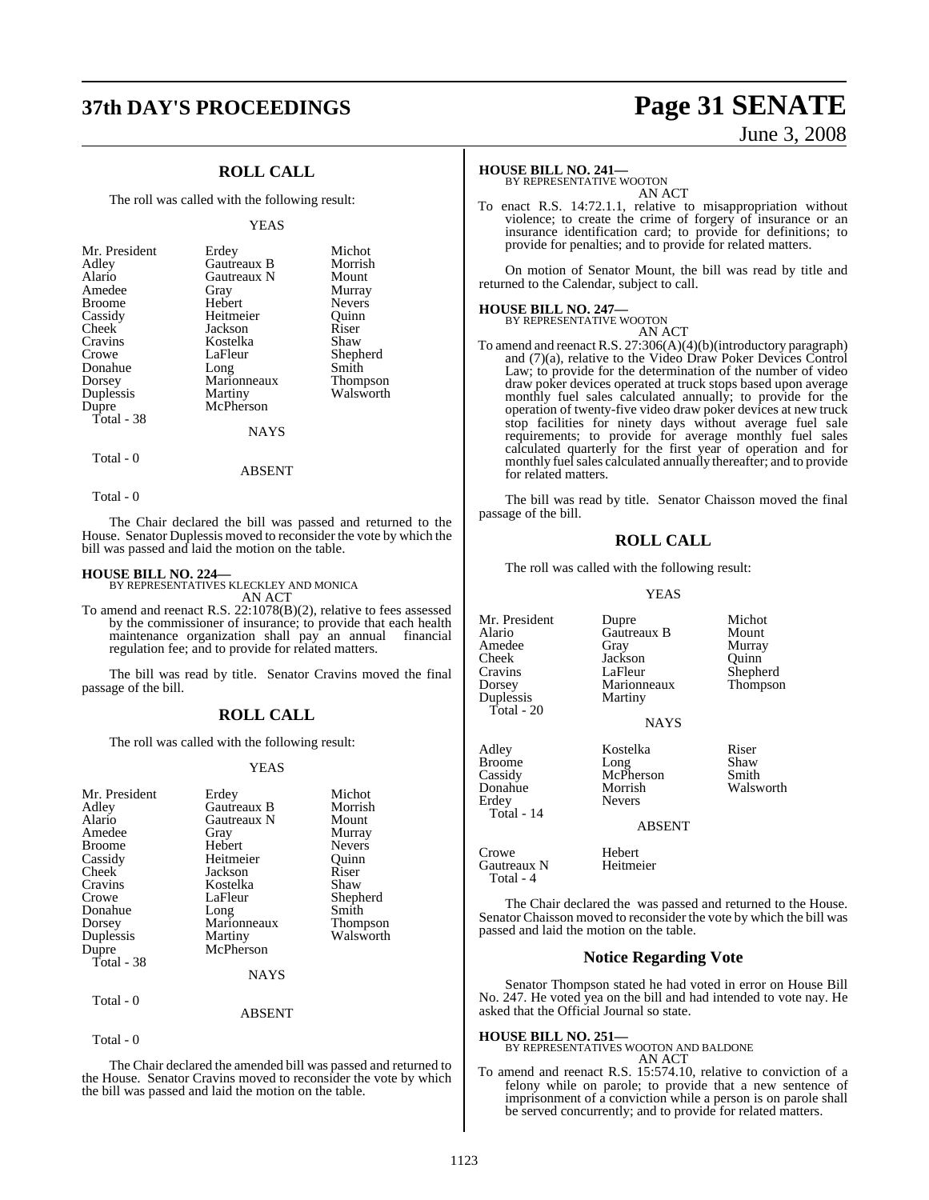## **37th DAY'S PROCEEDINGS Page 31 SENATE**

### **ROLL CALL**

The roll was called with the following result:

#### YEAS

| Mr. President<br>Adley<br>Alario<br>Amedee<br><b>Broome</b><br>Cassidy<br>Cheek<br>Cravins<br>Crowe<br>Donahue<br>Dorsey<br>Duplessis | Erdey<br>Gautreaux B<br>Gautreaux N<br>Gray<br>Hebert<br>Heitmeier<br>Jackson<br>Kostelka<br>LaFleur<br>Long<br>Marionneaux<br>Martiny | Michot<br>Morrish<br>Mount<br>Murray<br><b>Nevers</b><br>Ouinn<br>Riser<br>Shaw<br>Shepherd<br>Smith<br>Thompson<br>Walsworth |
|---------------------------------------------------------------------------------------------------------------------------------------|----------------------------------------------------------------------------------------------------------------------------------------|-------------------------------------------------------------------------------------------------------------------------------|
|                                                                                                                                       |                                                                                                                                        |                                                                                                                               |
| Dupre                                                                                                                                 | McPherson                                                                                                                              |                                                                                                                               |
| Total - 38                                                                                                                            |                                                                                                                                        |                                                                                                                               |
|                                                                                                                                       | NAYS                                                                                                                                   |                                                                                                                               |

Total - 0

Total - 0

The Chair declared the bill was passed and returned to the House. Senator Duplessis moved to reconsider the vote by which the bill was passed and laid the motion on the table.

ABSENT

**HOUSE BILL NO. 224—** BY REPRESENTATIVES KLECKLEY AND MONICA AN ACT

To amend and reenact R.S. 22:1078(B)(2), relative to fees assessed by the commissioner of insurance; to provide that each health maintenance organization shall pay an annual financial maintenance organization shall  $\overrightarrow{pay}$  an annual regulation fee; and to provide for related matters.

The bill was read by title. Senator Cravins moved the final passage of the bill.

#### **ROLL CALL**

The roll was called with the following result:

#### YEAS

| Mr. President | Erdey         | Michot          |
|---------------|---------------|-----------------|
| Adley         | Gautreaux B   | Morrish         |
| Alario        | Gautreaux N   | Mount           |
| Amedee        | Gray          | Murray          |
| <b>Broome</b> | Hebert        | <b>Nevers</b>   |
| Cassidy       | Heitmeier     | Ouinn           |
| Cheek         | Jackson       | Riser           |
| Cravins       | Kostelka      | Shaw            |
| Crowe         | LaFleur       | Shepherd        |
| Donahue       | Long          | Smith           |
| Dorsey        | Marionneaux   | <b>Thompson</b> |
| Duplessis     | Martiny       | Walsworth       |
| Dupre         | McPherson     |                 |
| Total - 38    |               |                 |
|               | <b>NAYS</b>   |                 |
| Total - 0     |               |                 |
|               | <b>ARSENT</b> |                 |

Total - 0

The Chair declared the amended bill was passed and returned to the House. Senator Cravins moved to reconsider the vote by which the bill was passed and laid the motion on the table.

# June 3, 2008

#### **HOUSE BILL NO. 241—**

BY REPRESENTATIVE WOOTON AN ACT

To enact R.S. 14:72.1.1, relative to misappropriation without violence; to create the crime of forgery of insurance or an insurance identification card; to provide for definitions; to provide for penalties; and to provide for related matters.

On motion of Senator Mount, the bill was read by title and returned to the Calendar, subject to call.

### **HOUSE BILL NO. 247—** BY REPRESENTATIVE WOOTON

AN ACT To amend and reenact R.S. 27:306(A)(4)(b)(introductory paragraph) and (7)(a), relative to the Video Draw Poker Devices Control Law; to provide for the determination of the number of video draw poker devices operated at truck stops based upon average monthly fuel sales calculated annually; to provide for the operation of twenty-five video draw poker devices at new truck stop facilities for ninety days without average fuel sale requirements; to provide for average monthly fuel sales calculated quarterly for the first year of operation and for monthly fuel sales calculated annually thereafter; and to provide for related matters.

The bill was read by title. Senator Chaisson moved the final passage of the bill.

#### **ROLL CALL**

The roll was called with the following result:

YEAS

Mr. President Dupre Michot<br>Alario Gautreaux B Mount Alario Gautreaux B<br>Amedee Gray Amedee Gray Murray<br>Cheek Jackson Quinn Cheek Jackson<br>Cravins LaFleur Cravins LaFleur Shepherd Marionneaux<br>Martiny Duplessis Total - 20 NAYS Adley Kostelka Riser Broome Long Shaw Cassidy McPherson Smith Donahue Morrish Walsworth **Nevers**  Total - 14 ABSENT Crowe Hebert<br>Gautreaux N Heitmeier Gautreaux N

The Chair declared the was passed and returned to the House. Senator Chaisson moved to reconsider the vote by which the bill was passed and laid the motion on the table.

#### **Notice Regarding Vote**

Senator Thompson stated he had voted in error on House Bill No. 247. He voted yea on the bill and had intended to vote nay. He asked that the Official Journal so state.

#### **HOUSE BILL NO. 251—**

Total - 4

BY REPRESENTATIVES WOOTON AND BALDONE AN ACT

To amend and reenact R.S. 15:574.10, relative to conviction of a felony while on parole; to provide that a new sentence of imprisonment of a conviction while a person is on parole shall be served concurrently; and to provide for related matters.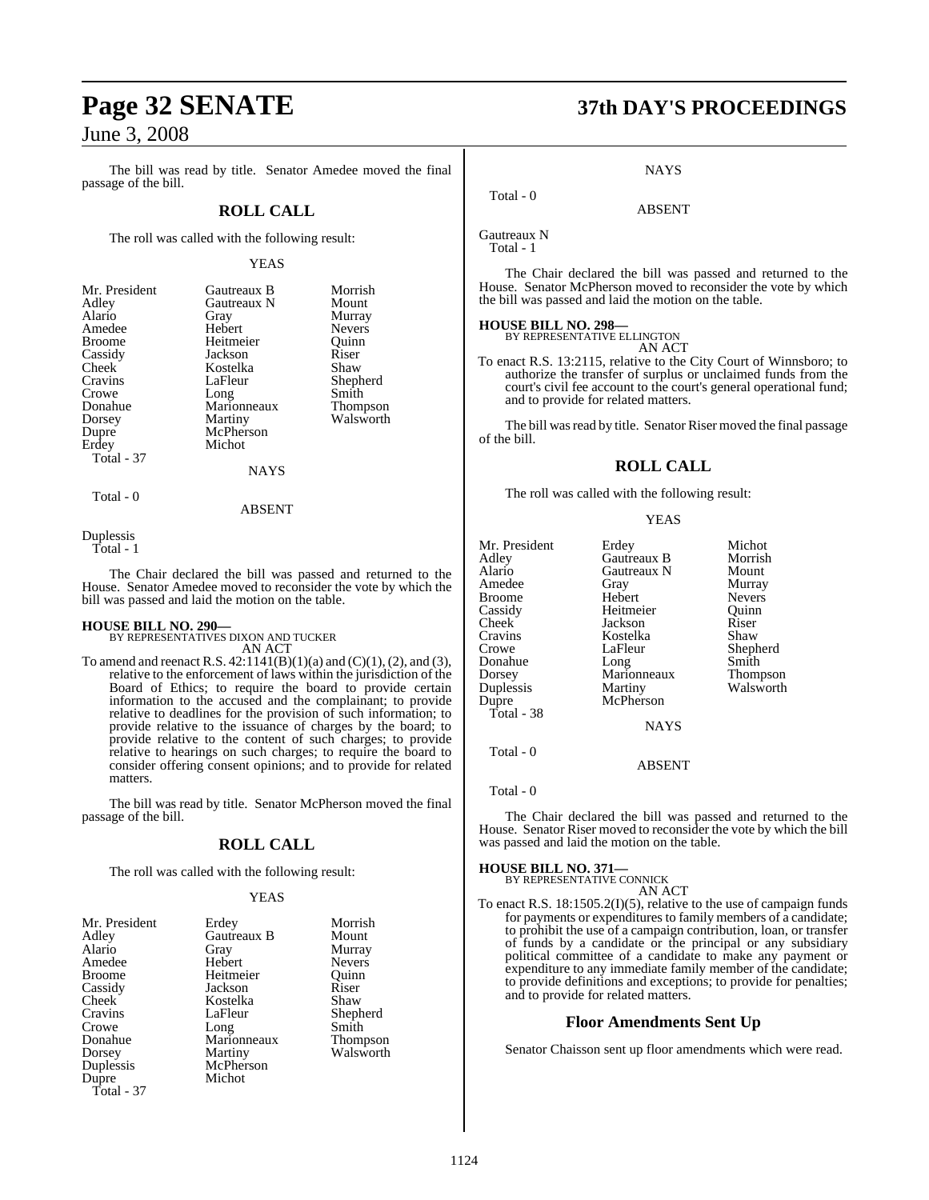The bill was read by title. Senator Amedee moved the final passage of the bill.

### **ROLL CALL**

The roll was called with the following result:

#### YEAS

Morrish Mount Murray<br>Nevers

Shepherd Smith Thompson Walsworth

| Mr. President | Gautreaux B | Morris        |
|---------------|-------------|---------------|
| Adley         | Gautreaux N | Mount         |
| Alario        | Gray        | Murray        |
| Amedee        | Hebert      | <b>Nevers</b> |
| Broome        | Heitmeier   | Ouinn         |
| Cassidy       | Jackson     | Riser         |
| Cheek         | Kostelka    | Shaw          |
| Cravins       | LaFleur     | Shephe        |
| Crowe         | Long        | Smith         |
| Donahue       | Marionneaux | Thomp         |
| Dorsey        | Martiny     | Walsw         |
| Dupre         | McPherson   |               |
| Erdey         | Michot      |               |
| Total - 37    |             |               |
|               | NAYS        |               |

ABSENT

Duplessis

Total - 1

Total - 0

The Chair declared the bill was passed and returned to the House. Senator Amedee moved to reconsider the vote by which the bill was passed and laid the motion on the table.

**HOUSE BILL NO. 290—** BY REPRESENTATIVES DIXON AND TUCKER AN ACT

To amend and reenact R.S.  $42:1141(B)(1)(a)$  and  $(C)(1), (2)$ , and  $(3)$ , relative to the enforcement of laws within the jurisdiction of the Board of Ethics; to require the board to provide certain information to the accused and the complainant; to provide relative to deadlines for the provision of such information; to provide relative to the issuance of charges by the board; to provide relative to the content of such charges; to provide relative to hearings on such charges; to require the board to consider offering consent opinions; and to provide for related matters.

The bill was read by title. Senator McPherson moved the final passage of the bill.

### **ROLL CALL**

The roll was called with the following result:

#### YEAS

| Mr. President | Erdey       | Morrish         |
|---------------|-------------|-----------------|
| Adley         | Gautreaux B | Mount           |
| Alario        | Gray        | Murray          |
| Amedee        | Hebert      | <b>Nevers</b>   |
| <b>Broome</b> | Heitmeier   | Ouinn           |
| Cassidy       | Jackson     | Riser           |
| Cheek         | Kostelka    | Shaw            |
| Cravins       | LaFleur     | Shepherd        |
| Crowe         | Long        | Smith           |
| Donahue       | Marionneaux | <b>Thompson</b> |
| Dorsey        | Martiny     | Walsworth       |
| Duplessis     | McPherson   |                 |
| Dupre         | Michot      |                 |
| Total - 37    |             |                 |

# **Page 32 SENATE 37th DAY'S PROCEEDINGS**

**NAYS** 

ABSENT

Gautreaux N Total - 1

Total - 0

The Chair declared the bill was passed and returned to the House. Senator McPherson moved to reconsider the vote by which the bill was passed and laid the motion on the table.

#### **HOUSE BILL NO. 298—**

BY REPRESENTATIVE ELLINGTON AN ACT

To enact R.S. 13:2115, relative to the City Court of Winnsboro; to authorize the transfer of surplus or unclaimed funds from the court's civil fee account to the court's general operational fund; and to provide for related matters.

The bill was read by title. Senator Riser moved the final passage of the bill.

### **ROLL CALL**

The roll was called with the following result:

#### YEAS

| Mr. President | Erdey              | Michot        |
|---------------|--------------------|---------------|
| Adley         | <b>Gautreaux B</b> | Morrish       |
| Alario        | Gautreaux N        | Mount         |
| Amedee        | Gray               | Murray        |
| <b>Broome</b> | Hebert             | <b>Nevers</b> |
| Cassidy       | Heitmeier          | Ouinn         |
| Cheek         | Jackson            | Riser         |
| Cravins       | Kostelka           | Shaw          |
| Crowe         | LaFleur            | Shepherd      |
| Donahue       | Long               | Smith         |
| Dorsey        | Marionneaux        | Thompson      |
| Duplessis     | Martiny            | Walsworth     |
| Dupre         | McPherson          |               |
| Total - 38    |                    |               |
|               | <b>NAYS</b>        |               |
| Total - 0     |                    |               |

ABSENT

Total - 0

The Chair declared the bill was passed and returned to the House. Senator Riser moved to reconsider the vote by which the bill was passed and laid the motion on the table.

### **HOUSE BILL NO. 371—** BY REPRESENTATIVE CONNICK

AN ACT

To enact R.S. 18:1505.2(I)(5), relative to the use of campaign funds for payments or expenditures to family members of a candidate; to prohibit the use of a campaign contribution, loan, or transfer of funds by a candidate or the principal or any subsidiary political committee of a candidate to make any payment or expenditure to any immediate family member of the candidate; to provide definitions and exceptions; to provide for penalties; and to provide for related matters.

#### **Floor Amendments Sent Up**

Senator Chaisson sent up floor amendments which were read.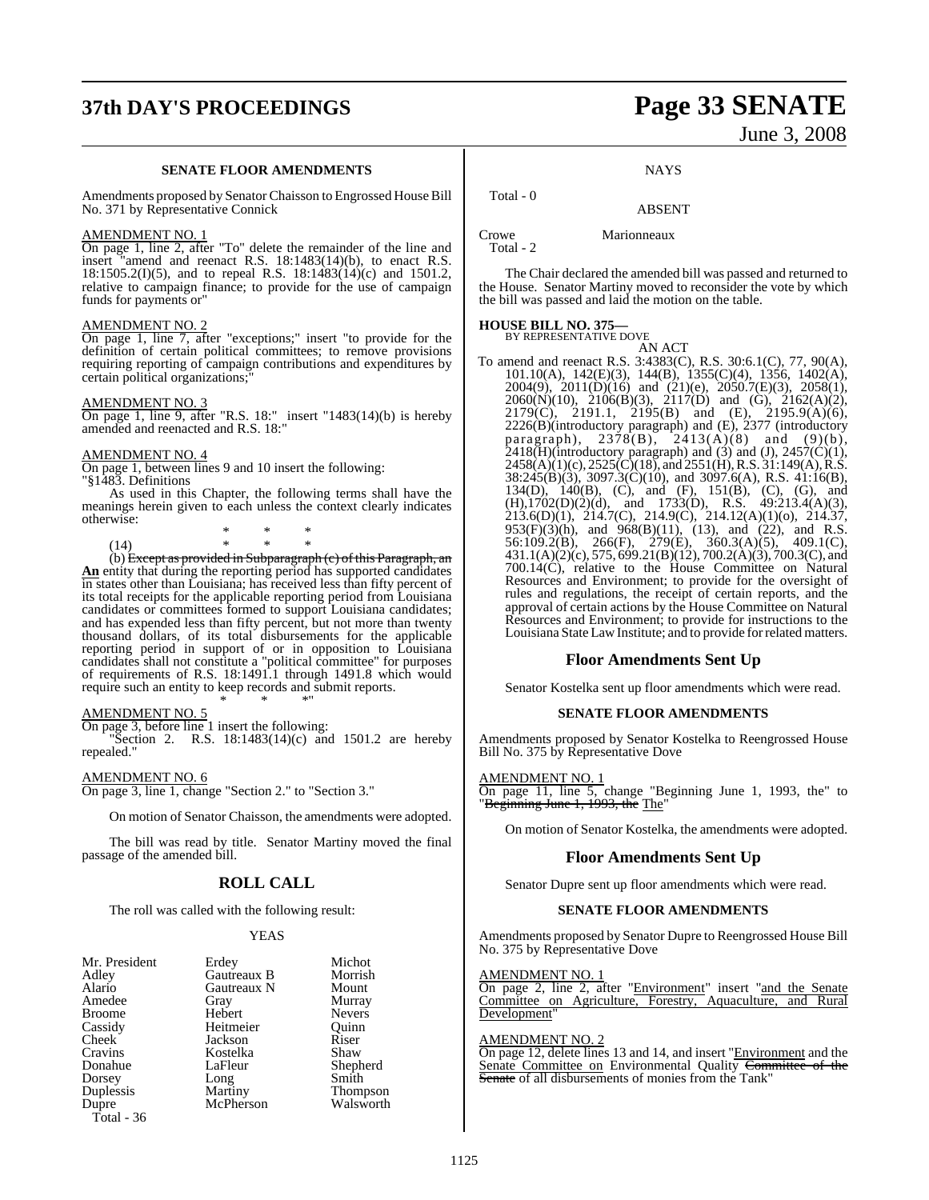# **37th DAY'S PROCEEDINGS Page 33 SENATE**

#### **SENATE FLOOR AMENDMENTS**

Amendments proposed by Senator Chaisson to Engrossed House Bill No. 371 by Representative Connick

#### AMENDMENT NO. 1

On page 1, line 2, after "To" delete the remainder of the line and insert "amend and reenact R.S. 18:1483(14)(b), to enact R.S. 18:1505.2(I)(5), and to repeal R.S. 18:1483(14)(c) and 1501.2, relative to campaign finance; to provide for the use of campaign funds for payments or"

#### AMENDMENT NO. 2

On page 1, line 7, after "exceptions;" insert "to provide for the definition of certain political committees; to remove provisions requiring reporting of campaign contributions and expenditures by certain political organizations;"

#### AMENDMENT NO. 3

On page 1, line 9, after "R.S. 18:" insert "1483(14)(b) is hereby amended and reenacted and R.S. 18:"

#### AMENDMENT NO. 4

On page 1, between lines 9 and 10 insert the following: "§1483. Definitions

As used in this Chapter, the following terms shall have the meanings herein given to each unless the context clearly indicates otherwise:

|      | × | × | ∗ |
|------|---|---|---|
| (14) | × | × | * |
|      | . |   |   |

(b) Except as provided in Subparagraph  $(c)$  of this Paragraph, an **An** entity that during the reporting period has supported candidates in states other than Louisiana; has received less than fifty percent of its total receipts for the applicable reporting period from Louisiana candidates or committees formed to support Louisiana candidates; and has expended less than fifty percent, but not more than twenty thousand dollars, of its total disbursements for the applicable reporting period in support of or in opposition to Louisiana candidates shall not constitute a "political committee" for purposes of requirements of R.S. 18:1491.1 through 1491.8 which would require such an entity to keep records and submit reports. \* \* \*"

#### AMENDMENT NO. 5

On page 3, before line 1 insert the following:

"Section 2. R.S. 18:1483(14)(c) and 1501.2 are hereby repealed."

#### AMENDMENT NO. 6

On page 3, line 1, change "Section 2." to "Section 3."

On motion of Senator Chaisson, the amendments were adopted.

The bill was read by title. Senator Martiny moved the final passage of the amended bill.

### **ROLL CALL**

The roll was called with the following result:

#### YEAS

| Mr. President | Erdey       | Michot          |
|---------------|-------------|-----------------|
| Adley         | Gautreaux B | Morrish         |
| Alario        | Gautreaux N | Mount           |
| Amedee        | Gray        | Murray          |
| <b>Broome</b> | Hebert      | <b>Nevers</b>   |
| Cassidy       | Heitmeier   | Ouinn           |
| Cheek         | Jackson     | Riser           |
| Cravins       | Kostelka    | Shaw            |
| Donahue       | LaFleur     | Shepherd        |
| Dorsey        | Long        | Smith           |
| Duplessis     | Martiny     | <b>Thompson</b> |
| Dupre         | McPherson   | Walsworth       |
| Total - 36    |             |                 |

# June 3, 2008

#### **NAYS**

### ABSENT

Crowe Marionneaux Total - 2

Total - 0

The Chair declared the amended bill was passed and returned to the House. Senator Martiny moved to reconsider the vote by which the bill was passed and laid the motion on the table.

# **HOUSE BILL NO. 375—** BY REPRESENTATIVE DOVE

AN ACT To amend and reenact R.S. 3:4383(C), R.S. 30:6.1(C), 77, 90(A), 101.10(A), 142(E)(3), 144(B), 1355(C)(4), 1356, 1402(A), 2004(9), 2011(D)(16) and (21)(e), 2050.7(E)(3), 2058(1), 2060(N)(10), 2106(B)(3), 2117(D) and (G), 2162(A)(2), 2179(C), 2191.1, 2195(B) and (E), 2195.9(A)(6), 2226(B)(introductory paragraph) and (E), 2377 (introductory paragraph),  $2378(B)$ ,  $2413(A)(8)$  and  $(9)(b)$ ,  $2418(H)$ (introductory paragraph) and (3) and (J),  $2457(C)(1)$ ,  $2458(A)(1)(c), 2525(C)(18),$  and  $2551(H), R.S. 31:149(A), R.S.$  $38:245(\widehat{B})(3)$ ,  $3097.3(\widehat{C})(10)$ , and  $3097.6(A)$ , R.S.  $41:16(B)$ , 134(D), 140(B), (C), and (F), 151(B), (C), (G), and (H),1702(D)(2)(d), and 1733(D), R.S. 49:213.4(A)(3), 213.6(D)(1), 214.7(C), 214.9(C), 214.12(A)(1)(o), 214.37,  $953(F)(3)(h)$ , and  $968(B)(11)$ ,  $(13)$ , and  $(22)$ , and R.S. 56:109.2(B), 266(F), 279(E), 360.3(A)(5), 409.1(C), 431.1(A)(2)(c), 575, 699.21(B)(12), 700.2(A)(3), 700.3(C), and 700.14(C), relative to the House Committee on Natural Resources and Environment; to provide for the oversight of rules and regulations, the receipt of certain reports, and the approval of certain actions by the House Committee on Natural Resources and Environment; to provide for instructions to the Louisiana State LawInstitute; and to provide forrelated matters.

### **Floor Amendments Sent Up**

Senator Kostelka sent up floor amendments which were read.

### **SENATE FLOOR AMENDMENTS**

Amendments proposed by Senator Kostelka to Reengrossed House Bill No. 375 by Representative Dove

#### AMENDMENT NO. 1

On page 11, line 5, change "Beginning June 1, 1993, the" to "Beginning June 1, 1993, the The"

On motion of Senator Kostelka, the amendments were adopted.

#### **Floor Amendments Sent Up**

Senator Dupre sent up floor amendments which were read.

#### **SENATE FLOOR AMENDMENTS**

Amendments proposed by Senator Dupre to Reengrossed House Bill No. 375 by Representative Dove

#### AMENDMENT NO. 1

On page 2, line 2, after "Environment" insert "and the Senate Committee on Agriculture, Forestry, Aquaculture, and Rural Development'

#### AMENDMENT NO. 2

On page 12, delete lines 13 and 14, and insert "Environment and the Senate Committee on Environmental Quality Committee of the Senate of all disbursements of monies from the Tank'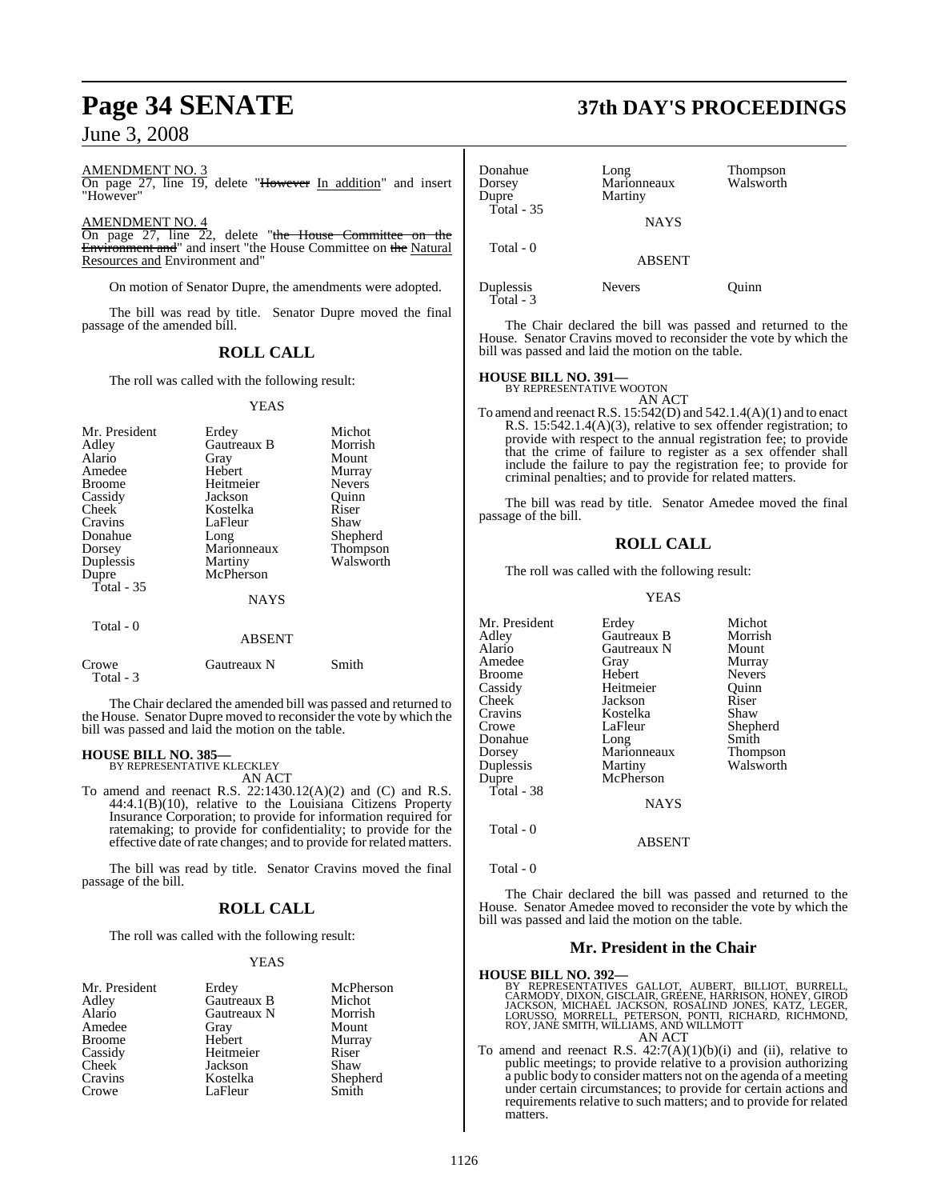AMENDMENT NO. 3

On page 27, line 19, delete "However In addition" and insert "However"

AMENDMENT NO. 4

On page 27, line 22, delete "the House Committee on the Environment and" and insert "the House Committee on the Natural Resources and Environment and"

On motion of Senator Dupre, the amendments were adopted.

The bill was read by title. Senator Dupre moved the final passage of the amended bill.

### **ROLL CALL**

The roll was called with the following result:

#### YEAS

| Mr. President<br>Adley<br>Alario<br>Amedee<br><b>Broome</b><br>Cassidy<br>Cheek<br>Cravins<br>Donahue<br>Dorsey<br>Duplessis | Erdey<br>Gautreaux B<br>Gray<br>Hebert<br>Heitmeier<br>Jackson<br>Kostelka<br>LaFleur<br>Long<br>Marionneaux<br>Martiny | Michot<br>Morrish<br>Mount<br>Murray<br><b>Nevers</b><br>Quinn<br>Riser<br>Shaw<br>Shepherd<br>Thompson<br>Walsworth |
|------------------------------------------------------------------------------------------------------------------------------|-------------------------------------------------------------------------------------------------------------------------|----------------------------------------------------------------------------------------------------------------------|
| Dupre<br>Total - 35<br>Total - 0                                                                                             | McPherson<br><b>NAYS</b><br><b>ABSENT</b>                                                                               |                                                                                                                      |
| Crowe                                                                                                                        | Gautreaux N                                                                                                             | Smith                                                                                                                |

Total - 3

The Chair declared the amended bill was passed and returned to the House. Senator Dupre moved to reconsider the vote by which the bill was passed and laid the motion on the table.

#### **HOUSE BILL NO. 385—**

BY REPRESENTATIVE KLECKLEY AN ACT

To amend and reenact R.S. 22:1430.12(A)(2) and (C) and R.S. 44:4.1(B)(10), relative to the Louisiana Citizens Property Insurance Corporation; to provide for information required for ratemaking; to provide for confidentiality; to provide for the effective date of rate changes; and to provide for related matters.

The bill was read by title. Senator Cravins moved the final passage of the bill.

#### **ROLL CALL**

The roll was called with the following result:

#### YEAS

| Mr. President      | Erdey       | McPherson |
|--------------------|-------------|-----------|
| Adley              | Gautreaux B | Michot    |
| Alario             | Gautreaux N | Morrish   |
| Amedee             | Gray        | Mount     |
| <b>Broome</b>      | Hebert      | Murray    |
| Cassidy            | Heitmeier   | Riser     |
| Cheek <sup>1</sup> | Jackson     | Shaw      |
| Cravins            | Kostelka    | Shepherd  |
| Crowe              | LaFleur     | Smith     |

# **Page 34 SENATE 37th DAY'S PROCEEDINGS**

| Donahue<br>Dorsey<br>Dupre<br>Total - 35 | Long<br>Marionneaux<br>Martiny<br><b>NAYS</b> | Thompson<br>Walsworth |
|------------------------------------------|-----------------------------------------------|-----------------------|
| Total - 0                                | <b>ABSENT</b>                                 |                       |
| Duplessis<br>$Total - 3$                 | <b>Nevers</b>                                 | Ouinn                 |

The Chair declared the bill was passed and returned to the House. Senator Cravins moved to reconsider the vote by which the bill was passed and laid the motion on the table.

### **HOUSE BILL NO. 391—** BY REPRESENTATIVE WOOTON

AN ACT

To amend and reenact R.S. 15:542(D) and 542.1.4(A)(1) and to enact R.S. 15:542.1.4(A)(3), relative to sex offender registration; to provide with respect to the annual registration fee; to provide that the crime of failure to register as a sex offender shall include the failure to pay the registration fee; to provide for criminal penalties; and to provide for related matters.

The bill was read by title. Senator Amedee moved the final passage of the bill.

### **ROLL CALL**

The roll was called with the following result:

#### YEAS

| Mr. President | Erdey       | Michot        |
|---------------|-------------|---------------|
| Adlev         | Gautreaux B | Morrish       |
| Alario        | Gautreaux N | Mount         |
| Amedee        | Gray        | Murray        |
| Broome        | Hebert      | <b>Nevers</b> |
| Cassidy       | Heitmeier   | Ouinn         |
| Cheek         | Jackson     | Riser         |
| Cravins       | Kostelka    | Shaw          |
| Crowe         | LaFleur     | Shepherd      |
| Donahue       | Long        | Smith         |
| Dorsey        | Marionneaux | Thompson      |
| Duplessis     | Martiny     | Walsworth     |
| Dupre         | McPherson   |               |
| Total - 38    |             |               |
|               | <b>NAYS</b> |               |
| Total - 0     |             |               |

Total - 0

The Chair declared the bill was passed and returned to the House. Senator Amedee moved to reconsider the vote by which the bill was passed and laid the motion on the table.

ABSENT

#### **Mr. President in the Chair**

- **HOUSE BILL NO. 392—**<br>BY REPRESENTATIVES GALLOT, AUBERT, BILLIOT, BURRELL, CARMODY, DIXON, GISCLAIR, GREENE, HARRISON, HONEY, GIROD JACKSON, MICHAEL JACKSON, ROSALIND JONES, KATZ, LEGER, LORUSSO, MORRELL, PETERSON, PONTH,
- To amend and reenact R.S.  $42:7(A)(1)(b)(i)$  and (ii), relative to public meetings; to provide relative to a provision authorizing a public body to consider matters not on the agenda of a meeting under certain circumstances; to provide for certain actions and requirements relative to such matters; and to provide for related matters.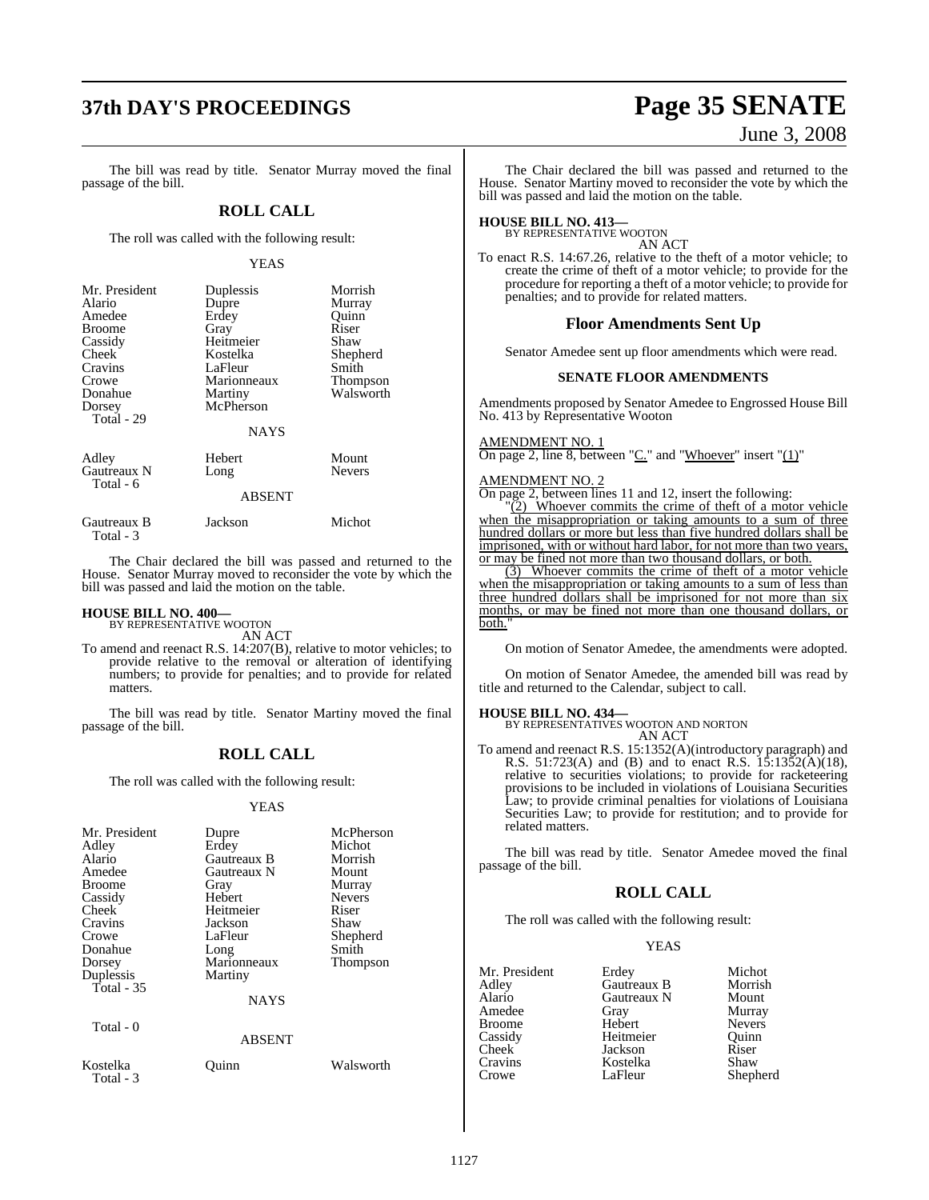# **37th DAY'S PROCEEDINGS Page 35 SENATE**

### The bill was read by title. Senator Murray moved the final passage of the bill.

#### **ROLL CALL**

The roll was called with the following result:

#### YEAS

| Mr. President<br>Alario<br>Amedee<br><b>Broome</b><br>Cassidy<br>Cheek | Duplessis<br>Dupre<br>Erdey<br>Gray<br>Heitmeier<br>Kostelka | Morrish<br>Murray<br>Quinn<br>Riser<br>Shaw<br>Shepherd |
|------------------------------------------------------------------------|--------------------------------------------------------------|---------------------------------------------------------|
| Cravins                                                                | LaFleur                                                      | Smith                                                   |
| Crowe                                                                  | Marionneaux                                                  | <b>Thompson</b>                                         |
| Donahue                                                                | Martiny                                                      | Walsworth                                               |
| Dorsey<br>Total - 29                                                   | McPherson                                                    |                                                         |
|                                                                        | <b>NAYS</b>                                                  |                                                         |
| Adley                                                                  | Hebert                                                       | Mount                                                   |
| Gautreaux N<br>Total - 6                                               | Long                                                         | <b>Nevers</b>                                           |
|                                                                        | $\lambda$ DOD $\lambda$ $\pi$                                |                                                         |

#### ABSENT

| Gautreaux B | Jackson | Michot |
|-------------|---------|--------|
| Total - 3   |         |        |

The Chair declared the bill was passed and returned to the House. Senator Murray moved to reconsider the vote by which the bill was passed and laid the motion on the table.

#### **HOUSE BILL NO. 400—** BY REPRESENTATIVE WOOTON

AN ACT

To amend and reenact R.S. 14:207(B), relative to motor vehicles; to provide relative to the removal or alteration of identifying numbers; to provide for penalties; and to provide for related matters.

The bill was read by title. Senator Martiny moved the final passage of the bill.

### **ROLL CALL**

The roll was called with the following result:

#### YEAS

| Mr. President<br>Adley<br>Alario<br>Amedee<br><b>Broome</b><br>Cassidy<br>Cheek<br>Cravins<br>Crowe<br>Donahue<br>Dorsey<br>Duplessis<br>Total - $35$<br>Total - 0 | Dupre<br>Erdey<br>Gautreaux B<br>Gautreaux N<br>Gray<br>Hebert<br>Heitmeier<br>Jackson<br>LaFleur<br>Long<br>Marionneaux<br>Martiny<br><b>NAYS</b> | McPherson<br>Michot<br>Morrish<br>Mount<br>Murray<br><b>Nevers</b><br>Riser<br>Shaw<br>Shepherd<br>Smith<br><b>Thompson</b> |
|--------------------------------------------------------------------------------------------------------------------------------------------------------------------|----------------------------------------------------------------------------------------------------------------------------------------------------|-----------------------------------------------------------------------------------------------------------------------------|
|                                                                                                                                                                    | <b>ABSENT</b>                                                                                                                                      |                                                                                                                             |
| Kostelka<br>Total - 3                                                                                                                                              | Ouinn                                                                                                                                              | Walsworth                                                                                                                   |

# June 3, 2008

The Chair declared the bill was passed and returned to the House. Senator Martiny moved to reconsider the vote by which the bill was passed and laid the motion on the table.

# **HOUSE BILL NO. 413—** BY REPRESENTATIVE WOOTON

AN ACT

To enact R.S. 14:67.26, relative to the theft of a motor vehicle; to create the crime of theft of a motor vehicle; to provide for the procedure for reporting a theft of a motor vehicle; to provide for penalties; and to provide for related matters.

#### **Floor Amendments Sent Up**

Senator Amedee sent up floor amendments which were read.

#### **SENATE FLOOR AMENDMENTS**

Amendments proposed by Senator Amedee to Engrossed House Bill No. 413 by Representative Wooton

#### AMENDMENT NO. 1

On page 2, line 8, between " $C$ ." and "Whoever" insert " $(1)$ "

#### AMENDMENT NO. 2

On page 2, between lines 11 and 12, insert the following:

"(2) Whoever commits the crime of theft of a motor vehicle when the misappropriation or taking amounts to a sum of three hundred dollars or more but less than five hundred dollars shall be imprisoned, with or without hard labor, for not more than two years, or may be fined not more than two thousand dollars, or both.

(3) Whoever commits the crime of theft of a motor vehicle when the misappropriation or taking amounts to a sum of less than three hundred dollars shall be imprisoned for not more than six months, or may be fined not more than one thousand dollars, or both."

On motion of Senator Amedee, the amendments were adopted.

On motion of Senator Amedee, the amended bill was read by title and returned to the Calendar, subject to call.

**HOUSE BILL NO. 434—** BY REPRESENTATIVES WOOTON AND NORTON AN ACT

To amend and reenact R.S. 15:1352(A)(introductory paragraph) and R.S. 51:723(A) and (B) and to enact R.S. 15:1352(A)(18), relative to securities violations; to provide for racketeering provisions to be included in violations of Louisiana Securities Law; to provide criminal penalties for violations of Louisiana Securities Law; to provide for restitution; and to provide for related matters.

The bill was read by title. Senator Amedee moved the final passage of the bill.

#### **ROLL CALL**

The roll was called with the following result:

#### YEAS

| Mr. President      | Erdey       | Michot        |
|--------------------|-------------|---------------|
| Adley              | Gautreaux B | Morrish       |
| Alario             | Gautreaux N | Mount         |
| Amedee             | Gray        | Murray        |
| Broome             | Hebert      | <b>Nevers</b> |
| Cassidy            | Heitmeier   | Ouinn         |
| Cheek <sup>-</sup> | Jackson     | Riser         |
| Cravins            | Kostelka    | Shaw          |
| Crowe              | LaFleur     | Shepherd      |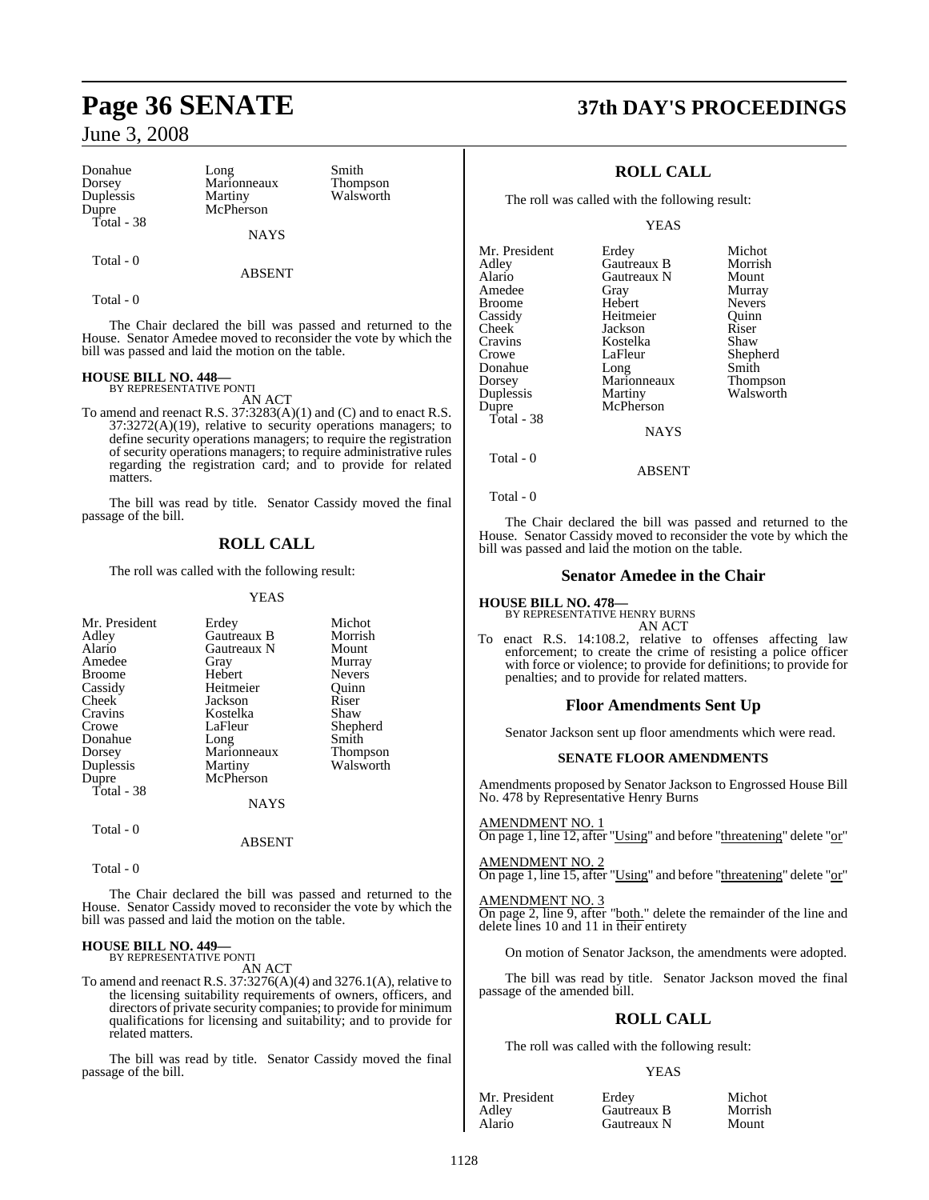| Donahue    | Long        |
|------------|-------------|
| Dorsey     | Marionneaux |
| Duplessis  | Martiny     |
| Dupre      | McPherson   |
| Total - 38 |             |
|            | <b>NAYS</b> |

Ex Smith<br>Thom

Thompson Walsworth

ABSENT

Total - 0

Total - 0

The Chair declared the bill was passed and returned to the House. Senator Amedee moved to reconsider the vote by which the bill was passed and laid the motion on the table.

### **HOUSE BILL NO. 448—** BY REPRESENTATIVE PONTI

AN ACT

To amend and reenact R.S. 37:3283(A)(1) and (C) and to enact R.S. 37:3272(A)(19), relative to security operations managers; to define security operations managers; to require the registration of security operations managers; to require administrative rules regarding the registration card; and to provide for related matters.

The bill was read by title. Senator Cassidy moved the final passage of the bill.

### **ROLL CALL**

The roll was called with the following result:

#### YEAS

| Mr. President | Erdey       | Michot        |
|---------------|-------------|---------------|
| Adley         | Gautreaux B | Morrish       |
| Alario        | Gautreaux N | Mount         |
| Amedee        | Gray        | Murray        |
| <b>Broome</b> | Hebert      | <b>Nevers</b> |
| Cassidy       | Heitmeier   | Ouinn         |
| <b>Cheek</b>  | Jackson     | Riser         |
| Cravins       | Kostelka    | Shaw          |
| Crowe         | LaFleur     | Shepherd      |
| Donahue       | Long        | Smith         |
| Dorsey        | Marionneaux | Thompson      |
| Duplessis     | Martiny     | Walsworth     |
| Dupre         | McPherson   |               |
| Total - 38    |             |               |
|               | <b>NAYS</b> |               |
| Total - 0     |             |               |
|               | ABSENT      |               |

Total - 0

The Chair declared the bill was passed and returned to the House. Senator Cassidy moved to reconsider the vote by which the bill was passed and laid the motion on the table.

### **HOUSE BILL NO. 449—** BY REPRESENTATIVE PONTI

AN ACT

To amend and reenact R.S. 37:3276(A)(4) and 3276.1(A), relative to the licensing suitability requirements of owners, officers, and directors of private security companies; to provide for minimum qualifications for licensing and suitability; and to provide for related matters.

The bill was read by title. Senator Cassidy moved the final passage of the bill.

# **Page 36 SENATE 37th DAY'S PROCEEDINGS**

### **ROLL CALL**

The roll was called with the following result:

YEAS

| Mr. President | Erdey       | Michot          |
|---------------|-------------|-----------------|
|               |             |                 |
| Adley         | Gautreaux B | Morrish         |
| Alario        | Gautreaux N | Mount           |
| Amedee        | Gray        | Murray          |
| Broome        | Hebert      | <b>Nevers</b>   |
| Cassidy       | Heitmeier   | Ouinn           |
| Cheek         | Jackson     | Riser           |
| Cravins       | Kostelka    | Shaw            |
| Crowe         | LaFleur     | Shepherd        |
| Donahue       | Long        | Smith           |
| Dorsey        | Marionneaux | <b>Thompson</b> |
| Duplessis     | Martiny     | Walsworth       |
| Dupre         | McPherson   |                 |
| Total - 38    |             |                 |
|               | <b>NAYS</b> |                 |
|               |             |                 |

Total - 0

Total - 0

The Chair declared the bill was passed and returned to the House. Senator Cassidy moved to reconsider the vote by which the bill was passed and laid the motion on the table.

ABSENT

#### **Senator Amedee in the Chair**

### **HOUSE BILL NO. 478—**

BY REPRESENTATIVE HENRY BURNS AN ACT

To enact R.S. 14:108.2, relative to offenses affecting law enforcement; to create the crime of resisting a police officer with force or violence; to provide for definitions; to provide for penalties; and to provide for related matters.

### **Floor Amendments Sent Up**

Senator Jackson sent up floor amendments which were read.

#### **SENATE FLOOR AMENDMENTS**

Amendments proposed by Senator Jackson to Engrossed House Bill No. 478 by Representative Henry Burns

AMENDMENT NO. 1

On page 1, line 12, after "Using" and before "threatening" delete "or"

AMENDMENT NO. 2 On page 1, line 15, after "Using" and before "threatening" delete "or"

AMENDMENT NO. 3

On page 2, line 9, after "both." delete the remainder of the line and delete lines 10 and 11 in their entirety

On motion of Senator Jackson, the amendments were adopted.

The bill was read by title. Senator Jackson moved the final passage of the amended bill.

### **ROLL CALL**

The roll was called with the following result:

#### YEAS

| Mr. President | Erdey       | Michot  |
|---------------|-------------|---------|
| Adley         | Gautreaux B | Morrish |
| Alario        | Gautreaux N | Mount   |

Gautreaux B Morris<br>
Gautreaux N Mount Gautreaux N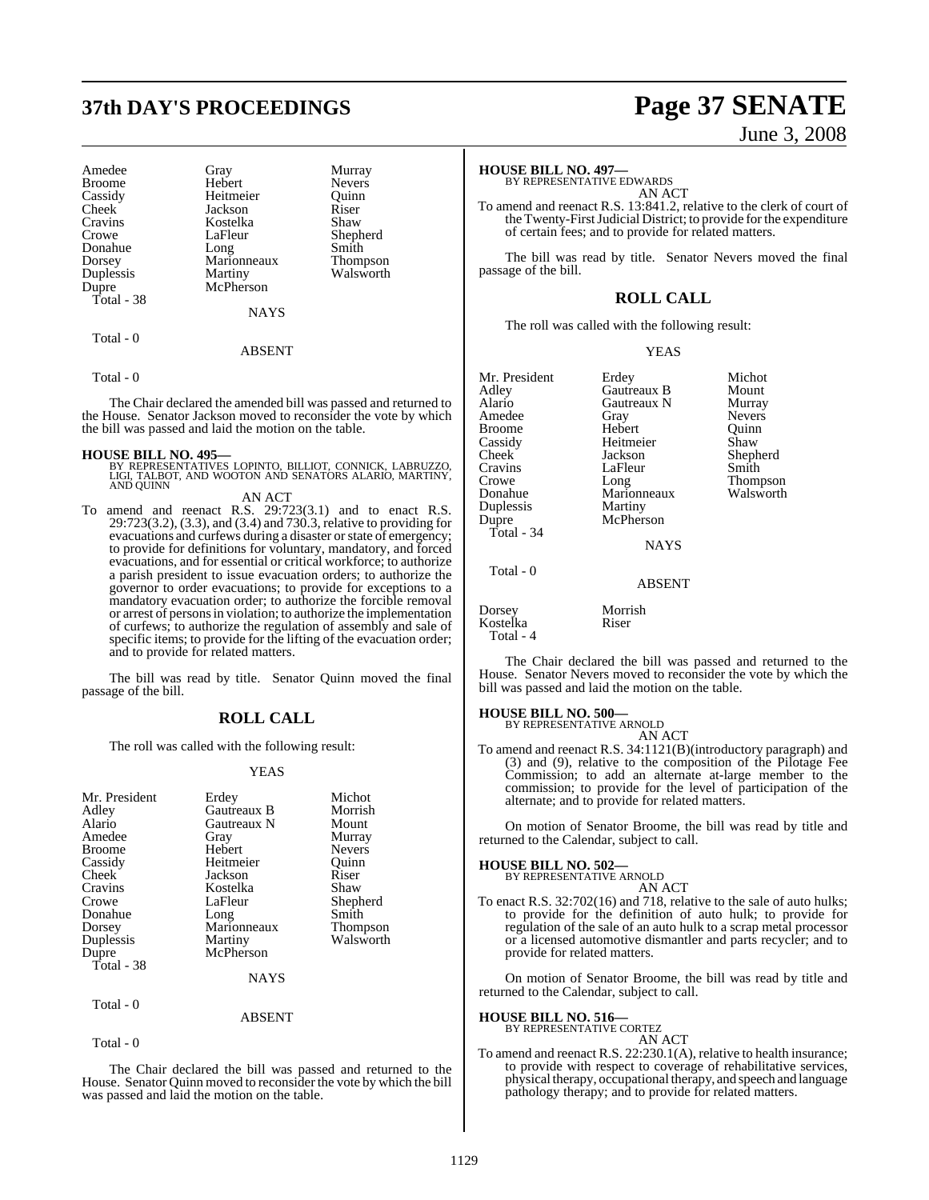# **37th DAY'S PROCEEDINGS Page 37 SENATE**

| Amedee<br><b>Broome</b><br>Cassidy<br>Cheek<br>Cravins<br>Crowe<br>Donahue<br>Dorsey<br>Duplessis<br>Dupre<br>Total - 38 | Gray<br>Hebert<br>Heitmeier<br>Jackson<br>Kostelka<br>LaFleur<br>Long<br>Marionneaux<br>Martiny<br>McPherson<br><b>NAYS</b> | Murray<br><b>Nevers</b><br>Ouinn<br>Riser<br>Shaw<br>Shepherd<br>Smith<br><b>Thompson</b><br>Walsworth |
|--------------------------------------------------------------------------------------------------------------------------|-----------------------------------------------------------------------------------------------------------------------------|--------------------------------------------------------------------------------------------------------|
| Total - 0                                                                                                                |                                                                                                                             |                                                                                                        |

#### ABSENT

Total - 0

The Chair declared the amended bill was passed and returned to the House. Senator Jackson moved to reconsider the vote by which the bill was passed and laid the motion on the table.

- **HOUSE BILL NO. 495—** BY REPRESENTATIVES LOPINTO, BILLIOT, CONNICK, LABRUZZO, LIGI, TALBOT, AND WOOTON AND SENATORS ALARIO, MARTINY, AND QUINN AN ACT
- To amend and reenact R.S. 29:723(3.1) and to enact R.S. 29:723(3.2), (3.3), and (3.4) and 730.3, relative to providing for evacuations and curfews during a disaster or state of emergency; to provide for definitions for voluntary, mandatory, and forced evacuations, and for essential or critical workforce; to authorize a parish president to issue evacuation orders; to authorize the governor to order evacuations; to provide for exceptions to a mandatory evacuation order; to authorize the forcible removal or arrest of personsin violation; to authorize the implementation of curfews; to authorize the regulation of assembly and sale of specific items; to provide for the lifting of the evacuation order; and to provide for related matters.

The bill was read by title. Senator Quinn moved the final passage of the bill.

#### **ROLL CALL**

The roll was called with the following result:

#### YEAS

| Mr. President | Erdey       | Michot          |
|---------------|-------------|-----------------|
|               | Gautreaux B | Morrish         |
| Adley         |             |                 |
| Alario        | Gautreaux N | Mount           |
| Amedee        | Gray        | Murray          |
| <b>Broome</b> | Hebert      | <b>Nevers</b>   |
| Cassidy       | Heitmeier   | Ouinn           |
| Cheek         | Jackson     | Riser           |
| Cravins       | Kostelka    | Shaw            |
| Crowe         | LaFleur     | Shepherd        |
| Donahue       | Long        | Smith           |
| Dorsey        | Marionneaux | <b>Thompson</b> |
| Duplessis     | Martiny     | Walsworth       |
| Dupre         | McPherson   |                 |
| Total - 38    |             |                 |
|               | <b>NAYS</b> |                 |
| Total - 0     |             |                 |
|               | ABSENT      |                 |

Total - 0

The Chair declared the bill was passed and returned to the House. Senator Quinn moved to reconsider the vote by which the bill was passed and laid the motion on the table.

# June 3, 2008

### **HOUSE BILL NO. 497—** BY REPRESENTATIVE EDWARDS

AN ACT

To amend and reenact R.S. 13:841.2, relative to the clerk of court of the Twenty-FirstJudicial District; to provide for the expenditure of certain fees; and to provide for related matters.

The bill was read by title. Senator Nevers moved the final passage of the bill.

### **ROLL CALL**

The roll was called with the following result:

YEAS

Erdey Michot<br>
Gautreaux B Mount

| Mr. President |
|---------------|
| Adley         |
| Alario        |
| Amedee        |
| Broome        |
| Cassidy       |
| Cheek         |
| Cravins       |
| Crowe         |
| Donahue       |
| Duplessis     |
| Dupre         |
| Total - 34    |
|               |
|               |

Total - 0

Hebert LaFleur Martiny McPherson

Gautreaux N<br>Gray Heitmeier Shaw<br>Jackson Sheph Marionneaux

Gautreaux B Mount<br>
Gautreaux N Murray Nevers<br>Ouinn Shepherd<br>Smith Long Thompson<br>Marionneaux Walsworth

NAYS

#### ABSENT

Dorsey Morrish Kostelka Riser Total - 4

The Chair declared the bill was passed and returned to the House. Senator Nevers moved to reconsider the vote by which the bill was passed and laid the motion on the table.

### **HOUSE BILL NO. 500—** BY REPRESENTATIVE ARNOLD

AN ACT

To amend and reenact R.S. 34:1121(B)(introductory paragraph) and (3) and (9), relative to the composition of the Pilotage Fee Commission; to add an alternate at-large member to the commission; to provide for the level of participation of the alternate; and to provide for related matters.

On motion of Senator Broome, the bill was read by title and returned to the Calendar, subject to call.

### **HOUSE BILL NO. 502—** BY REPRESENTATIVE ARNOLD

AN ACT

To enact R.S. 32:702(16) and 718, relative to the sale of auto hulks; to provide for the definition of auto hulk; to provide for regulation of the sale of an auto hulk to a scrap metal processor or a licensed automotive dismantler and parts recycler; and to provide for related matters.

On motion of Senator Broome, the bill was read by title and returned to the Calendar, subject to call.

#### **HOUSE BILL NO. 516—**

BY REPRESENTATIVE CORTEZ AN ACT

To amend and reenact R.S. 22:230.1(A), relative to health insurance; to provide with respect to coverage of rehabilitative services, physical therapy, occupational therapy, and speech and language pathology therapy; and to provide for related matters.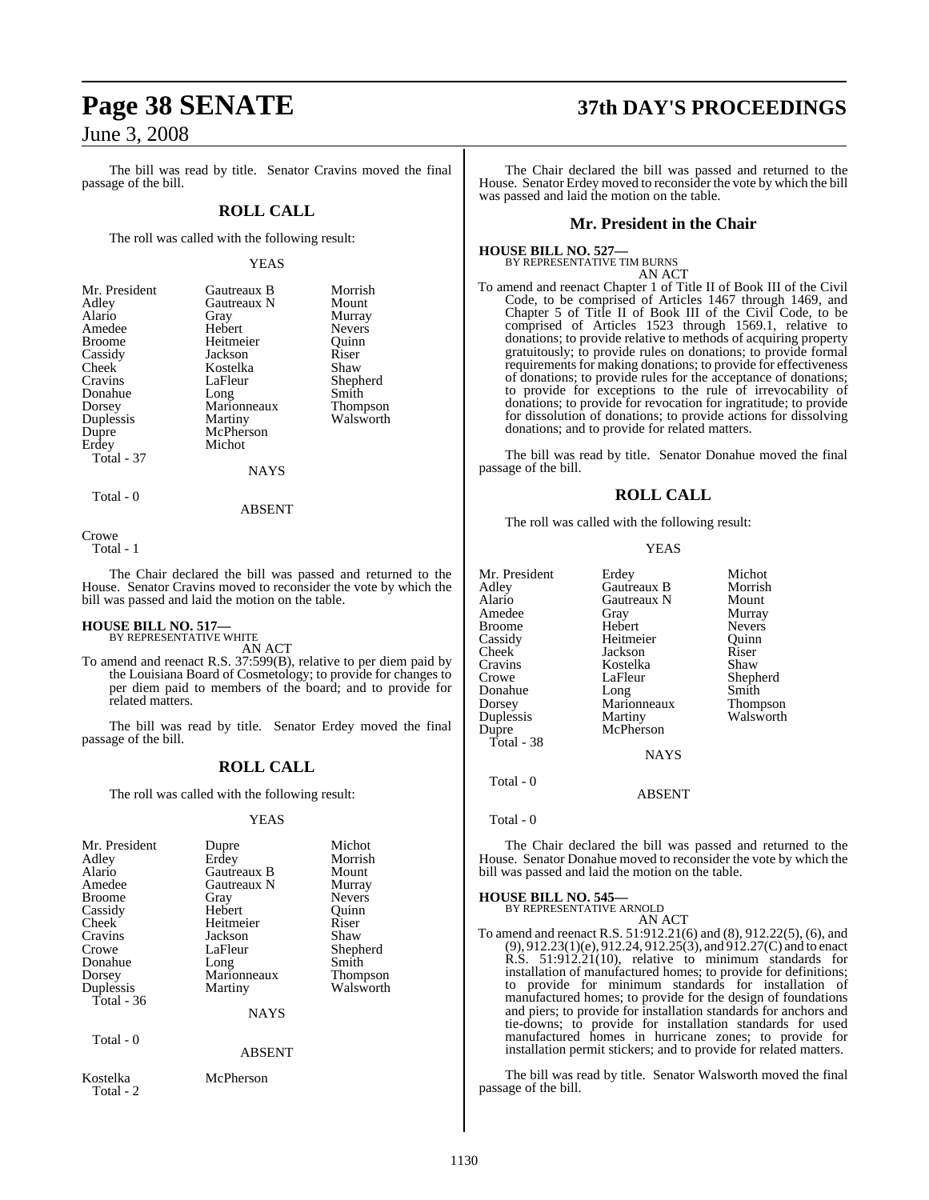The bill was read by title. Senator Cravins moved the final passage of the bill.

### **ROLL CALL**

The roll was called with the following result:

#### YEAS

| Mr. President | Gautreaux B | Morrish         |
|---------------|-------------|-----------------|
| Adley         | Gautreaux N | Mount           |
| Alario        | Gray        | Murray          |
| Amedee        | Hebert      | <b>Nevers</b>   |
| <b>Broome</b> | Heitmeier   | Ouinn           |
| Cassidy       | Jackson     | Riser           |
| Cheek         | Kostelka    | Shaw            |
| Cravins       | LaFleur     | Shepherd        |
| Donahue       | Long        | Smith           |
| Dorsey        | Marionneaux | <b>Thompson</b> |
| Duplessis     | Martiny     | Walsworth       |
| Dupre         | McPherson   |                 |
| Erdey         | Michot      |                 |
| Total - 37    |             |                 |
|               | NAYS        |                 |

Total - 0

ABSENT

Crowe

Total - 1

The Chair declared the bill was passed and returned to the House. Senator Cravins moved to reconsider the vote by which the bill was passed and laid the motion on the table.

# **HOUSE BILL NO. 517—** BY REPRESENTATIVE WHITE

AN ACT

To amend and reenact R.S. 37:599(B), relative to per diem paid by the Louisiana Board of Cosmetology; to provide for changes to per diem paid to members of the board; and to provide for related matters.

The bill was read by title. Senator Erdey moved the final passage of the bill.

### **ROLL CALL**

The roll was called with the following result:

#### YEAS

| Mr. President<br>Adley<br>Alario<br>Amedee<br><b>Broome</b><br>Cassidy<br><b>Cheek</b><br>Cravins<br>Crowe<br>Donahue<br>Dorsey | Dupre<br>Erdey<br>Gautreaux B<br>Gautreaux N<br>Gray<br>Hebert<br>Heitmeier<br>Jackson<br>LaFleur<br>Long<br>Marionneaux | Michot<br>Morrish<br>Mount<br>Murray<br><b>Nevers</b><br>Quinn<br>Riser<br>Shaw<br>Shepherd<br>Smith<br>Thompson |
|---------------------------------------------------------------------------------------------------------------------------------|--------------------------------------------------------------------------------------------------------------------------|------------------------------------------------------------------------------------------------------------------|
| Duplessis<br>Total $-36$<br>Total - 0                                                                                           | Martiny<br><b>NAYS</b><br><b>ABSENT</b>                                                                                  | Walsworth                                                                                                        |
| Kostelka                                                                                                                        | McPherson                                                                                                                |                                                                                                                  |

Total - 2

# **Page 38 SENATE 37th DAY'S PROCEEDINGS**

The Chair declared the bill was passed and returned to the House. Senator Erdey moved to reconsider the vote by which the bill was passed and laid the motion on the table.

#### **Mr. President in the Chair**

**HOUSE BILL NO. 527—** BY REPRESENTATIVE TIM BURNS

AN ACT

To amend and reenact Chapter 1 of Title II of Book III of the Civil Code, to be comprised of Articles 1467 through 1469, and Chapter 5 of Title II of Book III of the Civil Code, to be comprised of Articles 1523 through 1569.1, relative to donations; to provide relative to methods of acquiring property gratuitously; to provide rules on donations; to provide formal requirements for making donations; to provide for effectiveness of donations; to provide rules for the acceptance of donations; to provide for exceptions to the rule of irrevocability of donations; to provide for revocation for ingratitude; to provide for dissolution of donations; to provide actions for dissolving donations; and to provide for related matters.

The bill was read by title. Senator Donahue moved the final passage of the bill.

### **ROLL CALL**

The roll was called with the following result:

YEAS

|             | Michot                          |
|-------------|---------------------------------|
| Gautreaux B | Morrish                         |
| Gautreaux N | Mount                           |
| Gray        | Murray                          |
| Hebert      | <b>Nevers</b>                   |
| Heitmeier   | Ouinn                           |
| Jackson     | Riser                           |
| Kostelka    | Shaw                            |
| LaFleur     | Shepherd                        |
| Long        | Smith                           |
|             | Thompson                        |
|             | Walsworth                       |
| McPherson   |                                 |
|             |                                 |
| <b>NAYS</b> |                                 |
|             | Erdey<br>Marionneaux<br>Martiny |

Total - 0

Total - 0

The Chair declared the bill was passed and returned to the House. Senator Donahue moved to reconsider the vote by which the bill was passed and laid the motion on the table.

ABSENT

# **HOUSE BILL NO. 545—** BY REPRESENTATIVE ARNOLD

AN ACT

To amend and reenact R.S. 51:912.21(6) and (8), 912.22(5), (6), and (9), 912.23(1)(e), 912.24, 912.25(3), and 912.27(C) and to enact R.S. 51:912.21(10), relative to minimum standards for installation of manufactured homes; to provide for definitions; to provide for minimum standards for installation of manufactured homes; to provide for the design of foundations and piers; to provide for installation standards for anchors and tie-downs; to provide for installation standards for used manufactured homes in hurricane zones; to provide for installation permit stickers; and to provide for related matters.

The bill was read by title. Senator Walsworth moved the final passage of the bill.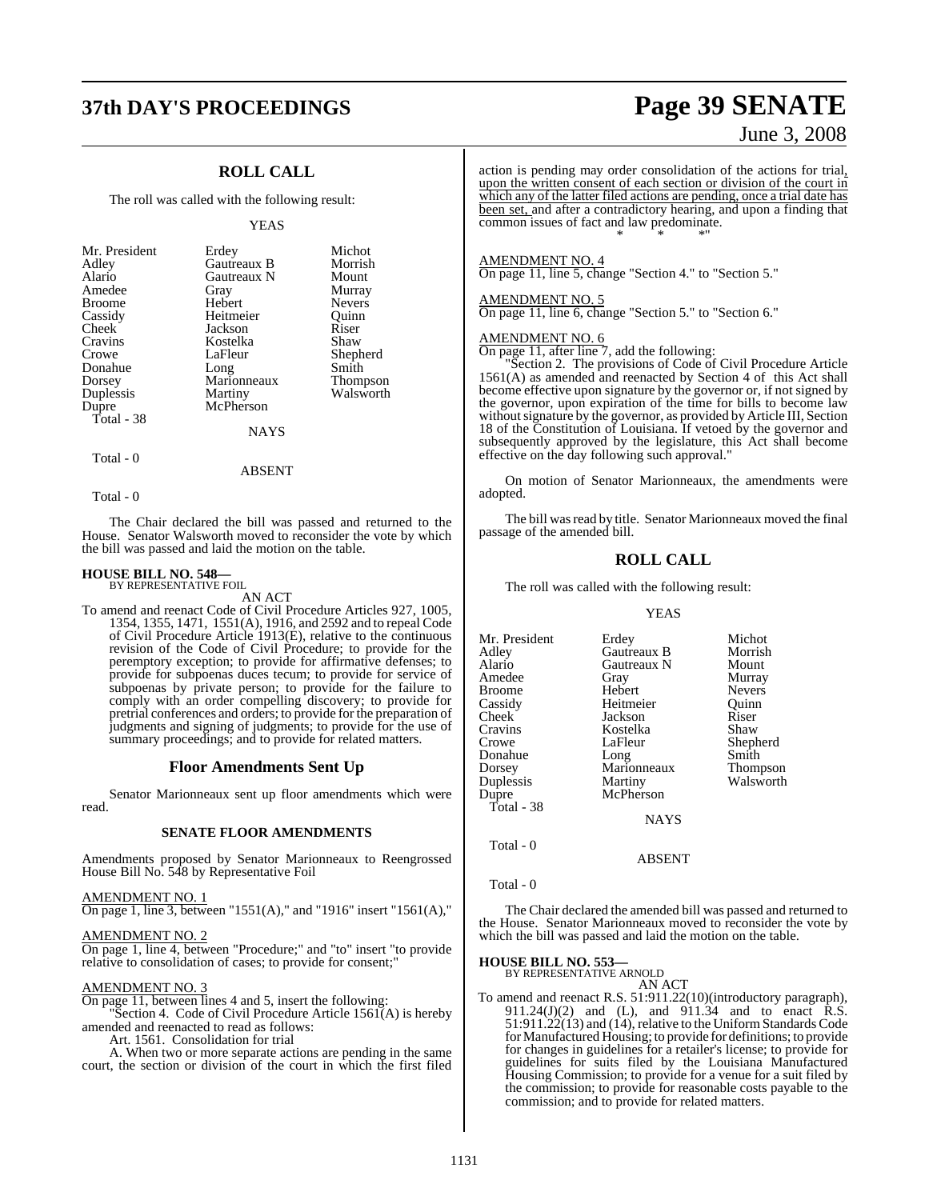## **37th DAY'S PROCEEDINGS Page 39 SENATE**

### **ROLL CALL**

The roll was called with the following result:

#### YEAS

| Mr. President<br>Adley<br>Alario<br>Amedee<br><b>Broome</b><br>Cassidy<br>Cheek<br>Cravins<br>Crowe<br>Donahue<br>Dorsey<br>Duplessis | Erdey<br>Gautreaux B<br>Gautreaux N<br>Gray<br>Hebert<br>Heitmeier<br>Jackson<br>Kostelka<br>LaFleur<br>Long<br>Marionneaux<br>Martiny | Michot<br>Morrish<br>Mount<br>Murray<br><b>Nevers</b><br>Ouinn<br>Riser<br>Shaw<br>Shepherd<br>Smith<br><b>Thompson</b><br>Walsworth |
|---------------------------------------------------------------------------------------------------------------------------------------|----------------------------------------------------------------------------------------------------------------------------------------|--------------------------------------------------------------------------------------------------------------------------------------|
|                                                                                                                                       |                                                                                                                                        |                                                                                                                                      |
| Dupre<br>Total - 38                                                                                                                   | McPherson                                                                                                                              |                                                                                                                                      |
|                                                                                                                                       | <b>NAYS</b>                                                                                                                            |                                                                                                                                      |

### Total - 0

Total - 0

The Chair declared the bill was passed and returned to the House. Senator Walsworth moved to reconsider the vote by which the bill was passed and laid the motion on the table.

ABSENT

#### **HOUSE BILL NO. 548—** BY REPRESENTATIVE FOIL

AN ACT

To amend and reenact Code of Civil Procedure Articles 927, 1005, 1354, 1355, 1471, 1551(A), 1916, and 2592 and to repeal Code of Civil Procedure Article 1913(E), relative to the continuous revision of the Code of Civil Procedure; to provide for the peremptory exception; to provide for affirmative defenses; to provide for subpoenas duces tecum; to provide for service of subpoenas by private person; to provide for the failure to comply with an order compelling discovery; to provide for pretrial conferences and orders; to provide for the preparation of judgments and signing of judgments; to provide for the use of summary proceedings; and to provide for related matters.

#### **Floor Amendments Sent Up**

Senator Marionneaux sent up floor amendments which were read.

#### **SENATE FLOOR AMENDMENTS**

Amendments proposed by Senator Marionneaux to Reengrossed House Bill No. 548 by Representative Foil

#### AMENDMENT NO. 1

On page 1, line 3, between "1551(A)," and "1916" insert "1561(A),"

#### AMENDMENT NO. 2

On page 1, line 4, between "Procedure;" and "to" insert "to provide relative to consolidation of cases; to provide for consent;"

#### AMENDMENT NO. 3

On page 11, between lines 4 and 5, insert the following: "Section 4. Code of Civil Procedure Article  $156I(A)$  is hereby

amended and reenacted to read as follows:

Art. 1561. Consolidation for trial

A. When two or more separate actions are pending in the same court, the section or division of the court in which the first filed

June 3, 2008

action is pending may order consolidation of the actions for trial, upon the written consent of each section or division of the court in which any of the latter filed actions are pending, once a trial date has been set, and after a contradictory hearing, and upon a finding that common issues of fact and law predominate. \* \* \*"

#### AMENDMENT NO. 4

On page 11, line 5, change "Section 4." to "Section 5."

#### AMENDMENT NO. 5

On page 11, line 6, change "Section 5." to "Section 6."

### AMENDMENT NO. 6

On page 11, after line 7, add the following:

"Section 2. The provisions of Code of Civil Procedure Article 1561(A) as amended and reenacted by Section 4 of this Act shall become effective upon signature by the governor or, if not signed by the governor, upon expiration of the time for bills to become law without signature by the governor, as provided by Article III, Section 18 of the Constitution of Louisiana. If vetoed by the governor and subsequently approved by the legislature, this Act shall become effective on the day following such approval."

On motion of Senator Marionneaux, the amendments were adopted.

The bill was read by title. Senator Marionneaux moved the final passage of the amended bill.

#### **ROLL CALL**

The roll was called with the following result:

#### YEAS

| Erdey       | Michot          |
|-------------|-----------------|
| Gautreaux B | Morrish         |
| Gautreaux N | Mount           |
| Gray        | Murray          |
| Hebert      | <b>Nevers</b>   |
| Heitmeier   | Ouinn           |
| Jackson     | Riser           |
| Kostelka    | Shaw            |
| LaFleur     | Shepherd        |
| Long        | Smith           |
| Marionneaux | <b>Thompson</b> |
| Martiny     | Walsworth       |
| McPherson   |                 |
|             |                 |
| <b>NAYS</b> |                 |
|             |                 |
|             |                 |

#### Total - 0

Total - 0

The Chair declared the amended bill was passed and returned to the House. Senator Marionneaux moved to reconsider the vote by which the bill was passed and laid the motion on the table.

ABSENT

### **HOUSE BILL NO. 553—** BY REPRESENTATIVE ARNOLD

AN ACT

To amend and reenact R.S. 51:911.22(10)(introductory paragraph), 911.24(J)(2) and (L), and 911.34 and to enact R.S. 51:911.22(13) and (14), relative to the Uniform Standards Code forManufactured Housing; to provide for definitions; to provide for changes in guidelines for a retailer's license; to provide for guidelines for suits filed by the Louisiana Manufactured Housing Commission; to provide for a venue for a suit filed by the commission; to provide for reasonable costs payable to the commission; and to provide for related matters.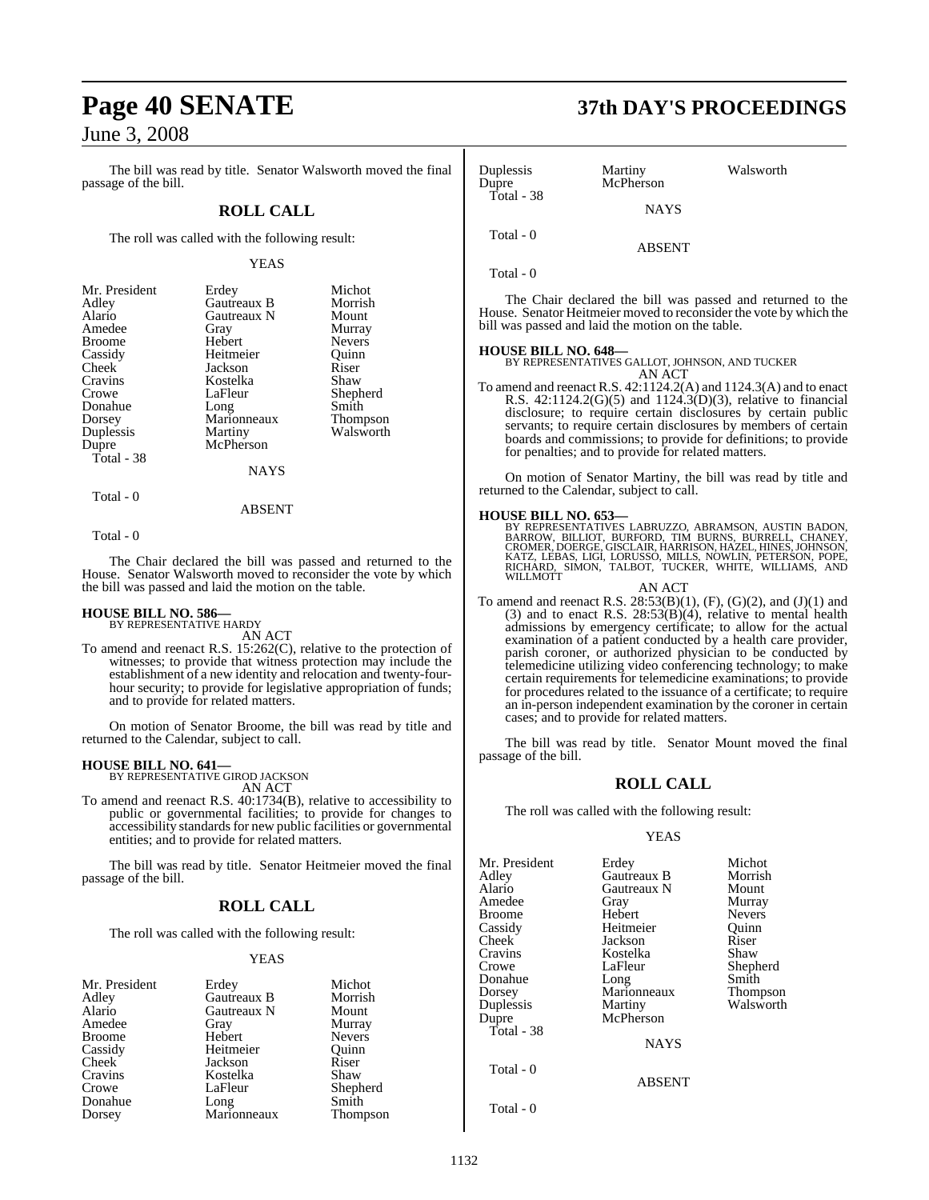The bill was read by title. Senator Walsworth moved the final passage of the bill.

### **ROLL CALL**

The roll was called with the following result:

#### YEAS

| Erdey       | Michot        |
|-------------|---------------|
| Gautreaux B | Morrish       |
| Gautreaux N | Mount         |
| Gray        | Murray        |
| Hebert      | <b>Nevers</b> |
| Heitmeier   | Ouinn         |
| Jackson     | Riser         |
| Kostelka    | Shaw          |
| LaFleur     | Shepherd      |
| Long        | Smith         |
| Marionneaux | Thompson      |
| Martiny     | Walsworth     |
| McPherson   |               |
|             |               |
| NAYS        |               |
|             |               |

Total - 0

#### ABSENT

Total - 0

The Chair declared the bill was passed and returned to the House. Senator Walsworth moved to reconsider the vote by which the bill was passed and laid the motion on the table.

### **HOUSE BILL NO. 586—** BY REPRESENTATIVE HARDY

AN ACT

To amend and reenact R.S. 15:262(C), relative to the protection of witnesses; to provide that witness protection may include the establishment of a new identity and relocation and twenty-fourhour security; to provide for legislative appropriation of funds; and to provide for related matters.

On motion of Senator Broome, the bill was read by title and returned to the Calendar, subject to call.

### **HOUSE BILL NO. 641—** BY REPRESENTATIVE GIROD JACKSON

AN ACT

To amend and reenact R.S. 40:1734(B), relative to accessibility to public or governmental facilities; to provide for changes to accessibility standards for new public facilities or governmental entities; and to provide for related matters.

The bill was read by title. Senator Heitmeier moved the final passage of the bill.

### **ROLL CALL**

The roll was called with the following result:

#### YEAS

| Mr. President | Erdey       | Michot        |
|---------------|-------------|---------------|
| Adley         | Gautreaux B | Morrish       |
| Alario        | Gautreaux N | Mount         |
| Amedee        | Gray        | Murray        |
| <b>Broome</b> | Hebert      | <b>Nevers</b> |
| Cassidy       | Heitmeier   | Ouinn         |
| Cheek         | Jackson     | Riser         |
| Cravins       | Kostelka    | Shaw          |
| Crowe         | LaFleur     | Shepherd      |
| Donahue       | Long        | Smith         |
| Dorsey        | Marionneaux | Thompson      |

# **Page 40 SENATE 37th DAY'S PROCEEDINGS**

| Duplessis<br>Dupre | Martiny<br>McPherson | Walsworth |
|--------------------|----------------------|-----------|
| Total - 38         | <b>NAYS</b>          |           |
| Total - 0          | <b>ABSENT</b>        |           |

Total - 0

The Chair declared the bill was passed and returned to the House. Senator Heitmeier moved to reconsider the vote by which the bill was passed and laid the motion on the table.

#### **HOUSE BILL NO. 648—**

BY REPRESENTATIVES GALLOT, JOHNSON, AND TUCKER AN ACT

To amend and reenact R.S. 42:1124.2(A) and 1124.3(A) and to enact R.S. 42:1124.2(G)(5) and 1124.3(D)(3), relative to financial disclosure; to require certain disclosures by certain public servants; to require certain disclosures by members of certain boards and commissions; to provide for definitions; to provide for penalties; and to provide for related matters.

On motion of Senator Martiny, the bill was read by title and returned to the Calendar, subject to call.

**HOUSE BILL NO. 653—**<br>BY REPRESENTATIVES LABRUZZO, ABRAMSON, AUSTIN BADON,<br>BARROW, BILLIOT, BURFORD, TIM BURNS, BURRELL, CHANEY,<br>CROMER, DOERGE, GISCLAIR, HARRISON, HAZEL, HINES, JOHNSON,<br>KATZ, LEBAS, LIGI, LORUSSO, MILLS,

AN ACT

To amend and reenact R.S.  $28:53(B)(1)$ , (F), (G)(2), and (J)(1) and (3) and to enact R.S.  $28:53(B)(4)$ , relative to mental health admissions by emergency certificate; to allow for the actual examination of a patient conducted by a health care provider, parish coroner, or authorized physician to be conducted by telemedicine utilizing video conferencing technology; to make certain requirements for telemedicine examinations; to provide for procedures related to the issuance of a certificate; to require an in-person independent examination by the coroner in certain cases; and to provide for related matters.

The bill was read by title. Senator Mount moved the final passage of the bill.

#### **ROLL CALL**

The roll was called with the following result:

#### YEAS

| Mr. President | Erdey              | Michot        |
|---------------|--------------------|---------------|
| Adley         | <b>Gautreaux B</b> | Morrish       |
| Alario        | Gautreaux N        | Mount         |
| Amedee        | Gray               | Murray        |
| Broome        | Hebert             | <b>Nevers</b> |
| Cassidy       | Heitmeier          | Ouinn         |
| Cheek         | Jackson            | Riser         |
| Cravins       | Kostelka           | Shaw          |
| Crowe         | LaFleur            | Shepherd      |
| Donahue       | Long               | Smith         |
| Dorsey        | Marionneaux        | Thompson      |
| Duplessis     | Martiny            | Walsworth     |
| Dupre         | McPherson          |               |
| Total - 38    |                    |               |
|               | <b>NAYS</b>        |               |
| Total - 0     |                    |               |
|               | <b>ABSENT</b>      |               |
| Total - 0     |                    |               |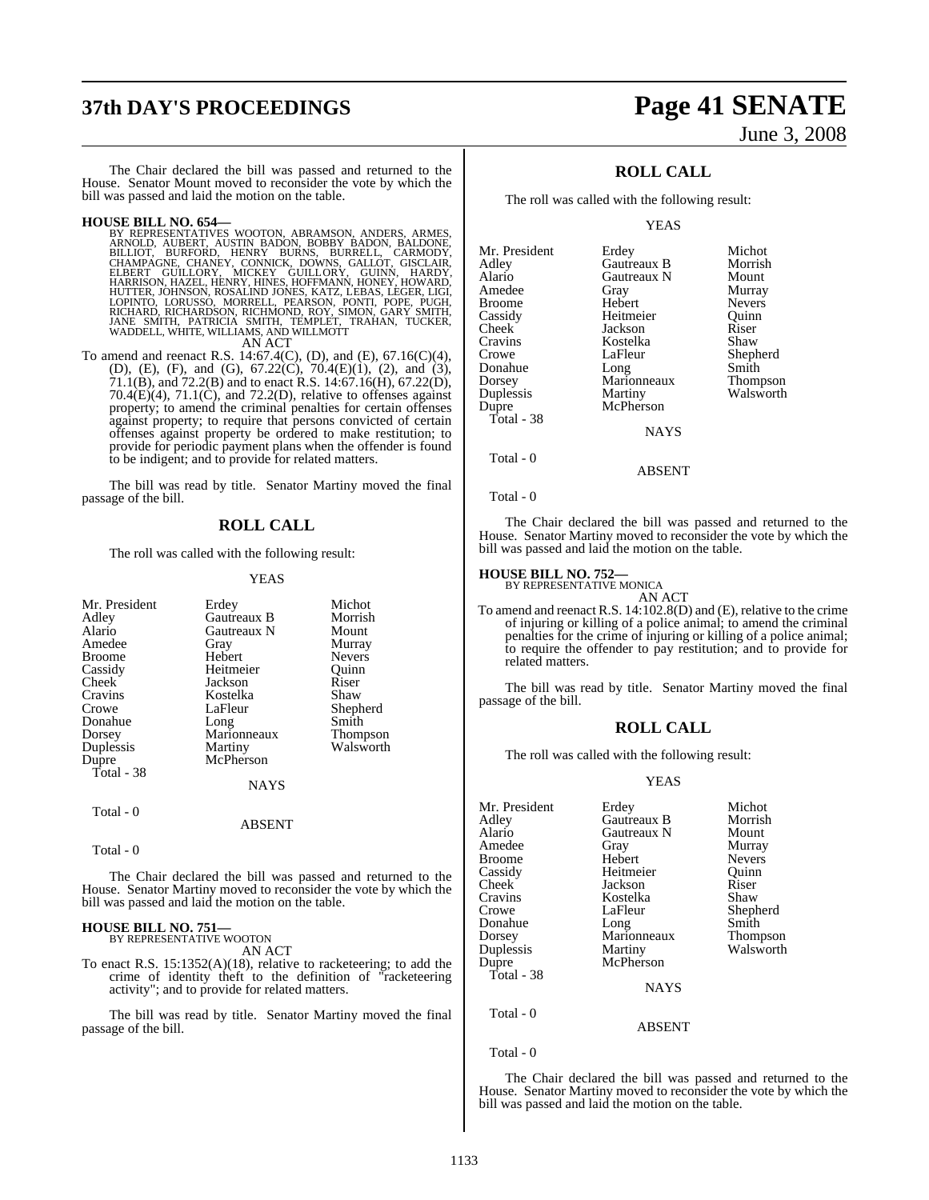# **37th DAY'S PROCEEDINGS Page 41 SENATE**

# June 3, 2008

The Chair declared the bill was passed and returned to the House. Senator Mount moved to reconsider the vote by which the bill was passed and laid the motion on the table.

**HOUSE BILL NO. 654—**<br>BY REPRESENTATIVES WOOTON, ABRAMSON, ANDERS, ARMES, ARNOLD, AUBERT, AUSTIN BADON, BOBBY BADON, BALDONE, BILLIOT, BURFORD, HENRY BURNS, BURRELL, CARMODY, CHAMPAGNE, CHANPACK, DOWNS, GALLOT, GISCLAIR, H AN ACT

To amend and reenact R.S. 14:67.4(C), (D), and (E), 67.16(C)(4), (D), (E), (F), and (G), 67.22(C), 70.4(E)(1), (2), and (3), 71.1(B), and 72.2(B) and to enact R.S. 14:67.16(H), 67.22(D),  $70.4(E)(4)$ ,  $71.1(C)$ , and  $72.2(D)$ , relative to offenses against property; to amend the criminal penalties for certain offenses against property; to require that persons convicted of certain offenses against property be ordered to make restitution; to provide for periodic payment plans when the offender is found to be indigent; and to provide for related matters.

The bill was read by title. Senator Martiny moved the final passage of the bill.

### **ROLL CALL**

The roll was called with the following result:

#### YEAS

| Mr. President |             | Michot          |
|---------------|-------------|-----------------|
|               | Erdey       |                 |
| Adley         | Gautreaux B | Morrish         |
| Alario        | Gautreaux N | Mount           |
| Amedee        | Gray        | Murray          |
| <b>Broome</b> | Hebert      | <b>Nevers</b>   |
| Cassidy       | Heitmeier   | Ouinn           |
| Cheek         | Jackson     | Riser           |
| Cravins       | Kostelka    | Shaw            |
| Crowe         | LaFleur     | Shepherd        |
| Donahue       | Long        | Smith           |
| Dorsey        | Marionneaux | <b>Thompson</b> |
| Duplessis     | Martiny     | Walsworth       |
| Dupre         | McPherson   |                 |
| Total - 38    |             |                 |
|               | NAYS        |                 |
| Total - 0     |             |                 |
|               | ABSENT      |                 |

Total - 0

The Chair declared the bill was passed and returned to the House. Senator Martiny moved to reconsider the vote by which the bill was passed and laid the motion on the table.

#### **HOUSE BILL NO. 751—**

BY REPRESENTATIVE WOOTON AN ACT

To enact R.S. 15:1352(A)(18), relative to racketeering; to add the crime of identity theft to the definition of "racketeering activity"; and to provide for related matters.

The bill was read by title. Senator Martiny moved the final passage of the bill.

### **ROLL CALL**

The roll was called with the following result:

YEAS

| Mr. President | Erdey       | Michot          |
|---------------|-------------|-----------------|
| Adlev         | Gautreaux B | Morrish         |
| Alario        | Gautreaux N | Mount           |
| Amedee        | Gray        | Murray          |
| Broome        | Hebert      | <b>Nevers</b>   |
| Cassidy       | Heitmeier   | Ouinn           |
| Cheek         | Jackson     | Riser           |
| Cravins       | Kostelka    | Shaw            |
| Crowe         | LaFleur     | Shepherd        |
| Donahue       | Long        | Smith           |
| Dorsey        | Marionneaux | <b>Thompson</b> |
| Duplessis     | Martiny     | Walsworth       |
| Dupre         | McPherson   |                 |
| Total - 38    |             |                 |
|               | <b>NAYS</b> |                 |
| Total - 0     |             |                 |

Total - 0

The Chair declared the bill was passed and returned to the House. Senator Martiny moved to reconsider the vote by which the bill was passed and laid the motion on the table.

ABSENT

### **HOUSE BILL NO. 752—** BY REPRESENTATIVE MONICA

AN ACT

To amend and reenact R.S. 14:102.8(D) and (E), relative to the crime of injuring or killing of a police animal; to amend the criminal penalties for the crime of injuring or killing of a police animal; to require the offender to pay restitution; and to provide for related matters.

The bill was read by title. Senator Martiny moved the final passage of the bill.

#### **ROLL CALL**

The roll was called with the following result:

#### YEAS

| Mr. President | Erdey         | Michot        |
|---------------|---------------|---------------|
| Adley         | Gautreaux B   | Morrish       |
| Alario        | Gautreaux N   | Mount         |
| Amedee        | Gray          | Murray        |
| <b>Broome</b> | Hebert        | <b>Nevers</b> |
| Cassidy       | Heitmeier     | Ouinn         |
| Cheek         | Jackson       | Riser         |
| Cravins       | Kostelka      | Shaw          |
| Crowe         | LaFleur       | Shepherd      |
| Donahue       | Long          | Smith         |
| Dorsey        | Marionneaux   | Thompson      |
| Duplessis     | Martiny       | Walsworth     |
| Dupre         | McPherson     |               |
| Total - 38    |               |               |
|               | <b>NAYS</b>   |               |
| Total - 0     |               |               |
|               | <b>ABSENT</b> |               |
|               |               |               |

Total - 0

The Chair declared the bill was passed and returned to the House. Senator Martiny moved to reconsider the vote by which the bill was passed and laid the motion on the table.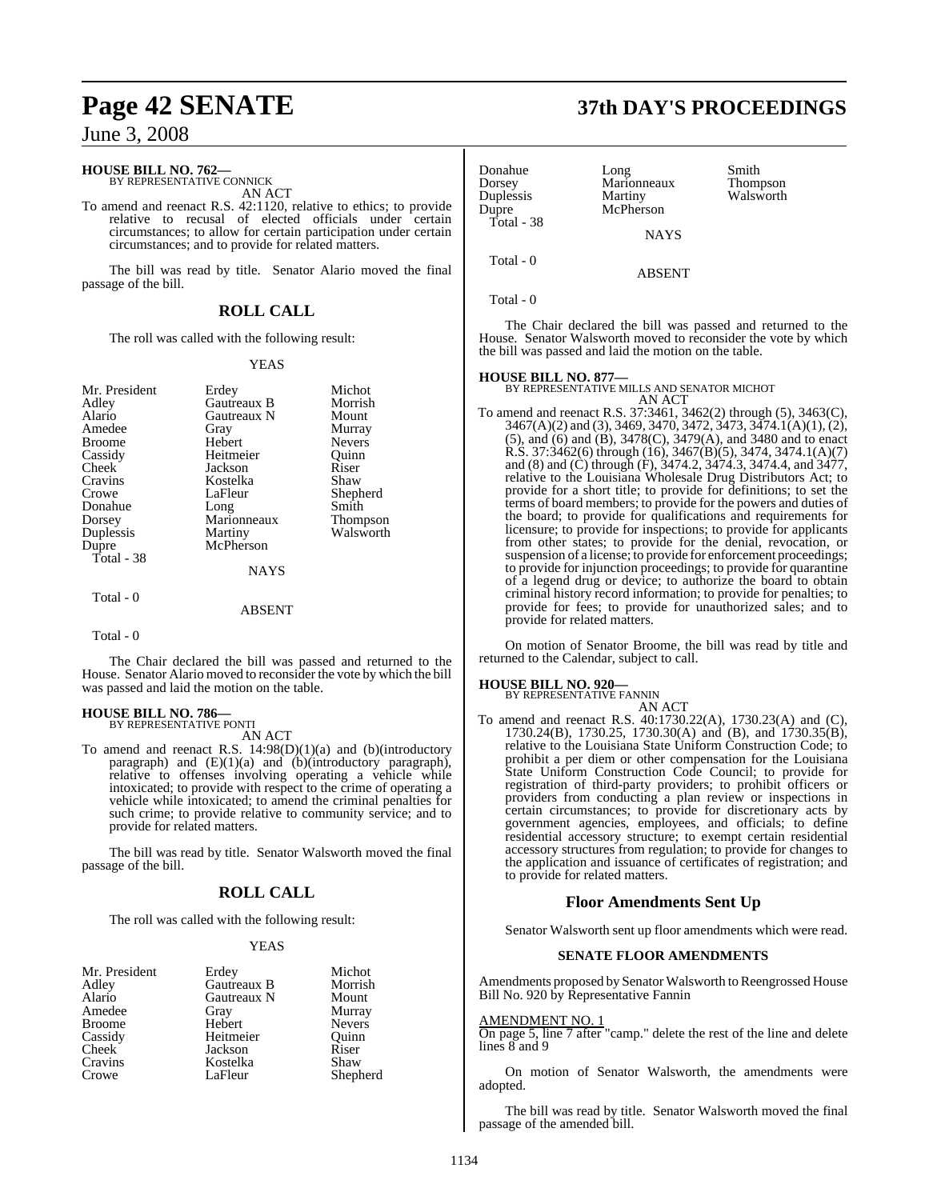### **HOUSE BILL NO. 762—** BY REPRESENTATIVE CONNICK

AN ACT

To amend and reenact R.S. 42:1120, relative to ethics; to provide relative to recusal of elected officials under certain circumstances; to allow for certain participation under certain circumstances; and to provide for related matters.

The bill was read by title. Senator Alario moved the final passage of the bill.

### **ROLL CALL**

The roll was called with the following result:

#### YEAS

| Mr. President | Erdey              | Michot          |
|---------------|--------------------|-----------------|
| Adley         | <b>Gautreaux B</b> | Morrish         |
| Alario        | Gautreaux N        | Mount           |
| Amedee        | Gray               | Murray          |
| Broome        | Hebert             | <b>Nevers</b>   |
| Cassidy       | Heitmeier          | Ouinn           |
| Cheek         | Jackson            | Riser           |
| Cravins       | Kostelka           | Shaw            |
| Crowe         | LaFleur            | Shepherd        |
| Donahue       | Long               | Smith           |
| Dorsey        | Marionneaux        | <b>Thompson</b> |
| Duplessis     | Martiny            | Walsworth       |
| Dupre         | McPherson          |                 |
| Total - 38    |                    |                 |
|               | <b>NAYS</b>        |                 |
| Total - 0     |                    |                 |
|               | ABSENT             |                 |

Total - 0

The Chair declared the bill was passed and returned to the House. Senator Alario moved to reconsider the vote by which the bill was passed and laid the motion on the table.

# **HOUSE BILL NO. 786—** BY REPRESENTATIVE PONTI

AN ACT

To amend and reenact R.S. 14:98(D)(1)(a) and (b)(introductory paragraph) and (E)(1)(a) and (b)(introductory paragraph), relative to offenses involving operating a vehicle while intoxicated; to provide with respect to the crime of operating a vehicle while intoxicated; to amend the criminal penalties for such crime; to provide relative to community service; and to provide for related matters.

The bill was read by title. Senator Walsworth moved the final passage of the bill.

### **ROLL CALL**

The roll was called with the following result:

#### YEAS

| Mr. President      | Erdey       | Michot        |
|--------------------|-------------|---------------|
| Adley              | Gautreaux B | Morrish       |
| Alario             | Gautreaux N | Mount         |
| Amedee             | Gray        | Murray        |
| <b>Broome</b>      | Hebert      | <b>Nevers</b> |
| Cassidy            | Heitmeier   | Ouinn         |
| Cheek <sup>7</sup> | Jackson     | Riser         |
| Cravins            | Kostelka    | Shaw          |
| Crowe              | LaFleur     | Shepherd      |

## **Page 42 SENATE 37th DAY'S PROCEEDINGS**

| Donahue<br>Dorsey<br>Duplessis<br>Dupre | Long<br>Marionneaux<br>Martiny<br>McPherson | Smith<br>Thompson<br>Walsworth |
|-----------------------------------------|---------------------------------------------|--------------------------------|
| Total - 38                              | <b>NAYS</b>                                 |                                |
| Total - 0                               | <b>ABSENT</b>                               |                                |

Total - 0

The Chair declared the bill was passed and returned to the House. Senator Walsworth moved to reconsider the vote by which the bill was passed and laid the motion on the table.

**HOUSE BILL NO. 877—** BY REPRESENTATIVE MILLS AND SENATOR MICHOT AN ACT

To amend and reenact R.S. 37:3461, 3462(2) through (5), 3463(C), 3467(A)(2) and (3), 3469, 3470, 3472, 3473, 3474.1(A)(1), (2), (5), and (6) and (B), 3478(C), 3479(A), and 3480 and to enact R.S. 37:3462(6) through (16), 3467(B)(5), 3474, 3474.1(A)(7) and (8) and (C) through (F), 3474.2, 3474.3, 3474.4, and 3477, relative to the Louisiana Wholesale Drug Distributors Act; to provide for a short title; to provide for definitions; to set the terms of board members; to provide for the powers and duties of the board; to provide for qualifications and requirements for licensure; to provide for inspections; to provide for applicants from other states; to provide for the denial, revocation, or suspension of a license; to provide for enforcement proceedings; to provide for injunction proceedings; to provide for quarantine of a legend drug or device; to authorize the board to obtain criminal history record information; to provide for penalties; to provide for fees; to provide for unauthorized sales; and to provide for related matters.

On motion of Senator Broome, the bill was read by title and returned to the Calendar, subject to call.

#### **HOUSE BILL NO. 920—**

BY REPRESENTATIVE FANNIN

- AN ACT
- To amend and reenact R.S. 40:1730.22(A), 1730.23(A) and (C), 1730.24(B), 1730.25, 1730.30(A) and (B), and 1730.35(B), relative to the Louisiana State Uniform Construction Code; to prohibit a per diem or other compensation for the Louisiana State Uniform Construction Code Council; to provide for registration of third-party providers; to prohibit officers or providers from conducting a plan review or inspections in certain circumstances; to provide for discretionary acts by government agencies, employees, and officials; to define residential accessory structure; to exempt certain residential accessory structures from regulation; to provide for changes to the application and issuance of certificates of registration; and to provide for related matters.

#### **Floor Amendments Sent Up**

Senator Walsworth sent up floor amendments which were read.

#### **SENATE FLOOR AMENDMENTS**

Amendments proposed by Senator Walsworth to Reengrossed House Bill No. 920 by Representative Fannin

#### AMENDMENT NO. 1

On page 5, line 7 after "camp." delete the rest of the line and delete lines 8 and 9

On motion of Senator Walsworth, the amendments were adopted.

The bill was read by title. Senator Walsworth moved the final passage of the amended bill.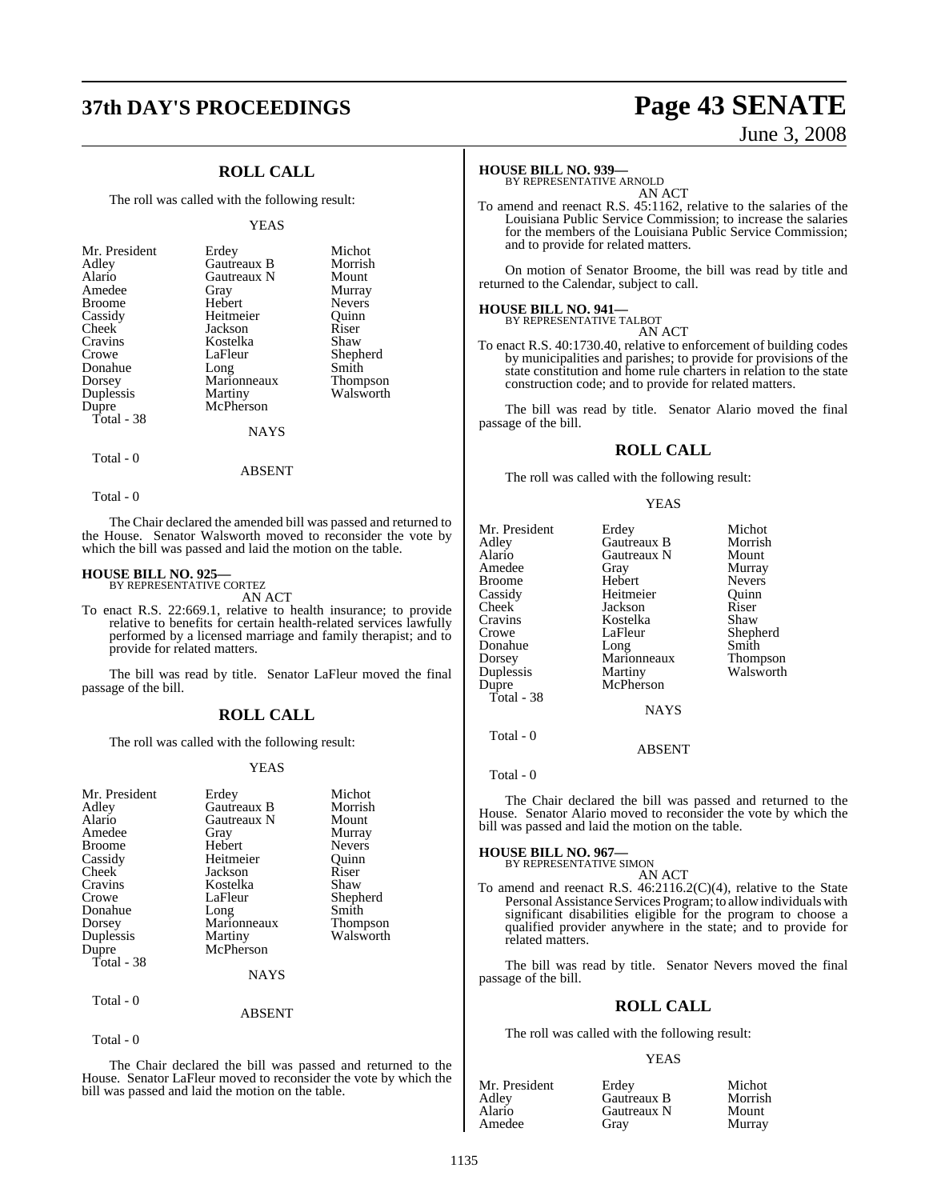# **37th DAY'S PROCEEDINGS Page 43 SENATE**

### **ROLL CALL**

The roll was called with the following result:

#### YEAS

| Mr. President | Erdey       | Michot        |
|---------------|-------------|---------------|
| Adley         | Gautreaux B | Morrish       |
| Alario        | Gautreaux N | Mount         |
| Amedee        | Gray        | Murray        |
| <b>Broome</b> | Hebert      | <b>Nevers</b> |
| Cassidy       | Heitmeier   | Ouinn         |
| Cheek         | Jackson     | Riser         |
| Cravins       | Kostelka    | Shaw          |
| Crowe         | LaFleur     | Shepherd      |
| Donahue       | Long        | Smith         |
| Dorsey        | Marionneaux | Thompson      |
| Duplessis     | Martiny     | Walsworth     |
| Dupre         | McPherson   |               |
| Total - 38    |             |               |
|               | <b>NAYS</b> |               |

Total - 0

ABSENT

Total - 0

The Chair declared the amended bill was passed and returned to the House. Senator Walsworth moved to reconsider the vote by which the bill was passed and laid the motion on the table.

### **HOUSE BILL NO. 925—**

BY REPRESENTATIVE CORTEZ AN ACT

To enact R.S. 22:669.1, relative to health insurance; to provide relative to benefits for certain health-related services lawfully performed by a licensed marriage and family therapist; and to provide for related matters.

The bill was read by title. Senator LaFleur moved the final passage of the bill.

#### **ROLL CALL**

The roll was called with the following result:

#### YEAS

| Mr. President | Erdey         | Michot          |
|---------------|---------------|-----------------|
| Adley         | Gautreaux B   | Morrish         |
| Alario        | Gautreaux N   | Mount           |
| Amedee        | Gray          | Murray          |
| <b>Broome</b> | Hebert        | <b>Nevers</b>   |
| Cassidy       | Heitmeier     | Ouinn           |
| Cheek         | Jackson       | Riser           |
| Cravins       | Kostelka      | Shaw            |
| Crowe         | LaFleur       | Shepherd        |
| Donahue       | Long          | Smith           |
| Dorsey        | Marionneaux   | <b>Thompson</b> |
| Duplessis     | Martiny       | Walsworth       |
| Dupre         | McPherson     |                 |
| Total - 38    |               |                 |
|               | <b>NAYS</b>   |                 |
| Total - 0     |               |                 |
|               | <b>ARSENT</b> |                 |

Total - 0

The Chair declared the bill was passed and returned to the House. Senator LaFleur moved to reconsider the vote by which the bill was passed and laid the motion on the table.

# June 3, 2008

#### **HOUSE BILL NO. 939—**

BY REPRESENTATIVE ARNOLD AN ACT

To amend and reenact R.S. 45:1162, relative to the salaries of the Louisiana Public Service Commission; to increase the salaries for the members of the Louisiana Public Service Commission; and to provide for related matters.

On motion of Senator Broome, the bill was read by title and returned to the Calendar, subject to call.

### **HOUSE BILL NO. 941—** BY REPRESENTATIVE TALBOT

AN ACT

To enact R.S. 40:1730.40, relative to enforcement of building codes by municipalities and parishes; to provide for provisions of the state constitution and home rule charters in relation to the state construction code; and to provide for related matters.

The bill was read by title. Senator Alario moved the final passage of the bill.

#### **ROLL CALL**

The roll was called with the following result:

|--|--|--|--|

|             | Michot                                                |
|-------------|-------------------------------------------------------|
|             | Morrish                                               |
|             | Mount                                                 |
|             | Murray                                                |
|             | <b>Nevers</b>                                         |
| Heitmeier   | Ouinn                                                 |
| Jackson     | Riser                                                 |
| Kostelka    | Shaw                                                  |
| LaFleur     | Shepherd                                              |
| Long        | Smith                                                 |
| Marionneaux | <b>Thompson</b>                                       |
| Martiny     | Walsworth                                             |
| McPherson   |                                                       |
|             |                                                       |
| <b>NAYS</b> |                                                       |
|             |                                                       |
|             | Erdey<br>Gautreaux B<br>Gautreaux N<br>Gray<br>Hebert |

Total - 0

Total - 0

The Chair declared the bill was passed and returned to the House. Senator Alario moved to reconsider the vote by which the bill was passed and laid the motion on the table.

ABSENT

#### **HOUSE BILL NO. 967—**

BY REPRESENTATIVE SIMON AN ACT

To amend and reenact R.S. 46:2116.2(C)(4), relative to the State Personal Assistance Services Program; to allow individuals with significant disabilities eligible for the program to choose a qualified provider anywhere in the state; and to provide for related matters.

The bill was read by title. Senator Nevers moved the final passage of the bill.

#### **ROLL CALL**

The roll was called with the following result:

#### YEAS

| Mr. President | Erdev       | Michot  |
|---------------|-------------|---------|
| Adlev         | Gautreaux B | Morrish |
| Alario        | Gautreaux N | Mount   |
| Amedee        | Grav        | Murray  |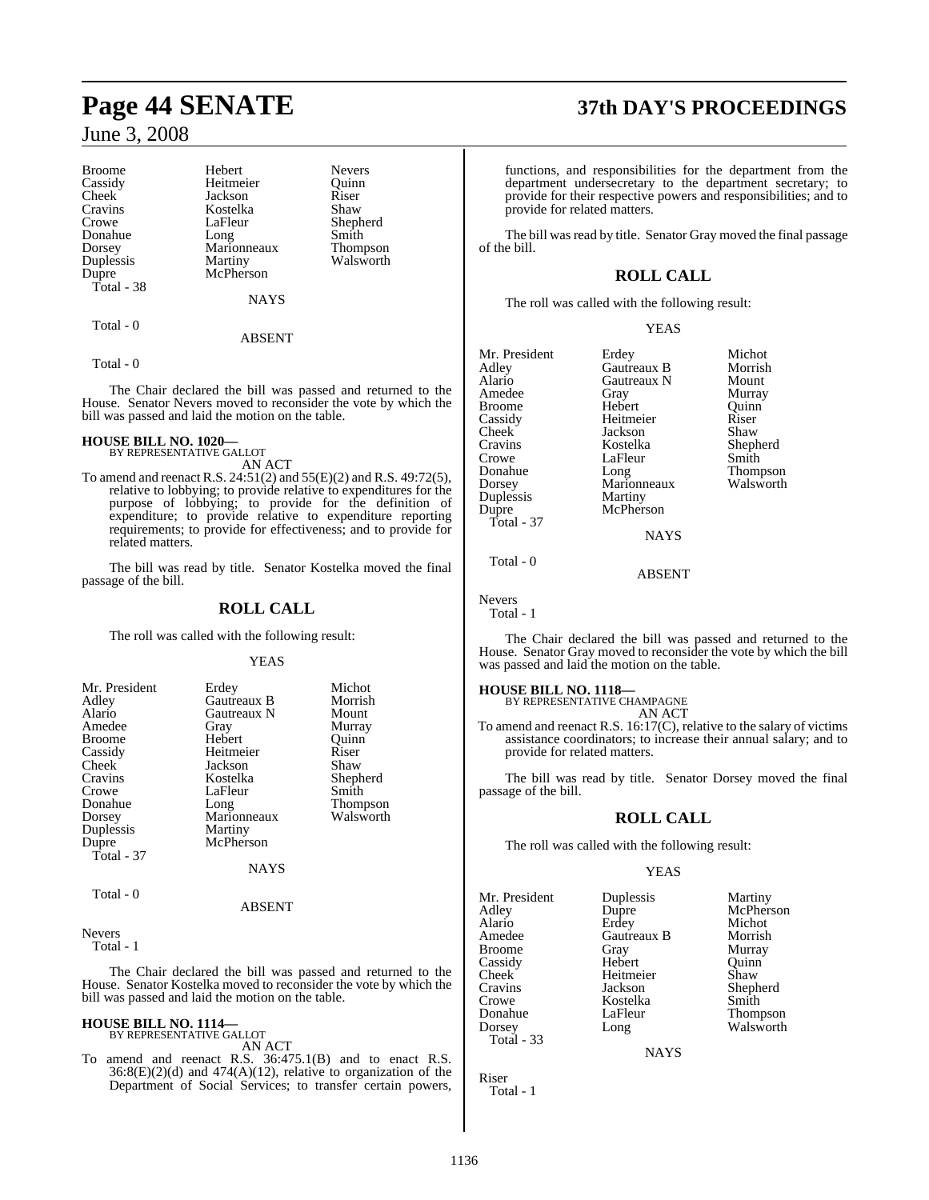| Hebert      | <b>Nevers</b> |
|-------------|---------------|
| Heitmeier   | Ouinn         |
| Jackson     | Riser         |
| Kostelka    | Shaw          |
| LaFleur     | Shepherd      |
| Long        | Smith         |
| Marionneaux | Thompson      |
|             | Walsworth     |
| McPherson   |               |
|             |               |
| <b>NAYS</b> |               |
|             | Martiny       |

Total - 0

#### **ABSENT**

Total - 0

The Chair declared the bill was passed and returned to the House. Senator Nevers moved to reconsider the vote by which the bill was passed and laid the motion on the table.

### **HOUSE BILL NO. 1020—** BY REPRESENTATIVE GALLOT

- AN ACT
- To amend and reenact R.S. 24:51(2) and 55(E)(2) and R.S. 49:72(5), relative to lobbying; to provide relative to expenditures for the purpose of lobbying; to provide for the definition of expenditure; to provide relative to expenditure reporting requirements; to provide for effectiveness; and to provide for related matters.

The bill was read by title. Senator Kostelka moved the final passage of the bill.

### **ROLL CALL**

The roll was called with the following result:

#### YEAS

| Mr. President | Erdey              | Michot          |
|---------------|--------------------|-----------------|
| Adley         | <b>Gautreaux B</b> | Morrish         |
|               |                    |                 |
| Alario        | Gautreaux N        | Mount           |
| Amedee        | Gray               | Murray          |
| <b>Broome</b> | Hebert             | Ouinn           |
| Cassidy       | Heitmeier          | Riser           |
| Cheek         | Jackson            | Shaw            |
| Cravins       | Kostelka           | Shepherd        |
| Crowe         | LaFleur            | Smith           |
| Donahue       | Long               | <b>Thompson</b> |
| Dorsey        | Marionneaux        | Walsworth       |
| Duplessis     | Martiny            |                 |
| Dupre         | McPherson          |                 |
| Total - 37    |                    |                 |
|               | <b>NAYS</b>        |                 |
|               |                    |                 |

Total - 0

#### ABSENT

Nevers

Total - 1

The Chair declared the bill was passed and returned to the House. Senator Kostelka moved to reconsider the vote by which the bill was passed and laid the motion on the table.

#### **HOUSE BILL NO. 1114—** BY REPRESENTATIVE GALLOT

AN ACT

To amend and reenact R.S. 36:475.1(B) and to enact R.S.  $36:8(E)(2)$ (d) and  $474(A)(12)$ , relative to organization of the Department of Social Services; to transfer certain powers,

## **Page 44 SENATE 37th DAY'S PROCEEDINGS**

functions, and responsibilities for the department from the department undersecretary to the department secretary; to provide for their respective powers and responsibilities; and to provide for related matters.

The bill was read by title. Senator Gray moved the final passage of the bill.

### **ROLL CALL**

The roll was called with the following result:

|  | v |
|--|---|
|  |   |

| Mr. President<br>Adley<br>Alario<br>Amedee<br>Broome<br>Cassidy<br>Cheek<br>Cravins<br>Crowe<br>Donahue<br>Dorsey<br>Duplessis | Erdey<br>Gautreaux B<br>Gautreaux N<br>Gray<br>Hebert<br>Heitmeier<br>Jackson<br>Kostelka<br>LaFleur<br>Long<br>Marionneaux<br>Martiny | Michot<br>Morrish<br>Mount<br>Murray<br>Ouinn<br>Riser<br>Shaw<br>Shepherd<br>Smith<br>Thompson<br>Walsworth |
|--------------------------------------------------------------------------------------------------------------------------------|----------------------------------------------------------------------------------------------------------------------------------------|--------------------------------------------------------------------------------------------------------------|
| Dupre                                                                                                                          | McPherson                                                                                                                              |                                                                                                              |
| Total - 37                                                                                                                     |                                                                                                                                        |                                                                                                              |
|                                                                                                                                | <b>NAYS</b>                                                                                                                            |                                                                                                              |

Total - 0

Nevers

Total - 1

The Chair declared the bill was passed and returned to the House. Senator Gray moved to reconsider the vote by which the bill was passed and laid the motion on the table.

ABSENT

## **HOUSE BILL NO. 1118—** BY REPRESENTATIVE CHAMPAGNE

AN ACT

To amend and reenact R.S. 16:17(C), relative to the salary of victims assistance coordinators; to increase their annual salary; and to provide for related matters.

The bill was read by title. Senator Dorsey moved the final passage of the bill.

### **ROLL CALL**

The roll was called with the following result:

#### YEAS

Mr. President Duplessis Martiny<br>Adley Dupre McPher: Adley Dupre McPherson<br>Alario Erdey Michot Alario Erdey Michot Amedee Gautreaux B<br>Broome Gray Cassidy Hebert Quinn<br>
Cheek Heitmeier Shaw Cheek Heitmeier<br>Cravins Jackson Cravins Jackson Shepherd Crowe Kostelka Smith<br>
Donahue LaFleur Thom Donahue LaFleur Thompson Total - 33

Murray Long Walsworth

**NAYS** 

Riser Total - 1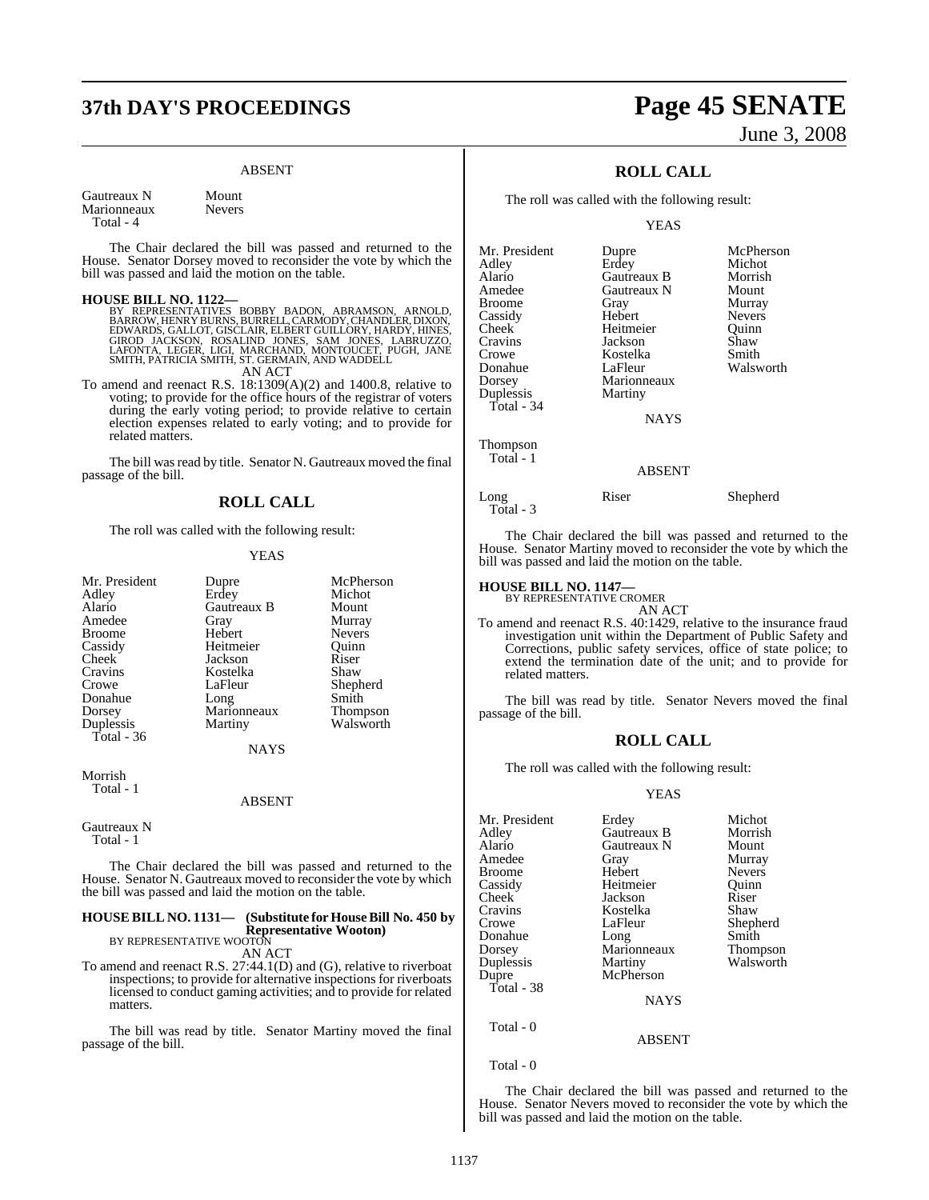# **37th DAY'S PROCEEDINGS Page 45 SENATE**

#### ABSENT

Gautreaux N Mount<br>Marionneaux Nevers Marionneaux Total - 4

The Chair declared the bill was passed and returned to the House. Senator Dorsey moved to reconsider the vote by which the bill was passed and laid the motion on the table.

#### **HOUSE BILL NO. 1122—**

BY REPRESENTATIVES BOBBY BADON, ABRAMSON, ARNOLD,<br>BARROW,HENRYBURNS,BURRELL,CARMODY,CHANDLER,DIXON,<br>EDWARDS,GALLOT,GISCLAIR,ELBERT GUILLORY,HARDY,HINES,<br>GIROD JACKSON, ROSALIND JONES, SAM JONES, LABRUZZO,<br>LAFONTA, LEGER, L

AN ACT

To amend and reenact R.S. 18:1309(A)(2) and 1400.8, relative to voting; to provide for the office hours of the registrar of voters during the early voting period; to provide relative to certain election expenses related to early voting; and to provide for related matters.

The bill was read by title. Senator N. Gautreaux moved the final passage of the bill.

#### **ROLL CALL**

The roll was called with the following result:

#### YEAS

| Mr. President<br>Adley<br>Alario<br>Amedee<br><b>Broome</b><br>Cassidy<br>Cheek<br>Cravins<br>Crowe | Dupre<br>Erdey<br>Gautreaux B<br>Gray<br>Hebert<br>Heitmeier<br>Jackson<br>Kostelka<br>LaFleur | McPherson<br>Michot<br>Mount<br>Murray<br><b>Nevers</b><br>Ouinn<br>Riser<br>Shaw<br>Shepherd |
|-----------------------------------------------------------------------------------------------------|------------------------------------------------------------------------------------------------|-----------------------------------------------------------------------------------------------|
|                                                                                                     |                                                                                                |                                                                                               |
|                                                                                                     |                                                                                                |                                                                                               |
|                                                                                                     |                                                                                                |                                                                                               |
|                                                                                                     |                                                                                                |                                                                                               |
| Donahue                                                                                             | Long                                                                                           | Smith                                                                                         |
| Dorsey                                                                                              | Marionneaux                                                                                    | <b>Thompson</b>                                                                               |
| Duplessis<br>Total - $36$                                                                           | Martiny                                                                                        | Walsworth                                                                                     |
|                                                                                                     | <b>NAYS</b>                                                                                    |                                                                                               |
| $\cdots$                                                                                            |                                                                                                |                                                                                               |

Morrish Total - 1

#### ABSENT

Gautreaux N Total - 1

The Chair declared the bill was passed and returned to the House. Senator N. Gautreaux moved to reconsider the vote by which the bill was passed and laid the motion on the table.

### **HOUSE BILL NO. 1131— (Substitute for HouseBill No. 450 by Representative Wooton)** BY REPRESENTATIVE WOOTON

AN ACT

To amend and reenact R.S. 27:44.1(D) and (G), relative to riverboat inspections; to provide for alternative inspections for riverboats licensed to conduct gaming activities; and to provide for related matters.

The bill was read by title. Senator Martiny moved the final passage of the bill.

# June 3, 2008

### **ROLL CALL**

The roll was called with the following result:

YEAS

| Mr. President | Dupre         | McPherson     |
|---------------|---------------|---------------|
| Adley         | Erdey         | Michot        |
| Alario        | Gautreaux B   | Morrish       |
| Amedee        | Gautreaux N   | Mount         |
| Broome        | Gray          | Murray        |
| Cassidy       | Hebert        | <b>Nevers</b> |
| Cheek         | Heitmeier     | Ouinn         |
| Cravins       | Jackson       | Shaw          |
| Crowe         | Kostelka      | Smith         |
| Donahue       | LaFleur       | Walsworth     |
| Dorsey        | Marionneaux   |               |
| Duplessis     | Martiny       |               |
| Total - 34    |               |               |
|               | <b>NAYS</b>   |               |
| Thompson      |               |               |
| Total - 1     |               |               |
|               | <b>ABSENT</b> |               |

Long Riser Shepherd

The Chair declared the bill was passed and returned to the House. Senator Martiny moved to reconsider the vote by which the bill was passed and laid the motion on the table.

### **HOUSE BILL NO. 1147—** BY REPRESENTATIVE CROMER

Total - 3

AN ACT

To amend and reenact R.S. 40:1429, relative to the insurance fraud investigation unit within the Department of Public Safety and Corrections, public safety services, office of state police; to extend the termination date of the unit; and to provide for related matters.

The bill was read by title. Senator Nevers moved the final passage of the bill.

#### **ROLL CALL**

The roll was called with the following result:

#### YEAS

| Mr. President | Erdey       | Michot        |
|---------------|-------------|---------------|
|               |             |               |
| Adley         | Gautreaux B | Morrish       |
| Alario        | Gautreaux N | Mount         |
| Amedee        | Gray        | Murray        |
| <b>Broome</b> | Hebert      | <b>Nevers</b> |
| Cassidy       | Heitmeier   | Ouinn         |
| Cheek         | Jackson     | Riser         |
| Cravins       | Kostelka    | Shaw          |
| Crowe         | LaFleur     | Shepherd      |
| Donahue       | Long        | Smith         |
| Dorsey        | Marionneaux | Thompson      |
| Duplessis     | Martiny     | Walsworth     |
| Dupre         | McPherson   |               |
| Total - 38    |             |               |
|               | <b>NAYS</b> |               |
| Total - 0     |             |               |
|               | ABSENT      |               |

Total - 0

The Chair declared the bill was passed and returned to the House. Senator Nevers moved to reconsider the vote by which the bill was passed and laid the motion on the table.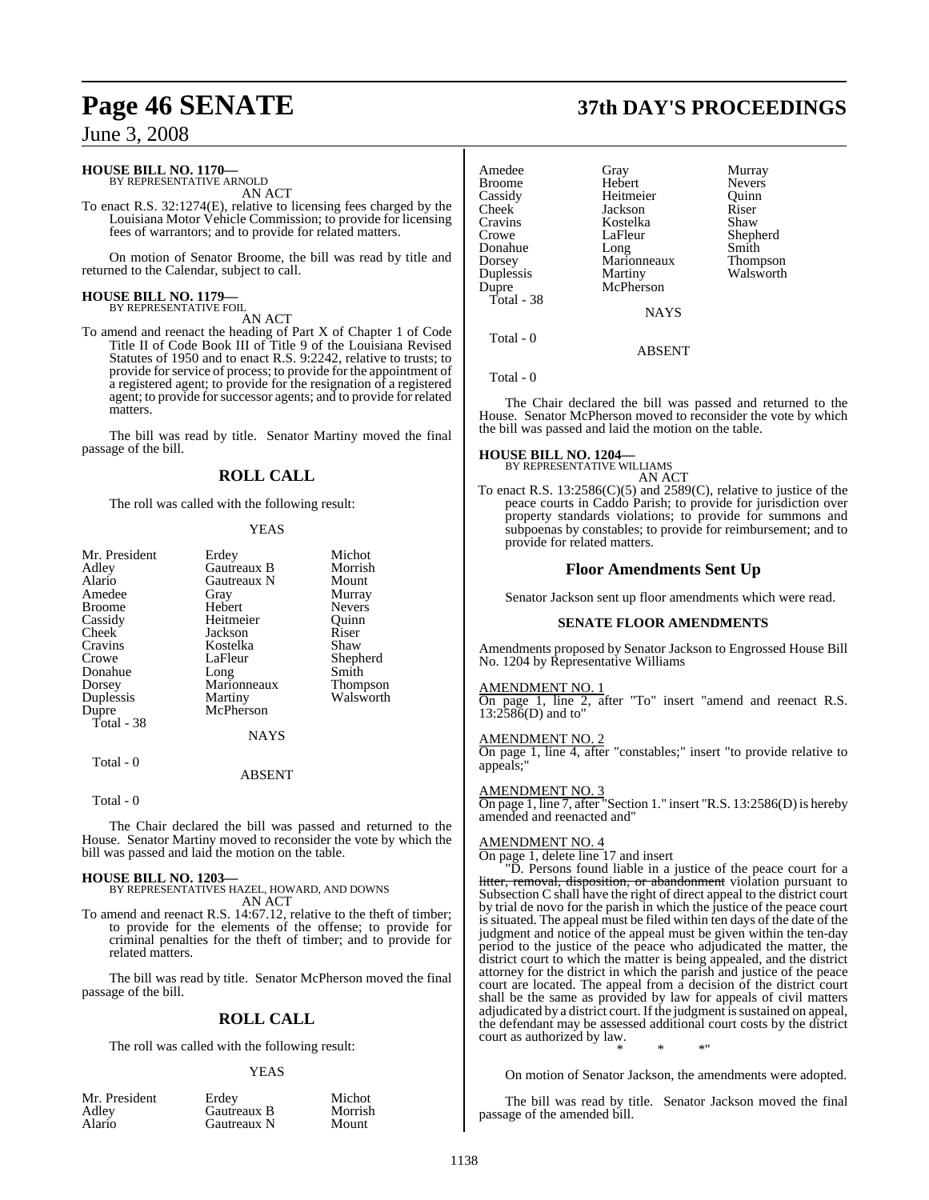### **HOUSE BILL NO. 1170—** BY REPRESENTATIVE ARNOLD

AN ACT

To enact R.S. 32:1274(E), relative to licensing fees charged by the Louisiana Motor Vehicle Commission; to provide for licensing fees of warrantors; and to provide for related matters.

On motion of Senator Broome, the bill was read by title and returned to the Calendar, subject to call.

## **HOUSE BILL NO. 1179—** BY REPRESENTATIVE FOIL

AN ACT

To amend and reenact the heading of Part X of Chapter 1 of Code Title II of Code Book III of Title 9 of the Louisiana Revised Statutes of 1950 and to enact R.S. 9:2242, relative to trusts; to provide for service of process; to provide for the appointment of a registered agent; to provide for the resignation of a registered agent; to provide for successor agents; and to provide for related matters.

The bill was read by title. Senator Martiny moved the final passage of the bill.

### **ROLL CALL**

The roll was called with the following result:

#### **YEAS**

| Mr. President | Erdey       | Michot          |
|---------------|-------------|-----------------|
| Adley         | Gautreaux B | Morrish         |
| Alario        | Gautreaux N | Mount           |
| Amedee        | Gray        | Murray          |
| <b>Broome</b> | Hebert      | <b>Nevers</b>   |
| Cassidy       | Heitmeier   | Ouinn           |
| Cheek         | Jackson     | Riser           |
| Cravins       | Kostelka    | Shaw            |
| Crowe         | LaFleur     | Shepherd        |
| Donahue       | Long        | Smith           |
| Dorsey        | Marionneaux | <b>Thompson</b> |
| Duplessis     | Martiny     | Walsworth       |
| Dupre         | McPherson   |                 |
| Total - 38    |             |                 |
|               | <b>NAYS</b> |                 |

 Total - 0 ABSENT

#### Total - 0

The Chair declared the bill was passed and returned to the House. Senator Martiny moved to reconsider the vote by which the bill was passed and laid the motion on the table.

**HOUSE BILL NO. 1203—** BY REPRESENTATIVES HAZEL, HOWARD, AND DOWNS AN ACT

To amend and reenact R.S. 14:67.12, relative to the theft of timber; to provide for the elements of the offense; to provide for criminal penalties for the theft of timber; and to provide for related matters.

The bill was read by title. Senator McPherson moved the final passage of the bill.

### **ROLL CALL**

The roll was called with the following result:

#### YEAS

| Mr. President |  |  |
|---------------|--|--|
| Adley         |  |  |
| Alario        |  |  |

Mr. President Erdey Michot Gautreaux B Morrish<br>
Gautreaux N Mount Gautreaux N

### **Page 46 SENATE 37th DAY'S PROCEEDINGS**

| Amedee<br>Broome<br>Cassidy | Gray<br>Hebert<br>Heitmeier | Murray<br><b>Nevers</b><br>Ouinn |
|-----------------------------|-----------------------------|----------------------------------|
| Cheek                       | Jackson                     | Riser                            |
| Cravins                     | Kostelka                    | Shaw                             |
| Crowe                       | LaFleur                     | Shepherd                         |
| Donahue                     | Long                        | Smith                            |
| Dorsey                      | Marionneaux                 | Thompson                         |
| Duplessis                   | Martiny                     | Walsworth                        |
| Dupre                       | McPherson                   |                                  |
| Total - 38                  | <b>NAYS</b>                 |                                  |

 $Total = 0$ 

Total - 0

The Chair declared the bill was passed and returned to the House. Senator McPherson moved to reconsider the vote by which the bill was passed and laid the motion on the table.

ABSENT

### **HOUSE BILL NO. 1204—** BY REPRESENTATIVE WILLIAMS

AN ACT To enact R.S. 13:2586(C)(5) and 2589(C), relative to justice of the peace courts in Caddo Parish; to provide for jurisdiction over property standards violations; to provide for summons and subpoenas by constables; to provide for reimbursement; and to provide for related matters.

#### **Floor Amendments Sent Up**

Senator Jackson sent up floor amendments which were read.

#### **SENATE FLOOR AMENDMENTS**

Amendments proposed by Senator Jackson to Engrossed House Bill No. 1204 by Representative Williams

#### AMENDMENT NO. 1

On page 1, line 2, after "To" insert "amend and reenact R.S. 13:2586(D) and to"

#### AMENDMENT NO. 2

On page 1, line 4, after "constables;" insert "to provide relative to appeals;"

#### AMENDMENT NO. 3

On page 1, line 7, after "Section 1." insert "R.S. 13:2586(D) is hereby amended and reenacted and"

#### AMENDMENT NO. 4

On page 1, delete line 17 and insert

"D. Persons found liable in a justice of the peace court for a litter, removal, disposition, or abandonment violation pursuant to Subsection C shall have the right of direct appeal to the district court by trial de novo for the parish in which the justice of the peace court is situated. The appeal must be filed within ten days of the date of the judgment and notice of the appeal must be given within the ten-day period to the justice of the peace who adjudicated the matter, the district court to which the matter is being appealed, and the district attorney for the district in which the parish and justice of the peace court are located. The appeal from a decision of the district court shall be the same as provided by law for appeals of civil matters adjudicated by a district court. If the judgment is sustained on appeal, the defendant may be assessed additional court costs by the district court as authorized by law. \* \* \*"

On motion of Senator Jackson, the amendments were adopted.

The bill was read by title. Senator Jackson moved the final passage of the amended bill.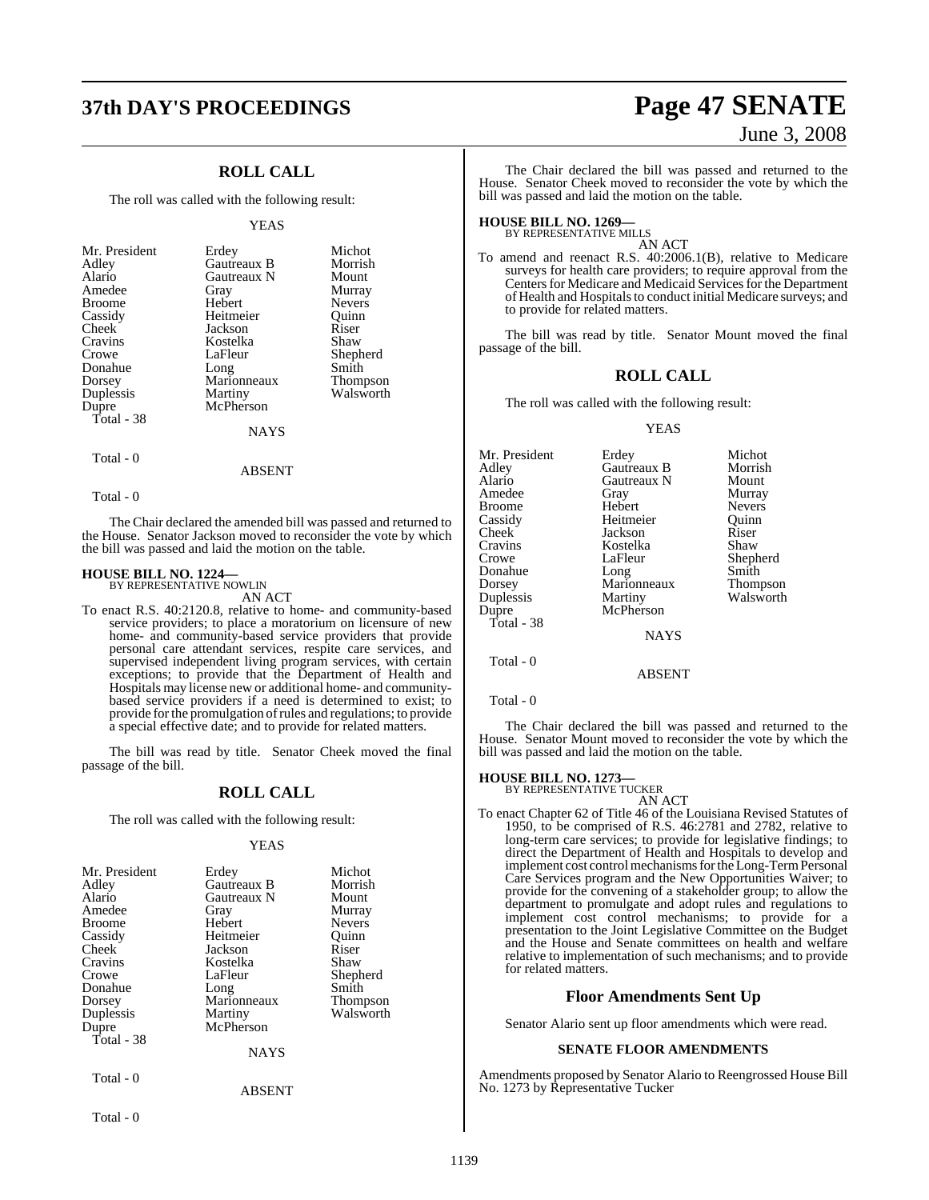## **37th DAY'S PROCEEDINGS Page 47 SENATE**

### **ROLL CALL**

The roll was called with the following result:

#### YEAS

| Mr. President<br>Adley<br>Alario<br>Amedee<br><b>Broome</b><br>Cassidy<br>Cheek<br>Cravins<br>Crowe<br>Donahue<br>Dorsey<br>Duplessis<br>Dupre | Erdey<br>Gautreaux B<br>Gautreaux N<br>Gray<br>Hebert<br>Heitmeier<br>Jackson<br>Kostelka<br>LaFleur<br>Long<br>Marionneaux<br>Martiny<br>McPherson | Michot<br>Morrish<br>Mount<br>Murray<br><b>Nevers</b><br>Ouinn<br>Riser<br>Shaw<br>Shepherd<br>Smith<br><b>Thompson</b><br>Walsworth |
|------------------------------------------------------------------------------------------------------------------------------------------------|-----------------------------------------------------------------------------------------------------------------------------------------------------|--------------------------------------------------------------------------------------------------------------------------------------|
| Total - 38                                                                                                                                     | <b>NAYS</b>                                                                                                                                         |                                                                                                                                      |

### Total - 0

Total - 0

The Chair declared the amended bill was passed and returned to the House. Senator Jackson moved to reconsider the vote by which the bill was passed and laid the motion on the table.

ABSENT

### **HOUSE BILL NO. 1224—** BY REPRESENTATIVE NOWLIN

AN ACT

To enact R.S. 40:2120.8, relative to home- and community-based service providers; to place a moratorium on licensure of new home- and community-based service providers that provide personal care attendant services, respite care services, and supervised independent living program services, with certain exceptions; to provide that the Department of Health and Hospitals may license new or additional home- and communitybased service providers if a need is determined to exist; to provide forthe promulgation ofrules and regulations; to provide a special effective date; and to provide for related matters.

The bill was read by title. Senator Cheek moved the final passage of the bill.

### **ROLL CALL**

The roll was called with the following result:

#### YEAS

| Mr. President<br>Adley<br>Alario<br>Amedee<br><b>Broome</b><br>Cassidy<br>Cheek<br>Cravins<br>Crowe<br>Donahue<br>Dorsey<br>Duplessis<br>Dupre<br>Total - 38 | Erdey<br>Gautreaux B<br>Gautreaux N<br>Gray<br>Hebert<br>Heitmeier<br>Jackson<br>Kostelka<br>LaFleur<br>Long<br>Marionneaux<br>Martiny<br>McPherson<br><b>NAYS</b> | Michot<br>Morrish<br>Mount<br>Murray<br><b>Nevers</b><br>Ouinn<br>Riser<br>Shaw<br>Shepherd<br>Smith<br><b>Thompson</b><br>Walsworth |
|--------------------------------------------------------------------------------------------------------------------------------------------------------------|--------------------------------------------------------------------------------------------------------------------------------------------------------------------|--------------------------------------------------------------------------------------------------------------------------------------|
| Total - 0                                                                                                                                                    | <b>ABSENT</b>                                                                                                                                                      |                                                                                                                                      |

Total - 0

# June 3, 2008

The Chair declared the bill was passed and returned to the House. Senator Cheek moved to reconsider the vote by which the bill was passed and laid the motion on the table.

### **HOUSE BILL NO. 1269—** BY REPRESENTATIVE MILLS

AN ACT

To amend and reenact R.S. 40:2006.1(B), relative to Medicare surveys for health care providers; to require approval from the Centers for Medicare and Medicaid Services for the Department of Health and Hospitals to conduct initial Medicare surveys; and to provide for related matters.

The bill was read by title. Senator Mount moved the final passage of the bill.

#### **ROLL CALL**

The roll was called with the following result:

#### YEAS

| Mr. President | Erdey       | Michot          |
|---------------|-------------|-----------------|
| Adley         | Gautreaux B | Morrish         |
| Alario        | Gautreaux N | Mount           |
| Amedee        | Gray        | Murray          |
| Broome        | Hebert      | <b>Nevers</b>   |
| Cassidy       | Heitmeier   | Ouinn           |
| Cheek         | Jackson     | Riser           |
| Cravins       | Kostelka    | Shaw            |
| Crowe         | LaFleur     | Shepherd        |
| Donahue       | Long        | Smith           |
| Dorsey        | Marionneaux | <b>Thompson</b> |
| Duplessis     | Martiny     | Walsworth       |
| Dupre         | McPherson   |                 |
| Total - 38    |             |                 |
|               | <b>NAYS</b> |                 |
| Total - 0     |             |                 |
|               | ARSENT      |                 |

Total - 0

The Chair declared the bill was passed and returned to the House. Senator Mount moved to reconsider the vote by which the bill was passed and laid the motion on the table.

### **HOUSE BILL NO. 1273—** BY REPRESENTATIVE TUCKER

AN ACT

To enact Chapter 62 of Title 46 of the Louisiana Revised Statutes of 1950, to be comprised of R.S. 46:2781 and 2782, relative to long-term care services; to provide for legislative findings; to direct the Department of Health and Hospitals to develop and implement cost control mechanisms for the Long-Term Personal Care Services program and the New Opportunities Waiver; to provide for the convening of a stakeholder group; to allow the department to promulgate and adopt rules and regulations to implement cost control mechanisms; to provide for a presentation to the Joint Legislative Committee on the Budget and the House and Senate committees on health and welfare relative to implementation of such mechanisms; and to provide for related matters.

#### **Floor Amendments Sent Up**

Senator Alario sent up floor amendments which were read.

#### **SENATE FLOOR AMENDMENTS**

Amendments proposed by Senator Alario to Reengrossed House Bill No. 1273 by Representative Tucker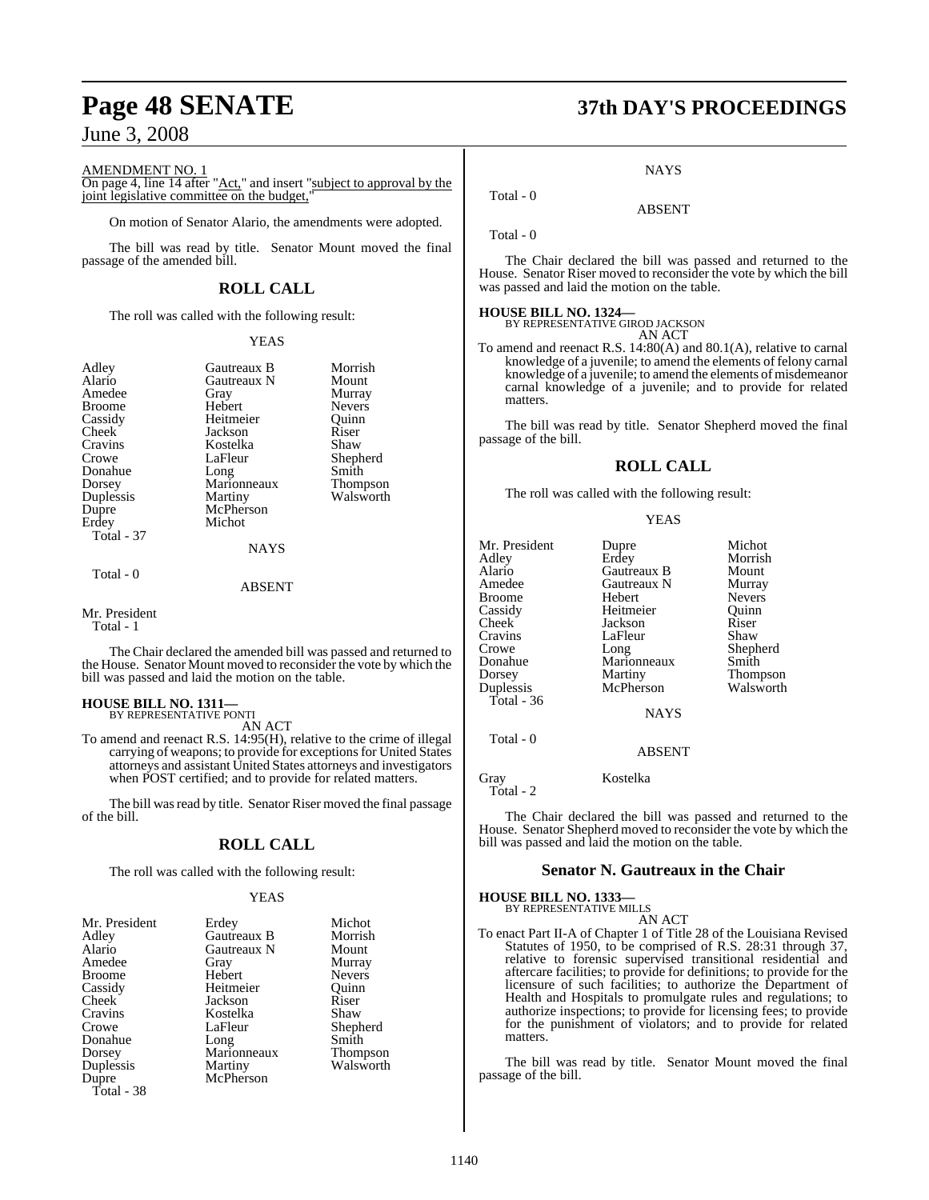AMENDMENT NO. 1

On page 4, line 14 after "<u>Act</u>," and insert "subject to approval by the joint legislative committee on the budget.

On motion of Senator Alario, the amendments were adopted.

The bill was read by title. Senator Mount moved the final passage of the amended bill.

### **ROLL CALL**

The roll was called with the following result:

#### YEAS

| Adley         | Gautreaux B | Morrish       |
|---------------|-------------|---------------|
| Alario        | Gautreaux N | Mount         |
| Amedee        | Gray        | Murray        |
| <b>Broome</b> | Hebert      | <b>Nevers</b> |
| Cassidy       | Heitmeier   | Ouinn         |
| Cheek         | Jackson     | Riser         |
| Cravins       | Kostelka    | Shaw          |
| Crowe         | LaFleur     | Shepherd      |
| Donahue       | Long        | Smith         |
| Dorsey        | Marionneaux | Thompson      |
| Duplessis     | Martiny     | Walsworth     |
| Dupre         | McPherson   |               |
| Erdey         | Michot      |               |
| Total - 37    |             |               |
|               | NAYS        |               |
| Total - 0     |             |               |

#### ABSENT

#### Mr. President Total - 1

The Chair declared the amended bill was passed and returned to the House. Senator Mount moved to reconsider the vote by which the bill was passed and laid the motion on the table.

#### **HOUSE BILL NO. 1311—** BY REPRESENTATIVE PONTI

AN ACT

To amend and reenact R.S. 14:95(H), relative to the crime of illegal carrying of weapons; to provide for exceptions for United States attorneys and assistant United States attorneys and investigators when POST certified; and to provide for related matters.

The bill was read by title. Senator Riser moved the final passage of the bill.

### **ROLL CALL**

The roll was called with the following result:

#### YEAS

| Mr. President | Erdey       | Michot        |
|---------------|-------------|---------------|
| Adley         | Gautreaux B | Morrish       |
| Alario        | Gautreaux N | Mount         |
| Amedee        | Gray        | Murray        |
| <b>Broome</b> | Hebert      | <b>Nevers</b> |
| Cassidy       | Heitmeier   | Ouinn         |
| Cheek         | Jackson     | Riser         |
| Cravins       | Kostelka    | Shaw          |
| Crowe         | LaFleur     | Shepherd      |
| Donahue       | Long        | Smith         |
| Dorsey        | Marionneaux | Thompson      |
| Duplessis     | Martiny     | Walsworth     |
| Dupre         | McPherson   |               |
| Total - 38    |             |               |

# **Page 48 SENATE 37th DAY'S PROCEEDINGS**

**NAYS** 

ABSENT

Total - 0

Total - 0

The Chair declared the bill was passed and returned to the House. Senator Riser moved to reconsider the vote by which the bill was passed and laid the motion on the table.

**HOUSE BILL NO. 1324—** BY REPRESENTATIVE GIROD JACKSON AN ACT

To amend and reenact R.S. 14:80(A) and 80.1(A), relative to carnal knowledge of a juvenile; to amend the elements of felony carnal knowledge of a juvenile; to amend the elements of misdemeanor carnal knowledge of a juvenile; and to provide for related matters.

The bill was read by title. Senator Shepherd moved the final passage of the bill.

#### **ROLL CALL**

The roll was called with the following result:

#### YEAS

| Mr. President<br>Adley<br>Alario<br>Amedee<br><b>Broome</b><br>Cassidy<br><b>Cheek</b><br>Cravins<br>Crowe | Dupre<br>Erdey<br>Gautreaux B<br>Gautreaux N<br>Hebert<br>Heitmeier<br>Jackson<br>LaFleur<br>Long | Michot<br>Morrish<br>Mount<br>Murray<br><b>Nevers</b><br>Ouinn<br>Riser<br>Shaw<br>Shepherd |
|------------------------------------------------------------------------------------------------------------|---------------------------------------------------------------------------------------------------|---------------------------------------------------------------------------------------------|
| Donahue<br>Dorsey                                                                                          | Marionneaux<br>Martiny                                                                            | Smith<br>Thompson                                                                           |
| Duplessis<br>Total - $36$                                                                                  | McPherson                                                                                         | Walsworth                                                                                   |
|                                                                                                            | <b>NAYS</b>                                                                                       |                                                                                             |
| Total - 0                                                                                                  | ABSENT                                                                                            |                                                                                             |

Gray Kostelka

Total - 2

The Chair declared the bill was passed and returned to the House. Senator Shepherd moved to reconsider the vote by which the bill was passed and laid the motion on the table.

### **Senator N. Gautreaux in the Chair**

### **HOUSE BILL NO. 1333—** BY REPRESENTATIVE MILLS AN ACT

To enact Part II-A of Chapter 1 of Title 28 of the Louisiana Revised Statutes of 1950, to be comprised of R.S. 28:31 through 37, relative to forensic supervised transitional residential and aftercare facilities; to provide for definitions; to provide for the licensure of such facilities; to authorize the Department of Health and Hospitals to promulgate rules and regulations; to authorize inspections; to provide for licensing fees; to provide for the punishment of violators; and to provide for related matters.

The bill was read by title. Senator Mount moved the final passage of the bill.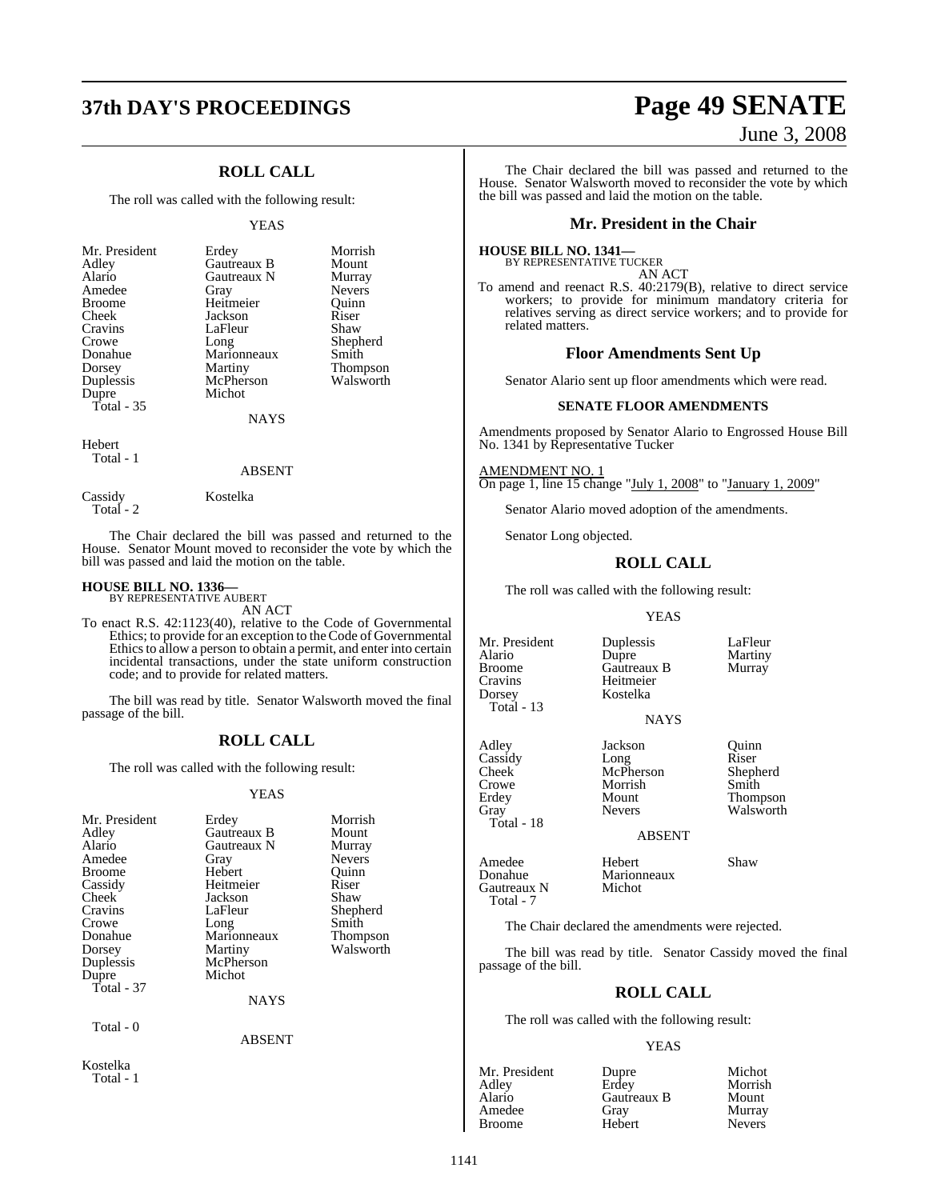# **37th DAY'S PROCEEDINGS Page 49 SENATE**

### **ROLL CALL**

The roll was called with the following result:

#### YEAS

| Mr. President | Erdey       | Morrish       |
|---------------|-------------|---------------|
| Adley         | Gautreaux B | Mount         |
| Alario        | Gautreaux N | Murray        |
| Amedee        | Gray        | <b>Nevers</b> |
| <b>Broome</b> | Heitmeier   | Ouinn         |
| Cheek         | Jackson     | Riser         |
| Cravins       | LaFleur     | Shaw          |
| Crowe         | Long        | Shepherd      |
| Donahue       | Marionneaux | Smith         |
| Dorsey        | Martiny     | Thompson      |
| Duplessis     | McPherson   | Walsworth     |
| Dupre         | Michot      |               |
| Total - 35    |             |               |
|               | NAYS        |               |

Hebert Total - 1

#### ABSENT

 Total - 2 The Chair declared the bill was passed and returned to the

House. Senator Mount moved to reconsider the vote by which the bill was passed and laid the motion on the table.

### **HOUSE BILL NO. 1336—** BY REPRESENTATIVE AUBERT

Cassidy Kostelka

AN ACT

To enact R.S. 42:1123(40), relative to the Code of Governmental Ethics; to provide for an exception to the Code of Governmental Ethics to allow a person to obtain a permit, and enter into certain incidental transactions, under the state uniform construction code; and to provide for related matters.

The bill was read by title. Senator Walsworth moved the final passage of the bill.

#### **ROLL CALL**

The roll was called with the following result:

#### YEAS

| Mr. President<br>Adley<br>Alario<br>Amedee<br>Broome<br>Cassidy<br>Cheek<br>Cravins<br>Crowe<br>Donahue<br>Dorsey<br>Duplessis<br>Dupre<br>Total - 37 | Erdey<br>Gautreaux B<br>Gautreaux N<br>Gray<br>Hebert<br>Heitmeier<br>Jackson<br>LaFleur<br>Long<br>Marionneaux<br>Martiny<br>McPherson<br>Michot | Morrish<br>Mount<br>Murray<br>Nevers<br>Quinn<br>Riser<br>Shaw<br>Shepherd<br>Smith<br>Thompson<br>Walsworth |  |
|-------------------------------------------------------------------------------------------------------------------------------------------------------|---------------------------------------------------------------------------------------------------------------------------------------------------|--------------------------------------------------------------------------------------------------------------|--|
|                                                                                                                                                       | NAYS                                                                                                                                              |                                                                                                              |  |
| Total - 0                                                                                                                                             | ABSENT                                                                                                                                            |                                                                                                              |  |
| Kostelka<br>Total - 1                                                                                                                                 |                                                                                                                                                   |                                                                                                              |  |

# June 3, 2008

The Chair declared the bill was passed and returned to the House. Senator Walsworth moved to reconsider the vote by which the bill was passed and laid the motion on the table.

#### **Mr. President in the Chair**

#### **HOUSE BILL NO. 1341—**

BY REPRESENTATIVE TUCKER

AN ACT To amend and reenact R.S. 40:2179(B), relative to direct service workers; to provide for minimum mandatory criteria for relatives serving as direct service workers; and to provide for related matters.

#### **Floor Amendments Sent Up**

Senator Alario sent up floor amendments which were read.

#### **SENATE FLOOR AMENDMENTS**

Amendments proposed by Senator Alario to Engrossed House Bill No. 1341 by Representative Tucker

AMENDMENT NO. 1 On page 1, line 15 change "July 1, 2008" to "January 1, 2009"

Senator Alario moved adoption of the amendments.

Senator Long objected.

#### **ROLL CALL**

The roll was called with the following result:

#### YEAS

Broome Gautreaux B<br>Cravins Heitmeier Dorsey Total - 13

Total - 18

Gautreaux N Total - 7

Mr. President Duplessis LaFleur<br>Alario Dupre Martiny Alario Dupre Martiny Heitmeier<br>Kostelka

#### **NAYS**

Adley Jackson Quinn<br>Cassidy Long Riser Cassidy Long Riser Cheek McPherson Shepherd Crowe Morrish Smith<br>Erdey Mount Thom Erdey Mount Thompson<br>Gray Nevers Walsworth

ABSENT

Amedee Hebert Shaw<br>Donahue Marionneaux Marionneaux<br>Michot

Walsworth

The Chair declared the amendments were rejected.

The bill was read by title. Senator Cassidy moved the final passage of the bill.

#### **ROLL CALL**

The roll was called with the following result:

#### YEAS

| Mr. President<br>Adlev | Dupre<br>Erdey | Michot<br>Morrish |
|------------------------|----------------|-------------------|
| Alario                 | Gautreaux B    | Mount             |
| Amedee                 | Gray           | Murray            |
| Broome                 | Hebert         | <b>Nevers</b>     |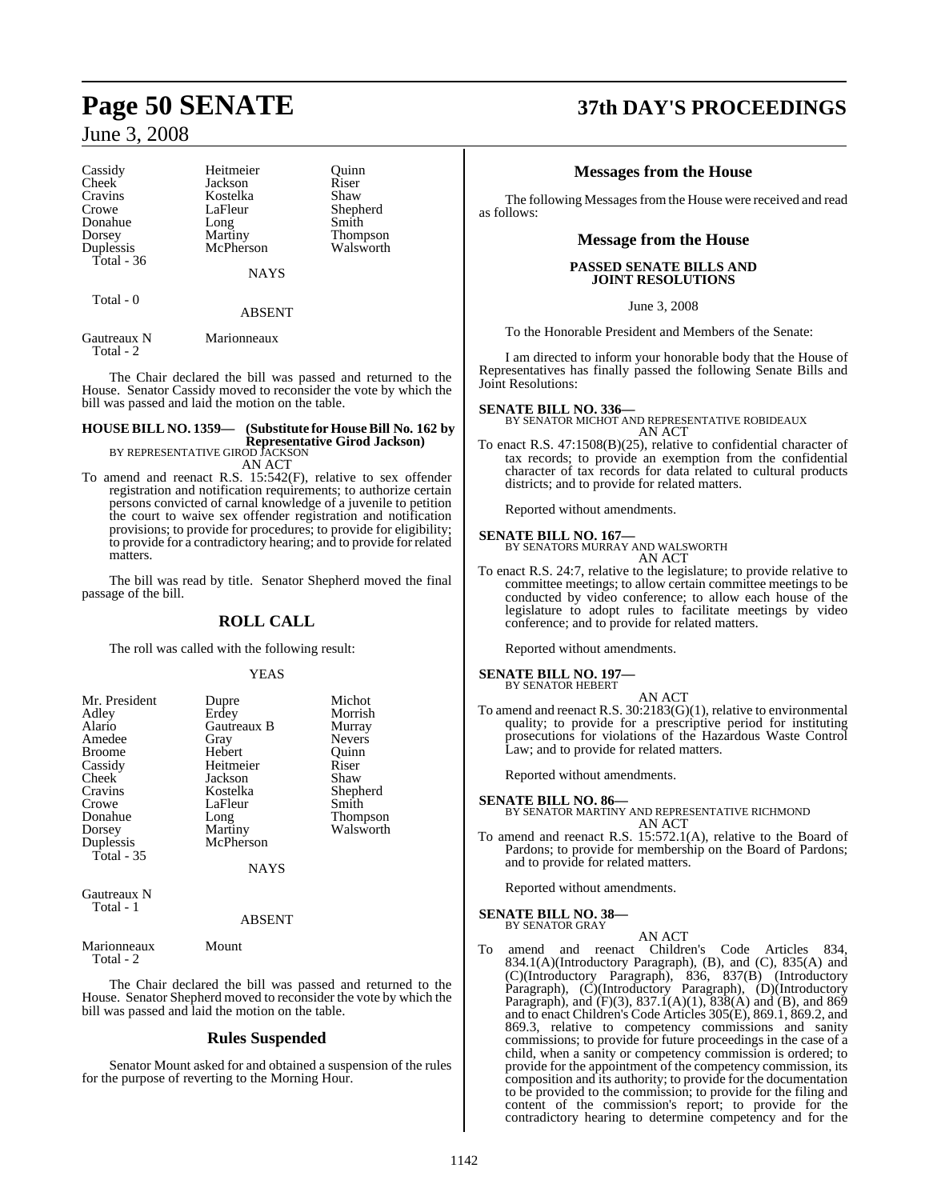| Cassidy<br><b>Cheek</b><br>Cravins<br>Crowe<br>Donahue<br>Dorsey<br>Duplessis<br>Total $-36$ | Heitmeier<br>Jackson<br>Kostelka<br>LaFleur<br>Long<br>Martiny<br>McPherson<br><b>NAYS</b> | Ouinn<br>Riser<br>Shaw<br>Shepherd<br>Smith<br><b>Thompson</b><br>Walsworth |
|----------------------------------------------------------------------------------------------|--------------------------------------------------------------------------------------------|-----------------------------------------------------------------------------|
| Total - 0                                                                                    | <b>ABSENT</b>                                                                              |                                                                             |
|                                                                                              |                                                                                            |                                                                             |

Gautreaux N Marionneaux Total - 2

The Chair declared the bill was passed and returned to the House. Senator Cassidy moved to reconsider the vote by which the bill was passed and laid the motion on the table.

### **HOUSE BILL NO. 1359— (Substitute for House Bill No. 162 by Representative Girod Jackson)** BY REPRESENTATIVE GIROD JACKSON

AN ACT

To amend and reenact R.S. 15:542(F), relative to sex offender registration and notification requirements; to authorize certain persons convicted of carnal knowledge of a juvenile to petition the court to waive sex offender registration and notification provisions; to provide for procedures; to provide for eligibility; to provide for a contradictory hearing; and to provide for related matters.

The bill was read by title. Senator Shepherd moved the final passage of the bill.

### **ROLL CALL**

The roll was called with the following result:

#### YEAS

| Mr. President           | Dupre       | Michot          |
|-------------------------|-------------|-----------------|
| Adley                   | Erdey       | Morrish         |
| Alario                  | Gautreaux B | Murray          |
| Amedee                  | Gray        | <b>Nevers</b>   |
| <b>Broome</b>           | Hebert      | Ouinn           |
| Cassidy                 | Heitmeier   | Riser           |
| Cheek                   | Jackson     | Shaw            |
| Cravins                 | Kostelka    | Shepherd        |
| Crowe                   | LaFleur     | Smith           |
| Donahue                 | Long        | <b>Thompson</b> |
| Dorsey                  | Martiny     | Walsworth       |
|                         | McPherson   |                 |
| Duplessis<br>Total - 35 |             |                 |
| <b>NAYS</b>             |             |                 |

Gautreaux N Total - 1

#### ABSENT

Marionneaux Mount Total - 2

The Chair declared the bill was passed and returned to the House. Senator Shepherd moved to reconsider the vote by which the bill was passed and laid the motion on the table.

### **Rules Suspended**

Senator Mount asked for and obtained a suspension of the rules for the purpose of reverting to the Morning Hour.

# **Page 50 SENATE 37th DAY'S PROCEEDINGS**

### **Messages from the House**

The following Messages from the House were received and read as follows:

#### **Message from the House**

#### **PASSED SENATE BILLS AND JOINT RESOLUTIONS**

June 3, 2008

To the Honorable President and Members of the Senate:

I am directed to inform your honorable body that the House of Representatives has finally passed the following Senate Bills and Joint Resolutions:

**SENATE BILL NO. 336—** BY SENATOR MICHOT AND REPRESENTATIVE ROBIDEAUX AN ACT

To enact R.S. 47:1508(B)(25), relative to confidential character of tax records; to provide an exemption from the confidential character of tax records for data related to cultural products districts; and to provide for related matters.

Reported without amendments.

**SENATE BILL NO. 167—** BY SENATORS MURRAY AND WALSWORTH AN ACT

To enact R.S. 24:7, relative to the legislature; to provide relative to committee meetings; to allow certain committee meetings to be conducted by video conference; to allow each house of the legislature to adopt rules to facilitate meetings by video conference; and to provide for related matters.

Reported without amendments.

#### **SENATE BILL NO. 197—** BY SENATOR HEBERT

AN ACT

To amend and reenact R.S. 30:2183(G)(1), relative to environmental quality; to provide for a prescriptive period for instituting prosecutions for violations of the Hazardous Waste Control Law; and to provide for related matters.

Reported without amendments.

**SENATE BILL NO. 86—** BY SENATOR MARTINY AND REPRESENTATIVE RICHMOND AN ACT

To amend and reenact R.S. 15:572.1(A), relative to the Board of Pardons; to provide for membership on the Board of Pardons; and to provide for related matters.

Reported without amendments.

#### **SENATE BILL NO. 38—**

BY SENATOR GRAY

AN ACT To amend and reenact Children's Code Articles 834, 834.1(A)(Introductory Paragraph), (B), and (C), 835(A) and (C)(Introductory Paragraph), 836, 837(B) (Introductory Paragraph), (C)(Introductory Paragraph), (D)(Introductory Paragraph), and  $(F)(3)$ , 837.1(A)(1), 838(A) and (B), and 869 and to enact Children's Code Articles 305(E), 869.1, 869.2, and 869.3, relative to competency commissions and sanity commissions; to provide for future proceedings in the case of a child, when a sanity or competency commission is ordered; to provide for the appointment of the competency commission, its composition and its authority; to provide for the documentation to be provided to the commission; to provide for the filing and content of the commission's report; to provide for the contradictory hearing to determine competency and for the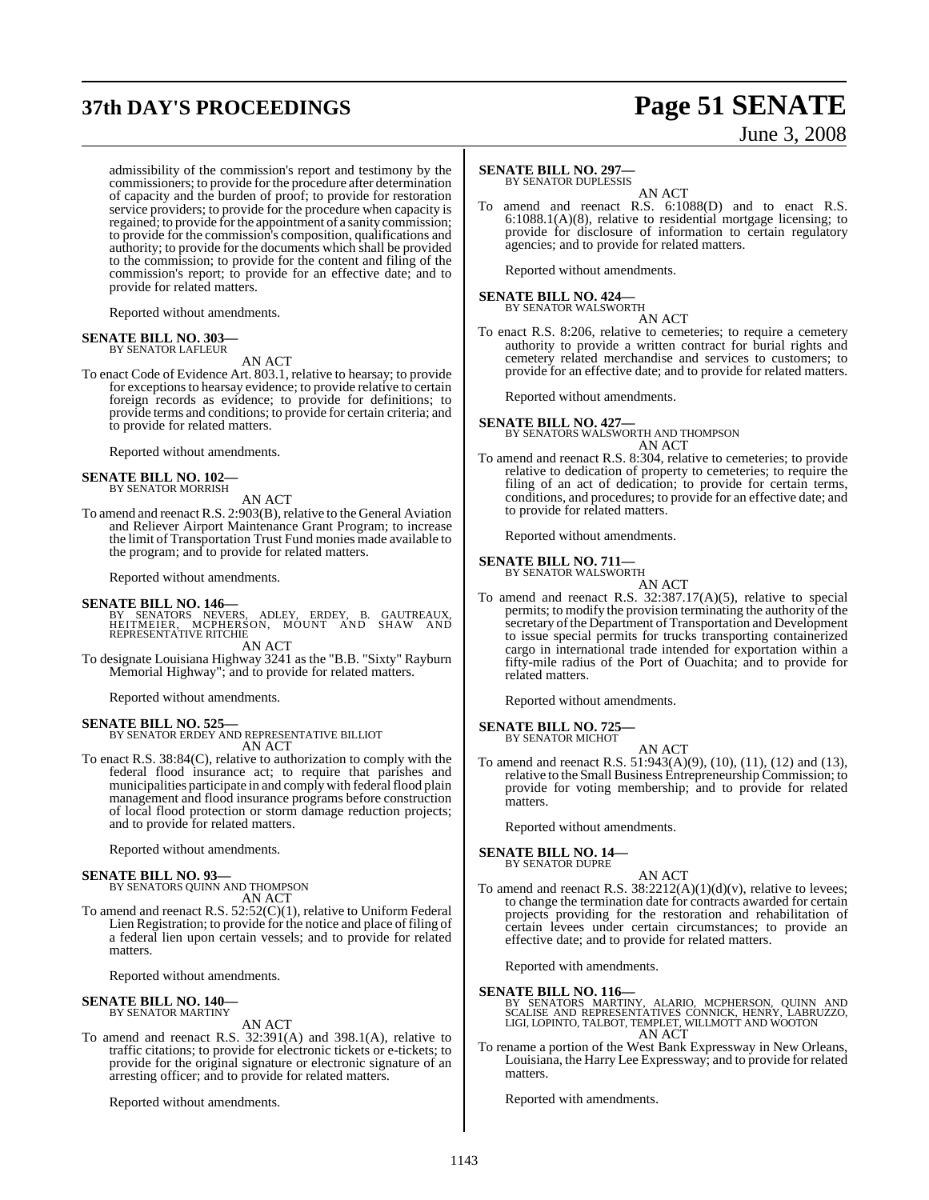# **37th DAY'S PROCEEDINGS Page 51 SENATE**

admissibility of the commission's report and testimony by the commissioners; to provide for the procedure after determination of capacity and the burden of proof; to provide for restoration service providers; to provide for the procedure when capacity is regained; to provide forthe appointment of a sanity commission; to provide for the commission's composition, qualifications and authority; to provide for the documents which shall be provided to the commission; to provide for the content and filing of the commission's report; to provide for an effective date; and to provide for related matters.

Reported without amendments.

#### **SENATE BILL NO. 303—**

BY SENATOR LAFLEUR

AN ACT

To enact Code of Evidence Art. 803.1, relative to hearsay; to provide for exceptions to hearsay evidence; to provide relative to certain foreign records as evidence; to provide for definitions; to provide terms and conditions; to provide for certain criteria; and to provide for related matters.

Reported without amendments.

### **SENATE BILL NO. 102—** BY SENATOR MORRISH

AN ACT

To amend and reenact R.S. 2:903(B), relative to the General Aviation and Reliever Airport Maintenance Grant Program; to increase the limit of Transportation Trust Fund monies made available to the program; and to provide for related matters.

Reported without amendments.

#### **SENATE BILL NO. 146—**

BY SENATORS NEVERS, ADLEY, ERDEY, B. GAUTREAUX,<br>HEITMEIER, MCPHERSON, MOUNT AND SHAW AND<br>REPRESENTATIVE RITCHIE AN ACT

To designate Louisiana Highway 3241 as the "B.B. "Sixty" Rayburn Memorial Highway"; and to provide for related matters.

#### Reported without amendments.

**SENATE BILL NO. 525** 

BY SENATOR ERDEY AND REPRESENTATIVE BILLIOT AN ACT

To enact R.S. 38:84(C), relative to authorization to comply with the federal flood insurance act; to require that parishes and municipalities participate in and comply with federal flood plain management and flood insurance programs before construction of local flood protection or storm damage reduction projects; and to provide for related matters.

Reported without amendments.

#### **SENATE BILL NO. 93—**

BY SENATORS QUINN AND THOMPSON AN ACT

To amend and reenact R.S. 52:52(C)(1), relative to Uniform Federal Lien Registration; to provide for the notice and place of filing of a federal lien upon certain vessels; and to provide for related matters.

Reported without amendments.

### **SENATE BILL NO. 140—** BY SENATOR MARTINY

AN ACT

To amend and reenact R.S. 32:391(A) and 398.1(A), relative to traffic citations; to provide for electronic tickets or e-tickets; to provide for the original signature or electronic signature of an arresting officer; and to provide for related matters.

Reported without amendments.

# June 3, 2008

#### **SENATE BILL NO. 297—**

BY SENATOR DUPLESSIS

AN ACT To amend and reenact R.S. 6:1088(D) and to enact R.S. 6:1088.1(A)(8), relative to residential mortgage licensing; to provide for disclosure of information to certain regulatory agencies; and to provide for related matters.

Reported without amendments.

### **SENATE BILL NO. 424—** BY SENATOR WALSWORTH

AN ACT

To enact R.S. 8:206, relative to cemeteries; to require a cemetery authority to provide a written contract for burial rights and cemetery related merchandise and services to customers; to provide for an effective date; and to provide for related matters.

Reported without amendments.

### **SENATE BILL NO. 427—** BY SENATORS WALSWORTH AND THOMPSON AN ACT

To amend and reenact R.S. 8:304, relative to cemeteries; to provide relative to dedication of property to cemeteries; to require the filing of an act of dedication; to provide for certain terms, conditions, and procedures; to provide for an effective date; and to provide for related matters.

Reported without amendments.

### **SENATE BILL NO. 711—** BY SENATOR WALSWORTH

AN ACT

To amend and reenact R.S. 32:387.17(A)(5), relative to special permits; to modify the provision terminating the authority of the secretary of the Department of Transportation and Development to issue special permits for trucks transporting containerized cargo in international trade intended for exportation within a fifty-mile radius of the Port of Ouachita; and to provide for related matters.

Reported without amendments.

#### **SENATE BILL NO. 725—**

BY SENATOR MICHOT

AN ACT To amend and reenact R.S. 51:943(A)(9), (10), (11), (12) and (13), relative to the Small Business Entrepreneurship Commission; to provide for voting membership; and to provide for related **matters** 

Reported without amendments.

#### **SENATE BILL NO. 14—**

### BY SENATOR DUPRE

AN ACT To amend and reenact R.S.  $38:2212(A)(1)(d)(v)$ , relative to levees; to change the termination date for contracts awarded for certain projects providing for the restoration and rehabilitation of certain levees under certain circumstances; to provide an effective date; and to provide for related matters.

Reported with amendments.

#### **SENATE BILL NO. 116—**

BY SENATORS MARTINY, ALARIO, MCPHERSON, QUINN AND<br>SCALISE AND REPRESENTATIVES CONNICK, HENRY, LABRUZZO,<br>LIGI,LOPINTO,TALBOT,TEMPLET,WILLMOTT AND WOOTON AN ACT

To rename a portion of the West Bank Expressway in New Orleans, Louisiana, the Harry Lee Expressway; and to provide for related matters.

Reported with amendments.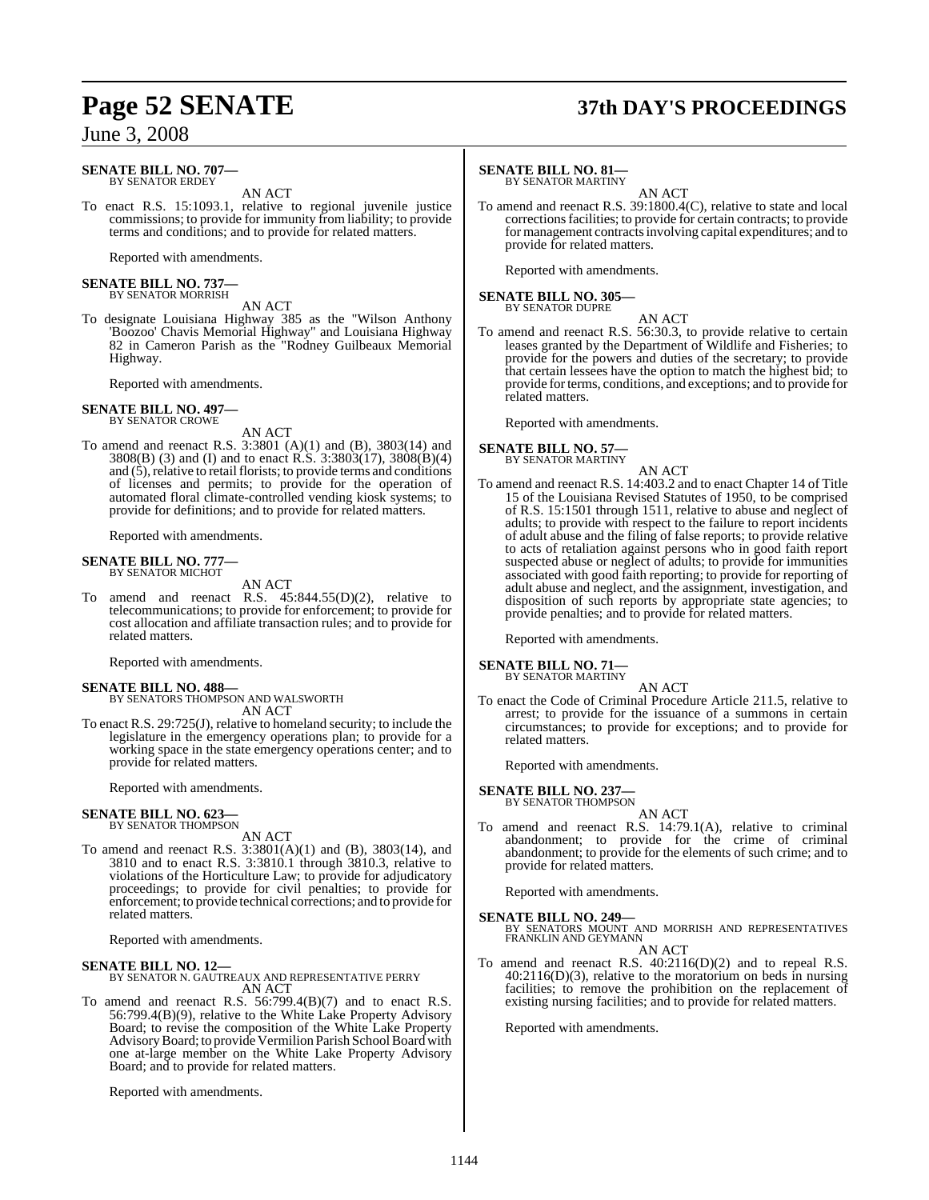#### **SENATE BILL NO. 707—** BY SENATOR ERDEY

AN ACT

To enact R.S. 15:1093.1, relative to regional juvenile justice commissions; to provide for immunity from liability; to provide terms and conditions; and to provide for related matters.

Reported with amendments.

#### **SENATE BILL NO. 737—** BY SENATOR MORRISH

#### AN ACT

To designate Louisiana Highway 385 as the "Wilson Anthony 'Boozoo' Chavis Memorial Highway" and Louisiana Highway 82 in Cameron Parish as the "Rodney Guilbeaux Memorial Highway.

Reported with amendments.

## **SENATE BILL NO. 497—** BY SENATOR CROWE

AN ACT

To amend and reenact R.S. 3:3801 (A)(1) and (B), 3803(14) and 3808(B) (3) and (I) and to enact R.S. 3:3803(17), 3808(B)(4) and  $(5)$ , relative to retail florists; to provide terms and conditions of licenses and permits; to provide for the operation of automated floral climate-controlled vending kiosk systems; to provide for definitions; and to provide for related matters.

Reported with amendments.

### **SENATE BILL NO. 777—** BY SENATOR MICHOT

AN ACT

To amend and reenact R.S. 45:844.55(D)(2), relative to telecommunications; to provide for enforcement; to provide for cost allocation and affiliate transaction rules; and to provide for related matters.

Reported with amendments.

#### **SENATE BILL NO. 488—** BY SENATORS THOMPSON AND WALSWORTH AN ACT

To enact R.S. 29:725(J), relative to homeland security; to include the legislature in the emergency operations plan; to provide for a working space in the state emergency operations center; and to provide for related matters.

Reported with amendments.

#### **SENATE BILL NO. 623—** BY SENATOR THOMPSON

AN ACT

To amend and reenact R.S. 3:3801(A)(1) and (B), 3803(14), and 3810 and to enact R.S. 3:3810.1 through 3810.3, relative to violations of the Horticulture Law; to provide for adjudicatory proceedings; to provide for civil penalties; to provide for enforcement; to provide technical corrections; and to provide for related matters.

Reported with amendments.

# **SENATE BILL NO. 12—** BY SENATOR N. GAUTREAUX AND REPRESENTATIVE PERRY

AN ACT

To amend and reenact R.S. 56:799.4(B)(7) and to enact R.S. 56:799.4(B)(9), relative to the White Lake Property Advisory Board; to revise the composition of the White Lake Property Advisory Board; to provide Vermilion Parish School Board with one at-large member on the White Lake Property Advisory Board; and to provide for related matters.

Reported with amendments.

# **Page 52 SENATE 37th DAY'S PROCEEDINGS**

#### **SENATE BILL NO. 81—**

BY SENATOR MARTINY

AN ACT To amend and reenact R.S. 39:1800.4(C), relative to state and local correctionsfacilities; to provide for certain contracts; to provide for management contracts involving capital expenditures; and to provide for related matters.

Reported with amendments.

## **SENATE BILL NO. 305—** BY SENATOR DUPRE

AN ACT

To amend and reenact R.S. 56:30.3, to provide relative to certain leases granted by the Department of Wildlife and Fisheries; to provide for the powers and duties of the secretary; to provide that certain lessees have the option to match the highest bid; to provide for terms, conditions, and exceptions; and to provide for related matters.

Reported with amendments.

#### **SENATE BILL NO. 57—** BY SENATOR MARTINY

AN ACT

To amend and reenact R.S. 14:403.2 and to enact Chapter 14 of Title 15 of the Louisiana Revised Statutes of 1950, to be comprised of R.S. 15:1501 through 1511, relative to abuse and neglect of adults; to provide with respect to the failure to report incidents of adult abuse and the filing of false reports; to provide relative to acts of retaliation against persons who in good faith report suspected abuse or neglect of adults; to provide for immunities associated with good faith reporting; to provide for reporting of adult abuse and neglect, and the assignment, investigation, and disposition of such reports by appropriate state agencies; to provide penalties; and to provide for related matters.

Reported with amendments.

### **SENATE BILL NO. 71—** BY SENATOR MARTINY

AN ACT

To enact the Code of Criminal Procedure Article 211.5, relative to arrest; to provide for the issuance of a summons in certain circumstances; to provide for exceptions; and to provide for related matters.

Reported with amendments.

#### **SENATE BILL NO. 237—** BY SENATOR THOMPSON

- AN ACT
- To amend and reenact R.S. 14:79.1(A), relative to criminal abandonment; to provide for the crime of criminal abandonment; to provide for the elements of such crime; and to provide for related matters.

Reported with amendments.

**SENATE BILL NO. 249—**<br>BY SENATORS MOUNT AND MORRISH AND REPRESENTATIVES<br>FRANKLIN AND GEYMANN AN ACT

To amend and reenact R.S. 40:2116(D)(2) and to repeal R.S.  $40:2116(D)(3)$ , relative to the moratorium on beds in nursing facilities; to remove the prohibition on the replacement of existing nursing facilities; and to provide for related matters.

Reported with amendments.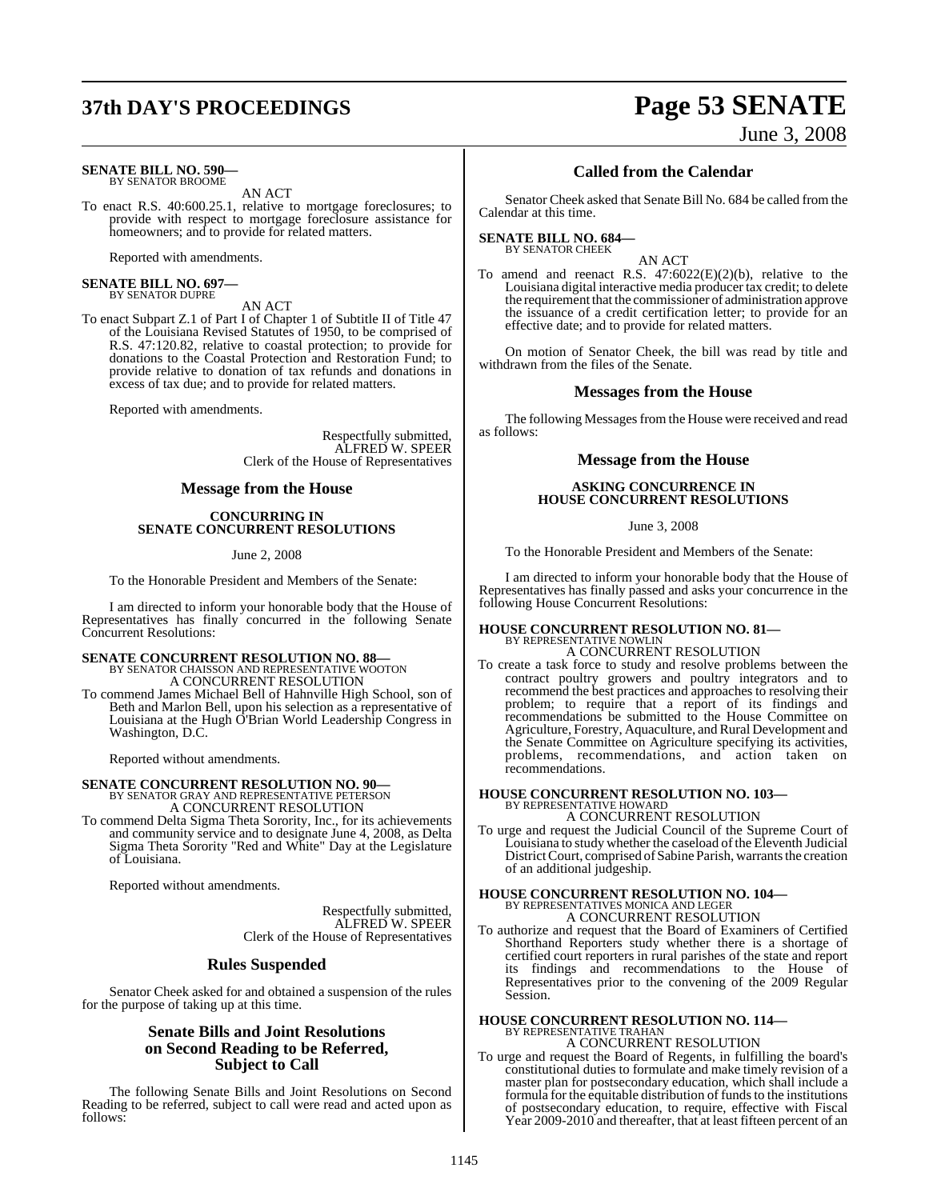# **37th DAY'S PROCEEDINGS Page 53 SENATE**

#### **SENATE BILL NO. 590—** BY SENATOR BROOME

AN ACT

To enact R.S. 40:600.25.1, relative to mortgage foreclosures; to provide with respect to mortgage foreclosure assistance for homeowners; and to provide for related matters.

Reported with amendments.

**SENATE BILL NO. 697—** BY SENATOR DUPRE

#### AN ACT

To enact Subpart Z.1 of Part I of Chapter 1 of Subtitle II of Title 47 of the Louisiana Revised Statutes of 1950, to be comprised of R.S. 47:120.82, relative to coastal protection; to provide for donations to the Coastal Protection and Restoration Fund; to provide relative to donation of tax refunds and donations in excess of tax due; and to provide for related matters.

Reported with amendments.

Respectfully submitted, ALFRED W. SPEER Clerk of the House of Representatives

#### **Message from the House**

#### **CONCURRING IN SENATE CONCURRENT RESOLUTIONS**

June 2, 2008

To the Honorable President and Members of the Senate:

I am directed to inform your honorable body that the House of Representatives has finally concurred in the following Senate Concurrent Resolutions:

### **SENATE CONCURRENT RESOLUTION NO. 88—** BY SENATOR CHAISSON AND REPRESENTATIVE WOOTON A CONCURRENT RESOLUTION

To commend James Michael Bell of Hahnville High School, son of Beth and Marlon Bell, upon his selection as a representative of Louisiana at the Hugh O'Brian World Leadership Congress in Washington, D.C.

Reported without amendments.

### **SENATE CONCURRENT RESOLUTION NO. 90—** BY SENATOR GRAY AND REPRESENTATIVE PETERSON

A CONCURRENT RESOLUTION

To commend Delta Sigma Theta Sorority, Inc., for its achievements and community service and to designate June 4, 2008, as Delta Sigma Theta Sorority "Red and White" Day at the Legislature of Louisiana.

Reported without amendments.

Respectfully submitted, ALFRED W. SPEER Clerk of the House of Representatives

#### **Rules Suspended**

Senator Cheek asked for and obtained a suspension of the rules for the purpose of taking up at this time.

#### **Senate Bills and Joint Resolutions on Second Reading to be Referred, Subject to Call**

The following Senate Bills and Joint Resolutions on Second Reading to be referred, subject to call were read and acted upon as follows:

June 3, 2008

### **Called from the Calendar**

Senator Cheek asked that Senate Bill No. 684 be called from the Calendar at this time.

#### **SENATE BILL NO. 684—** BY SENATOR CHEEK

AN ACT

To amend and reenact R.S.  $47:6022(E)(2)(b)$ , relative to the Louisiana digital interactive media producer tax credit; to delete the requirement that the commissioner of administration approve the issuance of a credit certification letter; to provide for an effective date; and to provide for related matters.

On motion of Senator Cheek, the bill was read by title and withdrawn from the files of the Senate.

#### **Messages from the House**

The following Messages from the House were received and read as follows:

#### **Message from the House**

#### **ASKING CONCURRENCE IN HOUSE CONCURRENT RESOLUTIONS**

June 3, 2008

To the Honorable President and Members of the Senate:

I am directed to inform your honorable body that the House of Representatives has finally passed and asks your concurrence in the following House Concurrent Resolutions:

# **HOUSE CONCURRENT RESOLUTION NO. 81—** BY REPRESENTATIVE NOWLIN

#### A CONCURRENT RESOLUTION

To create a task force to study and resolve problems between the contract poultry growers and poultry integrators and to recommend the best practices and approaches to resolving their problem; to require that a report of its findings and recommendations be submitted to the House Committee on Agriculture, Forestry, Aquaculture, and Rural Development and the Senate Committee on Agriculture specifying its activities, problems, recommendations, and action taken on recommendations.

# **HOUSE CONCURRENT RESOLUTION NO. 103—** BY REPRESENTATIVE HOWARD

A CONCURRENT RESOLUTION

To urge and request the Judicial Council of the Supreme Court of Louisiana to study whether the caseload of the Eleventh Judicial District Court, comprised of Sabine Parish, warrants the creation of an additional judgeship.

### **HOUSE CONCURRENT RESOLUTION NO. 104—** BY REPRESENTATIVES MONICA AND LEGER A CONCURRENT RESOLUTION

To authorize and request that the Board of Examiners of Certified Shorthand Reporters study whether there is a shortage of certified court reporters in rural parishes of the state and report its findings and recommendations to the House of Representatives prior to the convening of the 2009 Regular Session.

#### **HOUSE CONCURRENT RESOLUTION NO. 114—** BY REPRESENTATIVE TRAHAN A CONCURRENT RESOLUTION

To urge and request the Board of Regents, in fulfilling the board's constitutional duties to formulate and make timely revision of a master plan for postsecondary education, which shall include a formula for the equitable distribution of funds to the institutions of postsecondary education, to require, effective with Fiscal Year 2009-2010 and thereafter, that at least fifteen percent of an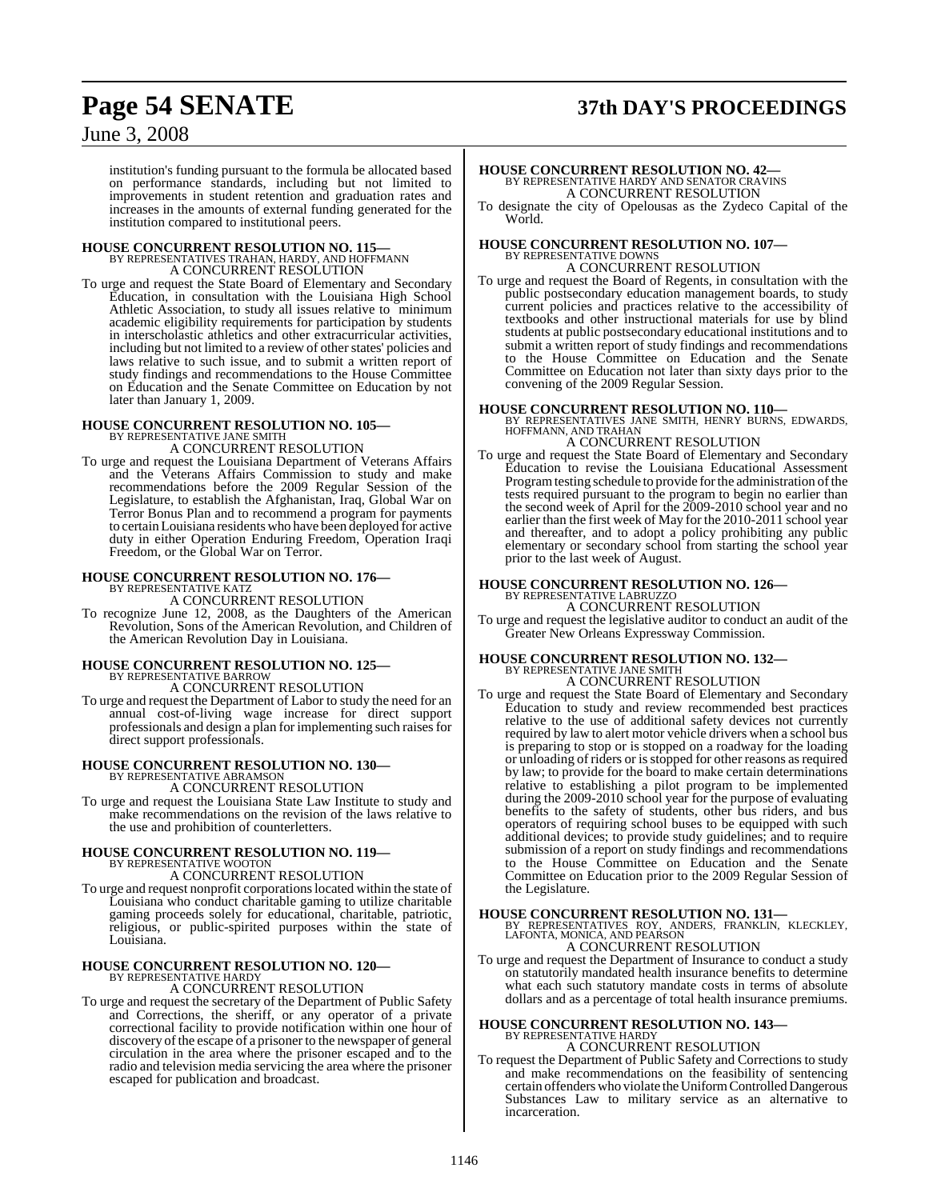# **Page 54 SENATE 37th DAY'S PROCEEDINGS**

### June 3, 2008

institution's funding pursuant to the formula be allocated based on performance standards, including but not limited to improvements in student retention and graduation rates and increases in the amounts of external funding generated for the institution compared to institutional peers.

#### **HOUSE CONCURRENT RESOLUTION NO. 115—** BY REPRESENTATIVES TRAHAN, HARDY, AND HOFFMANN A CONCURRENT RESOLUTION

To urge and request the State Board of Elementary and Secondary Education, in consultation with the Louisiana High School Athletic Association, to study all issues relative to minimum academic eligibility requirements for participation by students in interscholastic athletics and other extracurricular activities, including but not limited to a review of other states' policies and laws relative to such issue, and to submit a written report of study findings and recommendations to the House Committee on Education and the Senate Committee on Education by not later than January 1, 2009.

# **HOUSE CONCURRENT RESOLUTION NO. 105—** BY REPRESENTATIVE JANE SMITH

A CONCURRENT RESOLUTION

To urge and request the Louisiana Department of Veterans Affairs and the Veterans Affairs Commission to study and make recommendations before the 2009 Regular Session of the Legislature, to establish the Afghanistan, Iraq, Global War on Terror Bonus Plan and to recommend a program for payments to certainLouisiana residents who have been deployed for active duty in either Operation Enduring Freedom, Operation Iraqi Freedom, or the Global War on Terror.

### **HOUSE CONCURRENT RESOLUTION NO. 176—** BY REPRESENTATIVE KATZ

A CONCURRENT RESOLUTION

To recognize June 12, 2008, as the Daughters of the American Revolution, Sons of the American Revolution, and Children of the American Revolution Day in Louisiana.

## **HOUSE CONCURRENT RESOLUTION NO. 125—** BY REPRESENTATIVE BARROW

A CONCURRENT RESOLUTION

To urge and request the Department of Labor to study the need for an annual cost-of-living wage increase for direct support professionals and design a plan for implementing such raises for direct support professionals.

# **HOUSE CONCURRENT RESOLUTION NO. 130—** BY REPRESENTATIVE ABRAMSON A CONCURRENT RESOLUTION

To urge and request the Louisiana State Law Institute to study and make recommendations on the revision of the laws relative to the use and prohibition of counterletters.

# **HOUSE CONCURRENT RESOLUTION NO. 119—** BY REPRESENTATIVE WOOTON

A CONCURRENT RESOLUTION

To urge and request nonprofit corporationslocated within the state of Louisiana who conduct charitable gaming to utilize charitable gaming proceeds solely for educational, charitable, patriotic, religious, or public-spirited purposes within the state of Louisiana.

# **HOUSE CONCURRENT RESOLUTION NO. 120—** BY REPRESENTATIVE HARDY

A CONCURRENT RESOLUTION

To urge and request the secretary of the Department of Public Safety and Corrections, the sheriff, or any operator of a private correctional facility to provide notification within one hour of discovery of the escape of a prisoner to the newspaper of general circulation in the area where the prisoner escaped and to the radio and television media servicing the area where the prisoner escaped for publication and broadcast.

# **HOUSE CONCURRENT RESOLUTION NO. 42—** BY REPRESENTATIVE HARDY AND SENATOR CRAVINS A CONCURRENT RESOLUTION

To designate the city of Opelousas as the Zydeco Capital of the World.

#### **HOUSE CONCURRENT RESOLUTION NO. 107—** BY REPRESENTATIVE DOWNS A CONCURRENT RESOLUTION

To urge and request the Board of Regents, in consultation with the public postsecondary education management boards, to study current policies and practices relative to the accessibility of textbooks and other instructional materials for use by blind students at public postsecondary educational institutions and to submit a written report of study findings and recommendations to the House Committee on Education and the Senate Committee on Education not later than sixty days prior to the convening of the 2009 Regular Session.

**HOUSE CONCURRENT RESOLUTION NO. 110—** BY REPRESENTATIVES JANE SMITH, HENRY BURNS, EDWARDS, HOFFMANN, AND TRAHAN

#### A CONCURRENT RESOLUTION

To urge and request the State Board of Elementary and Secondary Education to revise the Louisiana Educational Assessment Program testing schedule to provide for the administration of the tests required pursuant to the program to begin no earlier than the second week of April for the 2009-2010 school year and no earlier than the first week of May for the 2010-2011 school year and thereafter, and to adopt a policy prohibiting any public elementary or secondary school from starting the school year prior to the last week of August.

# **HOUSE CONCURRENT RESOLUTION NO. 126—** BY REPRESENTATIVE LABRUZZO

A CONCURRENT RESOLUTION To urge and request the legislative auditor to conduct an audit of the Greater New Orleans Expressway Commission.

### **HOUSE CONCURRENT RESOLUTION NO. 132—** BY REPRESENTATIVE JANE SMITH A CONCURRENT RESOLUTION

To urge and request the State Board of Elementary and Secondary Education to study and review recommended best practices relative to the use of additional safety devices not currently required by law to alert motor vehicle drivers when a school bus is preparing to stop or is stopped on a roadway for the loading or unloading of riders or is stopped for other reasons as required by law; to provide for the board to make certain determinations relative to establishing a pilot program to be implemented during the 2009-2010 school year for the purpose of evaluating benefits to the safety of students, other bus riders, and bus operators of requiring school buses to be equipped with such additional devices; to provide study guidelines; and to require submission of a report on study findings and recommendations to the House Committee on Education and the Senate Committee on Education prior to the 2009 Regular Session of the Legislature.

**HOUSE CONCURRENT RESOLUTION NO. 131—** BY REPRESENTATIVES ROY, ANDERS, FRANKLIN, KLECKLEY, LAFONTA, MONICA, AND PEARSON A CONCURRENT RESOLUTION

To urge and request the Department of Insurance to conduct a study on statutorily mandated health insurance benefits to determine what each such statutory mandate costs in terms of absolute dollars and as a percentage of total health insurance premiums.

# **HOUSE CONCURRENT RESOLUTION NO. 143—** BY REPRESENTATIVE HARDY

A CONCURRENT RESOLUTION

To request the Department of Public Safety and Corrections to study and make recommendations on the feasibility of sentencing certain offenderswho violate the Uniform Controlled Dangerous Substances Law to military service as an alternative to incarceration.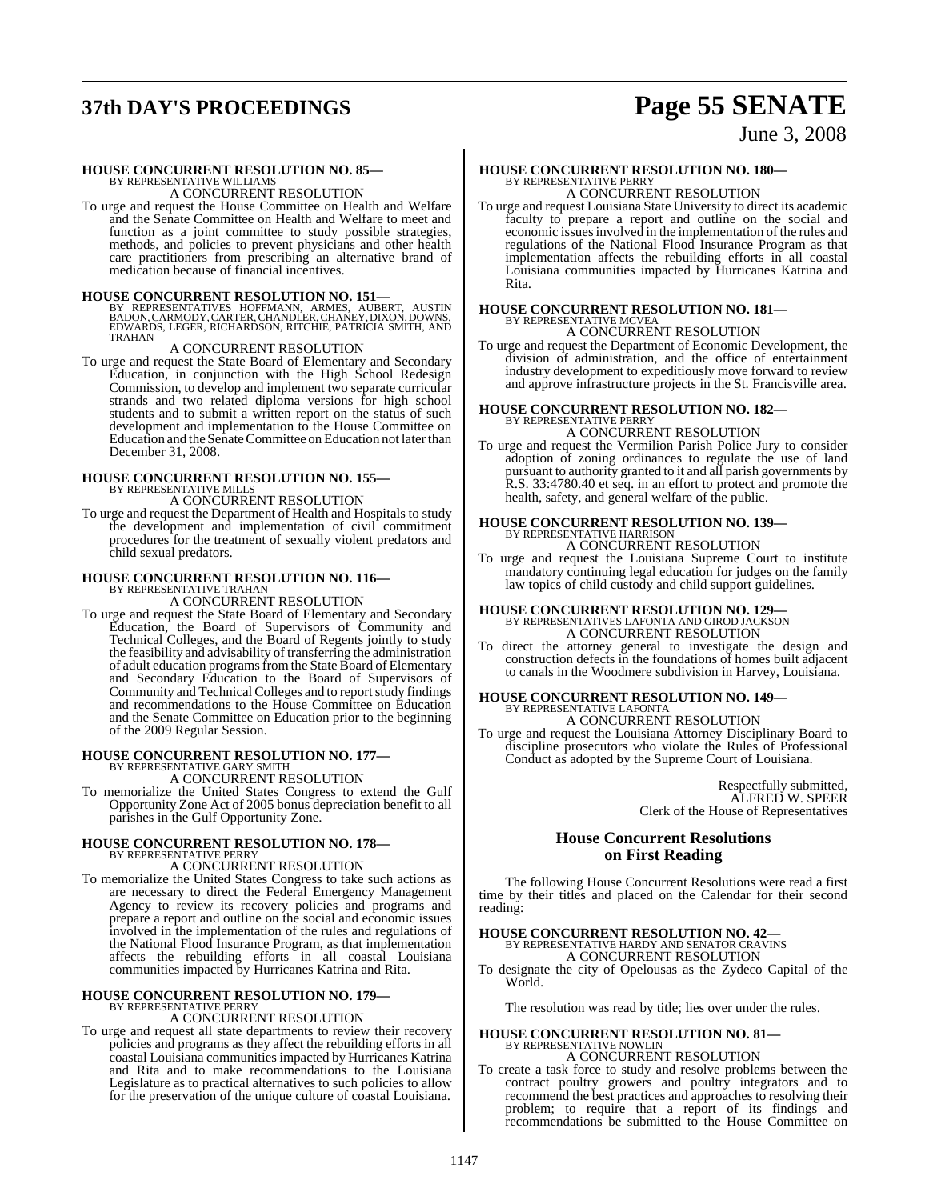# **37th DAY'S PROCEEDINGS Page 55 SENATE**

### June 3, 2008

# **HOUSE CONCURRENT RESOLUTION NO. 85—** BY REPRESENTATIVE WILLIAMS A CONCURRENT RESOLUTION

To urge and request the House Committee on Health and Welfare and the Senate Committee on Health and Welfare to meet and function as a joint committee to study possible strategies, methods, and policies to prevent physicians and other health care practitioners from prescribing an alternative brand of medication because of financial incentives.

**HOUSE CONCURRENT RESOLUTION NO. 151—**<br>BY REPRESENTATIVES HOFFMANN, ARMES, AUBERT, AUSTIN<br>BADON, CARMODY, CARTER, CHANDLER, CHANEY, DIXON, DOWNS,<br>EDWARDS, LEGER, RICHARDSON, RITCHIE, PATRICIA SMITH, AND TRAHAN

#### A CONCURRENT RESOLUTION

To urge and request the State Board of Elementary and Secondary Education, in conjunction with the High School Redesign Commission, to develop and implement two separate curricular strands and two related diploma versions for high school students and to submit a written report on the status of such development and implementation to the House Committee on Education and the Senate Committee on Education not later than December 31, 2008.

# **HOUSE CONCURRENT RESOLUTION NO. 155—** BY REPRESENTATIVE MILLS

A CONCURRENT RESOLUTION

To urge and request the Department of Health and Hospitals to study the development and implementation of civil commitment procedures for the treatment of sexually violent predators and child sexual predators.

#### **HOUSE CONCURRENT RESOLUTION NO. 116—**

BY REPRESENTATIVE TRAHAN A CONCURRENT RESOLUTION

To urge and request the State Board of Elementary and Secondary Education, the Board of Supervisors of Community and Technical Colleges, and the Board of Regents jointly to study the feasibility and advisability of transferring the administration of adult education programsfromthe State Board of Elementary and Secondary Education to the Board of Supervisors of Community and Technical Colleges and to reportstudy findings and recommendations to the House Committee on Education and the Senate Committee on Education prior to the beginning of the 2009 Regular Session.

# **HOUSE CONCURRENT RESOLUTION NO. 177—** BY REPRESENTATIVE GARY SMITH

A CONCURRENT RESOLUTION

To memorialize the United States Congress to extend the Gulf Opportunity Zone Act of 2005 bonus depreciation benefit to all parishes in the Gulf Opportunity Zone.

#### **HOUSE CONCURRENT RESOLUTION NO. 178—** BY REPRESENTATIVE PERRY

A CONCURRENT RESOLUTION

To memorialize the United States Congress to take such actions as are necessary to direct the Federal Emergency Management Agency to review its recovery policies and programs and prepare a report and outline on the social and economic issues involved in the implementation of the rules and regulations of the National Flood Insurance Program, as that implementation affects the rebuilding efforts in all coastal Louisiana communities impacted by Hurricanes Katrina and Rita.

### **HOUSE CONCURRENT RESOLUTION NO. 179—** BY REPRESENTATIVE PERRY

A CONCURRENT RESOLUTION

To urge and request all state departments to review their recovery policies and programs as they affect the rebuilding efforts in all coastal Louisiana communities impacted by Hurricanes Katrina and Rita and to make recommendations to the Louisiana Legislature as to practical alternatives to such policies to allow for the preservation of the unique culture of coastal Louisiana.

# **HOUSE CONCURRENT RESOLUTION NO. 180—** BY REPRESENTATIVE PERRY A CONCURRENT RESOLUTION

To urge and request Louisiana State University to direct its academic faculty to prepare a report and outline on the social and economic issues involved in the implementation of the rules and regulations of the National Flood Insurance Program as that implementation affects the rebuilding efforts in all coastal Louisiana communities impacted by Hurricanes Katrina and Rita.

# **HOUSE CONCURRENT RESOLUTION NO. 181—** BY REPRESENTATIVE MCVEA A CONCURRENT RESOLUTION

To urge and request the Department of Economic Development, the division of administration, and the office of entertainment industry development to expeditiously move forward to review and approve infrastructure projects in the St. Francisville area.

# **HOUSE CONCURRENT RESOLUTION NO. 182—** BY REPRESENTATIVE PERRY

A CONCURRENT RESOLUTION

To urge and request the Vermilion Parish Police Jury to consider adoption of zoning ordinances to regulate the use of land pursuant to authority granted to it and all parish governments by R.S. 33:4780.40 et seq. in an effort to protect and promote the health, safety, and general welfare of the public.

# **HOUSE CONCURRENT RESOLUTION NO. 139—** BY REPRESENTATIVE HARRISON A CONCURRENT RESOLUTION

To urge and request the Louisiana Supreme Court to institute mandatory continuing legal education for judges on the family law topics of child custody and child support guidelines.

### **HOUSE CONCURRENT RESOLUTION NO. 129—** BY REPRESENTATIVES LAFONTA AND GIROD JACKSON A CONCURRENT RESOLUTION

To direct the attorney general to investigate the design and construction defects in the foundations of homes built adjacent to canals in the Woodmere subdivision in Harvey, Louisiana.

### **HOUSE CONCURRENT RESOLUTION NO. 149—** BY REPRESENTATIVE LAFONTA A CONCURRENT RESOLUTION

To urge and request the Louisiana Attorney Disciplinary Board to discipline prosecutors who violate the Rules of Professional Conduct as adopted by the Supreme Court of Louisiana.

> Respectfully submitted, ALFRED W. SPEER Clerk of the House of Representatives

### **House Concurrent Resolutions on First Reading**

The following House Concurrent Resolutions were read a first time by their titles and placed on the Calendar for their second reading:

# **HOUSE CONCURRENT RESOLUTION NO. 42—** BY REPRESENTATIVE HARDY AND SENATOR CRAVINS A CONCURRENT RESOLUTION

To designate the city of Opelousas as the Zydeco Capital of the World.

The resolution was read by title; lies over under the rules.

# **HOUSE CONCURRENT RESOLUTION NO. 81—** BY REPRESENTATIVE NOWLIN

A CONCURRENT RESOLUTION To create a task force to study and resolve problems between the contract poultry growers and poultry integrators and to recommend the best practices and approaches to resolving their problem; to require that a report of its findings and recommendations be submitted to the House Committee on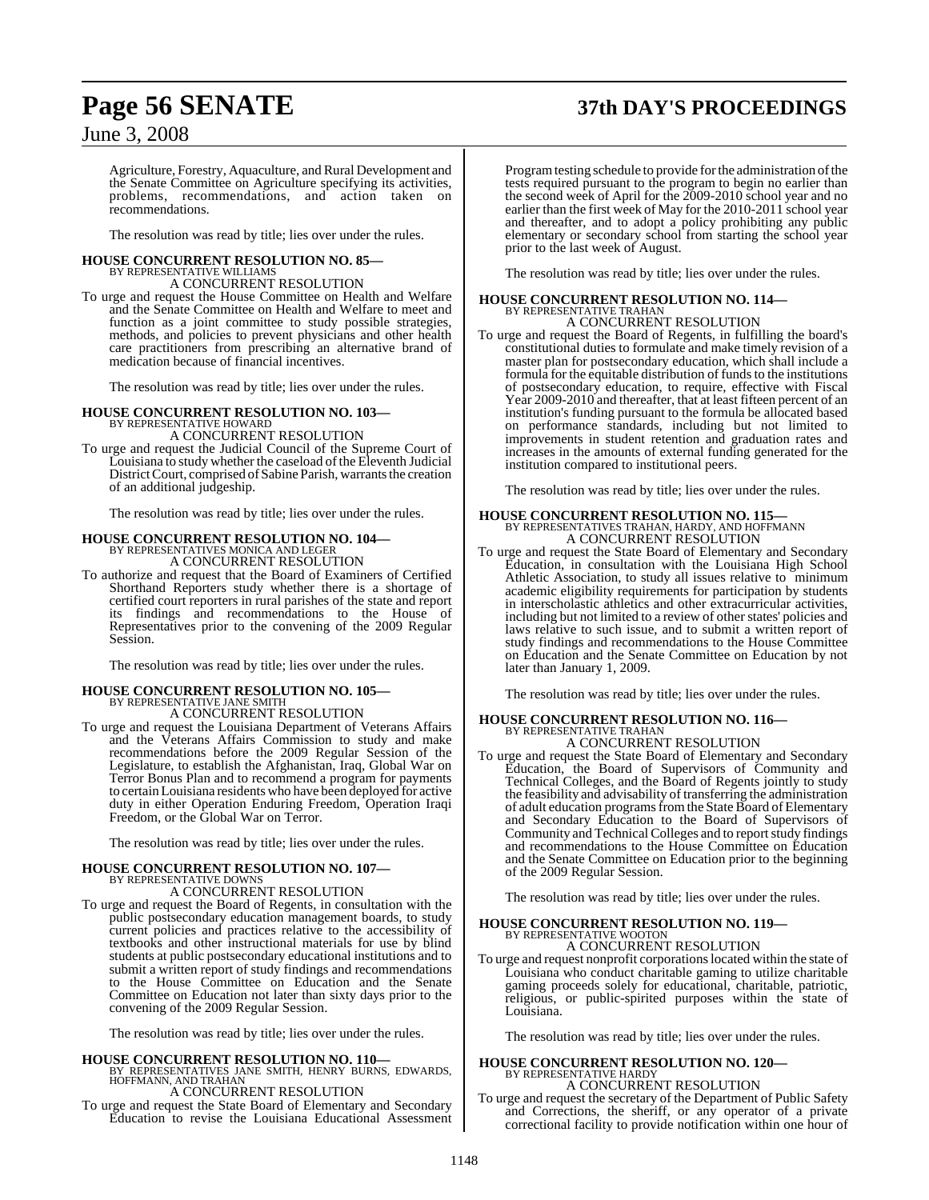# **Page 56 SENATE 37th DAY'S PROCEEDINGS**

### June 3, 2008

Agriculture, Forestry, Aquaculture, and Rural Development and the Senate Committee on Agriculture specifying its activities, problems, recommendations, and action taken on recommendations.

The resolution was read by title; lies over under the rules.

### **HOUSE CONCURRENT RESOLUTION NO. 85—** BY REPRESENTATIVE WILLIAMS A CONCURRENT RESOLUTION

To urge and request the House Committee on Health and Welfare and the Senate Committee on Health and Welfare to meet and function as a joint committee to study possible strategies, methods, and policies to prevent physicians and other health care practitioners from prescribing an alternative brand of medication because of financial incentives.

The resolution was read by title; lies over under the rules.

# **HOUSE CONCURRENT RESOLUTION NO. 103—** BY REPRESENTATIVE HOWARD

A CONCURRENT RESOLUTION

To urge and request the Judicial Council of the Supreme Court of Louisiana to study whether the caseload of the Eleventh Judicial District Court, comprised of Sabine Parish, warrants the creation of an additional judgeship.

The resolution was read by title; lies over under the rules.

### **HOUSE CONCURRENT RESOLUTION NO. 104—**

BY REPRESENTATIVES MONICA AND LEGER A CONCURRENT RESOLUTION

To authorize and request that the Board of Examiners of Certified Shorthand Reporters study whether there is a shortage of certified court reporters in rural parishes of the state and report its findings and recommendations to the House of Representatives prior to the convening of the 2009 Regular Session.

The resolution was read by title; lies over under the rules.

#### **HOUSE CONCURRENT RESOLUTION NO. 105—** BY REPRESENTATIVE JANE SMITH

A CONCURRENT RESOLUTION

To urge and request the Louisiana Department of Veterans Affairs and the Veterans Affairs Commission to study and make recommendations before the 2009 Regular Session of the Legislature, to establish the Afghanistan, Iraq, Global War on Terror Bonus Plan and to recommend a program for payments to certainLouisiana residents who have been deployed for active duty in either Operation Enduring Freedom, Operation Iraqi Freedom, or the Global War on Terror.

The resolution was read by title; lies over under the rules.

### **HOUSE CONCURRENT RESOLUTION NO. 107—** BY REPRESENTATIVE DOWNS A CONCURRENT RESOLUTION

To urge and request the Board of Regents, in consultation with the public postsecondary education management boards, to study current policies and practices relative to the accessibility of textbooks and other instructional materials for use by blind students at public postsecondary educational institutions and to submit a written report of study findings and recommendations to the House Committee on Education and the Senate Committee on Education not later than sixty days prior to the convening of the 2009 Regular Session.

The resolution was read by title; lies over under the rules.

# **HOUSE CONCURRENT RESOLUTION NO. 110—** BY REPRESENTATIVES JANE SMITH, HENRY BURNS, EDWARDS, HOFFMANN, AND TRAHAN

### A CONCURRENT RESOLUTION

To urge and request the State Board of Elementary and Secondary Education to revise the Louisiana Educational Assessment Program testing schedule to provide for the administration of the tests required pursuant to the program to begin no earlier than the second week of April for the 2009-2010 school year and no earlier than the first week of May for the 2010-2011 school year and thereafter, and to adopt a policy prohibiting any public elementary or secondary school from starting the school year prior to the last week of August.

The resolution was read by title; lies over under the rules.

### **HOUSE CONCURRENT RESOLUTION NO. 114—** BY REPRESENTATIVE TRAHAN A CONCURRENT RESOLUTION

To urge and request the Board of Regents, in fulfilling the board's constitutional duties to formulate and make timely revision of a master plan for postsecondary education, which shall include a formula for the equitable distribution of funds to the institutions of postsecondary education, to require, effective with Fiscal Year 2009-2010 and thereafter, that at least fifteen percent of an institution's funding pursuant to the formula be allocated based on performance standards, including but not limited to improvements in student retention and graduation rates and increases in the amounts of external funding generated for the institution compared to institutional peers.

The resolution was read by title; lies over under the rules.

#### **HOUSE CONCURRENT RESOLUTION NO. 115—** BY REPRESENTATIVES TRAHAN, HARDY, AND HOFFMANN A CONCURRENT RESOLUTION

To urge and request the State Board of Elementary and Secondary Education, in consultation with the Louisiana High School Athletic Association, to study all issues relative to minimum academic eligibility requirements for participation by students in interscholastic athletics and other extracurricular activities, including but not limited to a review of other states' policies and laws relative to such issue, and to submit a written report of study findings and recommendations to the House Committee on Education and the Senate Committee on Education by not later than January 1, 2009.

The resolution was read by title; lies over under the rules.

#### **HOUSE CONCURRENT RESOLUTION NO. 116—** BY REPRESENTATIVE TRAHAN A CONCURRENT RESOLUTION

To urge and request the State Board of Elementary and Secondary Education, the Board of Supervisors of Community and Technical Colleges, and the Board of Regents jointly to study the feasibility and advisability of transferring the administration of adult education programs from the State Board of Elementary and Secondary Education to the Board of Supervisors of Community and Technical Colleges and to reportstudy findings and recommendations to the House Committee on Education and the Senate Committee on Education prior to the beginning of the 2009 Regular Session.

The resolution was read by title; lies over under the rules.

# **HOUSE CONCURRENT RESOLUTION NO. 119—** BY REPRESENTATIVE WOOTON A CONCURRENT RESOLUTION

To urge and request nonprofit corporationslocated within the state of Louisiana who conduct charitable gaming to utilize charitable gaming proceeds solely for educational, charitable, patriotic, religious, or public-spirited purposes within the state of Louisiana.

The resolution was read by title; lies over under the rules.

#### **HOUSE CONCURRENT RESOLUTION NO. 120—** BY REPRESENTATIVE HARDY A CONCURRENT RESOLUTION

To urge and request the secretary of the Department of Public Safety and Corrections, the sheriff, or any operator of a private correctional facility to provide notification within one hour of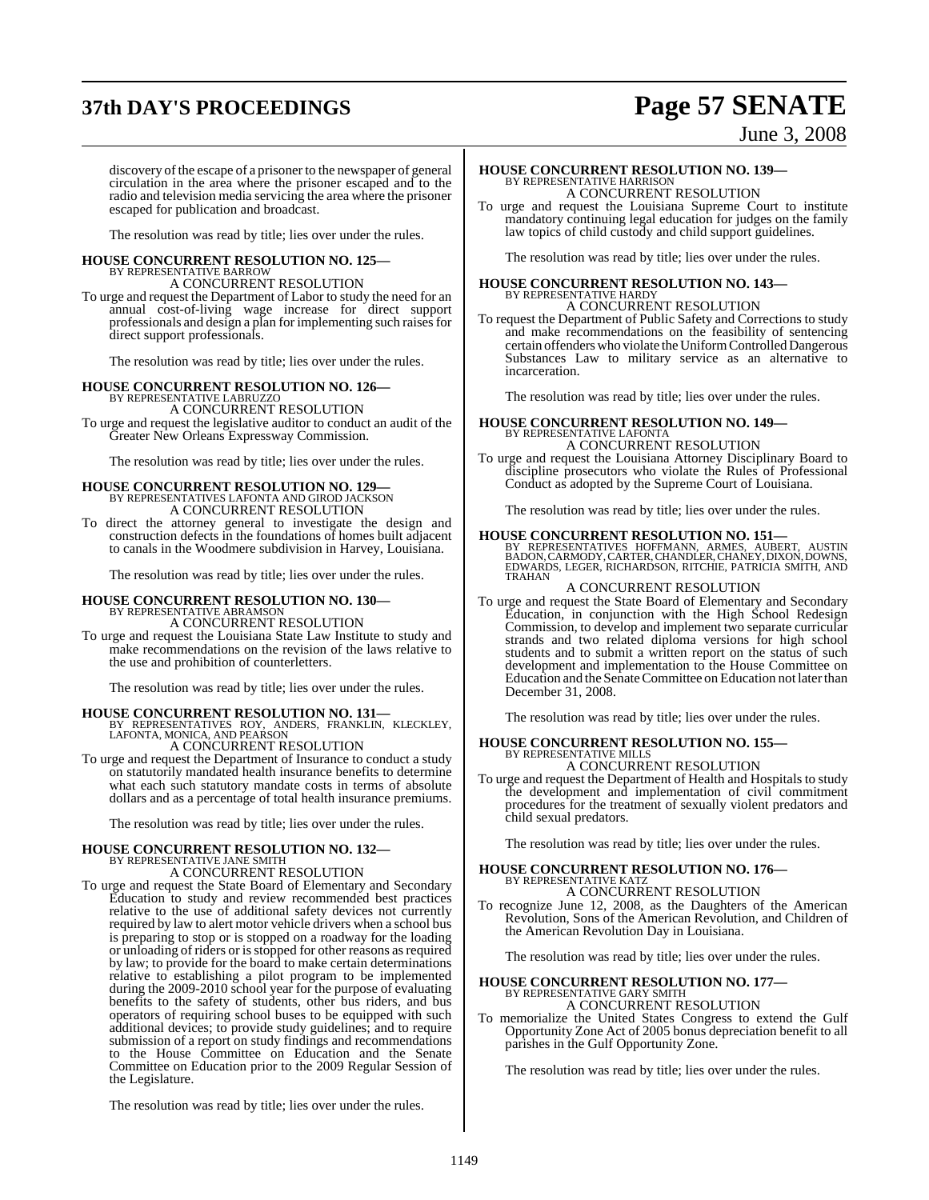# **37th DAY'S PROCEEDINGS Page 57 SENATE**

June 3, 2008

discovery of the escape of a prisoner to the newspaper of general circulation in the area where the prisoner escaped and to the radio and television media servicing the area where the prisoner escaped for publication and broadcast.

The resolution was read by title; lies over under the rules.

#### **HOUSE CONCURRENT RESOLUTION NO. 125—** BY REPRESENTATIVE BARROW A CONCURRENT RESOLUTION

To urge and request the Department of Labor to study the need for an annual cost-of-living wage increase for direct support professionals and design a plan for implementing such raises for direct support professionals.

The resolution was read by title; lies over under the rules.

## **HOUSE CONCURRENT RESOLUTION NO. 126—** BY REPRESENTATIVE LABRUZZO

A CONCURRENT RESOLUTION

To urge and request the legislative auditor to conduct an audit of the Greater New Orleans Expressway Commission.

The resolution was read by title; lies over under the rules.

### **HOUSE CONCURRENT RESOLUTION NO. 129—** BY REPRESENTATIVES LAFONTA AND GIROD JACKSON A CONCURRENT RESOLUTION

To direct the attorney general to investigate the design and construction defects in the foundations of homes built adjacent to canals in the Woodmere subdivision in Harvey, Louisiana.

The resolution was read by title; lies over under the rules.

### **HOUSE CONCURRENT RESOLUTION NO. 130—** BY REPRESENTATIVE ABRAMSON A CONCURRENT RESOLUTION

To urge and request the Louisiana State Law Institute to study and make recommendations on the revision of the laws relative to the use and prohibition of counterletters.

The resolution was read by title; lies over under the rules.

**HOUSE CONCURRENT RESOLUTION NO. 131—** BY REPRESENTATIVES ROY, ANDERS, FRANKLIN, KLECKLEY, LAFONTA, MONICA, AND PEARSON A CONCURRENT RESOLUTION

To urge and request the Department of Insurance to conduct a study on statutorily mandated health insurance benefits to determine what each such statutory mandate costs in terms of absolute dollars and as a percentage of total health insurance premiums.

The resolution was read by title; lies over under the rules.

# **HOUSE CONCURRENT RESOLUTION NO. 132—** BY REPRESENTATIVE JANE SMITH

A CONCURRENT RESOLUTION

To urge and request the State Board of Elementary and Secondary Education to study and review recommended best practices relative to the use of additional safety devices not currently required by law to alert motor vehicle drivers when a school bus is preparing to stop or is stopped on a roadway for the loading or unloading of riders or isstopped for other reasons asrequired by law; to provide for the board to make certain determinations relative to establishing a pilot program to be implemented during the 2009-2010 school year for the purpose of evaluating benefits to the safety of students, other bus riders, and bus operators of requiring school buses to be equipped with such additional devices; to provide study guidelines; and to require submission of a report on study findings and recommendations to the House Committee on Education and the Senate Committee on Education prior to the 2009 Regular Session of the Legislature.

The resolution was read by title; lies over under the rules.

### **HOUSE CONCURRENT RESOLUTION NO. 139—** BY REPRESENTATIVE HARRISON A CONCURRENT RESOLUTION

To urge and request the Louisiana Supreme Court to institute mandatory continuing legal education for judges on the family law topics of child custody and child support guidelines.

The resolution was read by title; lies over under the rules.

#### **HOUSE CONCURRENT RESOLUTION NO. 143—** BY REPRESENTATIVE HARDY A CONCURRENT RESOLUTION

To request the Department of Public Safety and Corrections to study and make recommendations on the feasibility of sentencing certain offenders who violate the Uniform Controlled Dangerous Substances Law to military service as an alternative to incarceration.

The resolution was read by title; lies over under the rules.

#### **HOUSE CONCURRENT RESOLUTION NO. 149—** BY REPRESENTATIVE LAFONTA

### A CONCURRENT RESOLUTION

To urge and request the Louisiana Attorney Disciplinary Board to discipline prosecutors who violate the Rules of Professional Conduct as adopted by the Supreme Court of Louisiana.

The resolution was read by title; lies over under the rules.

#### **HOUSE CONCURRENT RESOLUTION NO. 151—**

BY REPRESENTATIVES HOFFMANN, ARMES, AUBERT, AUSTIN BADON,CARMODY,CARTER,CHANDLER, CHANEY, DIXON, DOWNS, EDWARDS, LEGER, RICHARDSON, RITCHIE, PATRICIA SMITH, AND TRAHAN

#### A CONCURRENT RESOLUTION

To urge and request the State Board of Elementary and Secondary Education, in conjunction with the High School Redesign Commission, to develop and implement two separate curricular strands and two related diploma versions for high school students and to submit a written report on the status of such development and implementation to the House Committee on Education and the Senate Committee on Education not later than December 31, 2008.

The resolution was read by title; lies over under the rules.

### **HOUSE CONCURRENT RESOLUTION NO. 155—** BY REPRESENTATIVE MILLS A CONCURRENT RESOLUTION

To urge and request the Department of Health and Hospitals to study the development and implementation of civil commitment procedures for the treatment of sexually violent predators and child sexual predators.

The resolution was read by title; lies over under the rules.

### **HOUSE CONCURRENT RESOLUTION NO. 176—** BY REPRESENTATIVE KATZ A CONCURRENT RESOLUTION

To recognize June 12, 2008, as the Daughters of the American Revolution, Sons of the American Revolution, and Children of the American Revolution Day in Louisiana.

The resolution was read by title; lies over under the rules.

# **HOUSE CONCURRENT RESOLUTION NO. 177—** BY REPRESENTATIVE GARY SMITH

A CONCURRENT RESOLUTION

To memorialize the United States Congress to extend the Gulf Opportunity Zone Act of 2005 bonus depreciation benefit to all parishes in the Gulf Opportunity Zone.

The resolution was read by title; lies over under the rules.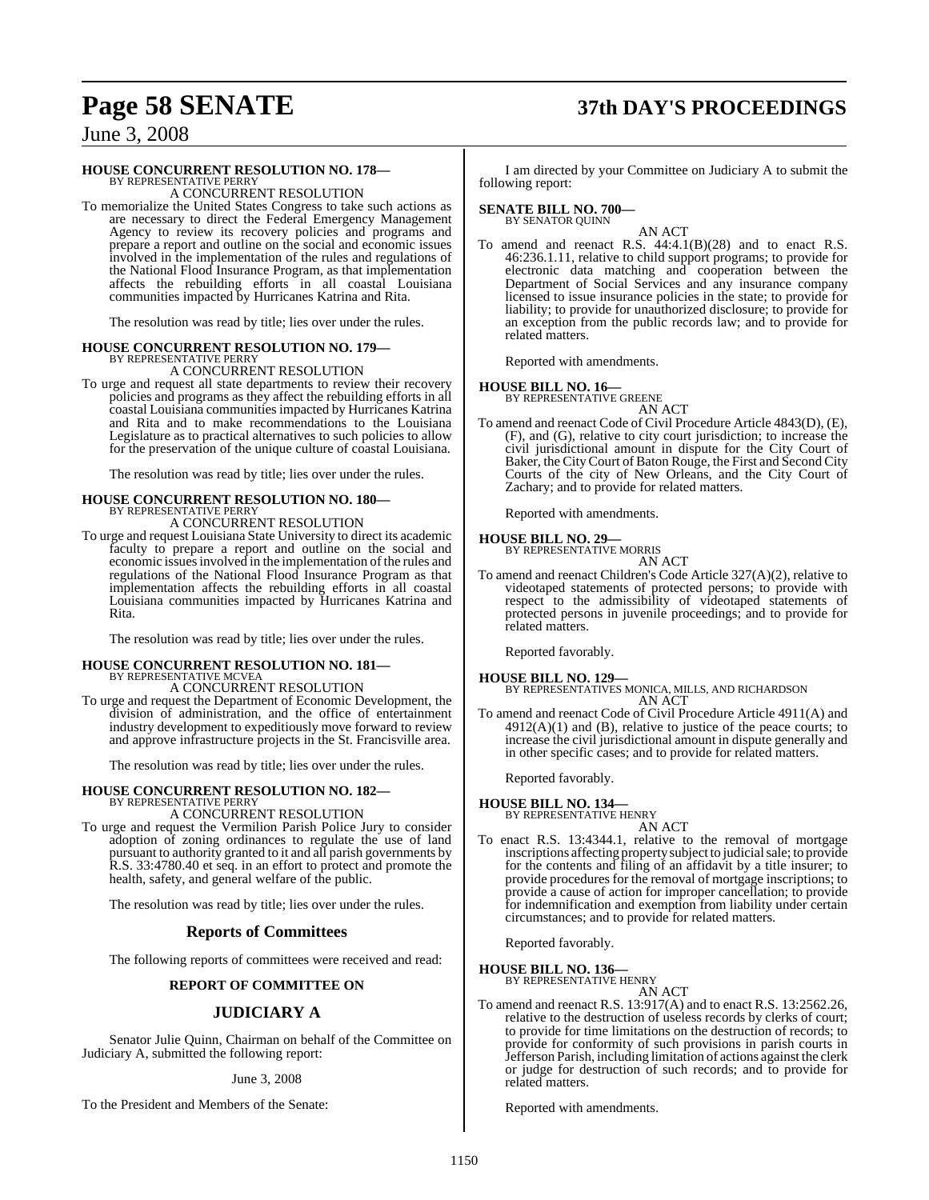# **Page 58 SENATE 37th DAY'S PROCEEDINGS**

### June 3, 2008

### **HOUSE CONCURRENT RESOLUTION NO. 178—** BY REPRESENTATIVE PERRY

A CONCURRENT RESOLUTION

To memorialize the United States Congress to take such actions as are necessary to direct the Federal Emergency Management Agency to review its recovery policies and programs and prepare a report and outline on the social and economic issues involved in the implementation of the rules and regulations of the National Flood Insurance Program, as that implementation affects the rebuilding efforts in all coastal Louisiana communities impacted by Hurricanes Katrina and Rita.

The resolution was read by title; lies over under the rules.

#### **HOUSE CONCURRENT RESOLUTION NO. 179—** BY REPRESENTATIVE PERRY

A CONCURRENT RESOLUTION

To urge and request all state departments to review their recovery policies and programs as they affect the rebuilding efforts in all coastal Louisiana communities impacted by Hurricanes Katrina and Rita and to make recommendations to the Louisiana Legislature as to practical alternatives to such policies to allow for the preservation of the unique culture of coastal Louisiana.

The resolution was read by title; lies over under the rules.

# **HOUSE CONCURRENT RESOLUTION NO. 180—** BY REPRESENTATIVE PERRY

A CONCURRENT RESOLUTION

To urge and request Louisiana State University to direct its academic faculty to prepare a report and outline on the social and economic issuesinvolved in the implementation of the rules and regulations of the National Flood Insurance Program as that implementation affects the rebuilding efforts in all coastal Louisiana communities impacted by Hurricanes Katrina and Rita.

The resolution was read by title; lies over under the rules.

### **HOUSE CONCURRENT RESOLUTION NO. 181—** BY REPRESENTATIVE MCVEA

A CONCURRENT RESOLUTION

To urge and request the Department of Economic Development, the division of administration, and the office of entertainment industry development to expeditiously move forward to review and approve infrastructure projects in the St. Francisville area.

The resolution was read by title; lies over under the rules.

# **HOUSE CONCURRENT RESOLUTION NO. 182—** BY REPRESENTATIVE PERRY

A CONCURRENT RESOLUTION

To urge and request the Vermilion Parish Police Jury to consider adoption of zoning ordinances to regulate the use of land pursuant to authority granted to it and all parish governments by R.S. 33:4780.40 et seq. in an effort to protect and promote the health, safety, and general welfare of the public.

The resolution was read by title; lies over under the rules.

#### **Reports of Committees**

The following reports of committees were received and read:

#### **REPORT OF COMMITTEE ON**

### **JUDICIARY A**

Senator Julie Quinn, Chairman on behalf of the Committee on Judiciary A, submitted the following report:

#### June 3, 2008

To the President and Members of the Senate:

I am directed by your Committee on Judiciary A to submit the following report:

### **SENATE BILL NO. 700—** BY SENATOR QUINN

AN ACT

To amend and reenact R.S. 44:4.1(B)(28) and to enact R.S. 46:236.1.11, relative to child support programs; to provide for electronic data matching and cooperation between the Department of Social Services and any insurance company licensed to issue insurance policies in the state; to provide for liability; to provide for unauthorized disclosure; to provide for an exception from the public records law; and to provide for related matters.

Reported with amendments.

#### **HOUSE BILL NO. 16—**

BY REPRESENTATIVE GREENE AN ACT

To amend and reenact Code of Civil Procedure Article 4843(D), (E), (F), and (G), relative to city court jurisdiction; to increase the civil jurisdictional amount in dispute for the City Court of Baker, the City Court of Baton Rouge, the First and Second City Courts of the city of New Orleans, and the City Court of Zachary; and to provide for related matters.

Reported with amendments.

#### **HOUSE BILL NO. 29—**

BY REPRESENTATIVE MORRIS AN ACT

To amend and reenact Children's Code Article 327(A)(2), relative to videotaped statements of protected persons; to provide with respect to the admissibility of videotaped statements of protected persons in juvenile proceedings; and to provide for related matters.

Reported favorably.

**HOUSE BILL NO. 129—** BY REPRESENTATIVES MONICA, MILLS, AND RICHARDSON AN ACT

To amend and reenact Code of Civil Procedure Article 4911(A) and  $4912(A)(1)$  and (B), relative to justice of the peace courts; to increase the civil jurisdictional amount in dispute generally and in other specific cases; and to provide for related matters.

Reported favorably.

#### **HOUSE BILL NO. 134—**

BY REPRESENTATIVE HENRY

- AN ACT
- To enact R.S. 13:4344.1, relative to the removal of mortgage inscriptions affecting property subject to judicial sale; to provide for the contents and filing of an affidavit by a title insurer; to provide procedures for the removal of mortgage inscriptions; to provide a cause of action for improper cancellation; to provide for indemnification and exemption from liability under certain circumstances; and to provide for related matters.

Reported favorably.

## **HOUSE BILL NO. 136—** BY REPRESENTATIVE HENRY

AN ACT

To amend and reenact R.S. 13:917(A) and to enact R.S. 13:2562.26, relative to the destruction of useless records by clerks of court; to provide for time limitations on the destruction of records; to provide for conformity of such provisions in parish courts in Jefferson Parish, including limitation of actions against the clerk or judge for destruction of such records; and to provide for related matters.

Reported with amendments.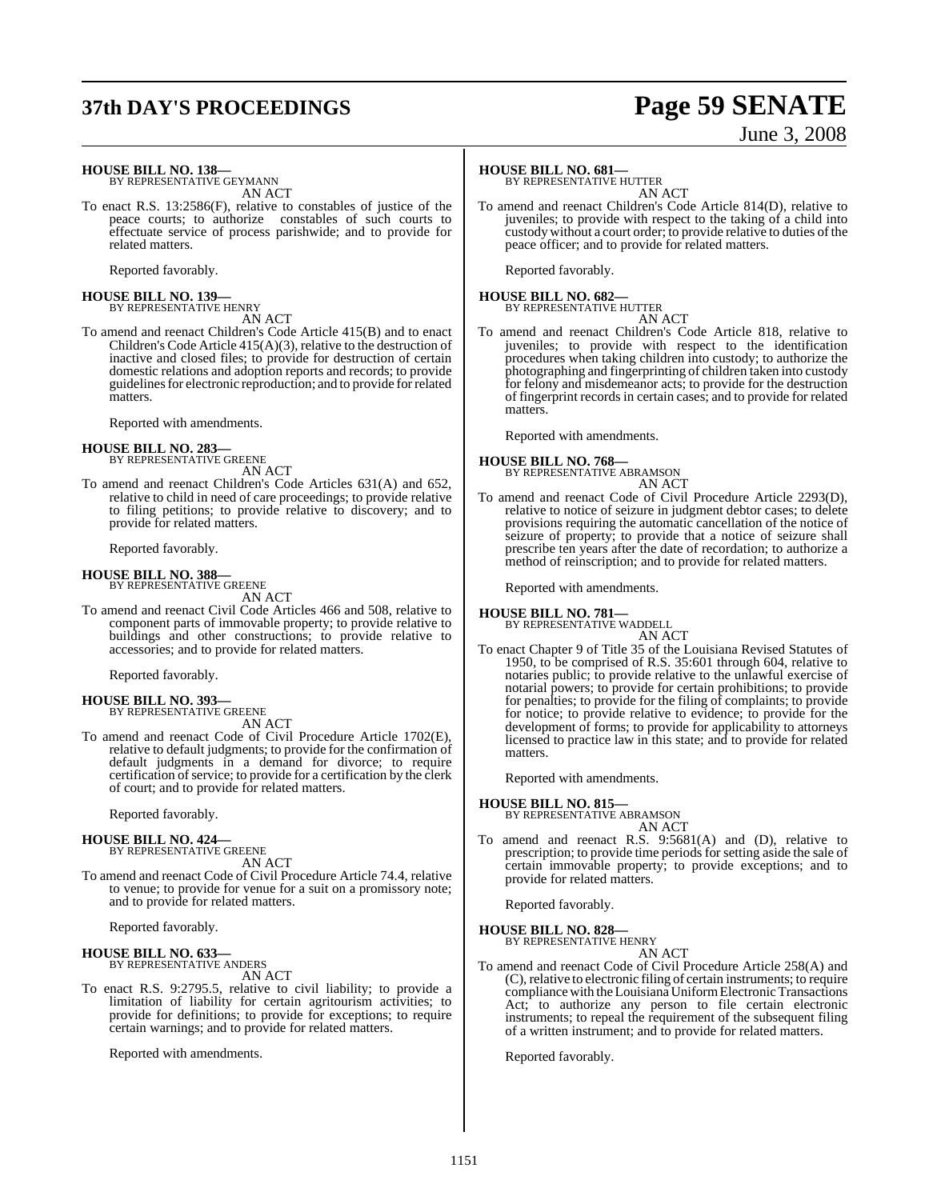# **37th DAY'S PROCEEDINGS Page 59 SENATE**

# June 3, 2008

**HOUSE BILL NO. 138—**

BY REPRESENTATIVE GEYMANN AN ACT

To enact R.S. 13:2586(F), relative to constables of justice of the peace courts; to authorize constables of such courts to effectuate service of process parishwide; and to provide for related matters.

Reported favorably.

# **HOUSE BILL NO. 139—** BY REPRESENTATIVE HENRY

AN ACT

To amend and reenact Children's Code Article 415(B) and to enact Children's Code Article 415(A)(3), relative to the destruction of inactive and closed files; to provide for destruction of certain domestic relations and adoption reports and records; to provide guidelinesfor electronic reproduction; and to provide forrelated matters.

Reported with amendments.

#### **HOUSE BILL NO. 283—** BY REPRESENTATIVE GREENE

AN ACT

To amend and reenact Children's Code Articles 631(A) and 652, relative to child in need of care proceedings; to provide relative to filing petitions; to provide relative to discovery; and to provide for related matters.

Reported favorably.

#### **HOUSE BILL NO. 388—**

BY REPRESENTATIVE GREENE AN ACT

To amend and reenact Civil Code Articles 466 and 508, relative to component parts of immovable property; to provide relative to buildings and other constructions; to provide relative to accessories; and to provide for related matters.

Reported favorably.

#### **HOUSE BILL NO. 393—** BY REPRESENTATIVE GREENE

AN ACT

To amend and reenact Code of Civil Procedure Article 1702(E), relative to default judgments; to provide for the confirmation of default judgments in a demand for divorce; to require certification of service; to provide for a certification by the clerk of court; and to provide for related matters.

Reported favorably.

#### **HOUSE BILL NO. 424—**

BY REPRESENTATIVE GREENE AN ACT

To amend and reenact Code of Civil Procedure Article 74.4, relative to venue; to provide for venue for a suit on a promissory note; and to provide for related matters.

Reported favorably.

### **HOUSE BILL NO. 633—** BY REPRESENTATIVE ANDERS

AN ACT

To enact R.S. 9:2795.5, relative to civil liability; to provide a limitation of liability for certain agritourism activities; to provide for definitions; to provide for exceptions; to require certain warnings; and to provide for related matters.

Reported with amendments.

#### **HOUSE BILL NO. 681—**

BY REPRESENTATIVE HUTTER

AN ACT To amend and reenact Children's Code Article 814(D), relative to juveniles; to provide with respect to the taking of a child into custody without a court order; to provide relative to duties of the peace officer; and to provide for related matters.

Reported favorably.

# **HOUSE BILL NO. 682—** BY REPRESENTATIVE HUTTER

AN ACT

To amend and reenact Children's Code Article 818, relative to juveniles; to provide with respect to the identification procedures when taking children into custody; to authorize the photographing and fingerprinting of children taken into custody for felony and misdemeanor acts; to provide for the destruction of fingerprint records in certain cases; and to provide for related matters.

Reported with amendments.

### **HOUSE BILL NO. 768—** BY REPRESENTATIVE ABRAMSON

AN ACT

To amend and reenact Code of Civil Procedure Article 2293(D), relative to notice of seizure in judgment debtor cases; to delete provisions requiring the automatic cancellation of the notice of seizure of property; to provide that a notice of seizure shall prescribe ten years after the date of recordation; to authorize a method of reinscription; and to provide for related matters.

Reported with amendments.

#### **HOUSE BILL NO. 781—**

BY REPRESENTATIVE WADDELL AN ACT

To enact Chapter 9 of Title 35 of the Louisiana Revised Statutes of 1950, to be comprised of R.S. 35:601 through 604, relative to notaries public; to provide relative to the unlawful exercise of notarial powers; to provide for certain prohibitions; to provide for penalties; to provide for the filing of complaints; to provide for notice; to provide relative to evidence; to provide for the development of forms; to provide for applicability to attorneys licensed to practice law in this state; and to provide for related matters.

Reported with amendments.

#### **HOUSE BILL NO. 815—**

BY REPRESENTATIVE ABRAMSON

- AN ACT
- To amend and reenact R.S. 9:5681(A) and (D), relative to prescription; to provide time periods for setting aside the sale of certain immovable property; to provide exceptions; and to provide for related matters.

Reported favorably.

#### **HOUSE BILL NO. 828—**

BY REPRESENTATIVE HENRY AN ACT

To amend and reenact Code of Civil Procedure Article 258(A) and (C), relative to electronic filing of certain instruments; to require compliance with the Louisiana Uniform Electronic Transactions Act; to authorize any person to file certain electronic instruments; to repeal the requirement of the subsequent filing of a written instrument; and to provide for related matters.

Reported favorably.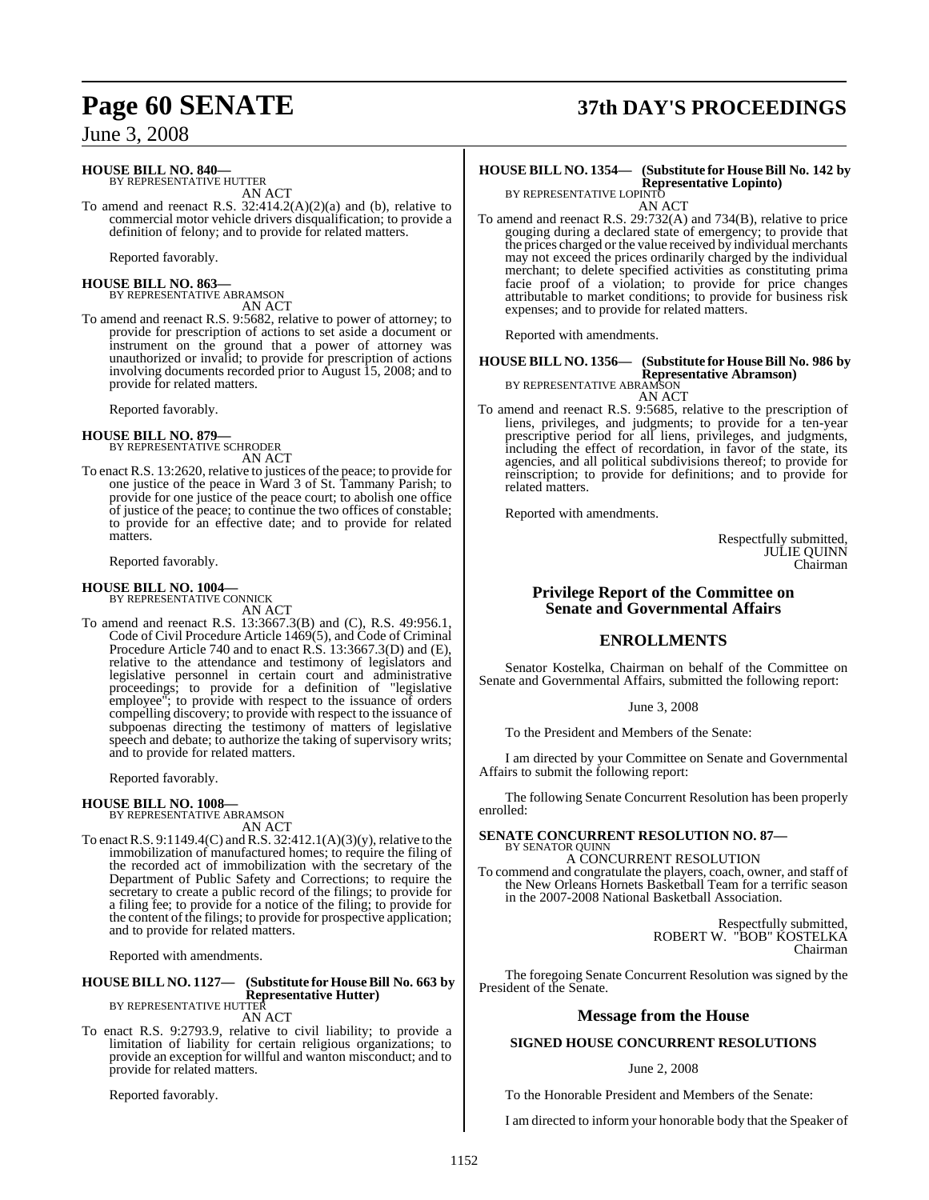### **HOUSE BILL NO. 840—**

BY REPRESENTATIVE HUTTER AN ACT

To amend and reenact R.S. 32:414.2(A)(2)(a) and (b), relative to commercial motor vehicle drivers disqualification; to provide a definition of felony; and to provide for related matters.

Reported favorably.

**HOUSE BILL NO. 863—** BY REPRESENTATIVE ABRAMSON AN ACT

To amend and reenact R.S. 9:5682, relative to power of attorney; to provide for prescription of actions to set aside a document or instrument on the ground that a power of attorney was unauthorized or invalid; to provide for prescription of actions involving documents recorded prior to August 15, 2008; and to provide for related matters.

Reported favorably.

#### **HOUSE BILL NO. 879—**

BY REPRESENTATIVE SCHRODER

AN ACT To enact R.S. 13:2620, relative to justices of the peace; to provide for one justice of the peace in Ward 3 of St. Tammany Parish; to provide for one justice of the peace court; to abolish one office of justice of the peace; to continue the two offices of constable; to provide for an effective date; and to provide for related matters.

Reported favorably.

### **HOUSE BILL NO. 1004—**

BY REPRESENTATIVE CONNICK AN ACT To amend and reenact R.S. 13:3667.3(B) and (C), R.S. 49:956.1, Code of Civil Procedure Article 1469(5), and Code of Criminal Procedure Article 740 and to enact R.S. 13:3667.3(D) and (E), relative to the attendance and testimony of legislators and legislative personnel in certain court and administrative proceedings; to provide for a definition of "legislative employee"; to provide with respect to the issuance of orders compelling discovery; to provide with respect to the issuance of subpoenas directing the testimony of matters of legislative speech and debate; to authorize the taking of supervisory writs;

Reported favorably.

#### **HOUSE BILL NO. 1008—**

BY REPRESENTATIVE ABRAMSON AN ACT

and to provide for related matters.

To enact R.S.  $9:1149.4(C)$  and R.S.  $32:412.1(A)(3)(y)$ , relative to the immobilization of manufactured homes; to require the filing of the recorded act of immobilization with the secretary of the Department of Public Safety and Corrections; to require the secretary to create a public record of the filings; to provide for a filing fee; to provide for a notice of the filing; to provide for the content of the filings; to provide for prospective application; and to provide for related matters.

Reported with amendments.

#### **HOUSE BILL NO. 1127— (Substitute for HouseBill No. 663 by Representative Hutter)** BY REPRESENTATIVE HUTTER

AN ACT

To enact R.S. 9:2793.9, relative to civil liability; to provide a limitation of liability for certain religious organizations; to provide an exception for willful and wanton misconduct; and to provide for related matters.

Reported favorably.

# **Page 60 SENATE 37th DAY'S PROCEEDINGS**

#### **HOUSE BILL NO. 1354— (Substitute for HouseBill No. 142 by Representative Lopinto)** BY REPRESENTATIVE LOPINTO

AN ACT

To amend and reenact R.S. 29:732(A) and 734(B), relative to price gouging during a declared state of emergency; to provide that the prices charged or the value received by individual merchants may not exceed the prices ordinarily charged by the individual merchant; to delete specified activities as constituting prima facie proof of a violation; to provide for price changes attributable to market conditions; to provide for business risk expenses; and to provide for related matters.

Reported with amendments.

### **HOUSE BILL NO. 1356— (Substitute for HouseBill No. 986 by Representative Abramson)** BY REPRESENTATIVE ABRAMSON

AN ACT

To amend and reenact R.S. 9:5685, relative to the prescription of liens, privileges, and judgments; to provide for a ten-year prescriptive period for all liens, privileges, and judgments, including the effect of recordation, in favor of the state, its agencies, and all political subdivisions thereof; to provide for reinscription; to provide for definitions; and to provide for related matters.

Reported with amendments.

Respectfully submitted, JULIE QUINN Chairman

#### **Privilege Report of the Committee on Senate and Governmental Affairs**

### **ENROLLMENTS**

Senator Kostelka, Chairman on behalf of the Committee on Senate and Governmental Affairs, submitted the following report:

June 3, 2008

To the President and Members of the Senate:

I am directed by your Committee on Senate and Governmental Affairs to submit the following report:

The following Senate Concurrent Resolution has been properly enrolled:

#### **SENATE CONCURRENT RESOLUTION NO. 87—** BY SENATOR QUINN

A CONCURRENT RESOLUTION

To commend and congratulate the players, coach, owner, and staff of the New Orleans Hornets Basketball Team for a terrific season in the 2007-2008 National Basketball Association.

> Respectfully submitted, ROBERT W. "BOB" KOSTELKA Chairman

The foregoing Senate Concurrent Resolution was signed by the President of the Senate.

### **Message from the House**

### **SIGNED HOUSE CONCURRENT RESOLUTIONS**

#### June 2, 2008

To the Honorable President and Members of the Senate:

I am directed to inform your honorable body that the Speaker of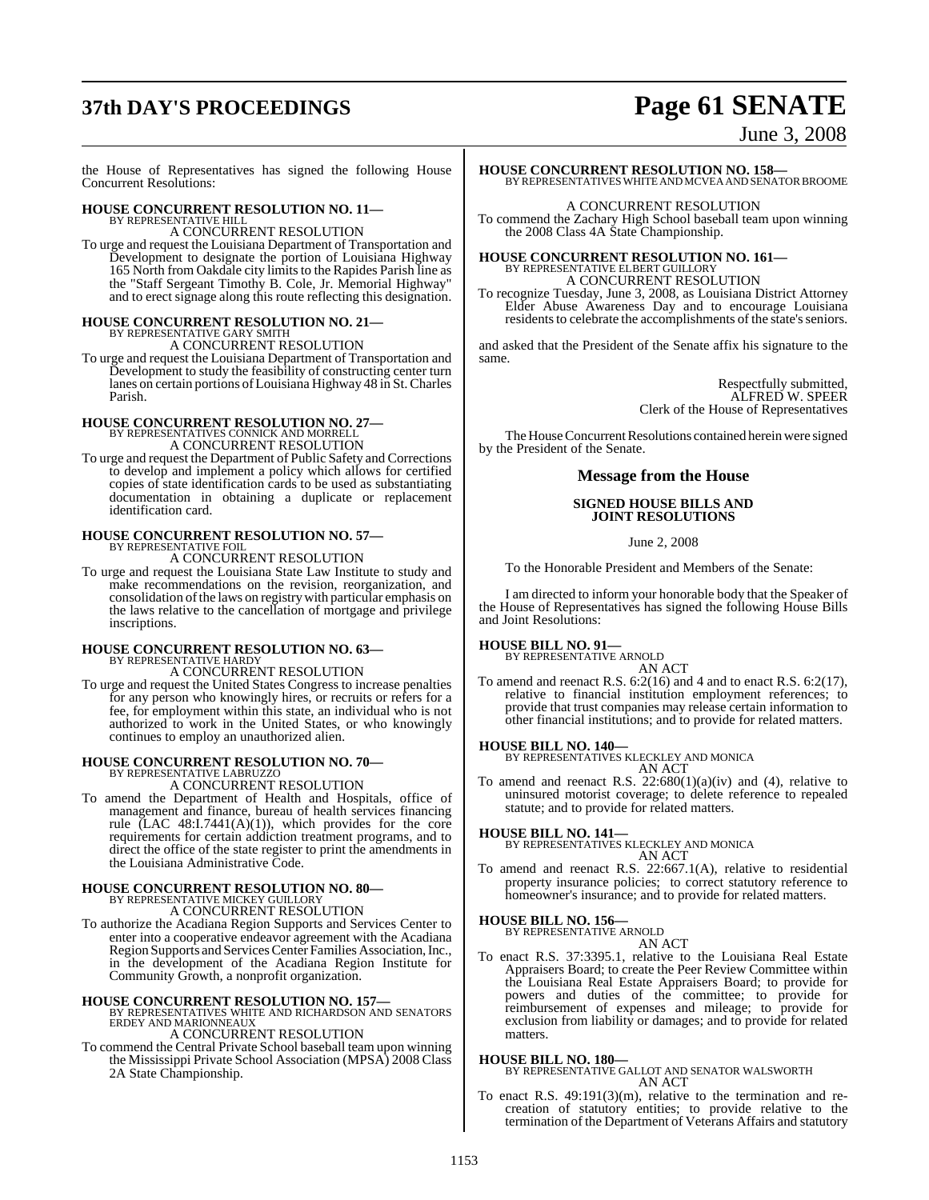# **37th DAY'S PROCEEDINGS Page 61 SENATE**

June 3, 2008

the House of Representatives has signed the following House Concurrent Resolutions:

### **HOUSE CONCURRENT RESOLUTION NO. 11—** BY REPRESENTATIVE HILL

A CONCURRENT RESOLUTION

To urge and request the Louisiana Department of Transportation and Development to designate the portion of Louisiana Highway 165 North from Oakdale city limits to the Rapides Parish line as the "Staff Sergeant Timothy B. Cole, Jr. Memorial Highway" and to erect signage along this route reflecting this designation.

### **HOUSE CONCURRENT RESOLUTION NO. 21—** BY REPRESENTATIVE GARY SMITH A CONCURRENT RESOLUTION

To urge and request the Louisiana Department of Transportation and Development to study the feasibility of constructing center turn lanes on certain portions ofLouisiana Highway 48 in St.Charles Parish.

### **HOUSE CONCURRENT RESOLUTION NO. 27—** BY REPRESENTATIVES CONNICK AND MORRELL A CONCURRENT RESOLUTION

To urge and request the Department of Public Safety and Corrections to develop and implement a policy which allows for certified copies of state identification cards to be used as substantiating documentation in obtaining a duplicate or replacement identification card.

#### **HOUSE CONCURRENT RESOLUTION NO. 57—** BY REPRESENTATIVE FOIL

A CONCURRENT RESOLUTION

To urge and request the Louisiana State Law Institute to study and make recommendations on the revision, reorganization, and consolidation of the laws on registry with particular emphasis on the laws relative to the cancellation of mortgage and privilege inscriptions.

### **HOUSE CONCURRENT RESOLUTION NO. 63—** BY REPRESENTATIVE HARDY

A CONCURRENT RESOLUTION

To urge and request the United States Congress to increase penalties for any person who knowingly hires, or recruits or refers for a fee, for employment within this state, an individual who is not authorized to work in the United States, or who knowingly continues to employ an unauthorized alien.

# **HOUSE CONCURRENT RESOLUTION NO. 70—** BY REPRESENTATIVE LABRUZZO

A CONCURRENT RESOLUTION

To amend the Department of Health and Hospitals, office of management and finance, bureau of health services financing rule (LAC  $48:1.7441(A)(1)$ ), which provides for the core requirements for certain addiction treatment programs, and to direct the office of the state register to print the amendments in the Louisiana Administrative Code.

#### **HOUSE CONCURRENT RESOLUTION NO. 80—** BY REPRESENTATIVE MICKEY GUILLORY A CONCURRENT RESOLUTION

To authorize the Acadiana Region Supports and Services Center to enter into a cooperative endeavor agreement with the Acadiana Region Supports and Services Center Families Association, Inc., in the development of the Acadiana Region Institute for Community Growth, a nonprofit organization.

**HOUSE CONCURRENT RESOLUTION NO. 157—** BY REPRESENTATIVES WHITE AND RICHARDSON AND SENATORS ERDEY AND MARIONNEAUX A CONCURRENT RESOLUTION

To commend the Central Private School baseball team upon winning the Mississippi Private School Association (MPSA) 2008 Class 2A State Championship.

### **HOUSE CONCURRENT RESOLUTION NO. 158—**

BY REPRESENTATIVES WHITE AND MCVEA AND SENATOR BROOME

A CONCURRENT RESOLUTION

To commend the Zachary High School baseball team upon winning the 2008 Class 4A State Championship.

### **HOUSE CONCURRENT RESOLUTION NO. 161—** BY REPRESENTATIVE ELBERT GUILLORY A CONCURRENT RESOLUTION

To recognize Tuesday, June 3, 2008, as Louisiana District Attorney Elder Abuse Awareness Day and to encourage Louisiana residents to celebrate the accomplishments of the state's seniors.

and asked that the President of the Senate affix his signature to the same.

> Respectfully submitted, ALFRED W. SPEER Clerk of the House of Representatives

The House Concurrent Resolutions contained herein were signed by the President of the Senate.

### **Message from the House**

#### **SIGNED HOUSE BILLS AND JOINT RESOLUTIONS**

June 2, 2008

To the Honorable President and Members of the Senate:

I am directed to inform your honorable body that the Speaker of the House of Representatives has signed the following House Bills and Joint Resolutions:

### **HOUSE BILL NO. 91—** BY REPRESENTATIVE ARNOLD

AN ACT

To amend and reenact R.S. 6:2(16) and 4 and to enact R.S. 6:2(17), relative to financial institution employment references; to provide that trust companies may release certain information to other financial institutions; and to provide for related matters.

## **HOUSE BILL NO. 140—** BY REPRESENTATIVES KLECKLEY AND MONICA

AN ACT

To amend and reenact R.S.  $22:680(1)(a)(iv)$  and (4), relative to uninsured motorist coverage; to delete reference to repealed statute; and to provide for related matters.

**HOUSE BILL NO. 141—** BY REPRESENTATIVES KLECKLEY AND MONICA AN ACT

To amend and reenact R.S. 22:667.1(A), relative to residential property insurance policies; to correct statutory reference to homeowner's insurance; and to provide for related matters.

### **HOUSE BILL NO. 156—**

BY REPRESENTATIVE ARNOLD AN ACT

To enact R.S. 37:3395.1, relative to the Louisiana Real Estate Appraisers Board; to create the Peer Review Committee within the Louisiana Real Estate Appraisers Board; to provide for powers and duties of the committee; to provide for reimbursement of expenses and mileage; to provide for exclusion from liability or damages; and to provide for related matters.

#### **HOUSE BILL NO. 180—**

BY REPRESENTATIVE GALLOT AND SENATOR WALSWORTH AN ACT

To enact R.S. 49:191(3)(m), relative to the termination and recreation of statutory entities; to provide relative to the termination of the Department of Veterans Affairs and statutory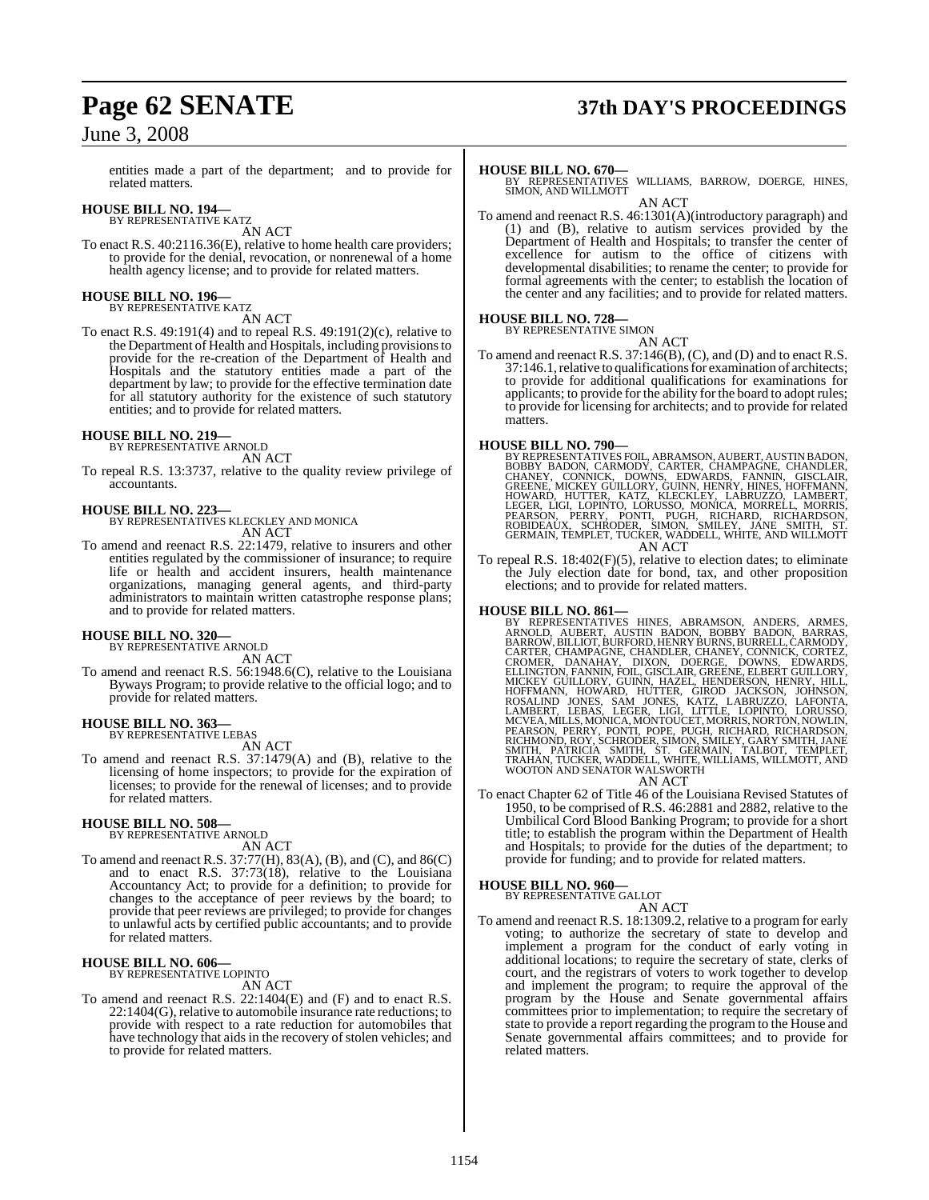entities made a part of the department; and to provide for related matters.

### **HOUSE BILL NO. 194—** BY REPRESENTATIVE KATZ

AN ACT

To enact R.S. 40:2116.36(E), relative to home health care providers; to provide for the denial, revocation, or nonrenewal of a home health agency license; and to provide for related matters.

## **HOUSE BILL NO. 196—** BY REPRESENTATIVE KATZ

AN ACT

To enact R.S. 49:191(4) and to repeal R.S. 49:191(2)(c), relative to the Department of Health and Hospitals, including provisionsto provide for the re-creation of the Department of Health and Hospitals and the statutory entities made a part of the department by law; to provide for the effective termination date for all statutory authority for the existence of such statutory entities; and to provide for related matters.

#### **HOUSE BILL NO. 219—**

BY REPRESENTATIVE ARNOLD AN ACT

To repeal R.S. 13:3737, relative to the quality review privilege of accountants.

#### **HOUSE BILL NO. 223—**

BY REPRESENTATIVES KLECKLEY AND MONICA AN ACT

To amend and reenact R.S. 22:1479, relative to insurers and other entities regulated by the commissioner of insurance; to require life or health and accident insurers, health maintenance organizations, managing general agents, and third-party administrators to maintain written catastrophe response plans; and to provide for related matters.

#### **HOUSE BILL NO. 320—**

BY REPRESENTATIVE ARNOLD AN ACT

To amend and reenact R.S. 56:1948.6(C), relative to the Louisiana Byways Program; to provide relative to the official logo; and to provide for related matters.

### **HOUSE BILL NO. 363—**

BY REPRESENTATIVE LEBAS AN ACT

To amend and reenact R.S. 37:1479(A) and (B), relative to the licensing of home inspectors; to provide for the expiration of licenses; to provide for the renewal of licenses; and to provide for related matters.

**HOUSE BILL NO. 508—** BY REPRESENTATIVE ARNOLD AN ACT

To amend and reenact R.S. 37:77(H), 83(A), (B), and (C), and 86(C) and to enact R.S. 37:73(18), relative to the Louisiana Accountancy Act; to provide for a definition; to provide for changes to the acceptance of peer reviews by the board; to provide that peer reviews are privileged; to provide for changes to unlawful acts by certified public accountants; and to provide for related matters.

#### **HOUSE BILL NO. 606—** BY REPRESENTATIVE LOPINTO

AN ACT

To amend and reenact R.S. 22:1404(E) and (F) and to enact R.S. 22:1404(G), relative to automobile insurance rate reductions; to provide with respect to a rate reduction for automobiles that have technology that aids in the recovery of stolen vehicles; and to provide for related matters.

## **Page 62 SENATE 37th DAY'S PROCEEDINGS**

#### **HOUSE BILL NO. 670—**

BY REPRESENTATIVES WILLIAMS, BARROW, DOERGE, HINES, SIMON, AND WILLMOTT AN ACT

To amend and reenact R.S. 46:1301(A)(introductory paragraph) and (1) and (B), relative to autism services provided by the Department of Health and Hospitals; to transfer the center of excellence for autism to the office of citizens with developmental disabilities; to rename the center; to provide for formal agreements with the center; to establish the location of the center and any facilities; and to provide for related matters.

#### **HOUSE BILL NO. 728—**

BY REPRESENTATIVE SIMON

AN ACT To amend and reenact R.S. 37:146(B), (C), and (D) and to enact R.S. 37:146.1, relative to qualifications for examination of architects; to provide for additional qualifications for examinations for applicants; to provide for the ability for the board to adopt rules; to provide for licensing for architects; and to provide for related matters.

**HOUSE BILL NO. 790—**<br>BY REPRESENTATIVES FOIL, ABRAMSON, AUBERT, AUSTIN BADON, BOBBY BADON, CARMODY, CARTER, CHAMPAGNE, CHANDLER,<br>CHANEY, CONNICK, DOWNS, EDWARDS, FANNIN, GISCLAIR,<br>GREENE, MICKEY GUILLORY, GUINN, HENRY, HI GERMAIN, TEMPLET, TUCKER, WADDELL, WHITE, AND WILLMOTT AN ACT

To repeal R.S. 18:402(F)(5), relative to election dates; to eliminate the July election date for bond, tax, and other proposition elections; and to provide for related matters.

**HOUSE BILL NO. 861—**<br>BY REPRESENTATIVES HINES, ABRAMSON, ANDERS, ARMES, ARNOLD, AUBERT, AUSTIN BADON, BOBBY BADON, BARRAS, BARROW, BILLIOT, BURFORD, HENRY BURNEY, CONNICK, CORTEZ, CRAMER, CHANGNE, CHANNEY, CONNICK, CORTEZ

To enact Chapter 62 of Title 46 of the Louisiana Revised Statutes of 1950, to be comprised of R.S. 46:2881 and 2882, relative to the Umbilical Cord Blood Banking Program; to provide for a short title; to establish the program within the Department of Health and Hospitals; to provide for the duties of the department; to provide for funding; and to provide for related matters.

#### **HOUSE BILL NO. 960—**

BY REPRESENTATIVE GALLOT

AN ACT

To amend and reenact R.S. 18:1309.2, relative to a program for early voting; to authorize the secretary of state to develop and implement a program for the conduct of early voting in additional locations; to require the secretary of state, clerks of court, and the registrars of voters to work together to develop and implement the program; to require the approval of the program by the House and Senate governmental affairs committees prior to implementation; to require the secretary of state to provide a report regarding the program to the House and Senate governmental affairs committees; and to provide for related matters.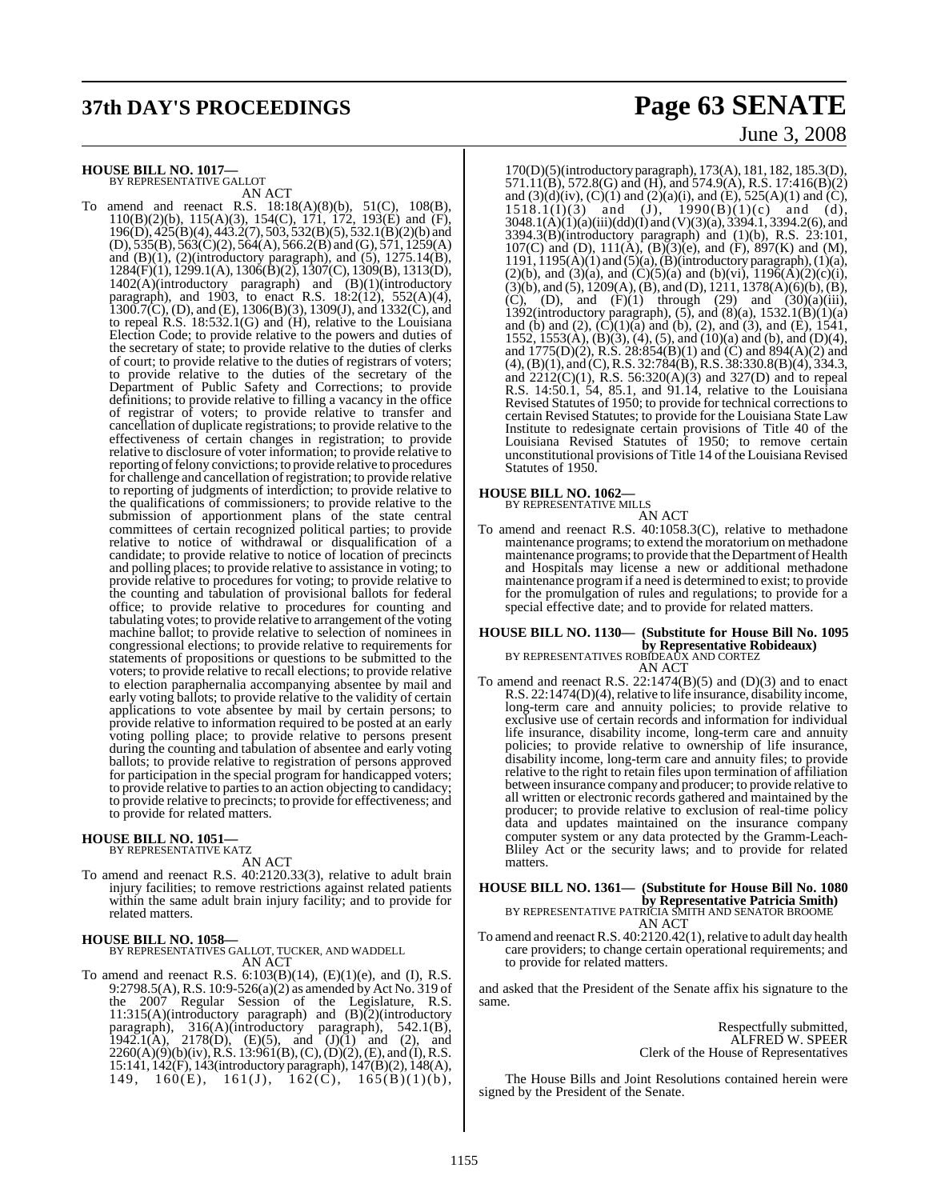# **37th DAY'S PROCEEDINGS Page 63 SENATE**

#### **HOUSE BILL NO. 1017—**

BY REPRESENTATIVE GALLOT

AN ACT To amend and reenact R.S. 18:18(A)(8)(b), 51(C), 108(B), 110(B)(2)(b), 115(A)(3), 154(C), 171, 172, 193(E) and (F), 196(D), 425(B)(4), 443.2(7), 503, 532(B)(5), 532.1(B)(2)(b) and  $(D), 535(B), 563(C)(2), 564(A), 566.2(B)$  and  $(G), 571, 1259(A)$ and  $(B)(1)$ ,  $(2)$ (introductory paragraph), and  $(5)$ ,  $1275.14(B)$ , 1284(F)(1), 1299.1(A), 1306(B)(2), 1307(C), 1309(B), 1313(D), 1402(A)(introductory paragraph) and (B)(1)(introductory paragraph), and 1903, to enact R.S. 18:2(12), 552(A)(4),  $1300.7$ (C), (D), and (E),  $1306(B)(3)$ ,  $1309(J)$ , and  $1332(C)$ , and to repeal R.S. 18:532.1(G) and (H), relative to the Louisiana Election Code; to provide relative to the powers and duties of the secretary of state; to provide relative to the duties of clerks of court; to provide relative to the duties of registrars of voters; to provide relative to the duties of the secretary of the Department of Public Safety and Corrections; to provide definitions; to provide relative to filling a vacancy in the office of registrar of voters; to provide relative to transfer and cancellation of duplicate registrations; to provide relative to the effectiveness of certain changes in registration; to provide relative to disclosure of voter information; to provide relative to reporting of felony convictions; to provide relative to procedures for challenge and cancellation ofregistration; to provide relative to reporting of judgments of interdiction; to provide relative to the qualifications of commissioners; to provide relative to the submission of apportionment plans of the state central committees of certain recognized political parties; to provide relative to notice of withdrawal or disqualification of a candidate; to provide relative to notice of location of precincts and polling places; to provide relative to assistance in voting; to provide relative to procedures for voting; to provide relative to the counting and tabulation of provisional ballots for federal office; to provide relative to procedures for counting and tabulating votes; to provide relative to arrangement of the voting machine ballot; to provide relative to selection of nominees in congressional elections; to provide relative to requirements for statements of propositions or questions to be submitted to the voters; to provide relative to recall elections; to provide relative to election paraphernalia accompanying absentee by mail and early voting ballots; to provide relative to the validity of certain applications to vote absentee by mail by certain persons; to provide relative to information required to be posted at an early voting polling place; to provide relative to persons present during the counting and tabulation of absentee and early voting ballots; to provide relative to registration of persons approved for participation in the special program for handicapped voters; to provide relative to parties to an action objecting to candidacy; to provide relative to precincts; to provide for effectiveness; and to provide for related matters.

### **HOUSE BILL NO. 1051—** BY REPRESENTATIVE KATZ

AN ACT

To amend and reenact R.S. 40:2120.33(3), relative to adult brain injury facilities; to remove restrictions against related patients within the same adult brain injury facility; and to provide for related matters.

#### **HOUSE BILL NO. 1058—**

BY REPRESENTATIVES GALLOT, TUCKER, AND WADDELL AN ACT

To amend and reenact R.S.  $6:103(B)(14)$ ,  $(E)(1)(e)$ , and  $(I)$ , R.S. 9:2798.5(A), R.S. 10:9-526(a)(2) as amended by Act No. 319 of the 2007 Regular Session of the Legislature, R.S. 11:315(A)(introductory paragraph) and  $(B)$ (2)(introductory paragraph), 316(A)(introductory paragraph), 542.1(B), 1942.1(A), 2178(D), (E)(5), and  $(J)(1)$  and (2), and  $2260(A)(9)(b)(iv)$ , R.S. 13:961(B), (C), (D)(2), (E), and (I), R.S. 15:141, 142(F), 143(introductory paragraph), 147(B)(2), 148(A), 149, 160(E), 161(J), 162(C), 165(B)(1)(b),

# June 3, 2008

170(D)(5)(introductory paragraph), 173(A), 181, 182, 185.3(D), 571.11(B), 572.8(G) and (H), and 574.9(A), R.S. 17:416(B)(2) and (3)(d)(iv), (C)(1) and (2)(a)(i), and (E), 525(A)(1) and (C),  $1518.1(1)(3)$  and  $(J)$ ,  $1990(B)(1)(c)$  and  $(d)$ , 3048.1(A)(1)(a)(iii)(dd)(I) and (V)(3)(a), 3394.1, 3394.2(6), and 3394.3(B)(introductory paragraph) and (1)(b), R.S. 23:101, 107(C) and (D),  $111(A)$ ,  $(B)$  $(3)$  $(e)$ , and  $(F)$ ,  $897(K)$  and  $(M)$ , 1191, 1195(A)(1) and (5)(a), (B)(introductory paragraph), (1)(a), (2)(b), and (3)(a), and (C)(5)(a) and (b)(vi),  $1196(\text{\AA})(2)(c)(i)$ ,  $(3)(b)$ , and  $(5)$ , 1209(A), (B), and (D), 1211, 1378(A)(6)(b), (B), (C), (D), and  $(F)(1)$  through (29) and  $(30)(a)(iii)$ , 1392(introductory paragraph),  $(5)$ , and  $(8)(a)$ ,  $1532.1(B)(1)(a)$ and (b) and (2),  $(C)(1)(a)$  and (b), (2), and (3), and (E), 1541, 1552, 1553(A), (B)(3), (4), (5), and (10)(a) and (b), and (D)(4), and 1775(D)(2), R.S. 28:854(B)(1) and (C) and 894(A)(2) and  $(4)$ ,  $(B)(1)$ , and  $(C)$ , R.S. 32:784 $(B)$ , R.S. 38:330.8 $(B)(4)$ , 334.3, and 2212(C)(1), R.S. 56:320(A)(3) and 327(D) and to repeal R.S. 14:50.1, 54, 85.1, and 91.14, relative to the Louisiana Revised Statutes of 1950; to provide for technical correctionsto certain Revised Statutes; to provide for the Louisiana State Law Institute to redesignate certain provisions of Title 40 of the Louisiana Revised Statutes of 1950; to remove certain unconstitutional provisions of Title 14 of the Louisiana Revised Statutes of 1950.

### **HOUSE BILL NO. 1062—** BY REPRESENTATIVE MILLS

AN ACT

To amend and reenact R.S. 40:1058.3(C), relative to methadone maintenance programs; to extend the moratoriumon methadone maintenance programs; to provide that the Department of Health and Hospitals may license a new or additional methadone maintenance programif a need is determined to exist; to provide for the promulgation of rules and regulations; to provide for a special effective date; and to provide for related matters.

#### **HOUSE BILL NO. 1130— (Substitute for House Bill No. 1095 by Representative Robideaux)** BY REPRESENTATIVES ROBIDEAUX AND CORTEZ AN ACT

To amend and reenact R.S. 22:1474(B)(5) and (D)(3) and to enact R.S. 22:1474(D)(4), relative to life insurance, disability income, long-term care and annuity policies; to provide relative to exclusive use of certain records and information for individual life insurance, disability income, long-term care and annuity policies; to provide relative to ownership of life insurance, disability income, long-term care and annuity files; to provide relative to the right to retain files upon termination of affiliation between insurance company and producer; to provide relative to all written or electronic records gathered and maintained by the producer; to provide relative to exclusion of real-time policy data and updates maintained on the insurance company computer system or any data protected by the Gramm-Leach-Bliley Act or the security laws; and to provide for related matters.

### **HOUSE BILL NO. 1361— (Substitute for House Bill No. 1080 by Representative Patricia Smith)**<br>BY REPRESENTATIVE PATRICIA SMITH AND SENATOR BROOME

AN ACT

To amend and reenact R.S. 40:2120.42(1), relative to adult day health care providers; to change certain operational requirements; and to provide for related matters.

and asked that the President of the Senate affix his signature to the same.

> Respectfully submitted, ALFRED W. SPEER Clerk of the House of Representatives

The House Bills and Joint Resolutions contained herein were signed by the President of the Senate.